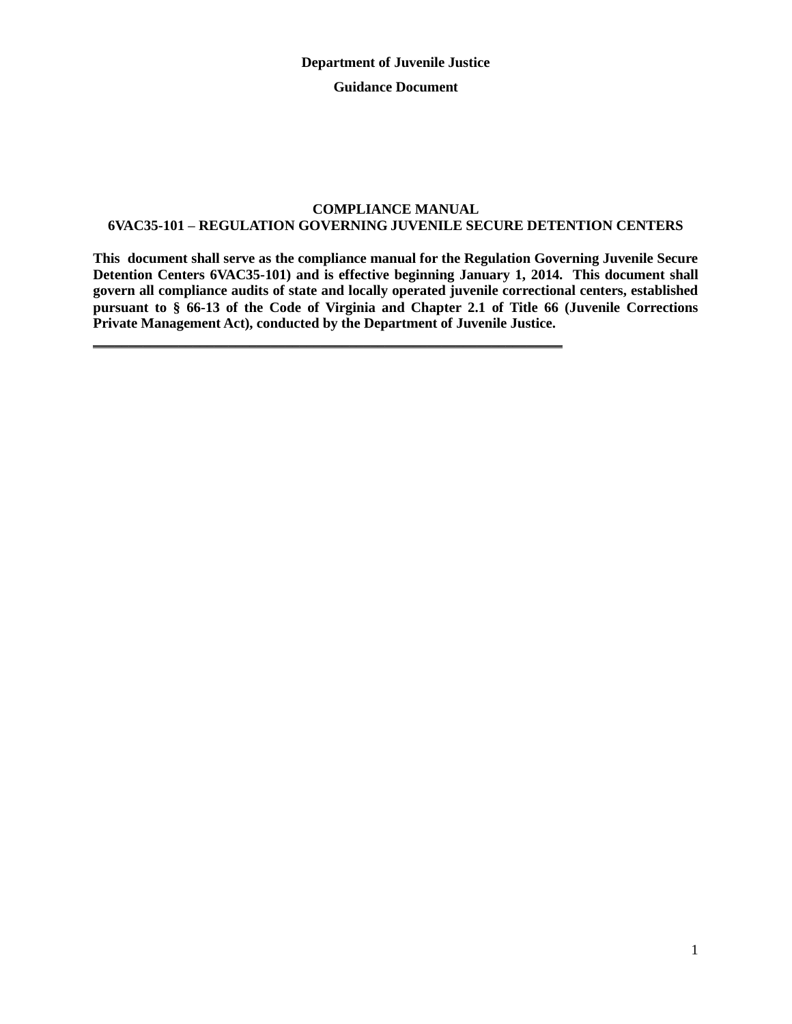#### **COMPLIANCE MANUAL 6VAC35-101 – REGULATION GOVERNING JUVENILE SECURE DETENTION CENTERS**

**This document shall serve as the compliance manual for the Regulation Governing Juvenile Secure Detention Centers 6VAC35-101) and is effective beginning January 1, 2014. This document shall govern all compliance audits of state and locally operated juvenile correctional centers, established pursuant to § 66-13 of the Code of Virginia and Chapter 2.1 of Title 66 (Juvenile Corrections Private Management Act), conducted by the Department of Juvenile Justice.** 

**\_\_\_\_\_\_\_\_\_\_\_\_\_\_\_\_\_\_\_\_\_\_\_\_\_\_\_\_\_\_\_\_\_\_\_\_\_\_\_\_\_\_\_\_\_\_\_\_\_\_\_\_\_\_\_\_\_\_\_\_\_\_\_\_\_\_**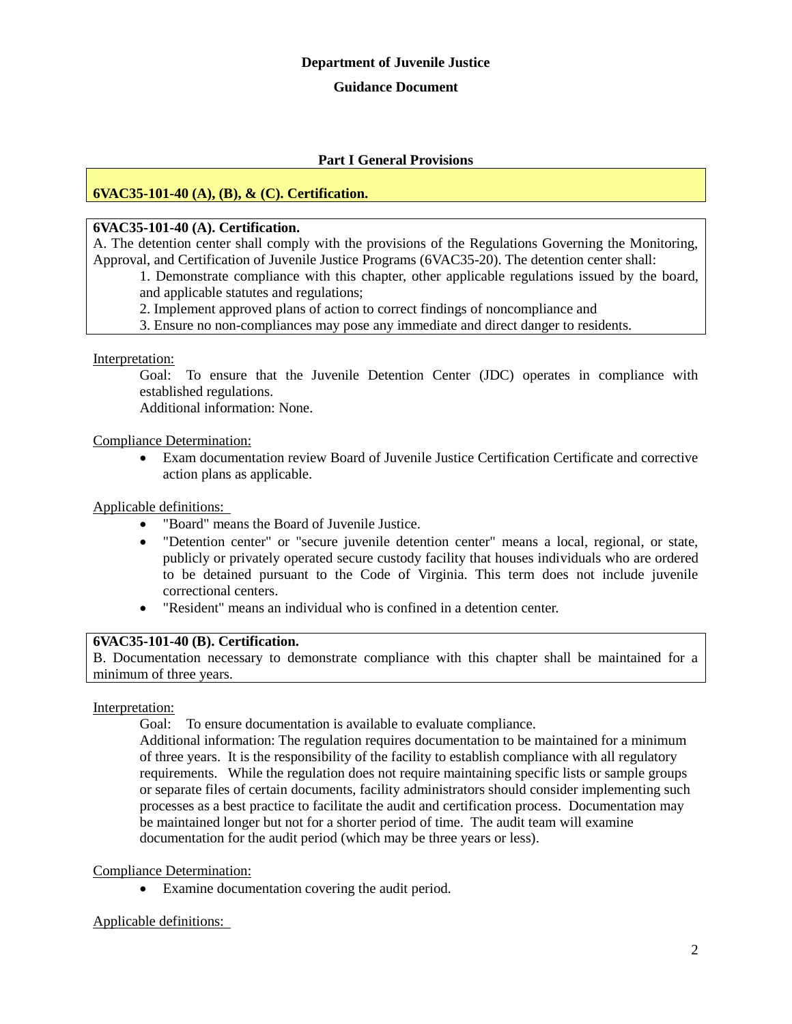#### **Guidance Document**

#### **Part I General Provisions**

#### **6VAC35-101-40 (A), (B), & (C). Certification.**

#### **6VAC35-101-40 (A). Certification.**

A. The detention center shall comply with the provisions of the Regulations Governing the Monitoring, Approval, and Certification of Juvenile Justice Programs (6VAC35-20). The detention center shall:

1. Demonstrate compliance with this chapter, other applicable regulations issued by the board, and applicable statutes and regulations;

2. Implement approved plans of action to correct findings of noncompliance and

3. Ensure no non-compliances may pose any immediate and direct danger to residents.

Interpretation:

Goal: To ensure that the Juvenile Detention Center (JDC) operates in compliance with established regulations.

Additional information: None.

#### Compliance Determination:

 Exam documentation review Board of Juvenile Justice Certification Certificate and corrective action plans as applicable.

Applicable definitions:

- "Board" means the Board of Juvenile Justice.
- "Detention center" or "secure juvenile detention center" means a local, regional, or state, publicly or privately operated secure custody facility that houses individuals who are ordered to be detained pursuant to the Code of Virginia. This term does not include juvenile correctional centers.
- "Resident" means an individual who is confined in a detention center.

#### **6VAC35-101-40 (B). Certification.**

B. Documentation necessary to demonstrate compliance with this chapter shall be maintained for a minimum of three years.

#### Interpretation:

Goal: To ensure documentation is available to evaluate compliance.

Additional information: The regulation requires documentation to be maintained for a minimum of three years. It is the responsibility of the facility to establish compliance with all regulatory requirements. While the regulation does not require maintaining specific lists or sample groups or separate files of certain documents, facility administrators should consider implementing such processes as a best practice to facilitate the audit and certification process. Documentation may be maintained longer but not for a shorter period of time. The audit team will examine documentation for the audit period (which may be three years or less).

#### Compliance Determination:

Examine documentation covering the audit period.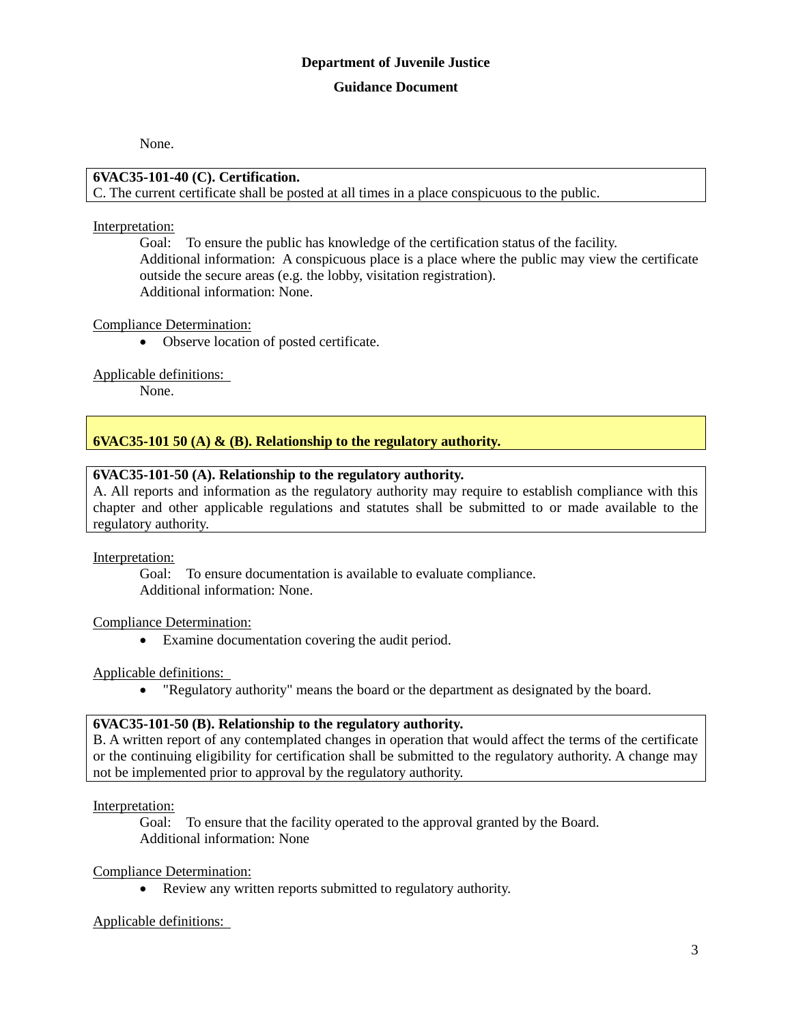None.

#### **6VAC35-101-40 (C). Certification.**

C. The current certificate shall be posted at all times in a place conspicuous to the public.

#### Interpretation:

Goal: To ensure the public has knowledge of the certification status of the facility. Additional information: A conspicuous place is a place where the public may view the certificate outside the secure areas (e.g. the lobby, visitation registration). Additional information: None.

#### Compliance Determination:

Observe location of posted certificate.

#### Applicable definitions:

None.

# **6VAC35-101 50 (A) & (B). Relationship to the regulatory authority.**

#### **6VAC35-101-50 (A). Relationship to the regulatory authority.**

A. All reports and information as the regulatory authority may require to establish compliance with this chapter and other applicable regulations and statutes shall be submitted to or made available to the regulatory authority.

Interpretation:

Goal: To ensure documentation is available to evaluate compliance. Additional information: None.

#### Compliance Determination:

Examine documentation covering the audit period.

#### Applicable definitions:

"Regulatory authority" means the board or the department as designated by the board.

#### **6VAC35-101-50 (B). Relationship to the regulatory authority.**

B. A written report of any contemplated changes in operation that would affect the terms of the certificate or the continuing eligibility for certification shall be submitted to the regulatory authority. A change may not be implemented prior to approval by the regulatory authority.

Interpretation:

Goal: To ensure that the facility operated to the approval granted by the Board. Additional information: None

#### Compliance Determination:

• Review any written reports submitted to regulatory authority.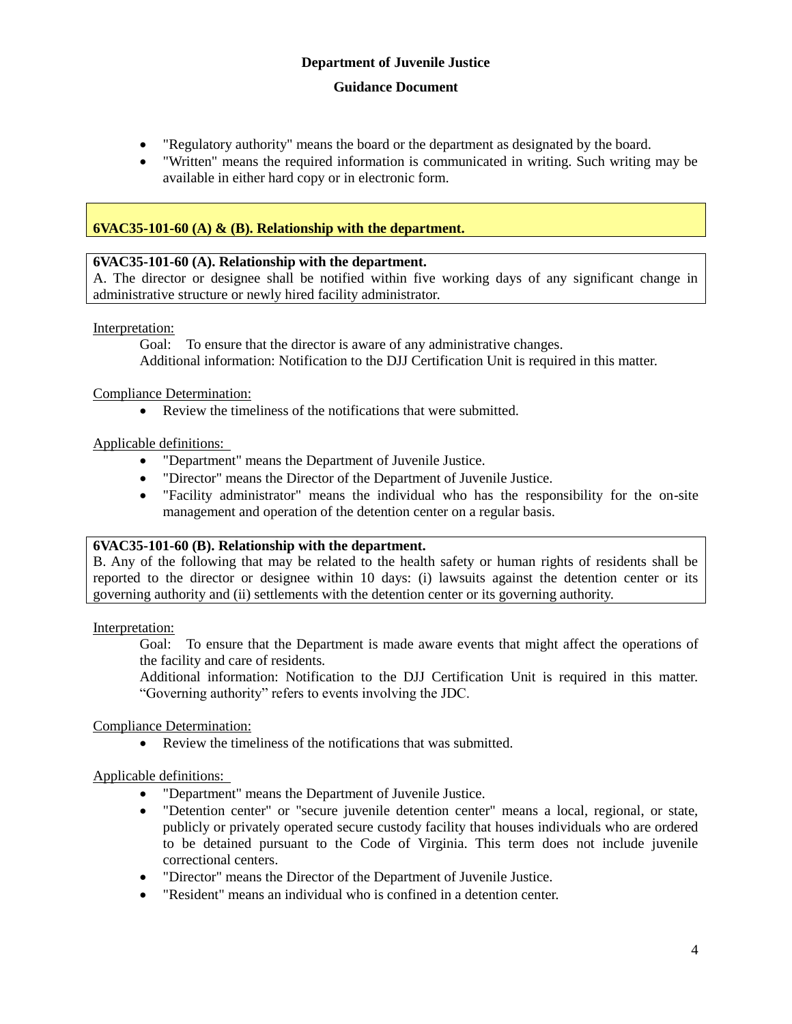- "Regulatory authority" means the board or the department as designated by the board.
- "Written" means the required information is communicated in writing. Such writing may be available in either hard copy or in electronic form.

# **6VAC35-101-60 (A) & (B). Relationship with the department.**

#### **6VAC35-101-60 (A). Relationship with the department.**

A. The director or designee shall be notified within five working days of any significant change in administrative structure or newly hired facility administrator.

Interpretation:

Goal: To ensure that the director is aware of any administrative changes. Additional information: Notification to the DJJ Certification Unit is required in this matter.

Compliance Determination:

Review the timeliness of the notifications that were submitted.

#### Applicable definitions:

- "Department" means the Department of Juvenile Justice.
- "Director" means the Director of the Department of Juvenile Justice.
- "Facility administrator" means the individual who has the responsibility for the on-site management and operation of the detention center on a regular basis.

#### **6VAC35-101-60 (B). Relationship with the department.**

B. Any of the following that may be related to the health safety or human rights of residents shall be reported to the director or designee within 10 days: (i) lawsuits against the detention center or its governing authority and (ii) settlements with the detention center or its governing authority.

Interpretation:

Goal: To ensure that the Department is made aware events that might affect the operations of the facility and care of residents.

Additional information: Notification to the DJJ Certification Unit is required in this matter. "Governing authority" refers to events involving the JDC.

Compliance Determination:

Review the timeliness of the notifications that was submitted.

- "Department" means the Department of Juvenile Justice.
- "Detention center" or "secure juvenile detention center" means a local, regional, or state, publicly or privately operated secure custody facility that houses individuals who are ordered to be detained pursuant to the Code of Virginia. This term does not include juvenile correctional centers.
- "Director" means the Director of the Department of Juvenile Justice.
- "Resident" means an individual who is confined in a detention center.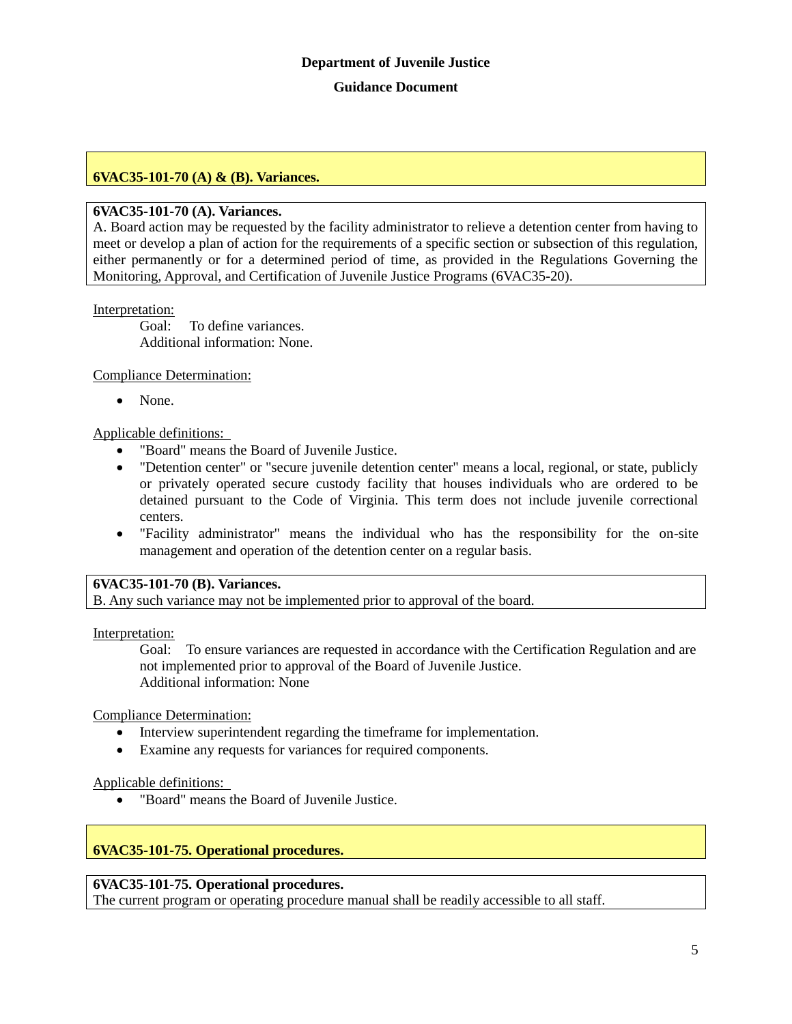# **6VAC35-101-70 (A) & (B). Variances.**

#### **6VAC35-101-70 (A). Variances.**

A. Board action may be requested by the facility administrator to relieve a detention center from having to meet or develop a plan of action for the requirements of a specific section or subsection of this regulation, either permanently or for a determined period of time, as provided in the Regulations Governing the Monitoring, Approval, and Certification of Juvenile Justice Programs (6VAC35-20).

#### Interpretation:

Goal: To define variances. Additional information: None.

#### Compliance Determination:

• None.

#### Applicable definitions:

- "Board" means the Board of Juvenile Justice.
- "Detention center" or "secure juvenile detention center" means a local, regional, or state, publicly or privately operated secure custody facility that houses individuals who are ordered to be detained pursuant to the Code of Virginia. This term does not include juvenile correctional centers.
- "Facility administrator" means the individual who has the responsibility for the on-site management and operation of the detention center on a regular basis.

#### **6VAC35-101-70 (B). Variances.**

B. Any such variance may not be implemented prior to approval of the board.

Interpretation:

Goal: To ensure variances are requested in accordance with the Certification Regulation and are not implemented prior to approval of the Board of Juvenile Justice. Additional information: None

#### Compliance Determination:

- Interview superintendent regarding the timeframe for implementation.
- Examine any requests for variances for required components.

#### Applicable definitions:

"Board" means the Board of Juvenile Justice.

# **6VAC35-101-75. Operational procedures.**

#### **6VAC35-101-75. Operational procedures.**

The current program or operating procedure manual shall be readily accessible to all staff.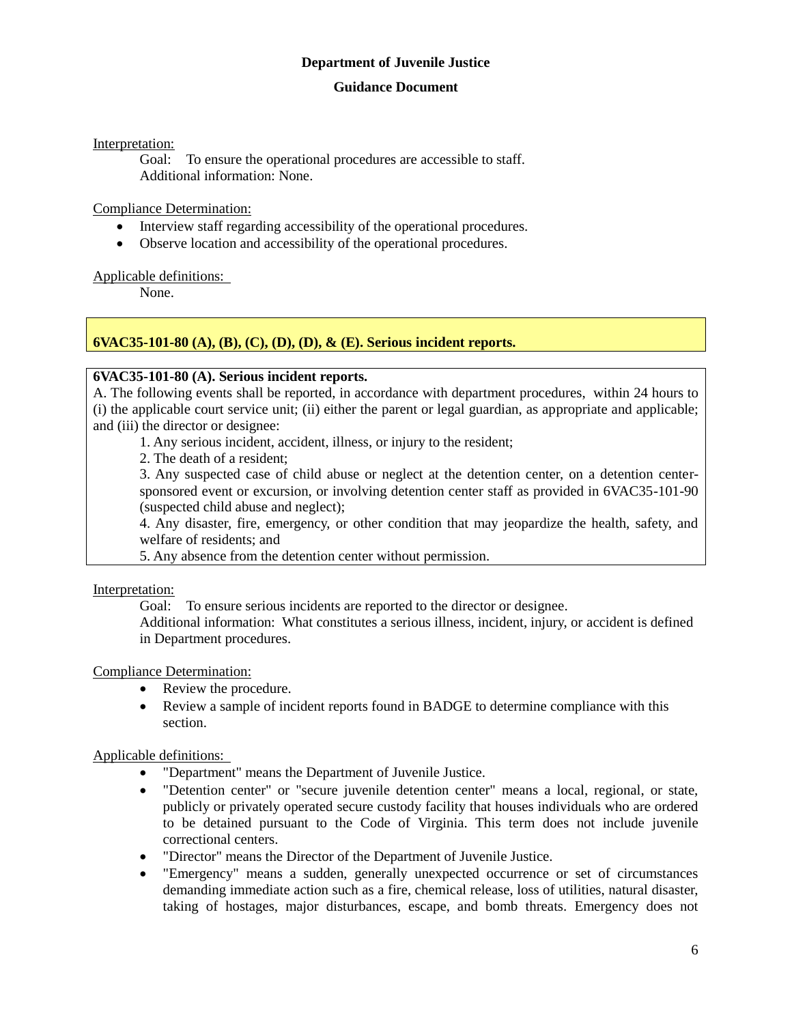#### **Guidance Document**

Interpretation:

Goal: To ensure the operational procedures are accessible to staff. Additional information: None.

#### Compliance Determination:

- Interview staff regarding accessibility of the operational procedures.
- Observe location and accessibility of the operational procedures.

#### Applicable definitions:

None.

# **6VAC35-101-80 (A), (B), (C), (D), (D), & (E). Serious incident reports.**

#### **6VAC35-101-80 (A). Serious incident reports.**

A. The following events shall be reported, in accordance with department procedures, within 24 hours to (i) the applicable court service unit; (ii) either the parent or legal guardian, as appropriate and applicable; and (iii) the director or designee:

1. Any serious incident, accident, illness, or injury to the resident;

2. The death of a resident;

3. Any suspected case of child abuse or neglect at the detention center, on a detention centersponsored event or excursion, or involving detention center staff as provided in 6VAC35-101-90 (suspected child abuse and neglect);

4. Any disaster, fire, emergency, or other condition that may jeopardize the health, safety, and welfare of residents; and

5. Any absence from the detention center without permission.

Interpretation:

Goal: To ensure serious incidents are reported to the director or designee.

Additional information: What constitutes a serious illness, incident, injury, or accident is defined in Department procedures.

#### Compliance Determination:

- Review the procedure.
- Review a sample of incident reports found in BADGE to determine compliance with this section.

- "Department" means the Department of Juvenile Justice.
- "Detention center" or "secure juvenile detention center" means a local, regional, or state, publicly or privately operated secure custody facility that houses individuals who are ordered to be detained pursuant to the Code of Virginia. This term does not include juvenile correctional centers.
- "Director" means the Director of the Department of Juvenile Justice.
- "Emergency" means a sudden, generally unexpected occurrence or set of circumstances demanding immediate action such as a fire, chemical release, loss of utilities, natural disaster, taking of hostages, major disturbances, escape, and bomb threats. Emergency does not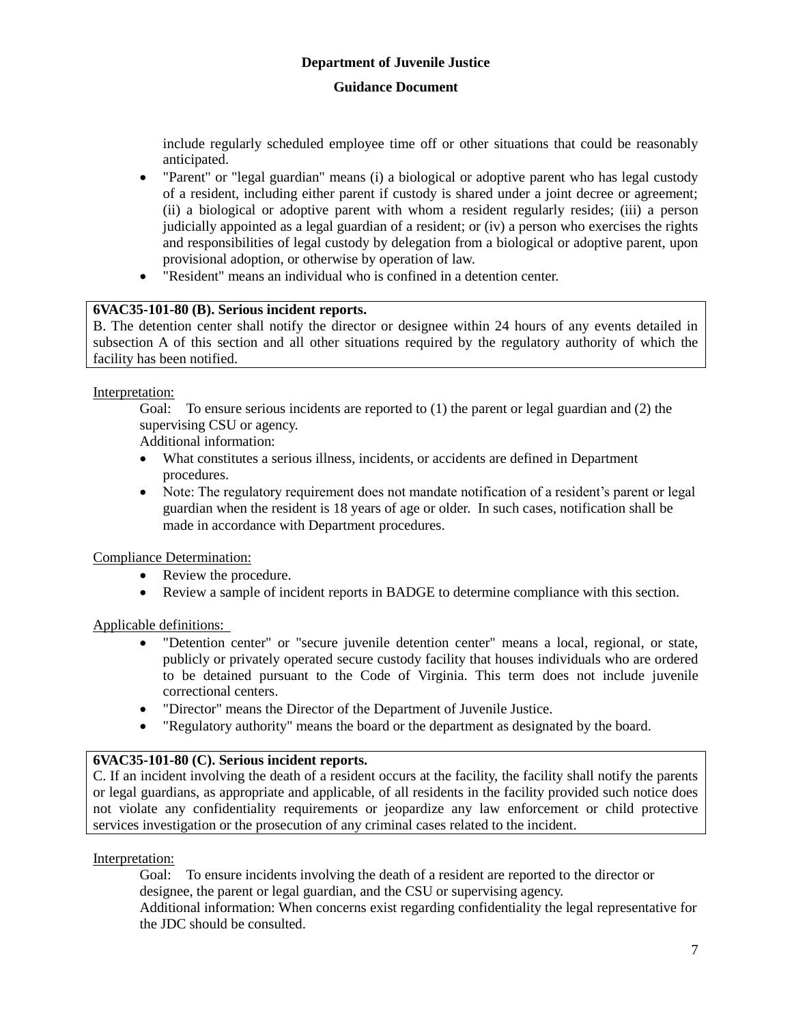#### **Guidance Document**

include regularly scheduled employee time off or other situations that could be reasonably anticipated.

- "Parent" or "legal guardian" means (i) a biological or adoptive parent who has legal custody of a resident, including either parent if custody is shared under a joint decree or agreement; (ii) a biological or adoptive parent with whom a resident regularly resides; (iii) a person judicially appointed as a legal guardian of a resident; or (iv) a person who exercises the rights and responsibilities of legal custody by delegation from a biological or adoptive parent, upon provisional adoption, or otherwise by operation of law.
- "Resident" means an individual who is confined in a detention center.

# **6VAC35-101-80 (B). Serious incident reports.**

B. The detention center shall notify the director or designee within 24 hours of any events detailed in subsection A of this section and all other situations required by the regulatory authority of which the facility has been notified.

#### Interpretation:

Goal: To ensure serious incidents are reported to (1) the parent or legal guardian and (2) the supervising CSU or agency.

Additional information:

- What constitutes a serious illness, incidents, or accidents are defined in Department procedures.
- Note: The regulatory requirement does not mandate notification of a resident's parent or legal guardian when the resident is 18 years of age or older. In such cases, notification shall be made in accordance with Department procedures.

Compliance Determination:

- Review the procedure.
- Review a sample of incident reports in BADGE to determine compliance with this section.

# Applicable definitions:

- "Detention center" or "secure juvenile detention center" means a local, regional, or state, publicly or privately operated secure custody facility that houses individuals who are ordered to be detained pursuant to the Code of Virginia. This term does not include juvenile correctional centers.
- "Director" means the Director of the Department of Juvenile Justice.
- "Regulatory authority" means the board or the department as designated by the board.

# **6VAC35-101-80 (C). Serious incident reports.**

C. If an incident involving the death of a resident occurs at the facility, the facility shall notify the parents or legal guardians, as appropriate and applicable, of all residents in the facility provided such notice does not violate any confidentiality requirements or jeopardize any law enforcement or child protective services investigation or the prosecution of any criminal cases related to the incident.

# Interpretation:

Goal: To ensure incidents involving the death of a resident are reported to the director or designee, the parent or legal guardian, and the CSU or supervising agency.

Additional information: When concerns exist regarding confidentiality the legal representative for the JDC should be consulted.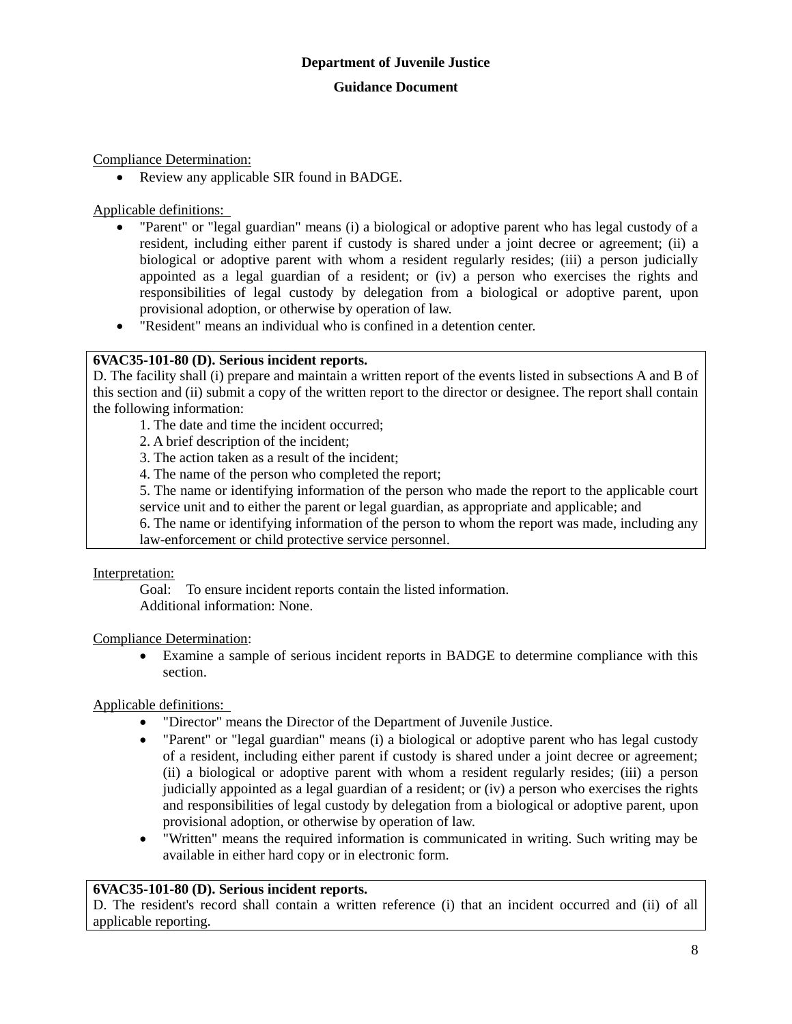Compliance Determination:

• Review any applicable SIR found in BADGE.

Applicable definitions:

- "Parent" or "legal guardian" means (i) a biological or adoptive parent who has legal custody of a resident, including either parent if custody is shared under a joint decree or agreement; (ii) a biological or adoptive parent with whom a resident regularly resides; (iii) a person judicially appointed as a legal guardian of a resident; or (iv) a person who exercises the rights and responsibilities of legal custody by delegation from a biological or adoptive parent, upon provisional adoption, or otherwise by operation of law.
- "Resident" means an individual who is confined in a detention center.

#### **6VAC35-101-80 (D). Serious incident reports.**

D. The facility shall (i) prepare and maintain a written report of the events listed in subsections A and B of this section and (ii) submit a copy of the written report to the director or designee. The report shall contain the following information:

1. The date and time the incident occurred;

2. A brief description of the incident;

3. The action taken as a result of the incident;

4. The name of the person who completed the report;

5. The name or identifying information of the person who made the report to the applicable court service unit and to either the parent or legal guardian, as appropriate and applicable; and

6. The name or identifying information of the person to whom the report was made, including any law-enforcement or child protective service personnel.

Interpretation:

Goal: To ensure incident reports contain the listed information. Additional information: None.

Compliance Determination:

 Examine a sample of serious incident reports in BADGE to determine compliance with this section.

Applicable definitions:

- "Director" means the Director of the Department of Juvenile Justice.
- "Parent" or "legal guardian" means (i) a biological or adoptive parent who has legal custody of a resident, including either parent if custody is shared under a joint decree or agreement; (ii) a biological or adoptive parent with whom a resident regularly resides; (iii) a person judicially appointed as a legal guardian of a resident; or (iv) a person who exercises the rights and responsibilities of legal custody by delegation from a biological or adoptive parent, upon provisional adoption, or otherwise by operation of law.
- "Written" means the required information is communicated in writing. Such writing may be available in either hard copy or in electronic form.

# **6VAC35-101-80 (D). Serious incident reports.**

D. The resident's record shall contain a written reference (i) that an incident occurred and (ii) of all applicable reporting.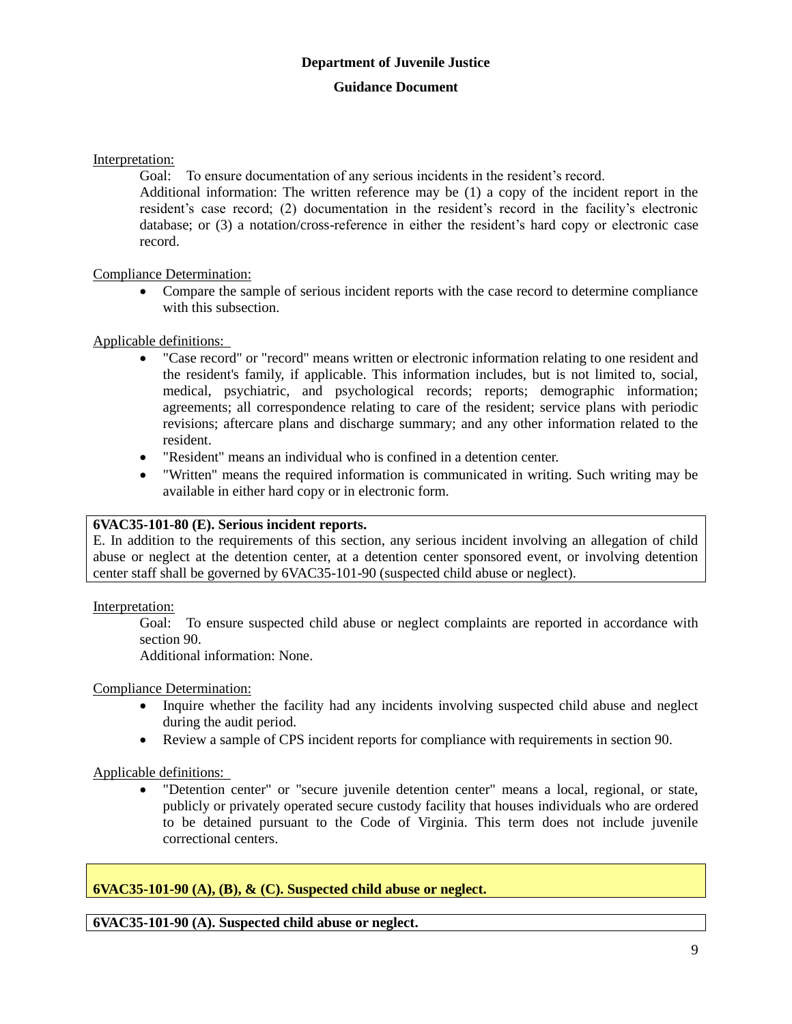Interpretation:

Goal: To ensure documentation of any serious incidents in the resident's record.

Additional information: The written reference may be (1) a copy of the incident report in the resident's case record; (2) documentation in the resident's record in the facility's electronic database; or (3) a notation/cross-reference in either the resident's hard copy or electronic case record.

Compliance Determination:

 Compare the sample of serious incident reports with the case record to determine compliance with this subsection.

# Applicable definitions:

- "Case record" or "record" means written or electronic information relating to one resident and the resident's family, if applicable. This information includes, but is not limited to, social, medical, psychiatric, and psychological records; reports; demographic information; agreements; all correspondence relating to care of the resident; service plans with periodic revisions; aftercare plans and discharge summary; and any other information related to the resident.
- "Resident" means an individual who is confined in a detention center.
- "Written" means the required information is communicated in writing. Such writing may be available in either hard copy or in electronic form.

# **6VAC35-101-80 (E). Serious incident reports.**

E. In addition to the requirements of this section, any serious incident involving an allegation of child abuse or neglect at the detention center, at a detention center sponsored event, or involving detention center staff shall be governed by 6VAC35-101-90 (suspected child abuse or neglect).

Interpretation:

Goal: To ensure suspected child abuse or neglect complaints are reported in accordance with section 90.

Additional information: None.

Compliance Determination:

- Inquire whether the facility had any incidents involving suspected child abuse and neglect during the audit period.
- Review a sample of CPS incident reports for compliance with requirements in section 90.

Applicable definitions:

 "Detention center" or "secure juvenile detention center" means a local, regional, or state, publicly or privately operated secure custody facility that houses individuals who are ordered to be detained pursuant to the Code of Virginia. This term does not include juvenile correctional centers.

**6VAC35-101-90 (A), (B), & (C). Suspected child abuse or neglect.**

**6VAC35-101-90 (A). Suspected child abuse or neglect.**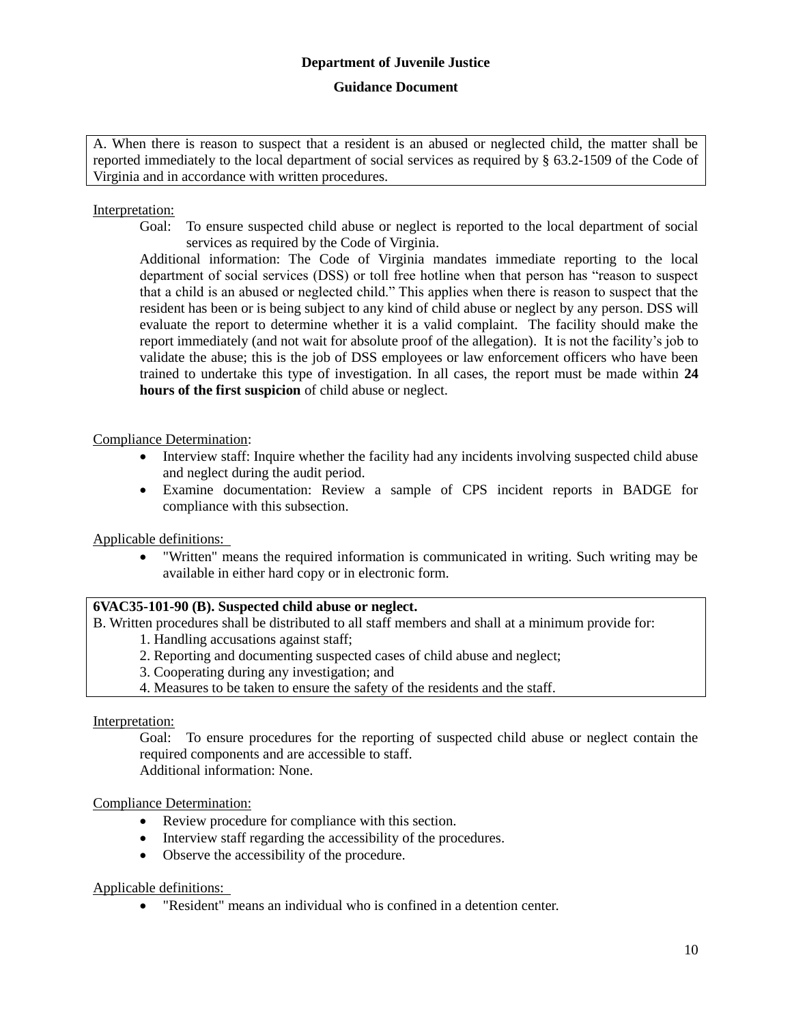A. When there is reason to suspect that a resident is an abused or neglected child, the matter shall be reported immediately to the local department of social services as required by § 63.2-1509 of the Code of Virginia and in accordance with written procedures.

## Interpretation:

Goal: To ensure suspected child abuse or neglect is reported to the local department of social services as required by the Code of Virginia.

Additional information: The Code of Virginia mandates immediate reporting to the local department of social services (DSS) or toll free hotline when that person has "reason to suspect that a child is an abused or neglected child." This applies when there is reason to suspect that the resident has been or is being subject to any kind of child abuse or neglect by any person. DSS will evaluate the report to determine whether it is a valid complaint. The facility should make the report immediately (and not wait for absolute proof of the allegation). It is not the facility's job to validate the abuse; this is the job of DSS employees or law enforcement officers who have been trained to undertake this type of investigation. In all cases, the report must be made within **24 hours of the first suspicion** of child abuse or neglect.

#### Compliance Determination:

- Interview staff: Inquire whether the facility had any incidents involving suspected child abuse and neglect during the audit period.
- Examine documentation: Review a sample of CPS incident reports in BADGE for compliance with this subsection.

Applicable definitions:

 "Written" means the required information is communicated in writing. Such writing may be available in either hard copy or in electronic form.

#### **6VAC35-101-90 (B). Suspected child abuse or neglect.**

B. Written procedures shall be distributed to all staff members and shall at a minimum provide for:

- 1. Handling accusations against staff;
- 2. Reporting and documenting suspected cases of child abuse and neglect;
- 3. Cooperating during any investigation; and
- 4. Measures to be taken to ensure the safety of the residents and the staff.

Interpretation:

Goal: To ensure procedures for the reporting of suspected child abuse or neglect contain the required components and are accessible to staff. Additional information: None.

Compliance Determination:

- Review procedure for compliance with this section.
- Interview staff regarding the accessibility of the procedures.
- Observe the accessibility of the procedure.

Applicable definitions:

"Resident" means an individual who is confined in a detention center.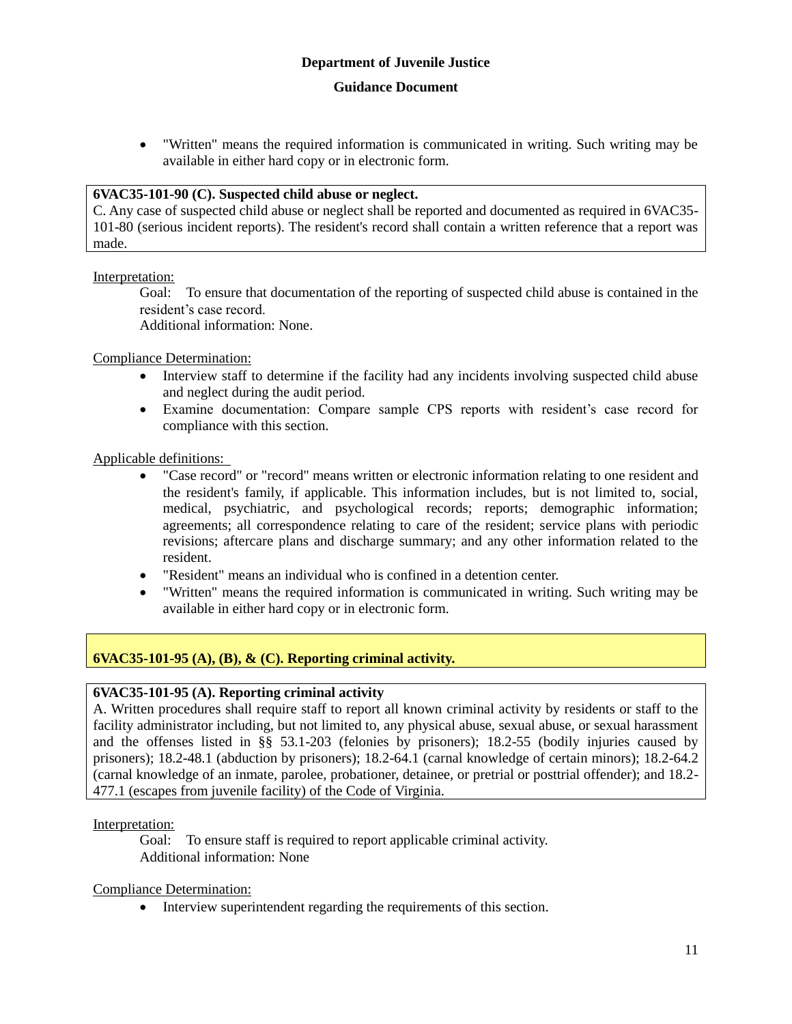"Written" means the required information is communicated in writing. Such writing may be available in either hard copy or in electronic form.

#### **6VAC35-101-90 (C). Suspected child abuse or neglect.**

C. Any case of suspected child abuse or neglect shall be reported and documented as required in 6VAC35- 101-80 (serious incident reports). The resident's record shall contain a written reference that a report was made.

Interpretation:

Goal: To ensure that documentation of the reporting of suspected child abuse is contained in the resident's case record.

Additional information: None.

Compliance Determination:

- Interview staff to determine if the facility had any incidents involving suspected child abuse and neglect during the audit period.
- Examine documentation: Compare sample CPS reports with resident's case record for compliance with this section.

Applicable definitions:

- "Case record" or "record" means written or electronic information relating to one resident and the resident's family, if applicable. This information includes, but is not limited to, social, medical, psychiatric, and psychological records; reports; demographic information; agreements; all correspondence relating to care of the resident; service plans with periodic revisions; aftercare plans and discharge summary; and any other information related to the resident.
- "Resident" means an individual who is confined in a detention center.
- "Written" means the required information is communicated in writing. Such writing may be available in either hard copy or in electronic form.

# **6VAC35-101-95 (A), (B), & (C). Reporting criminal activity.**

#### **6VAC35-101-95 (A). Reporting criminal activity**

A. Written procedures shall require staff to report all known criminal activity by residents or staff to the facility administrator including, but not limited to, any physical abuse, sexual abuse, or sexual harassment and the offenses listed in §§ 53.1-203 (felonies by prisoners); 18.2-55 (bodily injuries caused by prisoners); 18.2-48.1 (abduction by prisoners); 18.2-64.1 (carnal knowledge of certain minors); 18.2-64.2 (carnal knowledge of an inmate, parolee, probationer, detainee, or pretrial or posttrial offender); and 18.2- 477.1 (escapes from juvenile facility) of the Code of Virginia.

Interpretation:

Goal: To ensure staff is required to report applicable criminal activity. Additional information: None

Compliance Determination:

• Interview superintendent regarding the requirements of this section.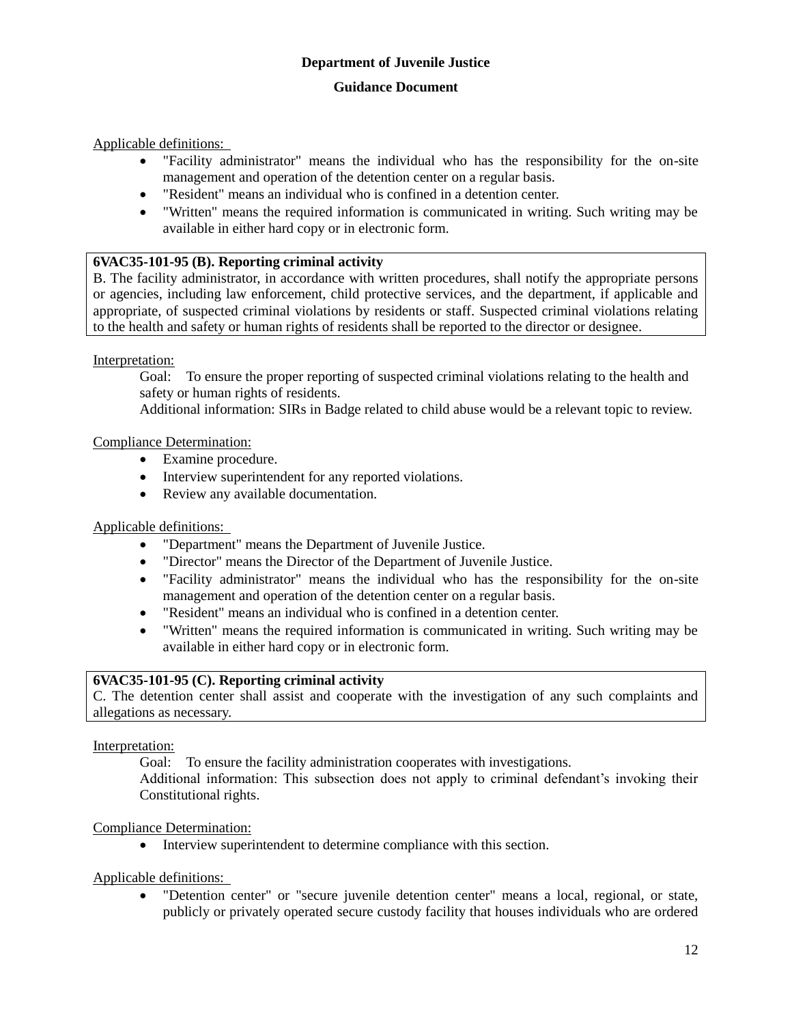Applicable definitions:

- "Facility administrator" means the individual who has the responsibility for the on-site management and operation of the detention center on a regular basis.
- "Resident" means an individual who is confined in a detention center.
- "Written" means the required information is communicated in writing. Such writing may be available in either hard copy or in electronic form.

#### **6VAC35-101-95 (B). Reporting criminal activity**

B. The facility administrator, in accordance with written procedures, shall notify the appropriate persons or agencies, including law enforcement, child protective services, and the department, if applicable and appropriate, of suspected criminal violations by residents or staff. Suspected criminal violations relating to the health and safety or human rights of residents shall be reported to the director or designee.

#### Interpretation:

Goal: To ensure the proper reporting of suspected criminal violations relating to the health and safety or human rights of residents.

Additional information: SIRs in Badge related to child abuse would be a relevant topic to review.

#### Compliance Determination:

- Examine procedure.
- Interview superintendent for any reported violations.
- Review any available documentation.

#### Applicable definitions:

- "Department" means the Department of Juvenile Justice.
- "Director" means the Director of the Department of Juvenile Justice.
- "Facility administrator" means the individual who has the responsibility for the on-site management and operation of the detention center on a regular basis.
- "Resident" means an individual who is confined in a detention center.
- "Written" means the required information is communicated in writing. Such writing may be available in either hard copy or in electronic form.

#### **6VAC35-101-95 (C). Reporting criminal activity**

C. The detention center shall assist and cooperate with the investigation of any such complaints and allegations as necessary.

Interpretation:

Goal: To ensure the facility administration cooperates with investigations.

Additional information: This subsection does not apply to criminal defendant's invoking their Constitutional rights.

Compliance Determination:

• Interview superintendent to determine compliance with this section.

Applicable definitions:

 "Detention center" or "secure juvenile detention center" means a local, regional, or state, publicly or privately operated secure custody facility that houses individuals who are ordered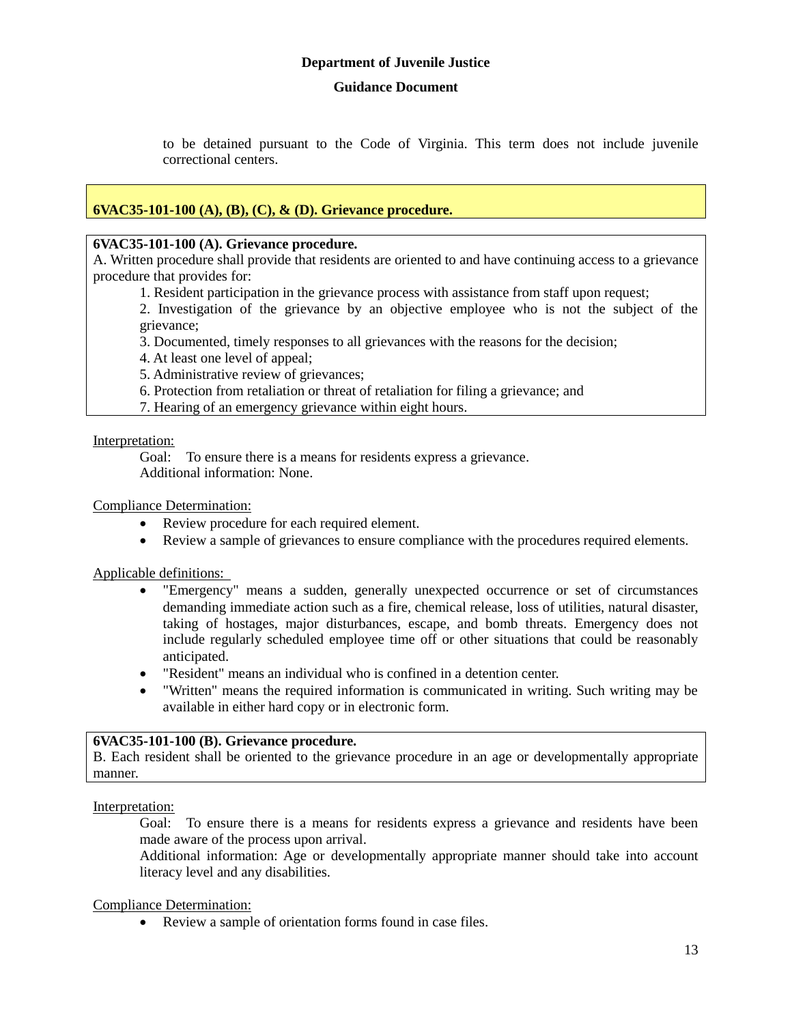to be detained pursuant to the Code of Virginia. This term does not include juvenile correctional centers.

# **6VAC35-101-100 (A), (B), (C), & (D). Grievance procedure.**

#### **6VAC35-101-100 (A). Grievance procedure.**

A. Written procedure shall provide that residents are oriented to and have continuing access to a grievance procedure that provides for:

1. Resident participation in the grievance process with assistance from staff upon request;

2. Investigation of the grievance by an objective employee who is not the subject of the grievance;

3. Documented, timely responses to all grievances with the reasons for the decision;

4. At least one level of appeal;

5. Administrative review of grievances;

6. Protection from retaliation or threat of retaliation for filing a grievance; and

7. Hearing of an emergency grievance within eight hours.

#### Interpretation:

Goal: To ensure there is a means for residents express a grievance. Additional information: None.

#### Compliance Determination:

- Review procedure for each required element.
- Review a sample of grievances to ensure compliance with the procedures required elements.

Applicable definitions:

- "Emergency" means a sudden, generally unexpected occurrence or set of circumstances demanding immediate action such as a fire, chemical release, loss of utilities, natural disaster, taking of hostages, major disturbances, escape, and bomb threats. Emergency does not include regularly scheduled employee time off or other situations that could be reasonably anticipated.
- "Resident" means an individual who is confined in a detention center.
- "Written" means the required information is communicated in writing. Such writing may be available in either hard copy or in electronic form.

#### **6VAC35-101-100 (B). Grievance procedure.**

B. Each resident shall be oriented to the grievance procedure in an age or developmentally appropriate manner.

Interpretation:

Goal: To ensure there is a means for residents express a grievance and residents have been made aware of the process upon arrival.

Additional information: Age or developmentally appropriate manner should take into account literacy level and any disabilities.

Compliance Determination:

Review a sample of orientation forms found in case files.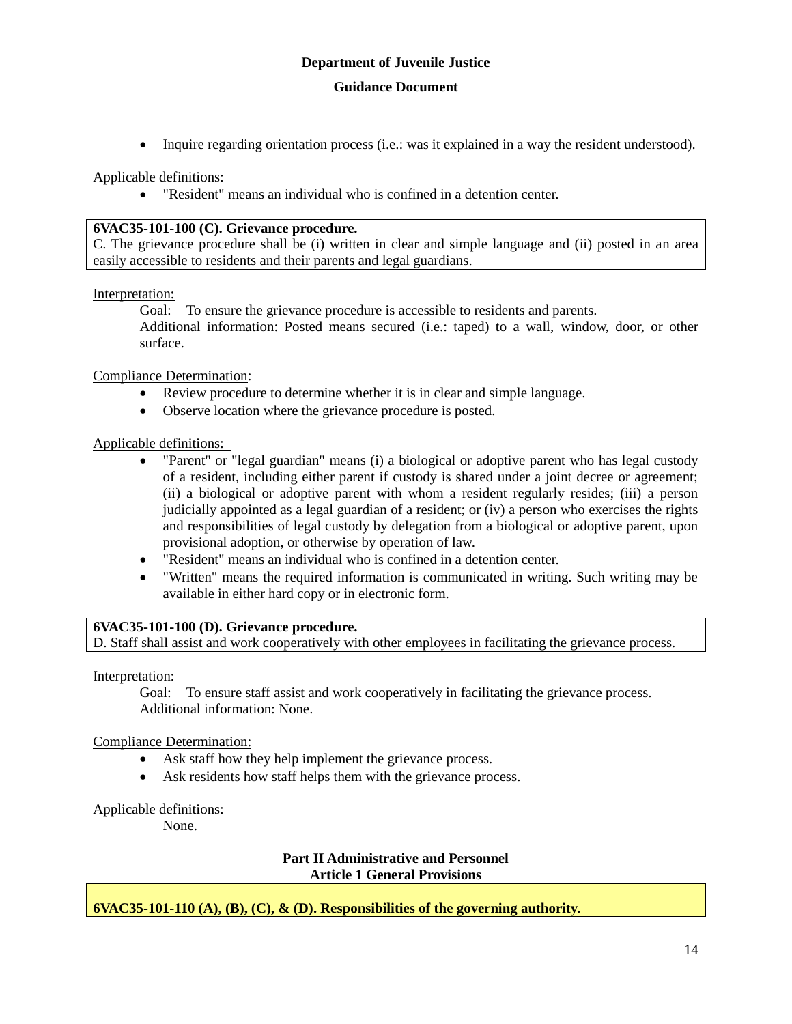Inquire regarding orientation process (i.e.: was it explained in a way the resident understood).

Applicable definitions:

"Resident" means an individual who is confined in a detention center.

#### **6VAC35-101-100 (C). Grievance procedure.**

C. The grievance procedure shall be (i) written in clear and simple language and (ii) posted in an area easily accessible to residents and their parents and legal guardians.

#### Interpretation:

Goal: To ensure the grievance procedure is accessible to residents and parents.

Additional information: Posted means secured (i.e.: taped) to a wall, window, door, or other surface.

#### Compliance Determination:

- Review procedure to determine whether it is in clear and simple language.
- Observe location where the grievance procedure is posted.

#### Applicable definitions:

- "Parent" or "legal guardian" means (i) a biological or adoptive parent who has legal custody of a resident, including either parent if custody is shared under a joint decree or agreement; (ii) a biological or adoptive parent with whom a resident regularly resides; (iii) a person judicially appointed as a legal guardian of a resident; or (iv) a person who exercises the rights and responsibilities of legal custody by delegation from a biological or adoptive parent, upon provisional adoption, or otherwise by operation of law.
- "Resident" means an individual who is confined in a detention center.
- "Written" means the required information is communicated in writing. Such writing may be available in either hard copy or in electronic form.

# **6VAC35-101-100 (D). Grievance procedure.**

D. Staff shall assist and work cooperatively with other employees in facilitating the grievance process.

Interpretation:

Goal: To ensure staff assist and work cooperatively in facilitating the grievance process. Additional information: None.

#### Compliance Determination:

- Ask staff how they help implement the grievance process.
- Ask residents how staff helps them with the grievance process.

#### Applicable definitions:

None.

#### **Part II Administrative and Personnel Article 1 General Provisions**

#### **6VAC35-101-110 (A), (B), (C), & (D). Responsibilities of the governing authority.**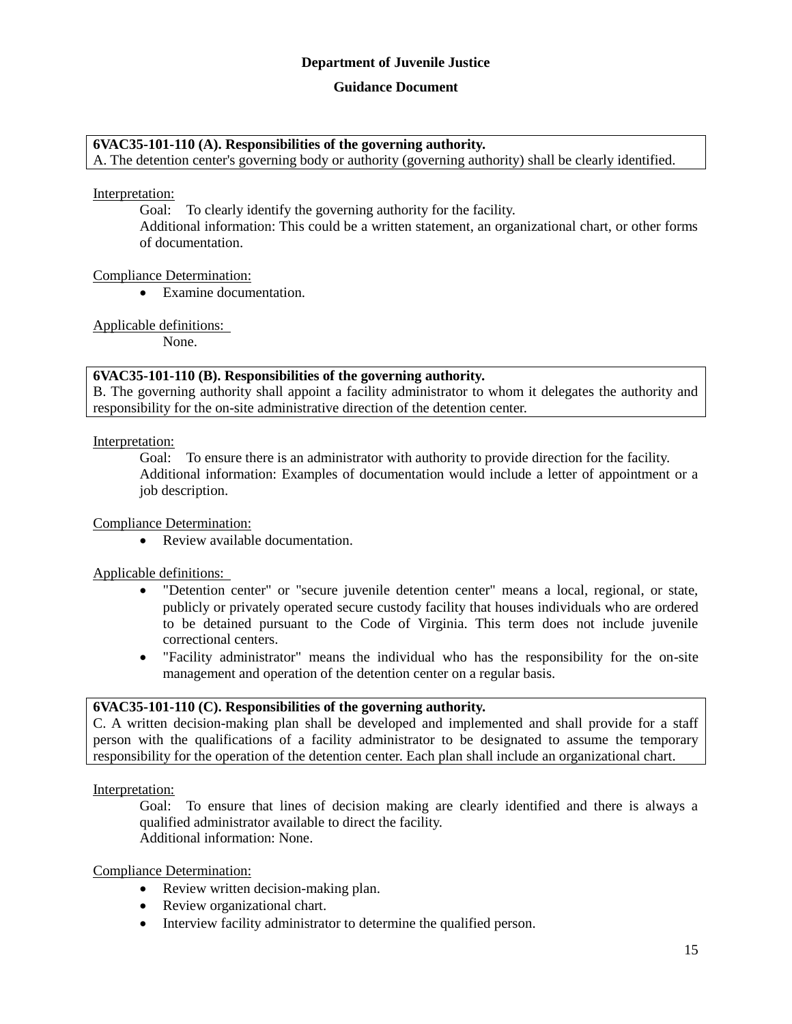#### **Guidance Document**

#### **6VAC35-101-110 (A). Responsibilities of the governing authority.**

A. The detention center's governing body or authority (governing authority) shall be clearly identified.

#### Interpretation:

Goal: To clearly identify the governing authority for the facility. Additional information: This could be a written statement, an organizational chart, or other forms of documentation.

#### Compliance Determination:

Examine documentation.

#### Applicable definitions:

None.

#### **6VAC35-101-110 (B). Responsibilities of the governing authority.**

B. The governing authority shall appoint a facility administrator to whom it delegates the authority and responsibility for the on-site administrative direction of the detention center.

Interpretation:

Goal: To ensure there is an administrator with authority to provide direction for the facility. Additional information: Examples of documentation would include a letter of appointment or a job description.

Compliance Determination:

• Review available documentation.

Applicable definitions:

- "Detention center" or "secure juvenile detention center" means a local, regional, or state, publicly or privately operated secure custody facility that houses individuals who are ordered to be detained pursuant to the Code of Virginia. This term does not include juvenile correctional centers.
- "Facility administrator" means the individual who has the responsibility for the on-site management and operation of the detention center on a regular basis.

#### **6VAC35-101-110 (C). Responsibilities of the governing authority.**

C. A written decision-making plan shall be developed and implemented and shall provide for a staff person with the qualifications of a facility administrator to be designated to assume the temporary responsibility for the operation of the detention center. Each plan shall include an organizational chart.

Interpretation:

Goal: To ensure that lines of decision making are clearly identified and there is always a qualified administrator available to direct the facility. Additional information: None.

Compliance Determination:

- Review written decision-making plan.
- Review organizational chart.
- Interview facility administrator to determine the qualified person.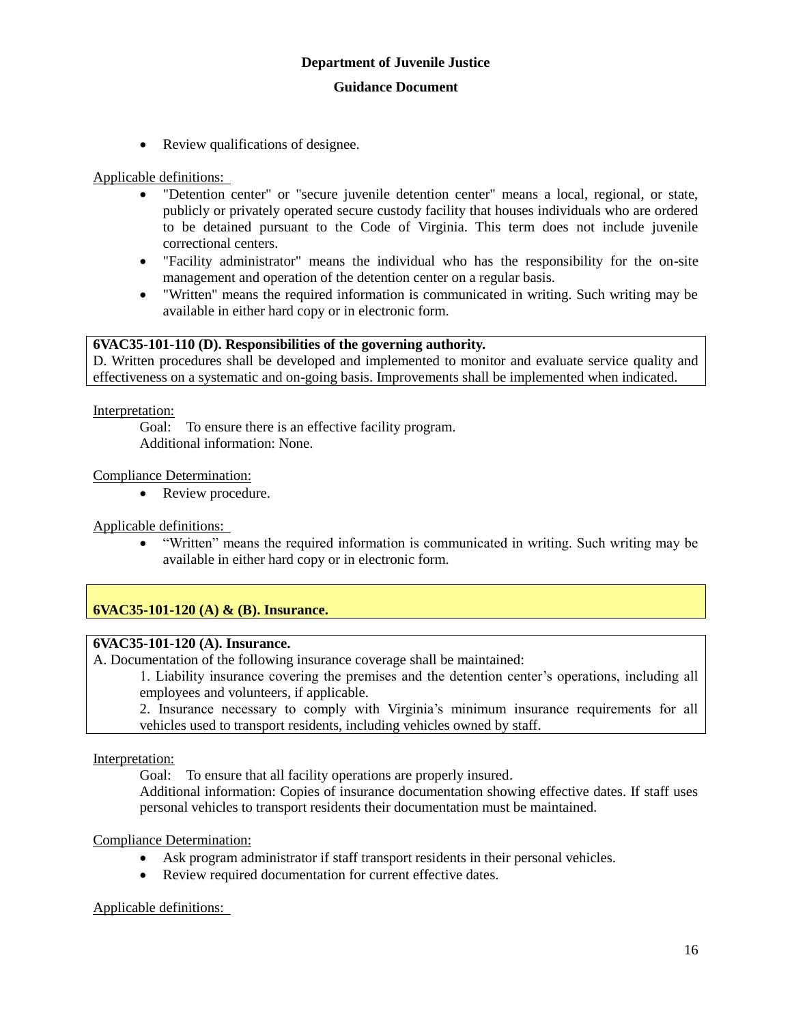• Review qualifications of designee.

Applicable definitions:

- "Detention center" or "secure juvenile detention center" means a local, regional, or state, publicly or privately operated secure custody facility that houses individuals who are ordered to be detained pursuant to the Code of Virginia. This term does not include juvenile correctional centers.
- "Facility administrator" means the individual who has the responsibility for the on-site management and operation of the detention center on a regular basis.
- "Written" means the required information is communicated in writing. Such writing may be available in either hard copy or in electronic form.

#### **6VAC35-101-110 (D). Responsibilities of the governing authority.**

D. Written procedures shall be developed and implemented to monitor and evaluate service quality and effectiveness on a systematic and on-going basis. Improvements shall be implemented when indicated.

Interpretation:

Goal: To ensure there is an effective facility program. Additional information: None.

Compliance Determination:

• Review procedure.

Applicable definitions:

 "Written" means the required information is communicated in writing. Such writing may be available in either hard copy or in electronic form.

**6VAC35-101-120 (A) & (B). Insurance.**

# **6VAC35-101-120 (A). Insurance.**

A. Documentation of the following insurance coverage shall be maintained:

1. Liability insurance covering the premises and the detention center's operations, including all employees and volunteers, if applicable.

2. Insurance necessary to comply with Virginia's minimum insurance requirements for all vehicles used to transport residents, including vehicles owned by staff.

Interpretation:

Goal: To ensure that all facility operations are properly insured.

Additional information: Copies of insurance documentation showing effective dates. If staff uses personal vehicles to transport residents their documentation must be maintained.

Compliance Determination:

- Ask program administrator if staff transport residents in their personal vehicles.
- Review required documentation for current effective dates.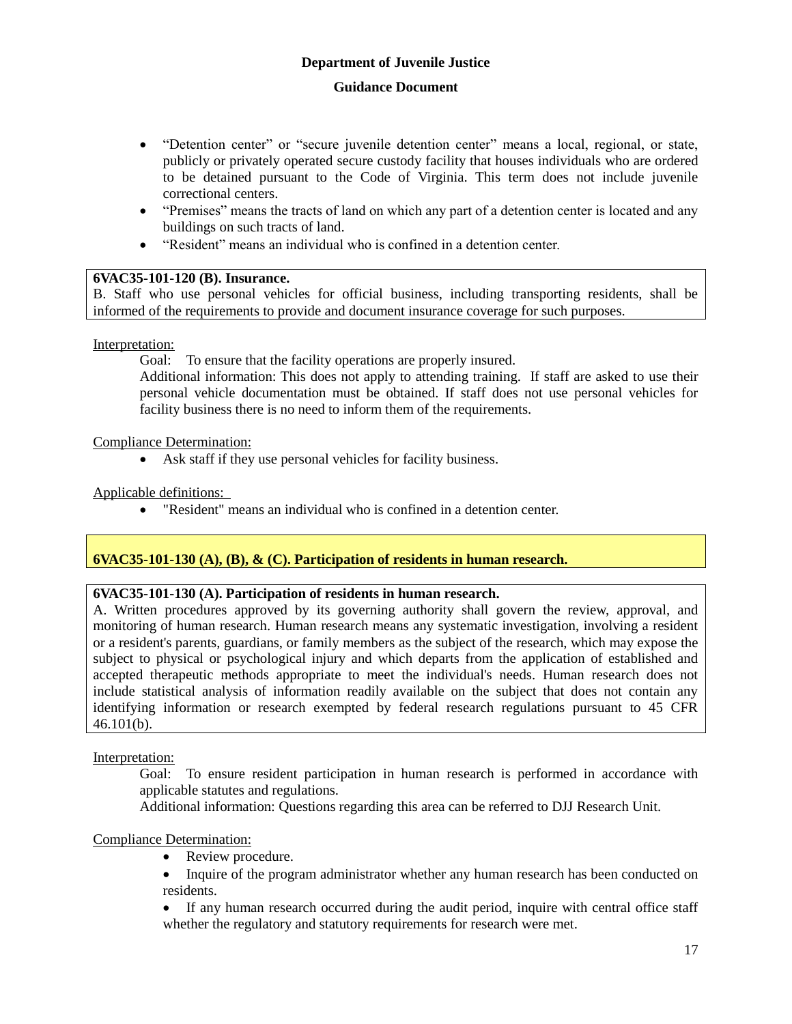- "Detention center" or "secure juvenile detention center" means a local, regional, or state, publicly or privately operated secure custody facility that houses individuals who are ordered to be detained pursuant to the Code of Virginia. This term does not include juvenile correctional centers.
- "Premises" means the tracts of land on which any part of a detention center is located and any buildings on such tracts of land.
- "Resident" means an individual who is confined in a detention center.

#### **6VAC35-101-120 (B). Insurance.**

B. Staff who use personal vehicles for official business, including transporting residents, shall be informed of the requirements to provide and document insurance coverage for such purposes.

Interpretation:

Goal: To ensure that the facility operations are properly insured.

Additional information: This does not apply to attending training. If staff are asked to use their personal vehicle documentation must be obtained. If staff does not use personal vehicles for facility business there is no need to inform them of the requirements.

#### Compliance Determination:

Ask staff if they use personal vehicles for facility business.

Applicable definitions:

"Resident" means an individual who is confined in a detention center.

# **6VAC35-101-130 (A), (B), & (C). Participation of residents in human research.**

#### **6VAC35-101-130 (A). Participation of residents in human research.**

A. Written procedures approved by its governing authority shall govern the review, approval, and monitoring of human research. Human research means any systematic investigation, involving a resident or a resident's parents, guardians, or family members as the subject of the research, which may expose the subject to physical or psychological injury and which departs from the application of established and accepted therapeutic methods appropriate to meet the individual's needs. Human research does not include statistical analysis of information readily available on the subject that does not contain any identifying information or research exempted by federal research regulations pursuant to 45 CFR  $46.101(b)$ .

#### Interpretation:

Goal: To ensure resident participation in human research is performed in accordance with applicable statutes and regulations.

Additional information: Questions regarding this area can be referred to DJJ Research Unit.

#### Compliance Determination:

- Review procedure.
- Inquire of the program administrator whether any human research has been conducted on residents.
- If any human research occurred during the audit period, inquire with central office staff whether the regulatory and statutory requirements for research were met.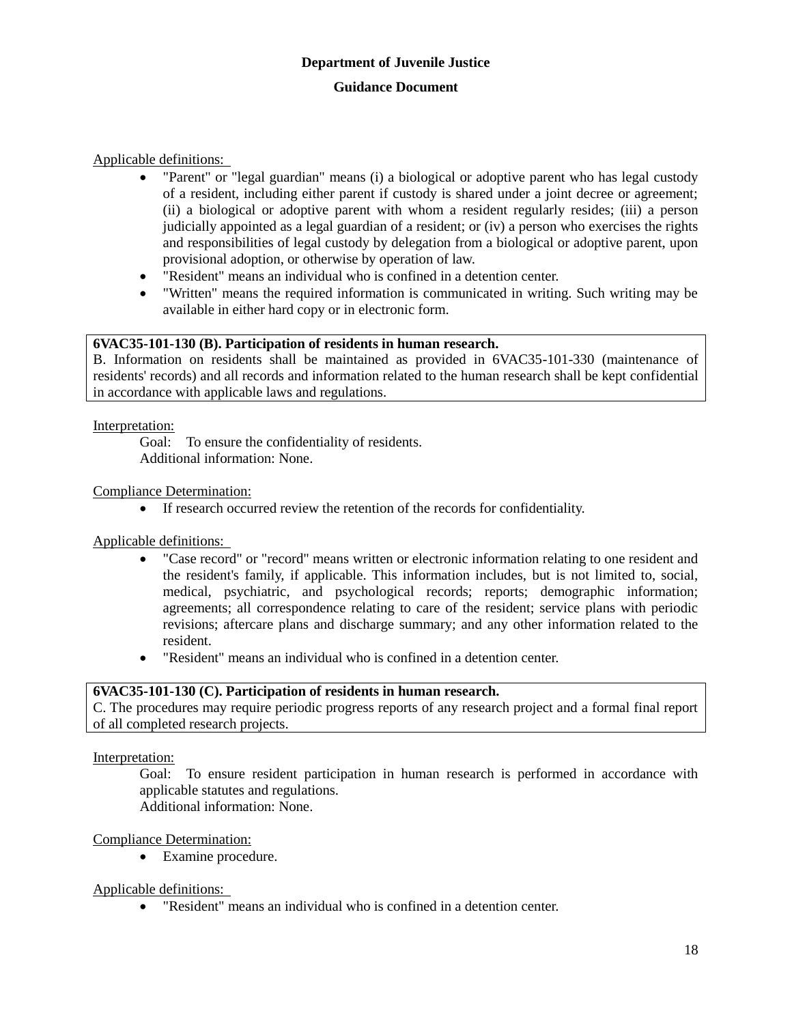Applicable definitions:

- "Parent" or "legal guardian" means (i) a biological or adoptive parent who has legal custody of a resident, including either parent if custody is shared under a joint decree or agreement; (ii) a biological or adoptive parent with whom a resident regularly resides; (iii) a person judicially appointed as a legal guardian of a resident; or (iv) a person who exercises the rights and responsibilities of legal custody by delegation from a biological or adoptive parent, upon provisional adoption, or otherwise by operation of law.
- "Resident" means an individual who is confined in a detention center.
- "Written" means the required information is communicated in writing. Such writing may be available in either hard copy or in electronic form.

#### **6VAC35-101-130 (B). Participation of residents in human research.**

B. Information on residents shall be maintained as provided in 6VAC35-101-330 (maintenance of residents' records) and all records and information related to the human research shall be kept confidential in accordance with applicable laws and regulations.

Interpretation:

Goal: To ensure the confidentiality of residents. Additional information: None.

#### Compliance Determination:

If research occurred review the retention of the records for confidentiality.

Applicable definitions:

- "Case record" or "record" means written or electronic information relating to one resident and the resident's family, if applicable. This information includes, but is not limited to, social, medical, psychiatric, and psychological records; reports; demographic information; agreements; all correspondence relating to care of the resident; service plans with periodic revisions; aftercare plans and discharge summary; and any other information related to the resident.
- "Resident" means an individual who is confined in a detention center.

#### **6VAC35-101-130 (C). Participation of residents in human research.**

C. The procedures may require periodic progress reports of any research project and a formal final report of all completed research projects.

Interpretation:

Goal: To ensure resident participation in human research is performed in accordance with applicable statutes and regulations. Additional information: None.

Compliance Determination:

Examine procedure.

Applicable definitions:

"Resident" means an individual who is confined in a detention center.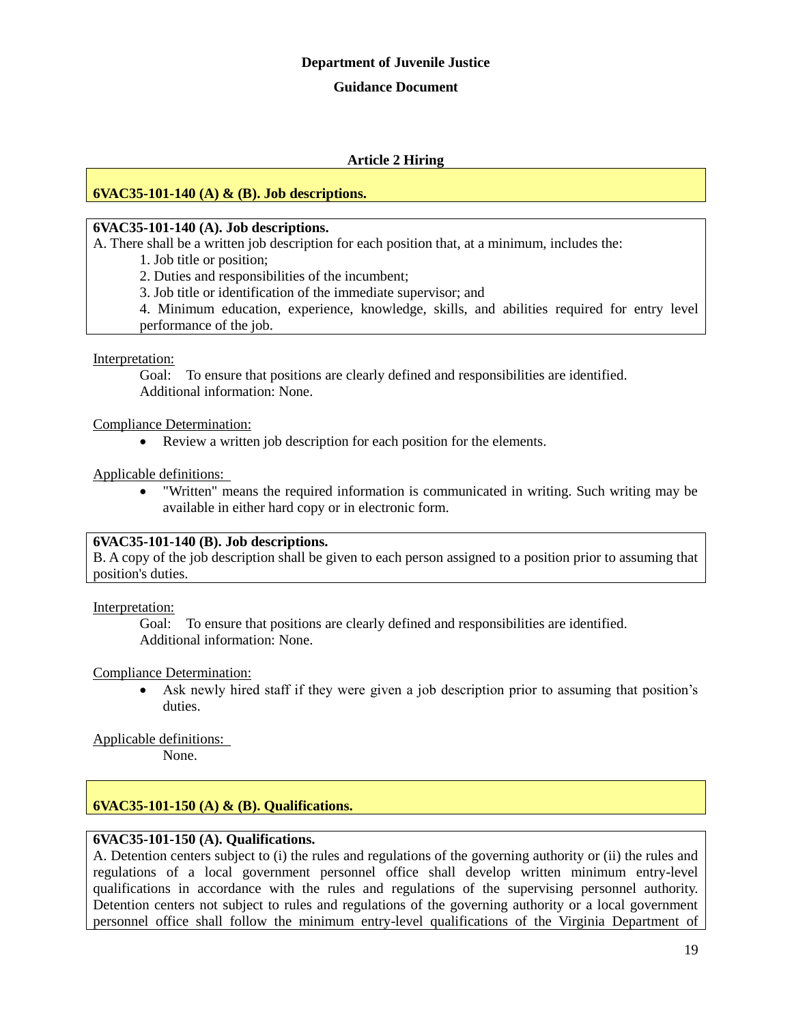#### **Guidance Document**

#### **Article 2 Hiring**

#### **6VAC35-101-140 (A) & (B). Job descriptions.**

#### **6VAC35-101-140 (A). Job descriptions.**

A. There shall be a written job description for each position that, at a minimum, includes the:

1. Job title or position;

2. Duties and responsibilities of the incumbent;

3. Job title or identification of the immediate supervisor; and

4. Minimum education, experience, knowledge, skills, and abilities required for entry level performance of the job.

#### Interpretation:

Goal: To ensure that positions are clearly defined and responsibilities are identified. Additional information: None.

Compliance Determination:

Review a written job description for each position for the elements.

Applicable definitions:

 "Written" means the required information is communicated in writing. Such writing may be available in either hard copy or in electronic form.

#### **6VAC35-101-140 (B). Job descriptions.**

B. A copy of the job description shall be given to each person assigned to a position prior to assuming that position's duties.

Interpretation:

Goal: To ensure that positions are clearly defined and responsibilities are identified. Additional information: None.

#### Compliance Determination:

 Ask newly hired staff if they were given a job description prior to assuming that position's duties.

Applicable definitions:

None.

# **6VAC35-101-150 (A) & (B). Qualifications.**

# **6VAC35-101-150 (A). Qualifications.**

A. Detention centers subject to (i) the rules and regulations of the governing authority or (ii) the rules and regulations of a local government personnel office shall develop written minimum entry-level qualifications in accordance with the rules and regulations of the supervising personnel authority. Detention centers not subject to rules and regulations of the governing authority or a local government personnel office shall follow the minimum entry-level qualifications of the Virginia Department of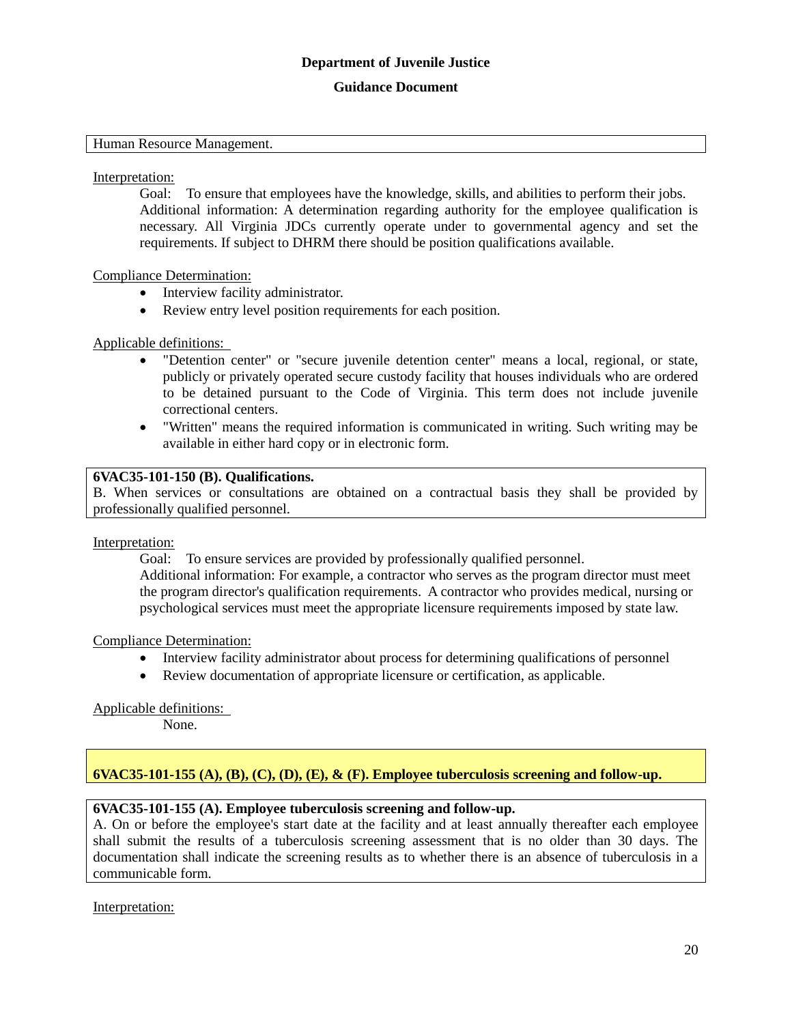#### **Guidance Document**

#### Human Resource Management.

Interpretation:

Goal: To ensure that employees have the knowledge, skills, and abilities to perform their jobs. Additional information: A determination regarding authority for the employee qualification is necessary. All Virginia JDCs currently operate under to governmental agency and set the requirements. If subject to DHRM there should be position qualifications available.

#### Compliance Determination:

- Interview facility administrator.
- Review entry level position requirements for each position.

#### Applicable definitions:

- "Detention center" or "secure juvenile detention center" means a local, regional, or state, publicly or privately operated secure custody facility that houses individuals who are ordered to be detained pursuant to the Code of Virginia. This term does not include juvenile correctional centers.
- "Written" means the required information is communicated in writing. Such writing may be available in either hard copy or in electronic form.

### **6VAC35-101-150 (B). Qualifications.**

B. When services or consultations are obtained on a contractual basis they shall be provided by professionally qualified personnel.

#### Interpretation:

Goal: To ensure services are provided by professionally qualified personnel.

Additional information: For example, a contractor who serves as the program director must meet the program director's qualification requirements. A contractor who provides medical, nursing or psychological services must meet the appropriate licensure requirements imposed by state law.

#### Compliance Determination:

- Interview facility administrator about process for determining qualifications of personnel
- Review documentation of appropriate licensure or certification, as applicable.

#### Applicable definitions:

None.

# **6VAC35-101-155 (A), (B), (C), (D), (E), & (F). Employee tuberculosis screening and follow-up.**

#### **6VAC35-101-155 (A). Employee tuberculosis screening and follow-up.**

A. On or before the employee's start date at the facility and at least annually thereafter each employee shall submit the results of a tuberculosis screening assessment that is no older than 30 days. The documentation shall indicate the screening results as to whether there is an absence of tuberculosis in a communicable form.

#### Interpretation: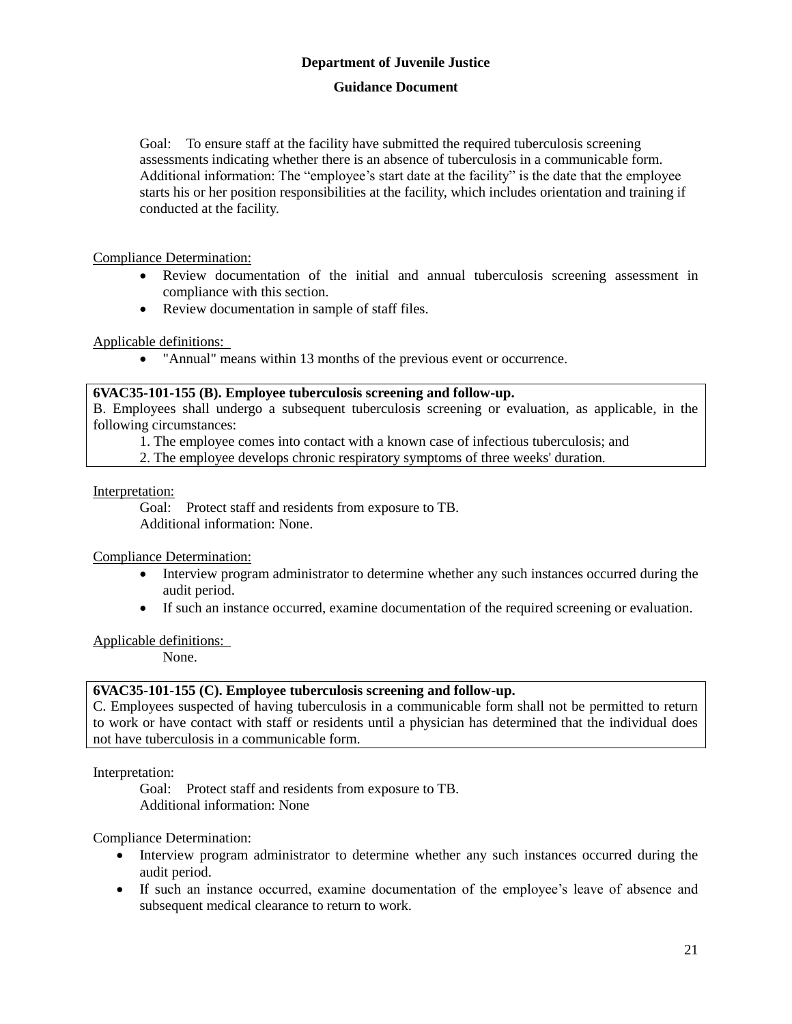#### **Guidance Document**

Goal: To ensure staff at the facility have submitted the required tuberculosis screening assessments indicating whether there is an absence of tuberculosis in a communicable form. Additional information: The "employee's start date at the facility" is the date that the employee starts his or her position responsibilities at the facility, which includes orientation and training if conducted at the facility.

#### Compliance Determination:

- Review documentation of the initial and annual tuberculosis screening assessment in compliance with this section.
- Review documentation in sample of staff files.

#### Applicable definitions:

"Annual" means within 13 months of the previous event or occurrence.

#### **6VAC35-101-155 (B). Employee tuberculosis screening and follow-up.**

B. Employees shall undergo a subsequent tuberculosis screening or evaluation, as applicable, in the following circumstances:

1. The employee comes into contact with a known case of infectious tuberculosis; and

2. The employee develops chronic respiratory symptoms of three weeks' duration.

#### Interpretation:

Goal: Protect staff and residents from exposure to TB. Additional information: None.

#### Compliance Determination:

- Interview program administrator to determine whether any such instances occurred during the audit period.
- If such an instance occurred, examine documentation of the required screening or evaluation.

#### Applicable definitions:

None.

# **6VAC35-101-155 (C). Employee tuberculosis screening and follow-up.**

C. Employees suspected of having tuberculosis in a communicable form shall not be permitted to return to work or have contact with staff or residents until a physician has determined that the individual does not have tuberculosis in a communicable form.

Interpretation:

Goal: Protect staff and residents from exposure to TB. Additional information: None

# Compliance Determination:

- Interview program administrator to determine whether any such instances occurred during the audit period.
- If such an instance occurred, examine documentation of the employee's leave of absence and subsequent medical clearance to return to work.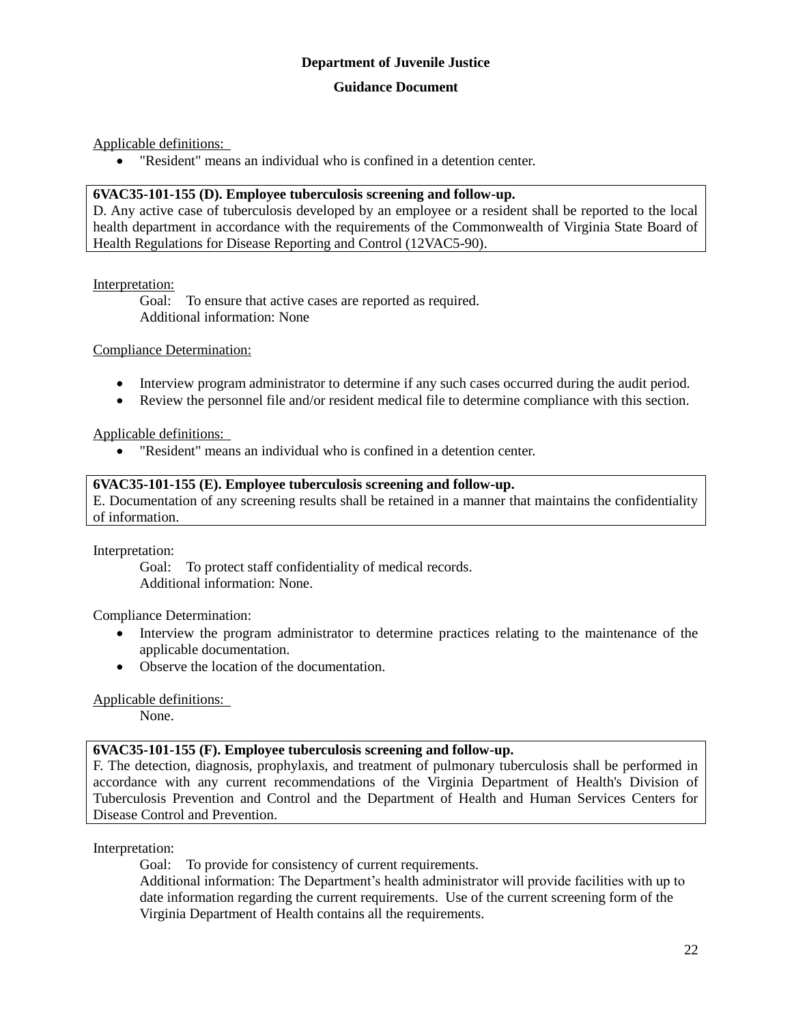Applicable definitions:

"Resident" means an individual who is confined in a detention center.

#### **6VAC35-101-155 (D). Employee tuberculosis screening and follow-up.**

D. Any active case of tuberculosis developed by an employee or a resident shall be reported to the local health department in accordance with the requirements of the Commonwealth of Virginia State Board of Health Regulations for Disease Reporting and Control (12VAC5-90).

#### Interpretation:

Goal: To ensure that active cases are reported as required. Additional information: None

Compliance Determination:

- Interview program administrator to determine if any such cases occurred during the audit period.
- Review the personnel file and/or resident medical file to determine compliance with this section.

Applicable definitions:

"Resident" means an individual who is confined in a detention center.

#### **6VAC35-101-155 (E). Employee tuberculosis screening and follow-up.**

E. Documentation of any screening results shall be retained in a manner that maintains the confidentiality of information.

Interpretation:

Goal: To protect staff confidentiality of medical records. Additional information: None.

Compliance Determination:

- Interview the program administrator to determine practices relating to the maintenance of the applicable documentation.
- Observe the location of the documentation.

#### Applicable definitions:

None.

# **6VAC35-101-155 (F). Employee tuberculosis screening and follow-up.**

F. The detection, diagnosis, prophylaxis, and treatment of pulmonary tuberculosis shall be performed in accordance with any current recommendations of the Virginia Department of Health's Division of Tuberculosis Prevention and Control and the Department of Health and Human Services Centers for Disease Control and Prevention.

Interpretation:

Goal: To provide for consistency of current requirements.

Additional information: The Department's health administrator will provide facilities with up to date information regarding the current requirements. Use of the current screening form of the Virginia Department of Health contains all the requirements.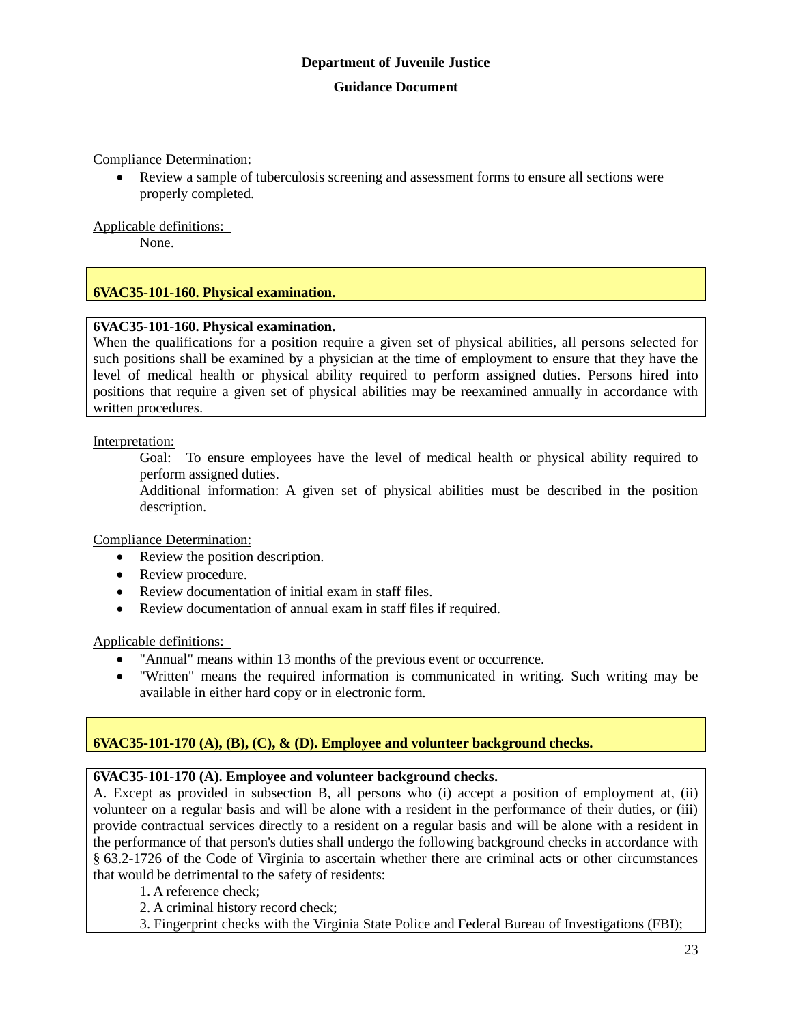Compliance Determination:

 Review a sample of tuberculosis screening and assessment forms to ensure all sections were properly completed.

Applicable definitions:

None.

# **6VAC35-101-160. Physical examination.**

#### **6VAC35-101-160. Physical examination.**

When the qualifications for a position require a given set of physical abilities, all persons selected for such positions shall be examined by a physician at the time of employment to ensure that they have the level of medical health or physical ability required to perform assigned duties. Persons hired into positions that require a given set of physical abilities may be reexamined annually in accordance with written procedures.

Interpretation:

Goal: To ensure employees have the level of medical health or physical ability required to perform assigned duties.

Additional information: A given set of physical abilities must be described in the position description.

Compliance Determination:

- Review the position description.
- Review procedure.
- Review documentation of initial exam in staff files.
- Review documentation of annual exam in staff files if required.

Applicable definitions:

- "Annual" means within 13 months of the previous event or occurrence.
- "Written" means the required information is communicated in writing. Such writing may be available in either hard copy or in electronic form.

# **6VAC35-101-170 (A), (B), (C), & (D). Employee and volunteer background checks.**

#### **6VAC35-101-170 (A). Employee and volunteer background checks.**

A. Except as provided in subsection B, all persons who (i) accept a position of employment at, (ii) volunteer on a regular basis and will be alone with a resident in the performance of their duties, or (iii) provide contractual services directly to a resident on a regular basis and will be alone with a resident in the performance of that person's duties shall undergo the following background checks in accordance with § 63.2-1726 of the Code of Virginia to ascertain whether there are criminal acts or other circumstances that would be detrimental to the safety of residents:

- 1. A reference check;
- 2. A criminal history record check;
- 3. Fingerprint checks with the Virginia State Police and Federal Bureau of Investigations (FBI);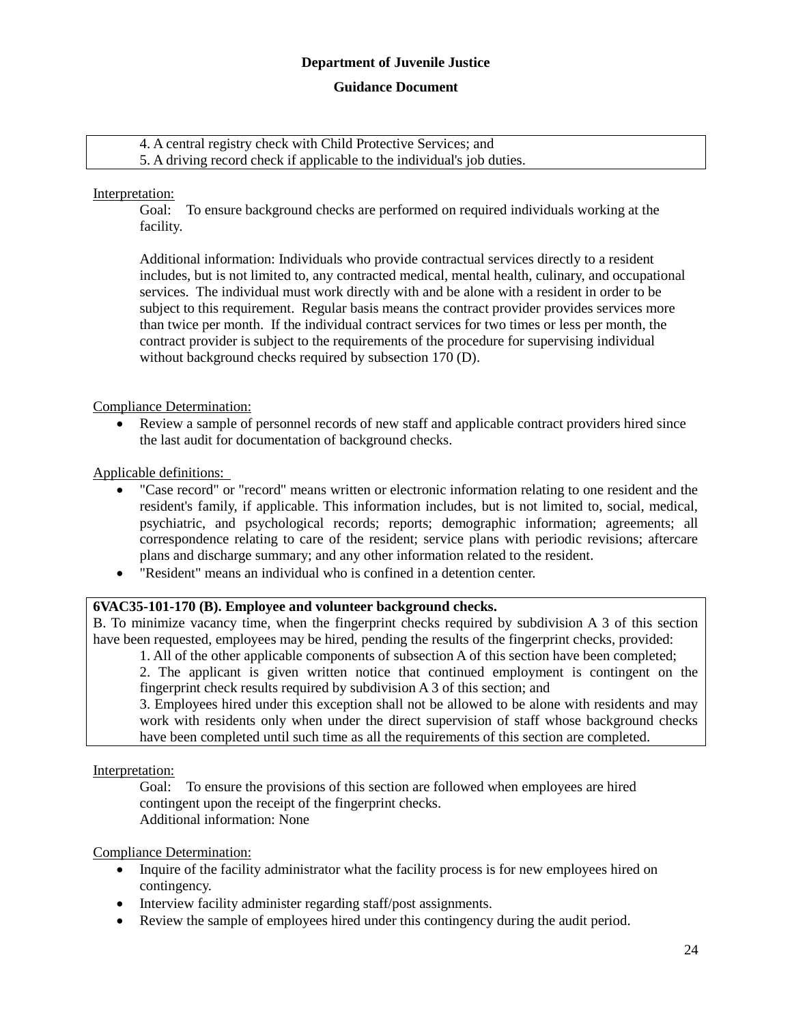#### **Guidance Document**

4. A central registry check with Child Protective Services; and 5. A driving record check if applicable to the individual's job duties.

#### Interpretation:

Goal: To ensure background checks are performed on required individuals working at the facility.

Additional information: Individuals who provide contractual services directly to a resident includes, but is not limited to, any contracted medical, mental health, culinary, and occupational services. The individual must work directly with and be alone with a resident in order to be subject to this requirement. Regular basis means the contract provider provides services more than twice per month. If the individual contract services for two times or less per month, the contract provider is subject to the requirements of the procedure for supervising individual without background checks required by subsection 170 (D).

#### Compliance Determination:

 Review a sample of personnel records of new staff and applicable contract providers hired since the last audit for documentation of background checks.

#### Applicable definitions:

- "Case record" or "record" means written or electronic information relating to one resident and the resident's family, if applicable. This information includes, but is not limited to, social, medical, psychiatric, and psychological records; reports; demographic information; agreements; all correspondence relating to care of the resident; service plans with periodic revisions; aftercare plans and discharge summary; and any other information related to the resident.
- "Resident" means an individual who is confined in a detention center.

#### **6VAC35-101-170 (B). Employee and volunteer background checks.**

B. To minimize vacancy time, when the fingerprint checks required by subdivision A 3 of this section have been requested, employees may be hired, pending the results of the fingerprint checks, provided:

1. All of the other applicable components of subsection A of this section have been completed; 2. The applicant is given written notice that continued employment is contingent on the fingerprint check results required by subdivision A 3 of this section; and

3. Employees hired under this exception shall not be allowed to be alone with residents and may work with residents only when under the direct supervision of staff whose background checks have been completed until such time as all the requirements of this section are completed.

Interpretation:

Goal: To ensure the provisions of this section are followed when employees are hired contingent upon the receipt of the fingerprint checks. Additional information: None

#### Compliance Determination:

- Inquire of the facility administrator what the facility process is for new employees hired on contingency.
- Interview facility administer regarding staff/post assignments.
- Review the sample of employees hired under this contingency during the audit period.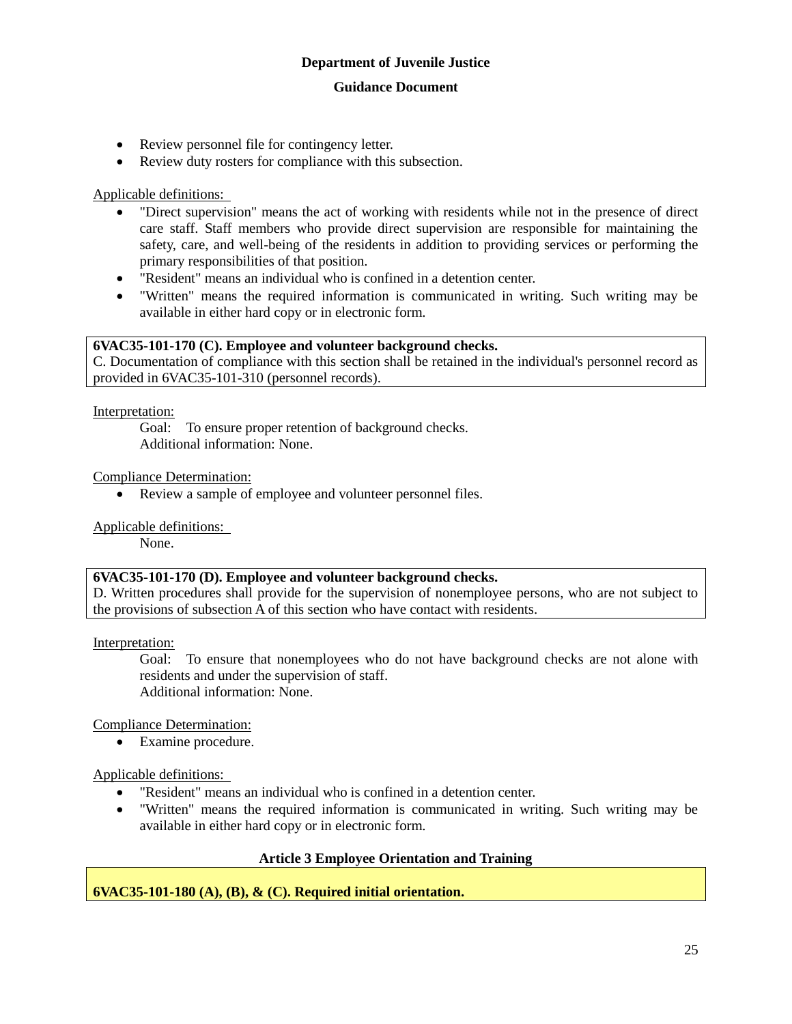## **Guidance Document**

- Review personnel file for contingency letter.
- Review duty rosters for compliance with this subsection.

#### Applicable definitions:

- "Direct supervision" means the act of working with residents while not in the presence of direct care staff. Staff members who provide direct supervision are responsible for maintaining the safety, care, and well-being of the residents in addition to providing services or performing the primary responsibilities of that position.
- "Resident" means an individual who is confined in a detention center.
- "Written" means the required information is communicated in writing. Such writing may be available in either hard copy or in electronic form.

#### **6VAC35-101-170 (C). Employee and volunteer background checks.**

C. Documentation of compliance with this section shall be retained in the individual's personnel record as provided in 6VAC35-101-310 (personnel records).

Interpretation:

Goal: To ensure proper retention of background checks. Additional information: None.

Compliance Determination:

Review a sample of employee and volunteer personnel files.

Applicable definitions:

None.

#### **6VAC35-101-170 (D). Employee and volunteer background checks.**

D. Written procedures shall provide for the supervision of nonemployee persons, who are not subject to the provisions of subsection A of this section who have contact with residents.

Interpretation:

Goal: To ensure that nonemployees who do not have background checks are not alone with residents and under the supervision of staff. Additional information: None.

Compliance Determination:

Examine procedure.

Applicable definitions:

- "Resident" means an individual who is confined in a detention center.
- "Written" means the required information is communicated in writing. Such writing may be available in either hard copy or in electronic form.

# **Article 3 Employee Orientation and Training**

# **6VAC35-101-180 (A), (B), & (C). Required initial orientation.**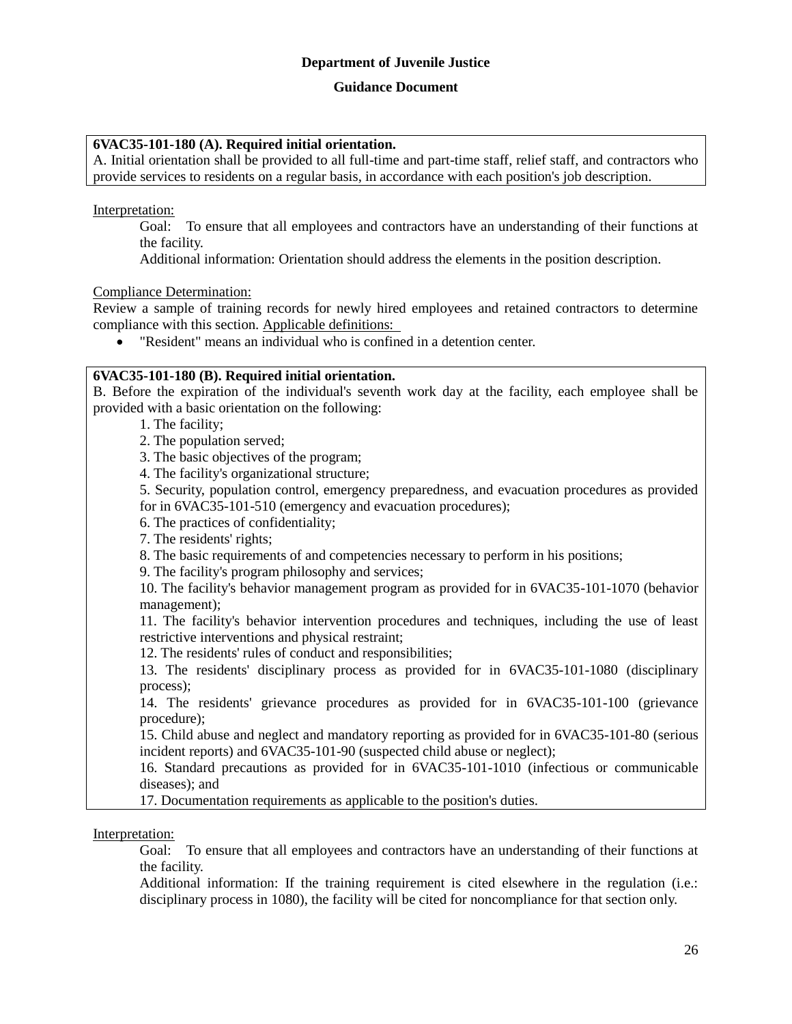#### **Guidance Document**

#### **6VAC35-101-180 (A). Required initial orientation.**

A. Initial orientation shall be provided to all full-time and part-time staff, relief staff, and contractors who provide services to residents on a regular basis, in accordance with each position's job description.

Interpretation:

Goal: To ensure that all employees and contractors have an understanding of their functions at the facility.

Additional information: Orientation should address the elements in the position description.

#### Compliance Determination:

Review a sample of training records for newly hired employees and retained contractors to determine compliance with this section. Applicable definitions:

"Resident" means an individual who is confined in a detention center.

#### **6VAC35-101-180 (B). Required initial orientation.**

B. Before the expiration of the individual's seventh work day at the facility, each employee shall be provided with a basic orientation on the following:

1. The facility;

2. The population served;

3. The basic objectives of the program;

4. The facility's organizational structure;

5. Security, population control, emergency preparedness, and evacuation procedures as provided for in 6VAC35-101-510 (emergency and evacuation procedures);

6. The practices of confidentiality;

7. The residents' rights;

8. The basic requirements of and competencies necessary to perform in his positions;

9. The facility's program philosophy and services;

10. The facility's behavior management program as provided for in 6VAC35-101-1070 (behavior management);

11. The facility's behavior intervention procedures and techniques, including the use of least restrictive interventions and physical restraint;

12. The residents' rules of conduct and responsibilities;

13. The residents' disciplinary process as provided for in 6VAC35-101-1080 (disciplinary process);

14. The residents' grievance procedures as provided for in 6VAC35-101-100 (grievance procedure);

15. Child abuse and neglect and mandatory reporting as provided for in 6VAC35-101-80 (serious incident reports) and 6VAC35-101-90 (suspected child abuse or neglect);

16. Standard precautions as provided for in 6VAC35-101-1010 (infectious or communicable diseases); and

17. Documentation requirements as applicable to the position's duties.

Interpretation:

Goal: To ensure that all employees and contractors have an understanding of their functions at the facility.

Additional information: If the training requirement is cited elsewhere in the regulation (i.e.: disciplinary process in 1080), the facility will be cited for noncompliance for that section only.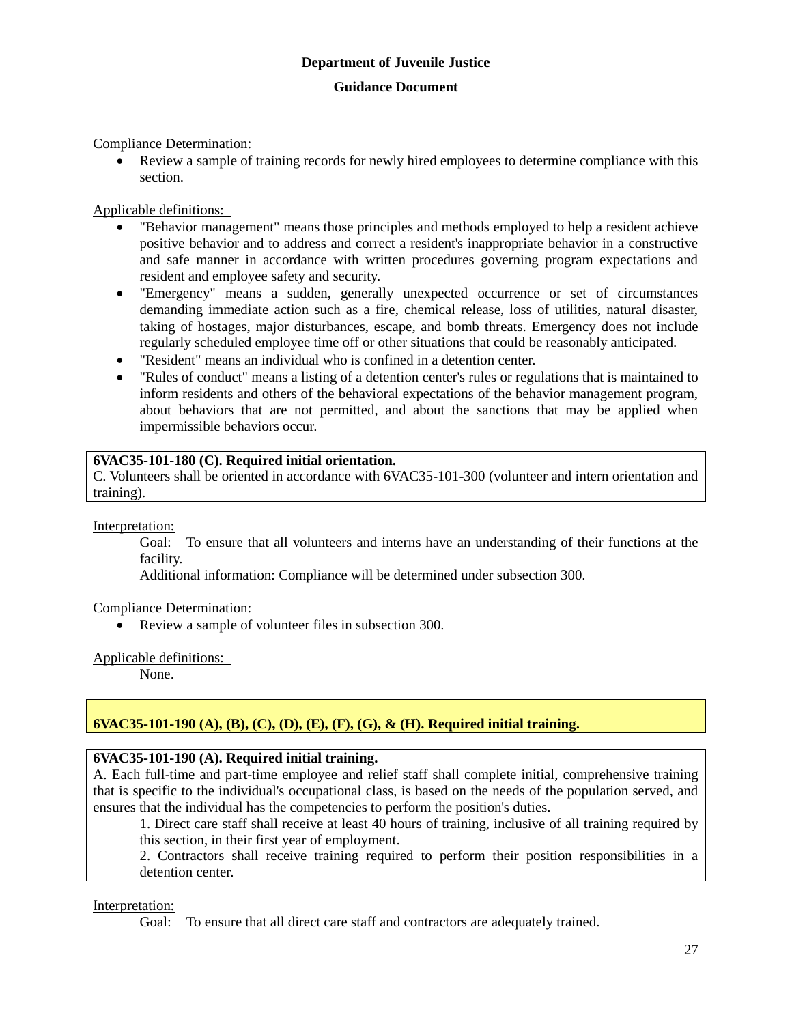Compliance Determination:

 Review a sample of training records for newly hired employees to determine compliance with this section.

Applicable definitions:

- "Behavior management" means those principles and methods employed to help a resident achieve positive behavior and to address and correct a resident's inappropriate behavior in a constructive and safe manner in accordance with written procedures governing program expectations and resident and employee safety and security.
- "Emergency" means a sudden, generally unexpected occurrence or set of circumstances demanding immediate action such as a fire, chemical release, loss of utilities, natural disaster, taking of hostages, major disturbances, escape, and bomb threats. Emergency does not include regularly scheduled employee time off or other situations that could be reasonably anticipated.
- "Resident" means an individual who is confined in a detention center.
- "Rules of conduct" means a listing of a detention center's rules or regulations that is maintained to inform residents and others of the behavioral expectations of the behavior management program, about behaviors that are not permitted, and about the sanctions that may be applied when impermissible behaviors occur.

#### **6VAC35-101-180 (C). Required initial orientation.**

C. Volunteers shall be oriented in accordance with 6VAC35-101-300 (volunteer and intern orientation and training).

Interpretation:

Goal: To ensure that all volunteers and interns have an understanding of their functions at the facility.

Additional information: Compliance will be determined under subsection 300.

#### Compliance Determination:

Review a sample of volunteer files in subsection 300.

#### Applicable definitions:

None.

# **6VAC35-101-190 (A), (B), (C), (D), (E), (F), (G), & (H). Required initial training.**

#### **6VAC35-101-190 (A). Required initial training.**

A. Each full-time and part-time employee and relief staff shall complete initial, comprehensive training that is specific to the individual's occupational class, is based on the needs of the population served, and ensures that the individual has the competencies to perform the position's duties.

1. Direct care staff shall receive at least 40 hours of training, inclusive of all training required by this section, in their first year of employment.

2. Contractors shall receive training required to perform their position responsibilities in a detention center.

Interpretation:

Goal: To ensure that all direct care staff and contractors are adequately trained.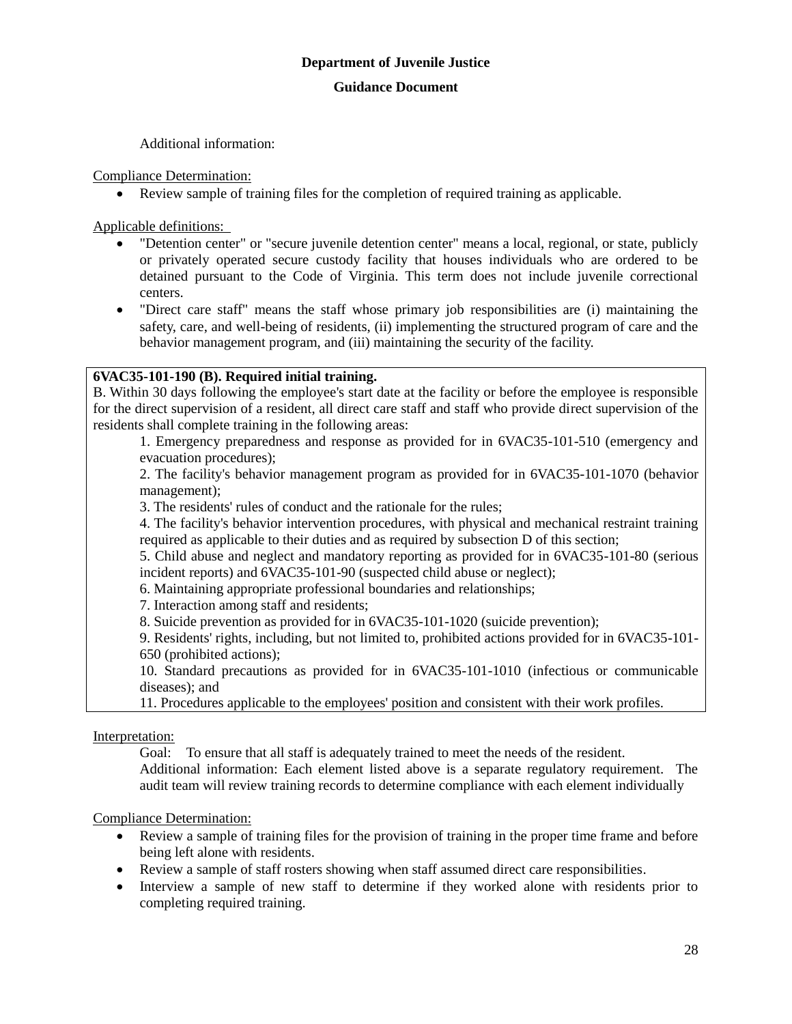Additional information:

Compliance Determination:

Review sample of training files for the completion of required training as applicable.

Applicable definitions:

- "Detention center" or "secure juvenile detention center" means a local, regional, or state, publicly or privately operated secure custody facility that houses individuals who are ordered to be detained pursuant to the Code of Virginia. This term does not include juvenile correctional centers.
- "Direct care staff" means the staff whose primary job responsibilities are (i) maintaining the safety, care, and well-being of residents, (ii) implementing the structured program of care and the behavior management program, and (iii) maintaining the security of the facility.

# **6VAC35-101-190 (B). Required initial training.**

B. Within 30 days following the employee's start date at the facility or before the employee is responsible for the direct supervision of a resident, all direct care staff and staff who provide direct supervision of the residents shall complete training in the following areas:

1. Emergency preparedness and response as provided for in 6VAC35-101-510 (emergency and evacuation procedures);

2. The facility's behavior management program as provided for in 6VAC35-101-1070 (behavior management);

3. The residents' rules of conduct and the rationale for the rules;

4. The facility's behavior intervention procedures, with physical and mechanical restraint training required as applicable to their duties and as required by subsection D of this section;

5. Child abuse and neglect and mandatory reporting as provided for in 6VAC35-101-80 (serious incident reports) and 6VAC35-101-90 (suspected child abuse or neglect);

6. Maintaining appropriate professional boundaries and relationships;

7. Interaction among staff and residents;

8. Suicide prevention as provided for in 6VAC35-101-1020 (suicide prevention);

9. Residents' rights, including, but not limited to, prohibited actions provided for in 6VAC35-101- 650 (prohibited actions);

10. Standard precautions as provided for in 6VAC35-101-1010 (infectious or communicable diseases); and

11. Procedures applicable to the employees' position and consistent with their work profiles.

Interpretation:

Goal: To ensure that all staff is adequately trained to meet the needs of the resident. Additional information: Each element listed above is a separate regulatory requirement. The audit team will review training records to determine compliance with each element individually

Compliance Determination:

- Review a sample of training files for the provision of training in the proper time frame and before being left alone with residents.
- Review a sample of staff rosters showing when staff assumed direct care responsibilities.
- Interview a sample of new staff to determine if they worked alone with residents prior to completing required training.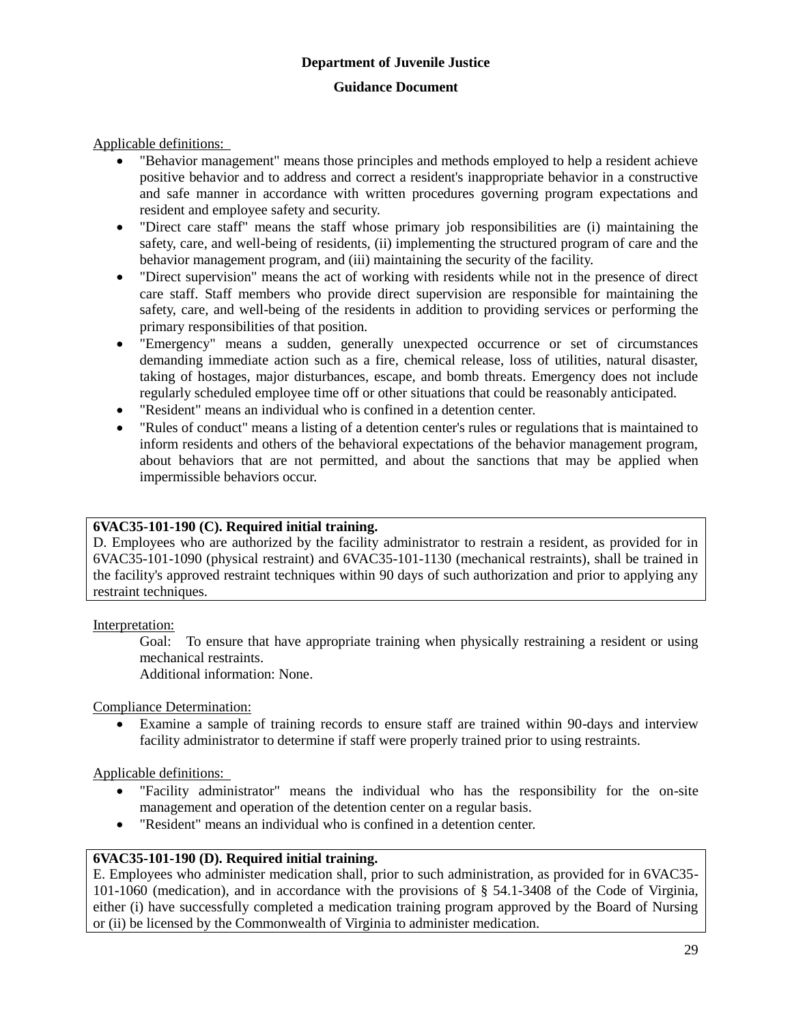Applicable definitions:

- "Behavior management" means those principles and methods employed to help a resident achieve positive behavior and to address and correct a resident's inappropriate behavior in a constructive and safe manner in accordance with written procedures governing program expectations and resident and employee safety and security.
- "Direct care staff" means the staff whose primary job responsibilities are (i) maintaining the safety, care, and well-being of residents, (ii) implementing the structured program of care and the behavior management program, and (iii) maintaining the security of the facility.
- "Direct supervision" means the act of working with residents while not in the presence of direct care staff. Staff members who provide direct supervision are responsible for maintaining the safety, care, and well-being of the residents in addition to providing services or performing the primary responsibilities of that position.
- "Emergency" means a sudden, generally unexpected occurrence or set of circumstances demanding immediate action such as a fire, chemical release, loss of utilities, natural disaster, taking of hostages, major disturbances, escape, and bomb threats. Emergency does not include regularly scheduled employee time off or other situations that could be reasonably anticipated.
- "Resident" means an individual who is confined in a detention center.
- "Rules of conduct" means a listing of a detention center's rules or regulations that is maintained to inform residents and others of the behavioral expectations of the behavior management program, about behaviors that are not permitted, and about the sanctions that may be applied when impermissible behaviors occur.

#### **6VAC35-101-190 (C). Required initial training.**

D. Employees who are authorized by the facility administrator to restrain a resident, as provided for in 6VAC35-101-1090 (physical restraint) and 6VAC35-101-1130 (mechanical restraints), shall be trained in the facility's approved restraint techniques within 90 days of such authorization and prior to applying any restraint techniques.

Interpretation:

Goal: To ensure that have appropriate training when physically restraining a resident or using mechanical restraints.

Additional information: None.

Compliance Determination:

 Examine a sample of training records to ensure staff are trained within 90-days and interview facility administrator to determine if staff were properly trained prior to using restraints.

Applicable definitions:

- "Facility administrator" means the individual who has the responsibility for the on-site management and operation of the detention center on a regular basis.
- "Resident" means an individual who is confined in a detention center.

# **6VAC35-101-190 (D). Required initial training.**

E. Employees who administer medication shall, prior to such administration, as provided for in 6VAC35- 101-1060 (medication), and in accordance with the provisions of § 54.1-3408 of the Code of Virginia, either (i) have successfully completed a medication training program approved by the Board of Nursing or (ii) be licensed by the Commonwealth of Virginia to administer medication.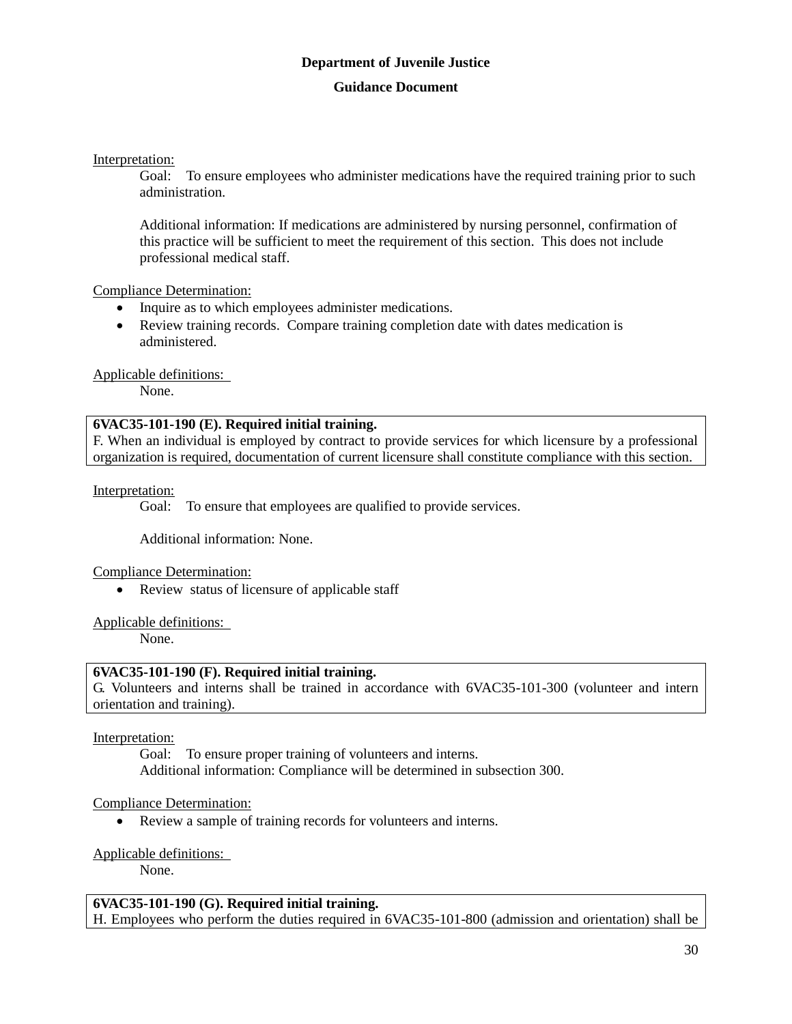Interpretation:

Goal: To ensure employees who administer medications have the required training prior to such administration.

Additional information: If medications are administered by nursing personnel, confirmation of this practice will be sufficient to meet the requirement of this section. This does not include professional medical staff.

Compliance Determination:

- Inquire as to which employees administer medications.
- Review training records. Compare training completion date with dates medication is administered.

Applicable definitions:

None.

#### **6VAC35-101-190 (E). Required initial training.**

F. When an individual is employed by contract to provide services for which licensure by a professional organization is required, documentation of current licensure shall constitute compliance with this section.

Interpretation:

Goal: To ensure that employees are qualified to provide services.

Additional information: None.

Compliance Determination:

• Review status of licensure of applicable staff

#### Applicable definitions:

None.

#### **6VAC35-101-190 (F). Required initial training.**

G. Volunteers and interns shall be trained in accordance with 6VAC35-101-300 (volunteer and intern orientation and training).

Interpretation:

Goal: To ensure proper training of volunteers and interns. Additional information: Compliance will be determined in subsection 300.

#### Compliance Determination:

Review a sample of training records for volunteers and interns.

#### Applicable definitions:

None.

#### **6VAC35-101-190 (G). Required initial training.**

H. Employees who perform the duties required in 6VAC35-101-800 (admission and orientation) shall be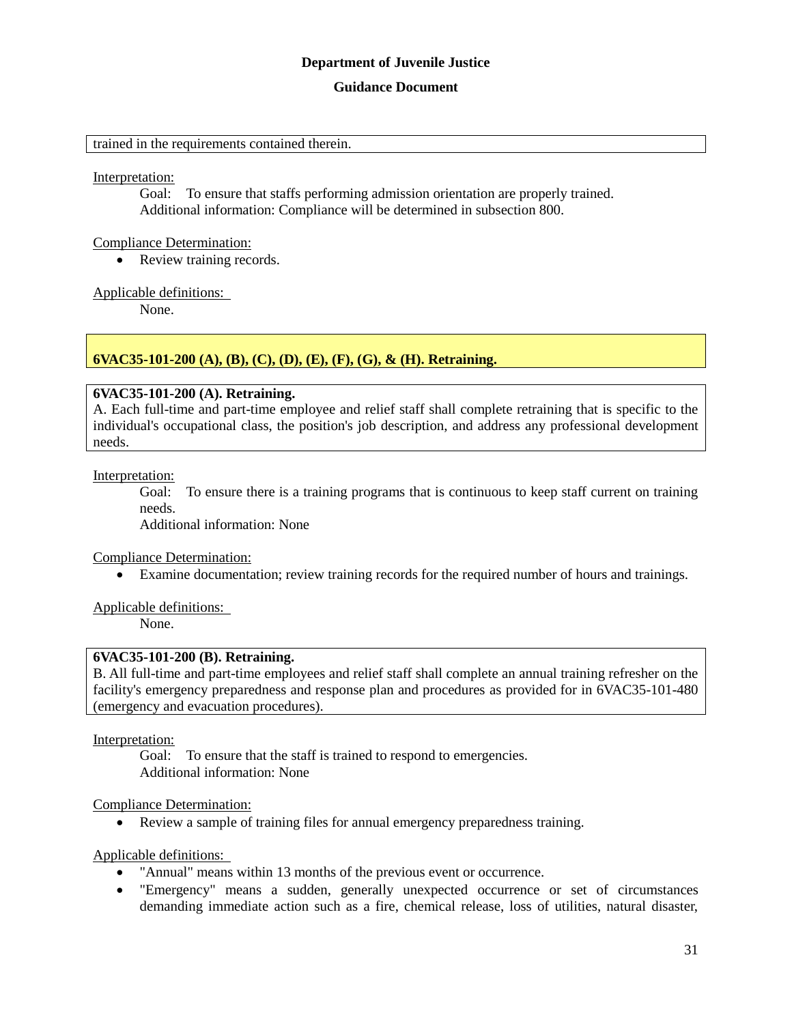#### **Guidance Document**

trained in the requirements contained therein.

Interpretation:

Goal: To ensure that staffs performing admission orientation are properly trained. Additional information: Compliance will be determined in subsection 800.

#### Compliance Determination:

• Review training records.

#### Applicable definitions:

None.

# **6VAC35-101-200 (A), (B), (C), (D), (E), (F), (G), & (H). Retraining.**

#### **6VAC35-101-200 (A). Retraining.**

A. Each full-time and part-time employee and relief staff shall complete retraining that is specific to the individual's occupational class, the position's job description, and address any professional development needs.

Interpretation:

Goal: To ensure there is a training programs that is continuous to keep staff current on training needs.

Additional information: None

#### Compliance Determination:

Examine documentation; review training records for the required number of hours and trainings.

Applicable definitions:

None.

#### **6VAC35-101-200 (B). Retraining.**

B. All full-time and part-time employees and relief staff shall complete an annual training refresher on the facility's emergency preparedness and response plan and procedures as provided for in 6VAC35-101-480 (emergency and evacuation procedures).

Interpretation:

Goal: To ensure that the staff is trained to respond to emergencies. Additional information: None

#### Compliance Determination:

Review a sample of training files for annual emergency preparedness training.

- "Annual" means within 13 months of the previous event or occurrence.
- "Emergency" means a sudden, generally unexpected occurrence or set of circumstances demanding immediate action such as a fire, chemical release, loss of utilities, natural disaster,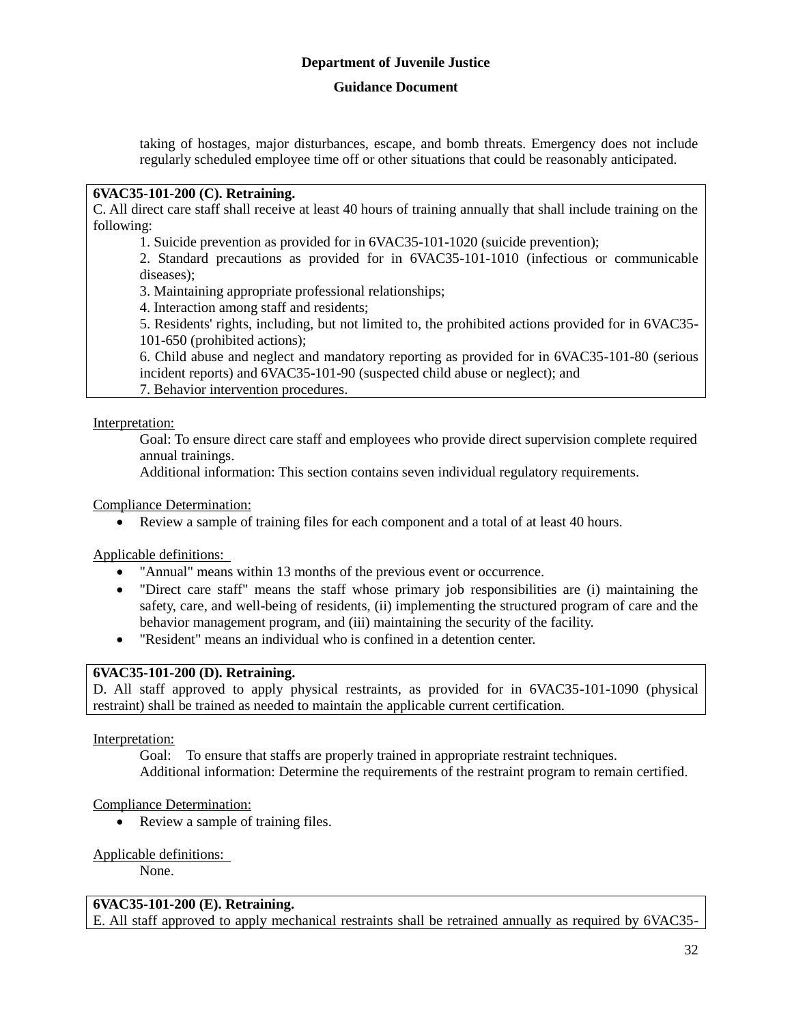## **Guidance Document**

taking of hostages, major disturbances, escape, and bomb threats. Emergency does not include regularly scheduled employee time off or other situations that could be reasonably anticipated.

# **6VAC35-101-200 (C). Retraining.**

C. All direct care staff shall receive at least 40 hours of training annually that shall include training on the following:

1. Suicide prevention as provided for in 6VAC35-101-1020 (suicide prevention);

2. Standard precautions as provided for in 6VAC35-101-1010 (infectious or communicable diseases);

3. Maintaining appropriate professional relationships;

4. Interaction among staff and residents;

5. Residents' rights, including, but not limited to, the prohibited actions provided for in 6VAC35- 101-650 (prohibited actions);

6. Child abuse and neglect and mandatory reporting as provided for in 6VAC35-101-80 (serious incident reports) and 6VAC35-101-90 (suspected child abuse or neglect); and

7. Behavior intervention procedures.

Interpretation:

Goal: To ensure direct care staff and employees who provide direct supervision complete required annual trainings.

Additional information: This section contains seven individual regulatory requirements.

Compliance Determination:

Review a sample of training files for each component and a total of at least 40 hours.

Applicable definitions:

- "Annual" means within 13 months of the previous event or occurrence.
- "Direct care staff" means the staff whose primary job responsibilities are (i) maintaining the safety, care, and well-being of residents, (ii) implementing the structured program of care and the behavior management program, and (iii) maintaining the security of the facility.
- "Resident" means an individual who is confined in a detention center.

# **6VAC35-101-200 (D). Retraining.**

D. All staff approved to apply physical restraints, as provided for in 6VAC35-101-1090 (physical restraint) shall be trained as needed to maintain the applicable current certification.

Interpretation:

Goal: To ensure that staffs are properly trained in appropriate restraint techniques. Additional information: Determine the requirements of the restraint program to remain certified.

# Compliance Determination:

• Review a sample of training files.

#### Applicable definitions:

None.

#### **6VAC35-101-200 (E). Retraining.**

E. All staff approved to apply mechanical restraints shall be retrained annually as required by 6VAC35-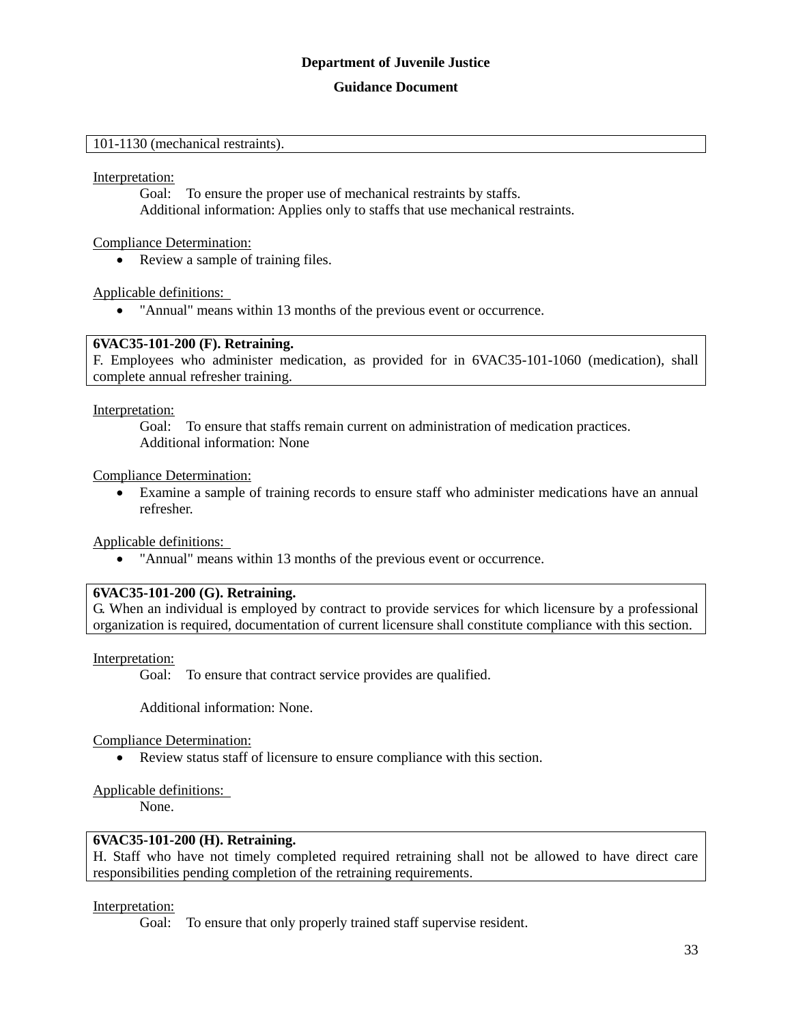#### **Guidance Document**

#### 101-1130 (mechanical restraints).

Interpretation:

Goal: To ensure the proper use of mechanical restraints by staffs. Additional information: Applies only to staffs that use mechanical restraints.

Compliance Determination:

• Review a sample of training files.

Applicable definitions:

"Annual" means within 13 months of the previous event or occurrence.

#### **6VAC35-101-200 (F). Retraining.**

F. Employees who administer medication, as provided for in 6VAC35-101-1060 (medication), shall complete annual refresher training.

Interpretation:

Goal: To ensure that staffs remain current on administration of medication practices. Additional information: None

Compliance Determination:

 Examine a sample of training records to ensure staff who administer medications have an annual refresher.

Applicable definitions:

"Annual" means within 13 months of the previous event or occurrence.

#### **6VAC35-101-200 (G). Retraining.**

G. When an individual is employed by contract to provide services for which licensure by a professional organization is required, documentation of current licensure shall constitute compliance with this section.

Interpretation:

Goal: To ensure that contract service provides are qualified.

Additional information: None.

Compliance Determination:

Review status staff of licensure to ensure compliance with this section.

#### Applicable definitions:

None.

#### **6VAC35-101-200 (H). Retraining.**

H. Staff who have not timely completed required retraining shall not be allowed to have direct care responsibilities pending completion of the retraining requirements.

#### Interpretation:

Goal: To ensure that only properly trained staff supervise resident.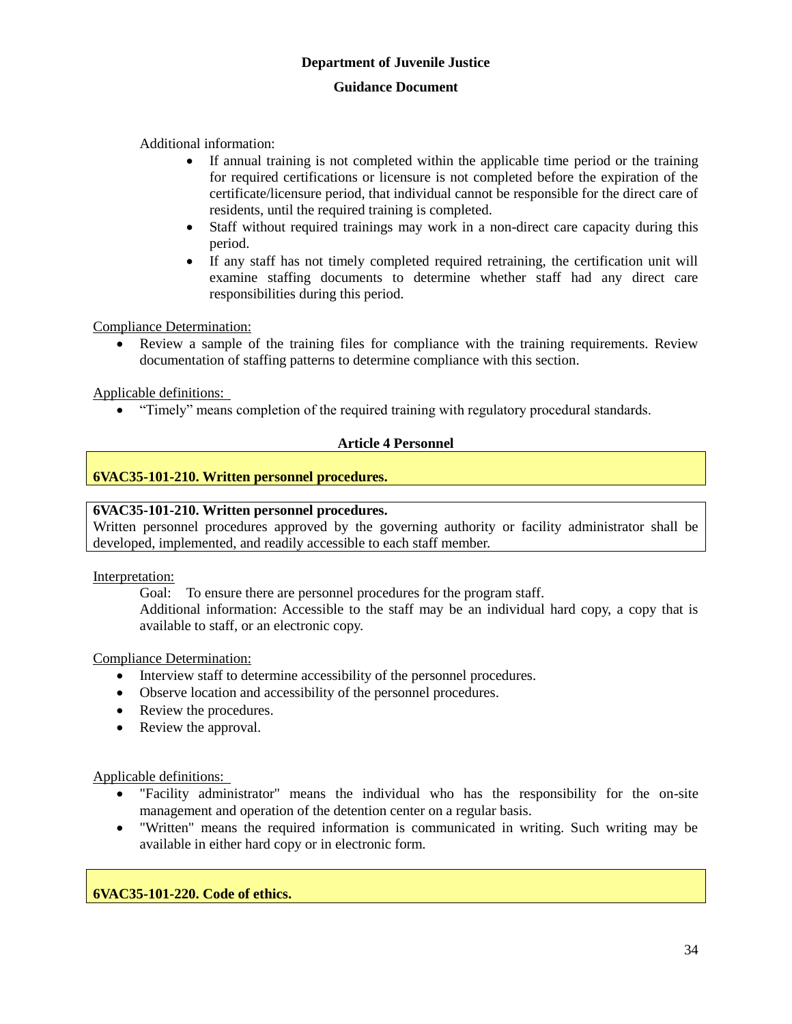Additional information:

- If annual training is not completed within the applicable time period or the training for required certifications or licensure is not completed before the expiration of the certificate/licensure period, that individual cannot be responsible for the direct care of residents, until the required training is completed.
- Staff without required trainings may work in a non-direct care capacity during this period.
- If any staff has not timely completed required retraining, the certification unit will examine staffing documents to determine whether staff had any direct care responsibilities during this period.

Compliance Determination:

 Review a sample of the training files for compliance with the training requirements. Review documentation of staffing patterns to determine compliance with this section.

Applicable definitions:

"Timely" means completion of the required training with regulatory procedural standards.

#### **Article 4 Personnel**

#### **6VAC35-101-210. Written personnel procedures.**

#### **6VAC35-101-210. Written personnel procedures.**

Written personnel procedures approved by the governing authority or facility administrator shall be developed, implemented, and readily accessible to each staff member.

Interpretation:

Goal: To ensure there are personnel procedures for the program staff. Additional information: Accessible to the staff may be an individual hard copy, a copy that is available to staff, or an electronic copy.

Compliance Determination:

- Interview staff to determine accessibility of the personnel procedures.
- Observe location and accessibility of the personnel procedures.
- Review the procedures.
- Review the approval.

Applicable definitions:

- "Facility administrator" means the individual who has the responsibility for the on-site management and operation of the detention center on a regular basis.
- "Written" means the required information is communicated in writing. Such writing may be available in either hard copy or in electronic form.

**6VAC35-101-220. Code of ethics.**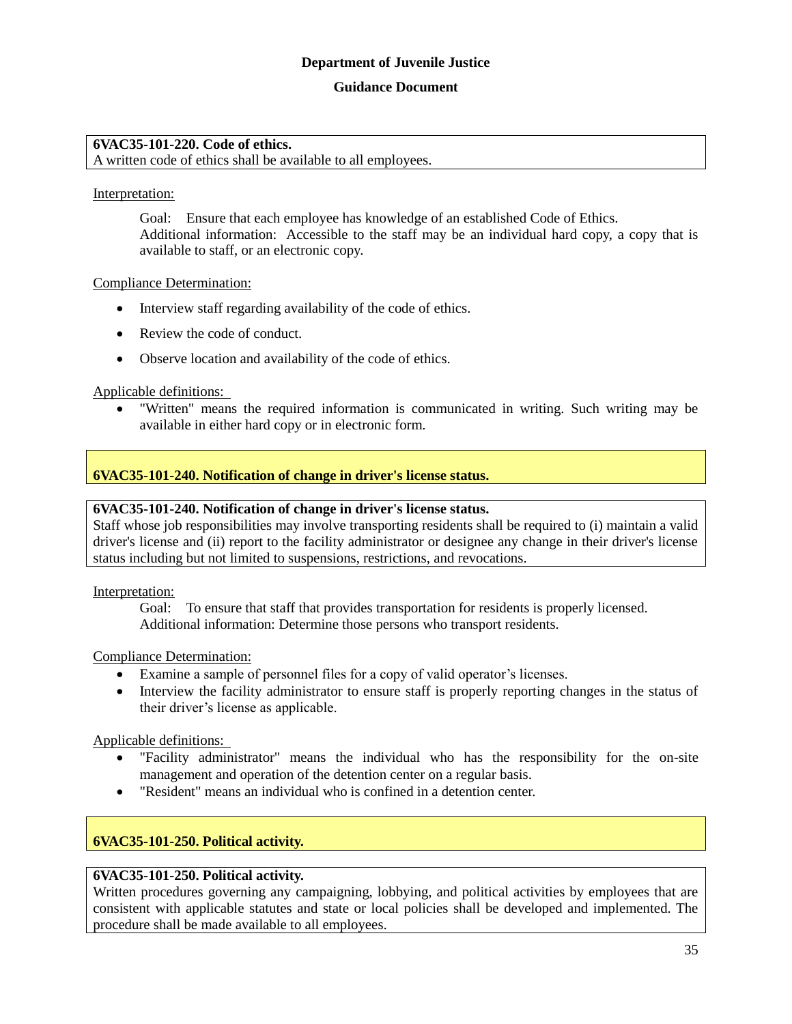#### **Guidance Document**

#### **6VAC35-101-220. Code of ethics.**

A written code of ethics shall be available to all employees.

#### Interpretation:

Goal: Ensure that each employee has knowledge of an established Code of Ethics. Additional information: Accessible to the staff may be an individual hard copy, a copy that is available to staff, or an electronic copy.

#### Compliance Determination:

- Interview staff regarding availability of the code of ethics.
- Review the code of conduct.
- Observe location and availability of the code of ethics.

#### Applicable definitions:

 "Written" means the required information is communicated in writing. Such writing may be available in either hard copy or in electronic form.

#### **6VAC35-101-240. Notification of change in driver's license status.**

#### **6VAC35-101-240. Notification of change in driver's license status.**

Staff whose job responsibilities may involve transporting residents shall be required to (i) maintain a valid driver's license and (ii) report to the facility administrator or designee any change in their driver's license status including but not limited to suspensions, restrictions, and revocations.

Interpretation:

Goal: To ensure that staff that provides transportation for residents is properly licensed. Additional information: Determine those persons who transport residents.

#### Compliance Determination:

- Examine a sample of personnel files for a copy of valid operator's licenses.
- Interview the facility administrator to ensure staff is properly reporting changes in the status of their driver's license as applicable.

Applicable definitions:

- "Facility administrator" means the individual who has the responsibility for the on-site management and operation of the detention center on a regular basis.
- "Resident" means an individual who is confined in a detention center.

#### **6VAC35-101-250. Political activity.**

#### **6VAC35-101-250. Political activity.**

Written procedures governing any campaigning, lobbying, and political activities by employees that are consistent with applicable statutes and state or local policies shall be developed and implemented. The procedure shall be made available to all employees.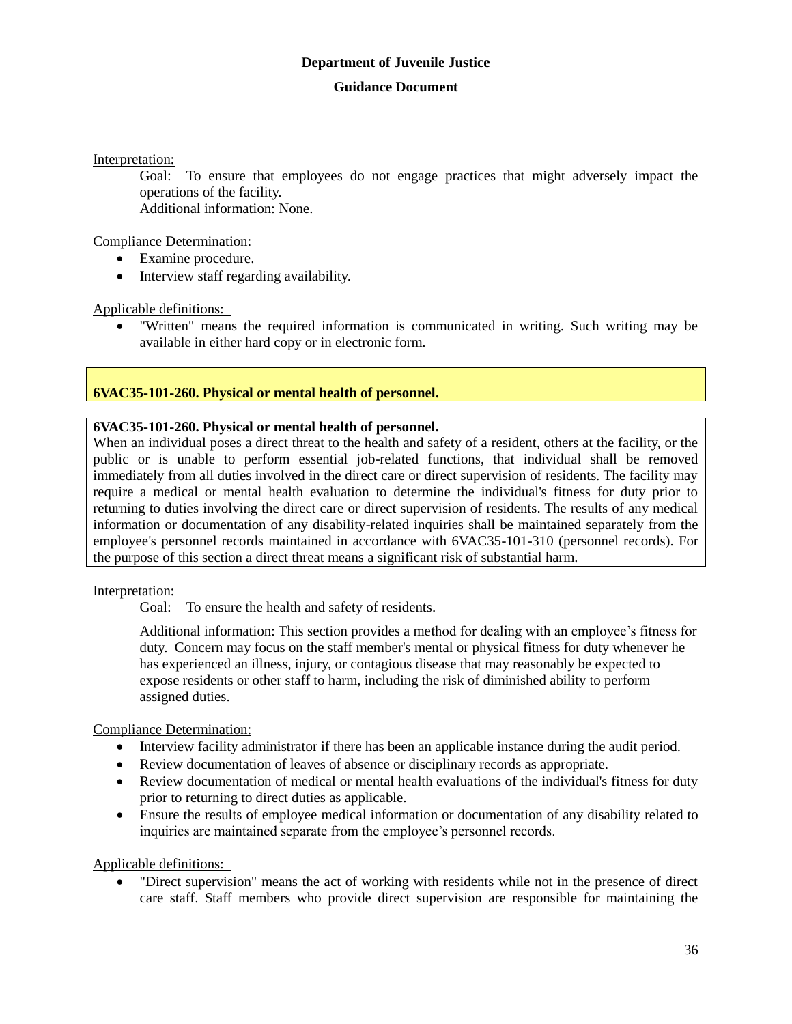#### **Guidance Document**

Interpretation:

Goal: To ensure that employees do not engage practices that might adversely impact the operations of the facility. Additional information: None.

Compliance Determination:

- Examine procedure.
- Interview staff regarding availability.

Applicable definitions:

 "Written" means the required information is communicated in writing. Such writing may be available in either hard copy or in electronic form.

# **6VAC35-101-260. Physical or mental health of personnel.**

# **6VAC35-101-260. Physical or mental health of personnel.**

When an individual poses a direct threat to the health and safety of a resident, others at the facility, or the public or is unable to perform essential job-related functions, that individual shall be removed immediately from all duties involved in the direct care or direct supervision of residents. The facility may require a medical or mental health evaluation to determine the individual's fitness for duty prior to returning to duties involving the direct care or direct supervision of residents. The results of any medical information or documentation of any disability-related inquiries shall be maintained separately from the employee's personnel records maintained in accordance with 6VAC35-101-310 (personnel records). For the purpose of this section a direct threat means a significant risk of substantial harm.

#### Interpretation:

Goal: To ensure the health and safety of residents.

Additional information: This section provides a method for dealing with an employee's fitness for duty. Concern may focus on the staff member's mental or physical fitness for duty whenever he has experienced an illness, injury, or contagious disease that may reasonably be expected to expose residents or other staff to harm, including the risk of diminished ability to perform assigned duties.

#### Compliance Determination:

- Interview facility administrator if there has been an applicable instance during the audit period.
- Review documentation of leaves of absence or disciplinary records as appropriate.
- Review documentation of medical or mental health evaluations of the individual's fitness for duty prior to returning to direct duties as applicable.
- Ensure the results of employee medical information or documentation of any disability related to inquiries are maintained separate from the employee's personnel records.

Applicable definitions:

 "Direct supervision" means the act of working with residents while not in the presence of direct care staff. Staff members who provide direct supervision are responsible for maintaining the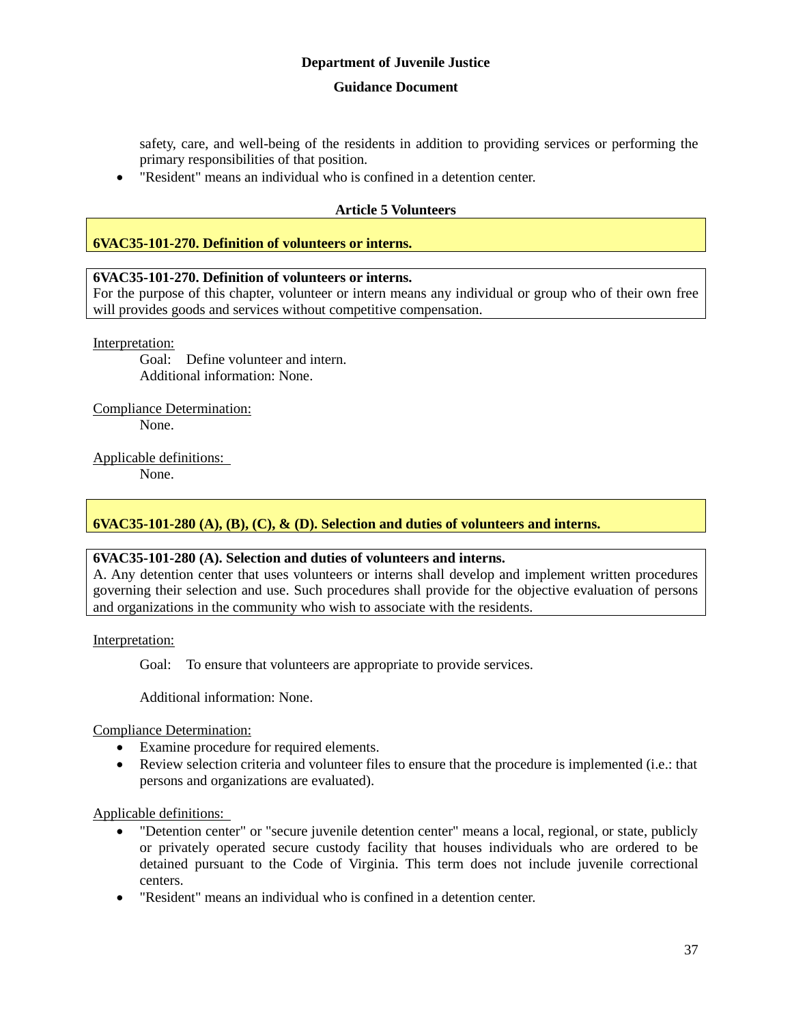#### **Guidance Document**

safety, care, and well-being of the residents in addition to providing services or performing the primary responsibilities of that position.

"Resident" means an individual who is confined in a detention center.

### **Article 5 Volunteers**

### **6VAC35-101-270. Definition of volunteers or interns.**

### **6VAC35-101-270. Definition of volunteers or interns.**

For the purpose of this chapter, volunteer or intern means any individual or group who of their own free will provides goods and services without competitive compensation.

Interpretation:

Goal: Define volunteer and intern. Additional information: None.

Compliance Determination: None.

Applicable definitions:

None.

### **6VAC35-101-280 (A), (B), (C), & (D). Selection and duties of volunteers and interns.**

### **6VAC35-101-280 (A). Selection and duties of volunteers and interns.**

A. Any detention center that uses volunteers or interns shall develop and implement written procedures governing their selection and use. Such procedures shall provide for the objective evaluation of persons and organizations in the community who wish to associate with the residents.

Interpretation:

Goal: To ensure that volunteers are appropriate to provide services.

Additional information: None.

Compliance Determination:

- Examine procedure for required elements.
- Review selection criteria and volunteer files to ensure that the procedure is implemented (i.e.: that persons and organizations are evaluated).

Applicable definitions:

- "Detention center" or "secure juvenile detention center" means a local, regional, or state, publicly or privately operated secure custody facility that houses individuals who are ordered to be detained pursuant to the Code of Virginia. This term does not include juvenile correctional centers.
- "Resident" means an individual who is confined in a detention center.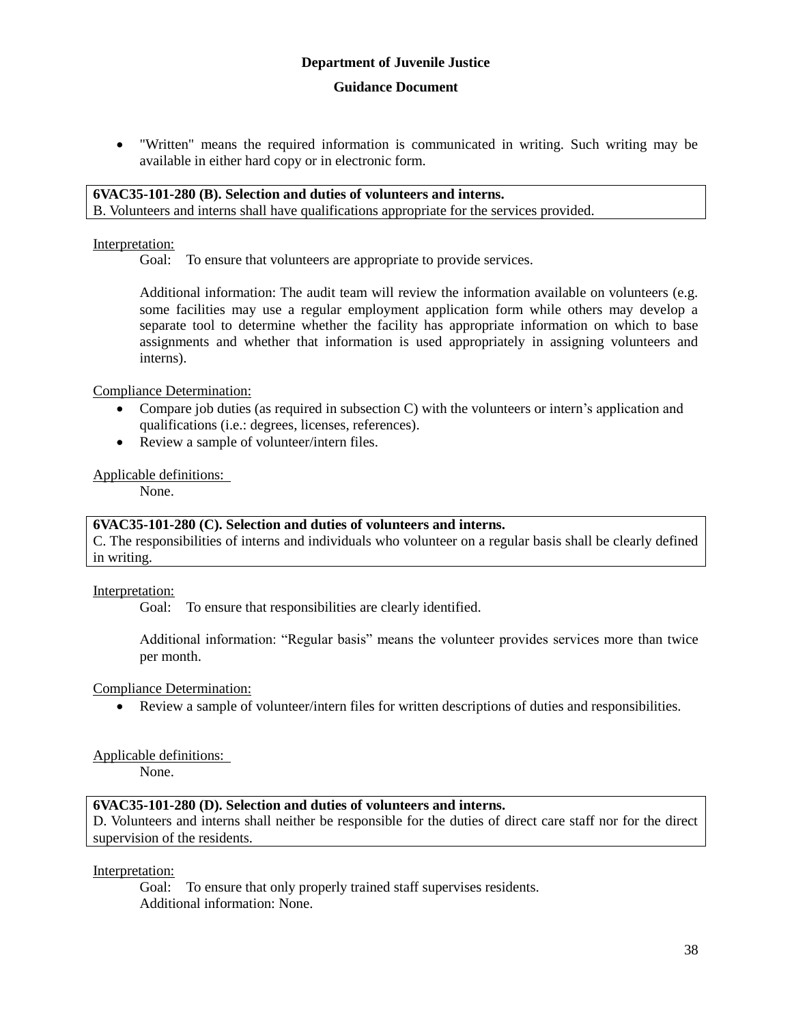"Written" means the required information is communicated in writing. Such writing may be available in either hard copy or in electronic form.

# **6VAC35-101-280 (B). Selection and duties of volunteers and interns.**

B. Volunteers and interns shall have qualifications appropriate for the services provided.

### Interpretation:

Goal: To ensure that volunteers are appropriate to provide services.

Additional information: The audit team will review the information available on volunteers (e.g. some facilities may use a regular employment application form while others may develop a separate tool to determine whether the facility has appropriate information on which to base assignments and whether that information is used appropriately in assigning volunteers and interns).

Compliance Determination:

- Compare job duties (as required in subsection C) with the volunteers or intern's application and qualifications (i.e.: degrees, licenses, references).
- Review a sample of volunteer/intern files.

### Applicable definitions:

None.

### **6VAC35-101-280 (C). Selection and duties of volunteers and interns.**

C. The responsibilities of interns and individuals who volunteer on a regular basis shall be clearly defined in writing.

Interpretation:

Goal: To ensure that responsibilities are clearly identified.

Additional information: "Regular basis" means the volunteer provides services more than twice per month.

Compliance Determination:

Review a sample of volunteer/intern files for written descriptions of duties and responsibilities.

Applicable definitions:

None.

### **6VAC35-101-280 (D). Selection and duties of volunteers and interns.**

D. Volunteers and interns shall neither be responsible for the duties of direct care staff nor for the direct supervision of the residents.

Interpretation:

Goal: To ensure that only properly trained staff supervises residents. Additional information: None.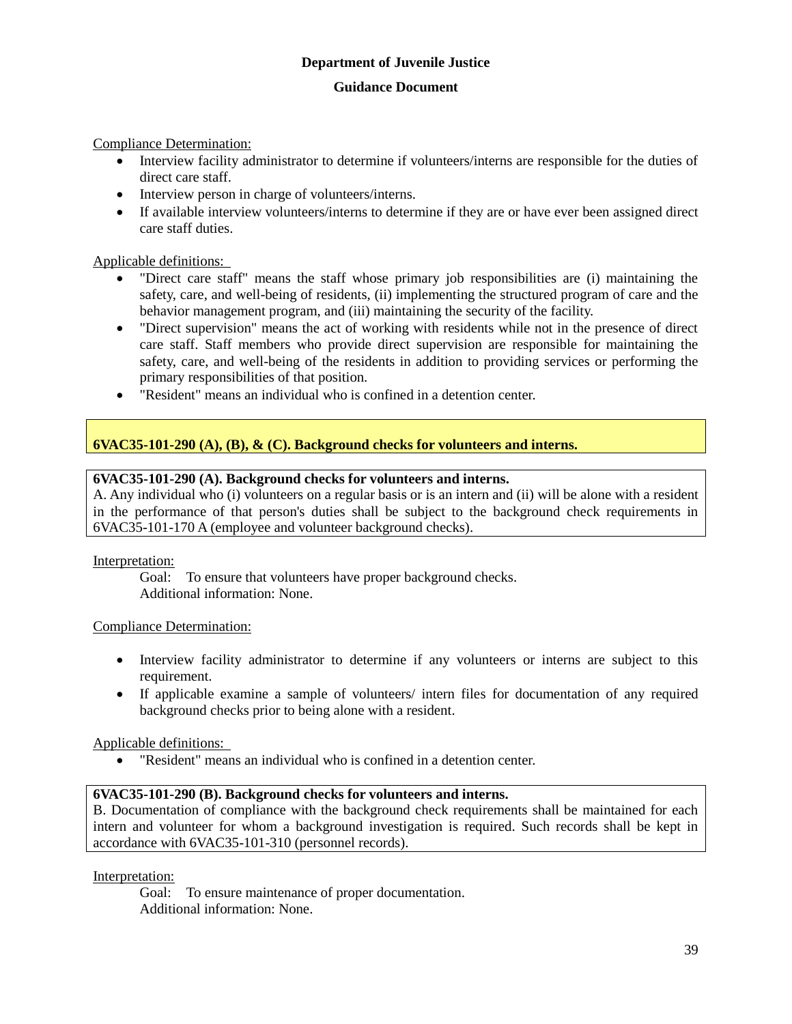#### **Guidance Document**

Compliance Determination:

- Interview facility administrator to determine if volunteers/interns are responsible for the duties of direct care staff.
- Interview person in charge of volunteers/interns.
- If available interview volunteers/interns to determine if they are or have ever been assigned direct care staff duties.

### Applicable definitions:

- "Direct care staff" means the staff whose primary job responsibilities are (i) maintaining the safety, care, and well-being of residents, (ii) implementing the structured program of care and the behavior management program, and (iii) maintaining the security of the facility.
- "Direct supervision" means the act of working with residents while not in the presence of direct care staff. Staff members who provide direct supervision are responsible for maintaining the safety, care, and well-being of the residents in addition to providing services or performing the primary responsibilities of that position.
- "Resident" means an individual who is confined in a detention center.

### **6VAC35-101-290 (A), (B), & (C). Background checks for volunteers and interns.**

### **6VAC35-101-290 (A). Background checks for volunteers and interns.**

A. Any individual who (i) volunteers on a regular basis or is an intern and (ii) will be alone with a resident in the performance of that person's duties shall be subject to the background check requirements in 6VAC35-101-170 A (employee and volunteer background checks).

#### Interpretation:

Goal: To ensure that volunteers have proper background checks. Additional information: None.

### Compliance Determination:

- Interview facility administrator to determine if any volunteers or interns are subject to this requirement.
- If applicable examine a sample of volunteers/ intern files for documentation of any required background checks prior to being alone with a resident.

### Applicable definitions:

"Resident" means an individual who is confined in a detention center.

### **6VAC35-101-290 (B). Background checks for volunteers and interns.**

B. Documentation of compliance with the background check requirements shall be maintained for each intern and volunteer for whom a background investigation is required. Such records shall be kept in accordance with 6VAC35-101-310 (personnel records).

#### Interpretation:

Goal: To ensure maintenance of proper documentation. Additional information: None.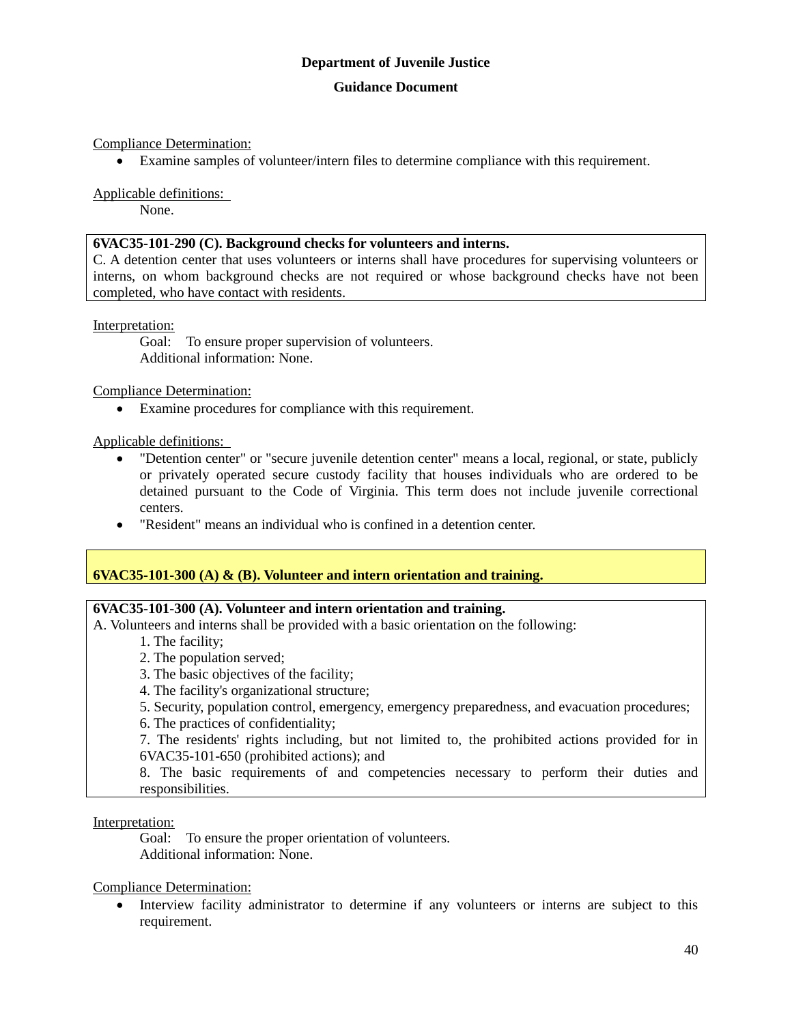### **Guidance Document**

Compliance Determination:

Examine samples of volunteer/intern files to determine compliance with this requirement.

Applicable definitions:

None.

### **6VAC35-101-290 (C). Background checks for volunteers and interns.**

C. A detention center that uses volunteers or interns shall have procedures for supervising volunteers or interns, on whom background checks are not required or whose background checks have not been completed, who have contact with residents.

#### Interpretation:

Goal: To ensure proper supervision of volunteers. Additional information: None.

Compliance Determination:

Examine procedures for compliance with this requirement.

Applicable definitions:

- "Detention center" or "secure juvenile detention center" means a local, regional, or state, publicly or privately operated secure custody facility that houses individuals who are ordered to be detained pursuant to the Code of Virginia. This term does not include juvenile correctional centers.
- "Resident" means an individual who is confined in a detention center.

### **6VAC35-101-300 (A) & (B). Volunteer and intern orientation and training.**

#### **6VAC35-101-300 (A). Volunteer and intern orientation and training.**

A. Volunteers and interns shall be provided with a basic orientation on the following:

- 1. The facility;
- 2. The population served;
- 3. The basic objectives of the facility;
- 4. The facility's organizational structure;
- 5. Security, population control, emergency, emergency preparedness, and evacuation procedures;

6. The practices of confidentiality;

7. The residents' rights including, but not limited to, the prohibited actions provided for in 6VAC35-101-650 (prohibited actions); and

8. The basic requirements of and competencies necessary to perform their duties and responsibilities.

#### Interpretation:

Goal: To ensure the proper orientation of volunteers. Additional information: None.

Compliance Determination:

 Interview facility administrator to determine if any volunteers or interns are subject to this requirement.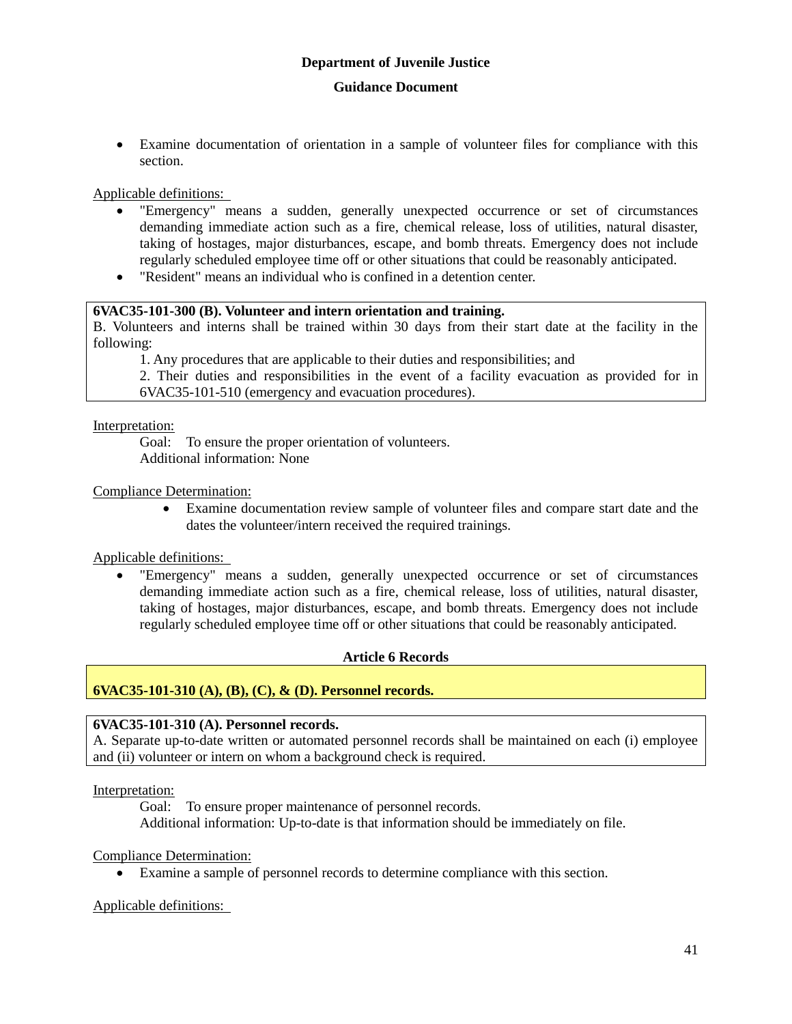Examine documentation of orientation in a sample of volunteer files for compliance with this section.

Applicable definitions:

- "Emergency" means a sudden, generally unexpected occurrence or set of circumstances demanding immediate action such as a fire, chemical release, loss of utilities, natural disaster, taking of hostages, major disturbances, escape, and bomb threats. Emergency does not include regularly scheduled employee time off or other situations that could be reasonably anticipated.
- "Resident" means an individual who is confined in a detention center.

#### **6VAC35-101-300 (B). Volunteer and intern orientation and training.**

B. Volunteers and interns shall be trained within 30 days from their start date at the facility in the following:

1. Any procedures that are applicable to their duties and responsibilities; and

2. Their duties and responsibilities in the event of a facility evacuation as provided for in 6VAC35-101-510 (emergency and evacuation procedures).

Interpretation:

Goal: To ensure the proper orientation of volunteers. Additional information: None

Compliance Determination:

 Examine documentation review sample of volunteer files and compare start date and the dates the volunteer/intern received the required trainings.

Applicable definitions:

 "Emergency" means a sudden, generally unexpected occurrence or set of circumstances demanding immediate action such as a fire, chemical release, loss of utilities, natural disaster, taking of hostages, major disturbances, escape, and bomb threats. Emergency does not include regularly scheduled employee time off or other situations that could be reasonably anticipated.

### **Article 6 Records**

### **6VAC35-101-310 (A), (B), (C), & (D). Personnel records.**

### **6VAC35-101-310 (A). Personnel records.**

A. Separate up-to-date written or automated personnel records shall be maintained on each (i) employee and (ii) volunteer or intern on whom a background check is required.

Interpretation:

Goal: To ensure proper maintenance of personnel records. Additional information: Up-to-date is that information should be immediately on file.

Compliance Determination:

Examine a sample of personnel records to determine compliance with this section.

Applicable definitions: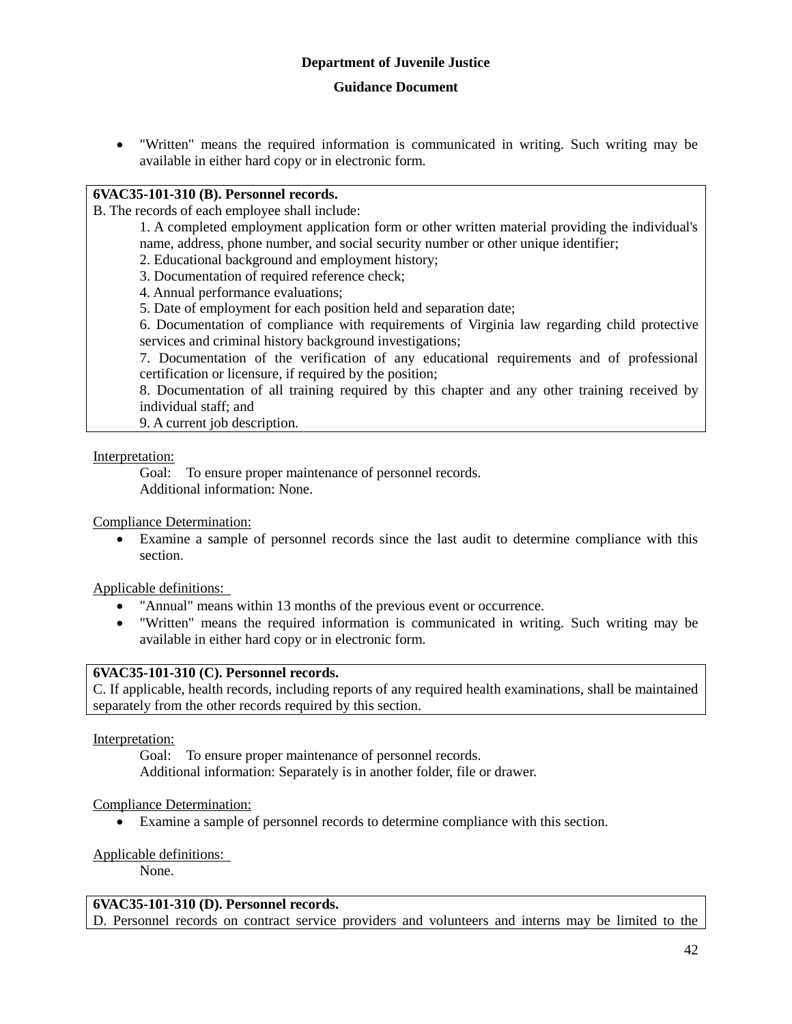"Written" means the required information is communicated in writing. Such writing may be available in either hard copy or in electronic form.

### **6VAC35-101-310 (B). Personnel records.**

B. The records of each employee shall include:

1. A completed employment application form or other written material providing the individual's name, address, phone number, and social security number or other unique identifier;

2. Educational background and employment history;

3. Documentation of required reference check;

4. Annual performance evaluations;

5. Date of employment for each position held and separation date;

6. Documentation of compliance with requirements of Virginia law regarding child protective services and criminal history background investigations;

7. Documentation of the verification of any educational requirements and of professional certification or licensure, if required by the position;

8. Documentation of all training required by this chapter and any other training received by individual staff; and

9. A current job description.

#### Interpretation:

Goal: To ensure proper maintenance of personnel records. Additional information: None.

Compliance Determination:

 Examine a sample of personnel records since the last audit to determine compliance with this section.

Applicable definitions:

- "Annual" means within 13 months of the previous event or occurrence.
- "Written" means the required information is communicated in writing. Such writing may be available in either hard copy or in electronic form.

### **6VAC35-101-310 (C). Personnel records.**

C. If applicable, health records, including reports of any required health examinations, shall be maintained separately from the other records required by this section.

Interpretation:

Goal: To ensure proper maintenance of personnel records. Additional information: Separately is in another folder, file or drawer.

### Compliance Determination:

Examine a sample of personnel records to determine compliance with this section.

### Applicable definitions:

None.

#### **6VAC35-101-310 (D). Personnel records.**

D. Personnel records on contract service providers and volunteers and interns may be limited to the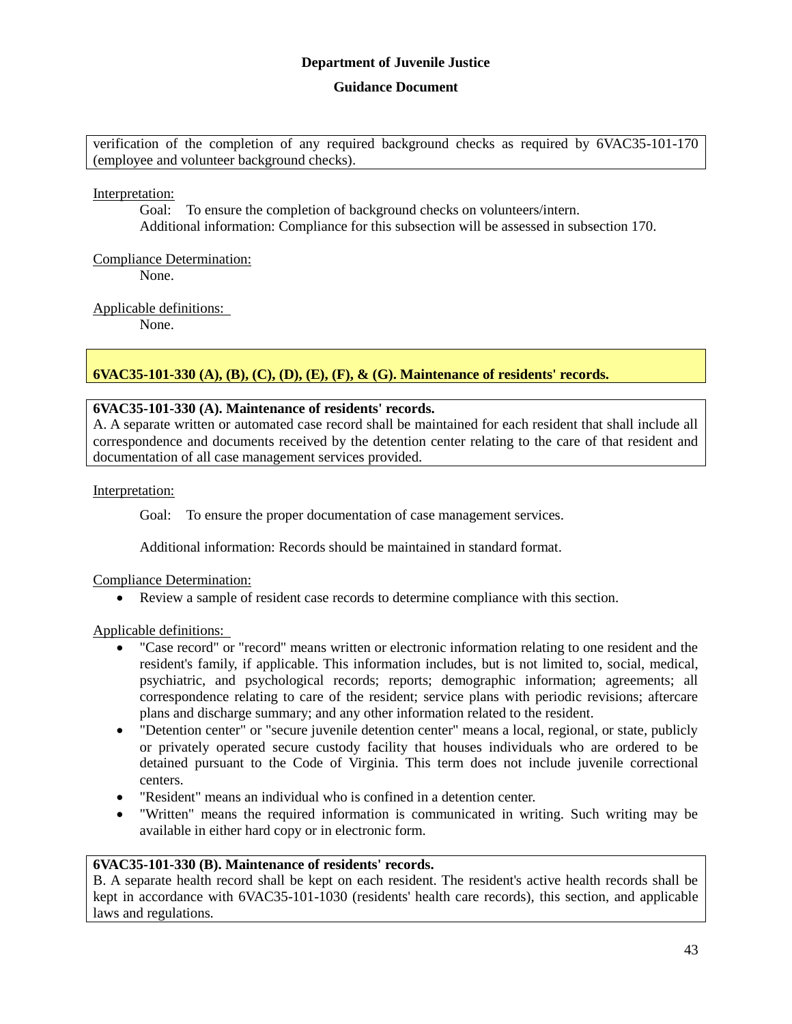### **Guidance Document**

verification of the completion of any required background checks as required by 6VAC35-101-170 (employee and volunteer background checks).

Interpretation:

Goal: To ensure the completion of background checks on volunteers/intern. Additional information: Compliance for this subsection will be assessed in subsection 170.

Compliance Determination:

None.

Applicable definitions:

None.

### **6VAC35-101-330 (A), (B), (C), (D), (E), (F), & (G). Maintenance of residents' records.**

### **6VAC35-101-330 (A). Maintenance of residents' records.**

A. A separate written or automated case record shall be maintained for each resident that shall include all correspondence and documents received by the detention center relating to the care of that resident and documentation of all case management services provided.

Interpretation:

Goal: To ensure the proper documentation of case management services.

Additional information: Records should be maintained in standard format.

Compliance Determination:

Review a sample of resident case records to determine compliance with this section.

### Applicable definitions:

- "Case record" or "record" means written or electronic information relating to one resident and the resident's family, if applicable. This information includes, but is not limited to, social, medical, psychiatric, and psychological records; reports; demographic information; agreements; all correspondence relating to care of the resident; service plans with periodic revisions; aftercare plans and discharge summary; and any other information related to the resident.
- "Detention center" or "secure juvenile detention center" means a local, regional, or state, publicly or privately operated secure custody facility that houses individuals who are ordered to be detained pursuant to the Code of Virginia. This term does not include juvenile correctional centers.
- "Resident" means an individual who is confined in a detention center.
- "Written" means the required information is communicated in writing. Such writing may be available in either hard copy or in electronic form.

### **6VAC35-101-330 (B). Maintenance of residents' records.**

B. A separate health record shall be kept on each resident. The resident's active health records shall be kept in accordance with 6VAC35-101-1030 (residents' health care records), this section, and applicable laws and regulations.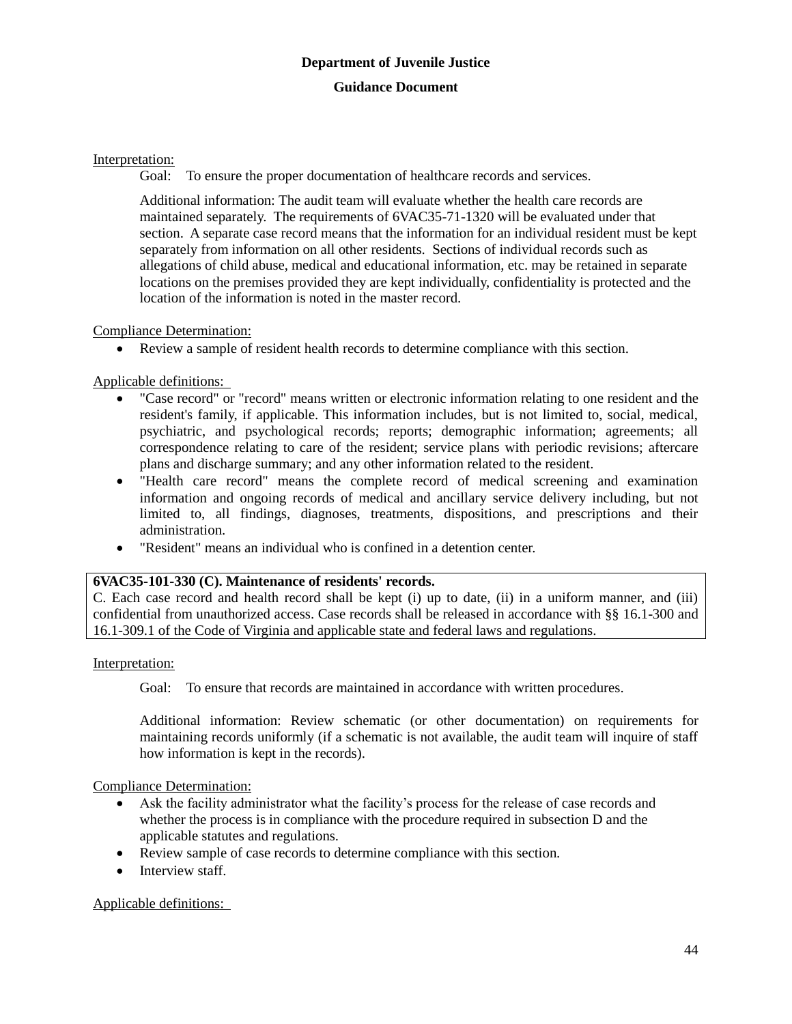### Interpretation:

Goal: To ensure the proper documentation of healthcare records and services.

Additional information: The audit team will evaluate whether the health care records are maintained separately. The requirements of 6VAC35-71-1320 will be evaluated under that section. A separate case record means that the information for an individual resident must be kept separately from information on all other residents. Sections of individual records such as allegations of child abuse, medical and educational information, etc. may be retained in separate locations on the premises provided they are kept individually, confidentiality is protected and the location of the information is noted in the master record.

### Compliance Determination:

Review a sample of resident health records to determine compliance with this section.

Applicable definitions:

- "Case record" or "record" means written or electronic information relating to one resident and the resident's family, if applicable. This information includes, but is not limited to, social, medical, psychiatric, and psychological records; reports; demographic information; agreements; all correspondence relating to care of the resident; service plans with periodic revisions; aftercare plans and discharge summary; and any other information related to the resident.
- "Health care record" means the complete record of medical screening and examination information and ongoing records of medical and ancillary service delivery including, but not limited to, all findings, diagnoses, treatments, dispositions, and prescriptions and their administration.
- "Resident" means an individual who is confined in a detention center.

### **6VAC35-101-330 (C). Maintenance of residents' records.**

C. Each case record and health record shall be kept (i) up to date, (ii) in a uniform manner, and (iii) confidential from unauthorized access. Case records shall be released in accordance with §§ 16.1-300 and 16.1-309.1 of the Code of Virginia and applicable state and federal laws and regulations.

### Interpretation:

Goal: To ensure that records are maintained in accordance with written procedures.

Additional information: Review schematic (or other documentation) on requirements for maintaining records uniformly (if a schematic is not available, the audit team will inquire of staff how information is kept in the records).

Compliance Determination:

- Ask the facility administrator what the facility's process for the release of case records and whether the process is in compliance with the procedure required in subsection D and the applicable statutes and regulations.
- Review sample of case records to determine compliance with this section.
- Interview staff.

### Applicable definitions: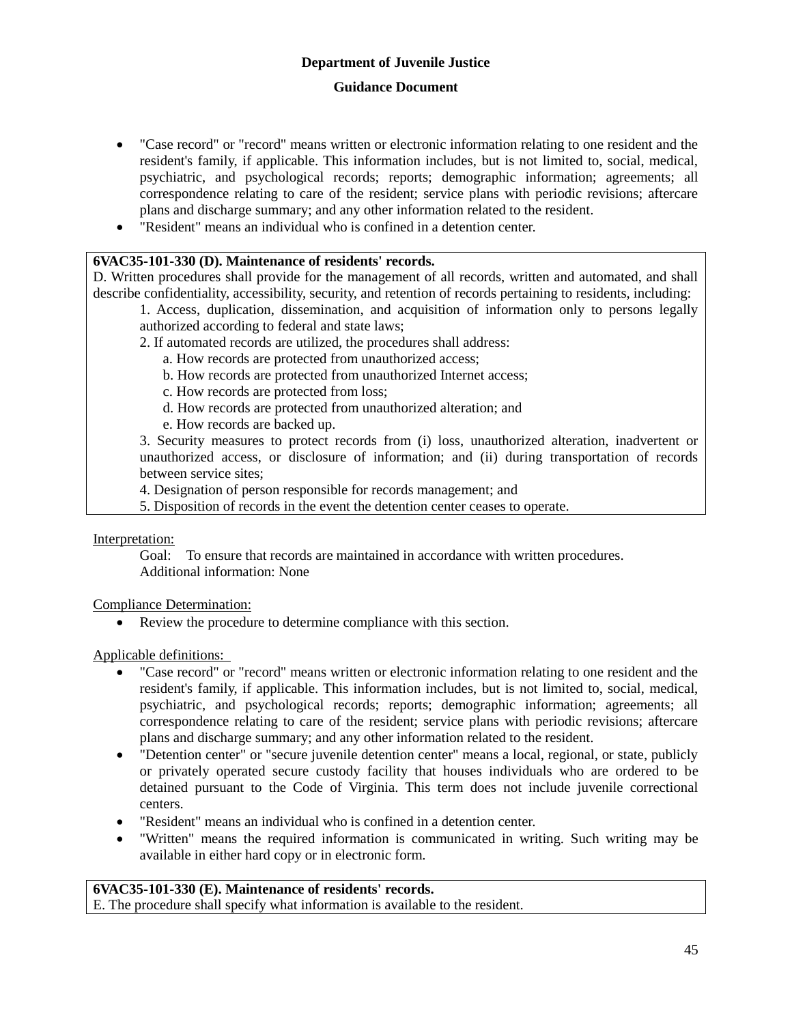- "Case record" or "record" means written or electronic information relating to one resident and the resident's family, if applicable. This information includes, but is not limited to, social, medical, psychiatric, and psychological records; reports; demographic information; agreements; all correspondence relating to care of the resident; service plans with periodic revisions; aftercare plans and discharge summary; and any other information related to the resident.
- "Resident" means an individual who is confined in a detention center.

### **6VAC35-101-330 (D). Maintenance of residents' records.**

D. Written procedures shall provide for the management of all records, written and automated, and shall describe confidentiality, accessibility, security, and retention of records pertaining to residents, including:

- 1. Access, duplication, dissemination, and acquisition of information only to persons legally authorized according to federal and state laws;
- 2. If automated records are utilized, the procedures shall address:
	- a. How records are protected from unauthorized access;
	- b. How records are protected from unauthorized Internet access;
	- c. How records are protected from loss;
	- d. How records are protected from unauthorized alteration; and
	- e. How records are backed up.

3. Security measures to protect records from (i) loss, unauthorized alteration, inadvertent or unauthorized access, or disclosure of information; and (ii) during transportation of records between service sites;

4. Designation of person responsible for records management; and

5. Disposition of records in the event the detention center ceases to operate.

Interpretation:

Goal: To ensure that records are maintained in accordance with written procedures. Additional information: None

#### Compliance Determination:

Review the procedure to determine compliance with this section.

### Applicable definitions:

- "Case record" or "record" means written or electronic information relating to one resident and the resident's family, if applicable. This information includes, but is not limited to, social, medical, psychiatric, and psychological records; reports; demographic information; agreements; all correspondence relating to care of the resident; service plans with periodic revisions; aftercare plans and discharge summary; and any other information related to the resident.
- "Detention center" or "secure juvenile detention center" means a local, regional, or state, publicly or privately operated secure custody facility that houses individuals who are ordered to be detained pursuant to the Code of Virginia. This term does not include juvenile correctional centers.
- "Resident" means an individual who is confined in a detention center.
- "Written" means the required information is communicated in writing. Such writing may be available in either hard copy or in electronic form.

# **6VAC35-101-330 (E). Maintenance of residents' records.**

E. The procedure shall specify what information is available to the resident.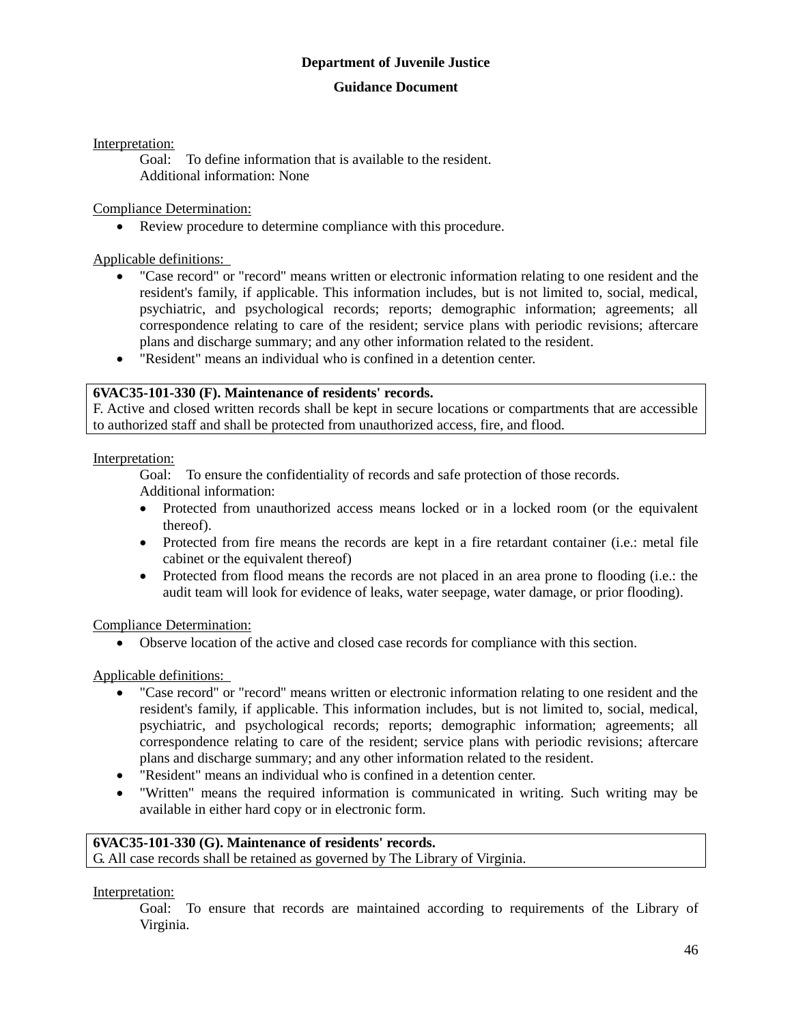#### **Guidance Document**

Interpretation:

Goal: To define information that is available to the resident. Additional information: None

Compliance Determination:

Review procedure to determine compliance with this procedure.

Applicable definitions:

- "Case record" or "record" means written or electronic information relating to one resident and the resident's family, if applicable. This information includes, but is not limited to, social, medical, psychiatric, and psychological records; reports; demographic information; agreements; all correspondence relating to care of the resident; service plans with periodic revisions; aftercare plans and discharge summary; and any other information related to the resident.
- "Resident" means an individual who is confined in a detention center.

### **6VAC35-101-330 (F). Maintenance of residents' records.**

F. Active and closed written records shall be kept in secure locations or compartments that are accessible to authorized staff and shall be protected from unauthorized access, fire, and flood.

Interpretation:

Goal: To ensure the confidentiality of records and safe protection of those records. Additional information:

- Protected from unauthorized access means locked or in a locked room (or the equivalent thereof).
- Protected from fire means the records are kept in a fire retardant container (i.e.: metal file cabinet or the equivalent thereof)
- Protected from flood means the records are not placed in an area prone to flooding (i.e.: the audit team will look for evidence of leaks, water seepage, water damage, or prior flooding).

Compliance Determination:

Observe location of the active and closed case records for compliance with this section.

Applicable definitions:

- "Case record" or "record" means written or electronic information relating to one resident and the resident's family, if applicable. This information includes, but is not limited to, social, medical, psychiatric, and psychological records; reports; demographic information; agreements; all correspondence relating to care of the resident; service plans with periodic revisions; aftercare plans and discharge summary; and any other information related to the resident.
- "Resident" means an individual who is confined in a detention center.
- "Written" means the required information is communicated in writing. Such writing may be available in either hard copy or in electronic form.

#### **6VAC35-101-330 (G). Maintenance of residents' records.** G. All case records shall be retained as governed by The Library of Virginia.

Interpretation:

Goal: To ensure that records are maintained according to requirements of the Library of Virginia.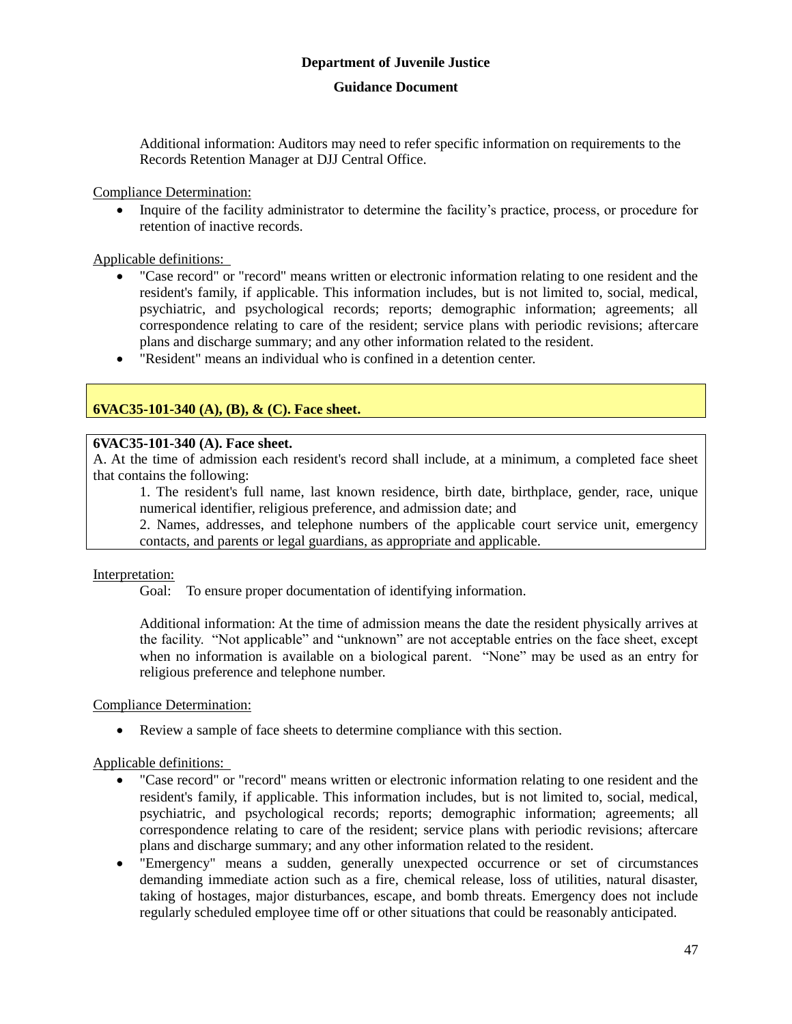### **Guidance Document**

Additional information: Auditors may need to refer specific information on requirements to the Records Retention Manager at DJJ Central Office.

Compliance Determination:

• Inquire of the facility administrator to determine the facility's practice, process, or procedure for retention of inactive records.

Applicable definitions:

- "Case record" or "record" means written or electronic information relating to one resident and the resident's family, if applicable. This information includes, but is not limited to, social, medical, psychiatric, and psychological records; reports; demographic information; agreements; all correspondence relating to care of the resident; service plans with periodic revisions; aftercare plans and discharge summary; and any other information related to the resident.
- "Resident" means an individual who is confined in a detention center.

### **6VAC35-101-340 (A), (B), & (C). Face sheet.**

### **6VAC35-101-340 (A). Face sheet.**

A. At the time of admission each resident's record shall include, at a minimum, a completed face sheet that contains the following:

1. The resident's full name, last known residence, birth date, birthplace, gender, race, unique numerical identifier, religious preference, and admission date; and

2. Names, addresses, and telephone numbers of the applicable court service unit, emergency contacts, and parents or legal guardians, as appropriate and applicable.

### Interpretation:

Goal: To ensure proper documentation of identifying information.

Additional information: At the time of admission means the date the resident physically arrives at the facility. "Not applicable" and "unknown" are not acceptable entries on the face sheet, except when no information is available on a biological parent. "None" may be used as an entry for religious preference and telephone number.

Compliance Determination:

Review a sample of face sheets to determine compliance with this section.

### Applicable definitions:

- "Case record" or "record" means written or electronic information relating to one resident and the resident's family, if applicable. This information includes, but is not limited to, social, medical, psychiatric, and psychological records; reports; demographic information; agreements; all correspondence relating to care of the resident; service plans with periodic revisions; aftercare plans and discharge summary; and any other information related to the resident.
- "Emergency" means a sudden, generally unexpected occurrence or set of circumstances demanding immediate action such as a fire, chemical release, loss of utilities, natural disaster, taking of hostages, major disturbances, escape, and bomb threats. Emergency does not include regularly scheduled employee time off or other situations that could be reasonably anticipated.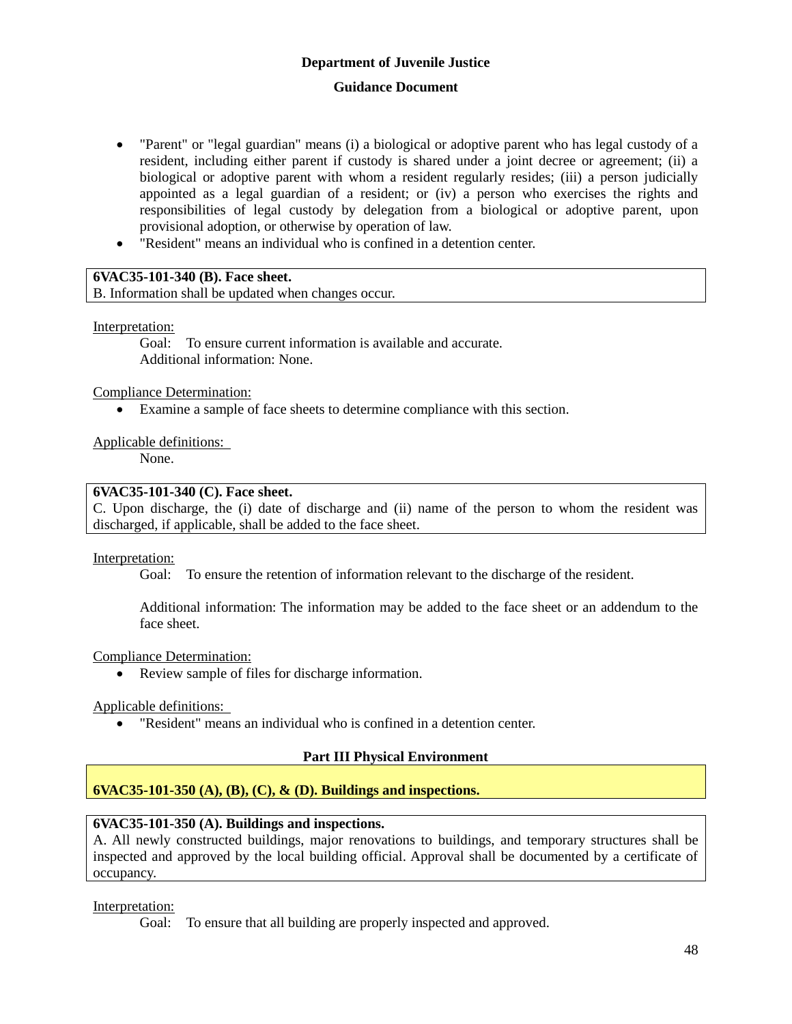### **Guidance Document**

- "Parent" or "legal guardian" means (i) a biological or adoptive parent who has legal custody of a resident, including either parent if custody is shared under a joint decree or agreement; (ii) a biological or adoptive parent with whom a resident regularly resides; (iii) a person judicially appointed as a legal guardian of a resident; or (iv) a person who exercises the rights and responsibilities of legal custody by delegation from a biological or adoptive parent, upon provisional adoption, or otherwise by operation of law.
- "Resident" means an individual who is confined in a detention center.

### **6VAC35-101-340 (B). Face sheet.**

B. Information shall be updated when changes occur.

### Interpretation:

Goal: To ensure current information is available and accurate. Additional information: None.

### Compliance Determination:

Examine a sample of face sheets to determine compliance with this section.

### Applicable definitions:

None.

### **6VAC35-101-340 (C). Face sheet.**

C. Upon discharge, the (i) date of discharge and (ii) name of the person to whom the resident was discharged, if applicable, shall be added to the face sheet.

### Interpretation:

Goal: To ensure the retention of information relevant to the discharge of the resident.

Additional information: The information may be added to the face sheet or an addendum to the face sheet.

### Compliance Determination:

Review sample of files for discharge information.

### Applicable definitions:

"Resident" means an individual who is confined in a detention center.

### **Part III Physical Environment**

### **6VAC35-101-350 (A), (B), (C), & (D). Buildings and inspections.**

### **6VAC35-101-350 (A). Buildings and inspections.**

A. All newly constructed buildings, major renovations to buildings, and temporary structures shall be inspected and approved by the local building official. Approval shall be documented by a certificate of occupancy.

### Interpretation:

Goal: To ensure that all building are properly inspected and approved.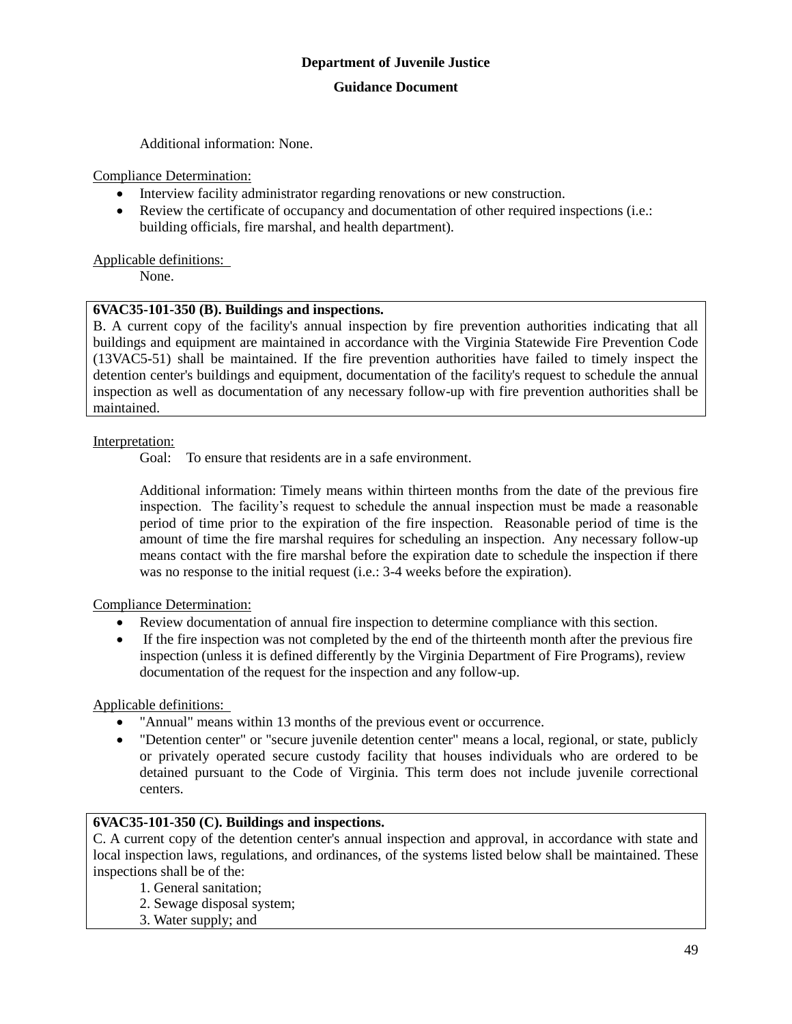Additional information: None.

Compliance Determination:

- Interview facility administrator regarding renovations or new construction.
- Review the certificate of occupancy and documentation of other required inspections (i.e.: building officials, fire marshal, and health department).

### Applicable definitions:

None.

### **6VAC35-101-350 (B). Buildings and inspections.**

B. A current copy of the facility's annual inspection by fire prevention authorities indicating that all buildings and equipment are maintained in accordance with the Virginia Statewide Fire Prevention Code (13VAC5-51) shall be maintained. If the fire prevention authorities have failed to timely inspect the detention center's buildings and equipment, documentation of the facility's request to schedule the annual inspection as well as documentation of any necessary follow-up with fire prevention authorities shall be maintained.

### Interpretation:

Goal: To ensure that residents are in a safe environment.

Additional information: Timely means within thirteen months from the date of the previous fire inspection. The facility's request to schedule the annual inspection must be made a reasonable period of time prior to the expiration of the fire inspection. Reasonable period of time is the amount of time the fire marshal requires for scheduling an inspection. Any necessary follow-up means contact with the fire marshal before the expiration date to schedule the inspection if there was no response to the initial request (i.e.: 3-4 weeks before the expiration).

### Compliance Determination:

- Review documentation of annual fire inspection to determine compliance with this section.
- If the fire inspection was not completed by the end of the thirteenth month after the previous fire inspection (unless it is defined differently by the Virginia Department of Fire Programs), review documentation of the request for the inspection and any follow-up.

### Applicable definitions:

- "Annual" means within 13 months of the previous event or occurrence.
- "Detention center" or "secure juvenile detention center" means a local, regional, or state, publicly or privately operated secure custody facility that houses individuals who are ordered to be detained pursuant to the Code of Virginia. This term does not include juvenile correctional centers.

### **6VAC35-101-350 (C). Buildings and inspections.**

C. A current copy of the detention center's annual inspection and approval, in accordance with state and local inspection laws, regulations, and ordinances, of the systems listed below shall be maintained. These inspections shall be of the:

- 1. General sanitation;
- 2. Sewage disposal system;
- 3. Water supply; and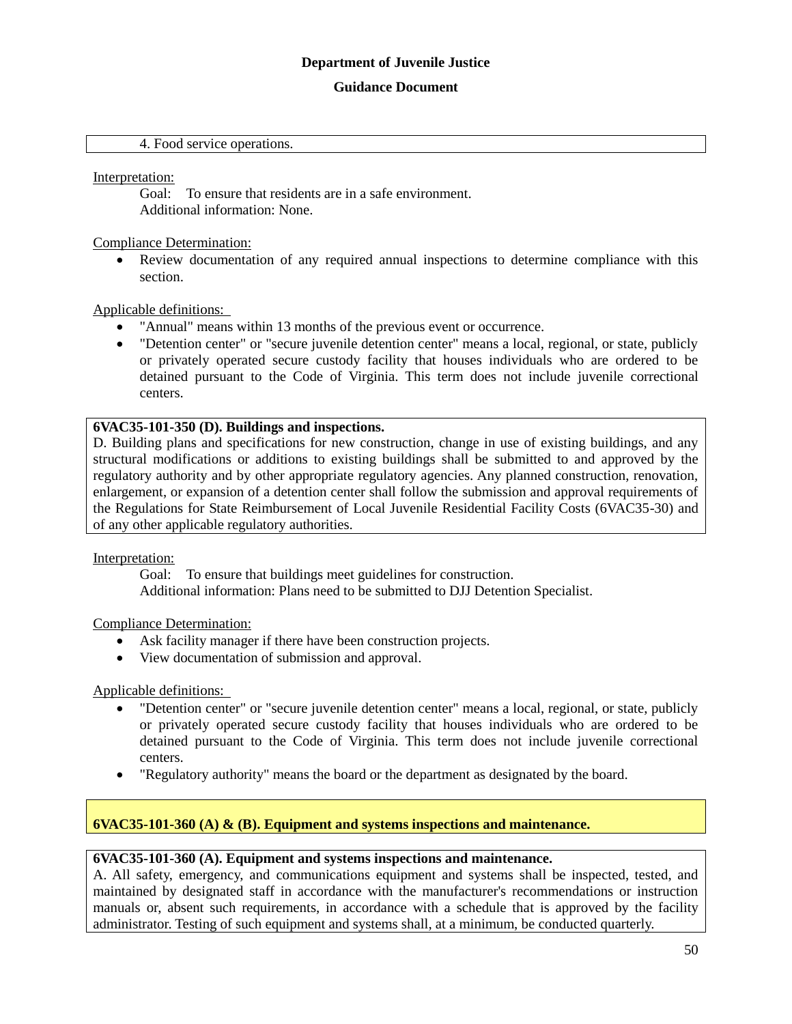#### **Guidance Document**

#### 4. Food service operations.

Interpretation:

Goal: To ensure that residents are in a safe environment. Additional information: None.

Compliance Determination:

 Review documentation of any required annual inspections to determine compliance with this section.

Applicable definitions:

- "Annual" means within 13 months of the previous event or occurrence.
- "Detention center" or "secure juvenile detention center" means a local, regional, or state, publicly or privately operated secure custody facility that houses individuals who are ordered to be detained pursuant to the Code of Virginia. This term does not include juvenile correctional centers.

#### **6VAC35-101-350 (D). Buildings and inspections.**

D. Building plans and specifications for new construction, change in use of existing buildings, and any structural modifications or additions to existing buildings shall be submitted to and approved by the regulatory authority and by other appropriate regulatory agencies. Any planned construction, renovation, enlargement, or expansion of a detention center shall follow the submission and approval requirements of the Regulations for State Reimbursement of Local Juvenile Residential Facility Costs (6VAC35-30) and of any other applicable regulatory authorities.

Interpretation:

Goal: To ensure that buildings meet guidelines for construction. Additional information: Plans need to be submitted to DJJ Detention Specialist.

Compliance Determination:

- Ask facility manager if there have been construction projects.
- View documentation of submission and approval.

Applicable definitions:

- "Detention center" or "secure juvenile detention center" means a local, regional, or state, publicly or privately operated secure custody facility that houses individuals who are ordered to be detained pursuant to the Code of Virginia. This term does not include juvenile correctional centers.
- "Regulatory authority" means the board or the department as designated by the board.

### **6VAC35-101-360 (A) & (B). Equipment and systems inspections and maintenance.**

### **6VAC35-101-360 (A). Equipment and systems inspections and maintenance.**

A. All safety, emergency, and communications equipment and systems shall be inspected, tested, and maintained by designated staff in accordance with the manufacturer's recommendations or instruction manuals or, absent such requirements, in accordance with a schedule that is approved by the facility administrator. Testing of such equipment and systems shall, at a minimum, be conducted quarterly.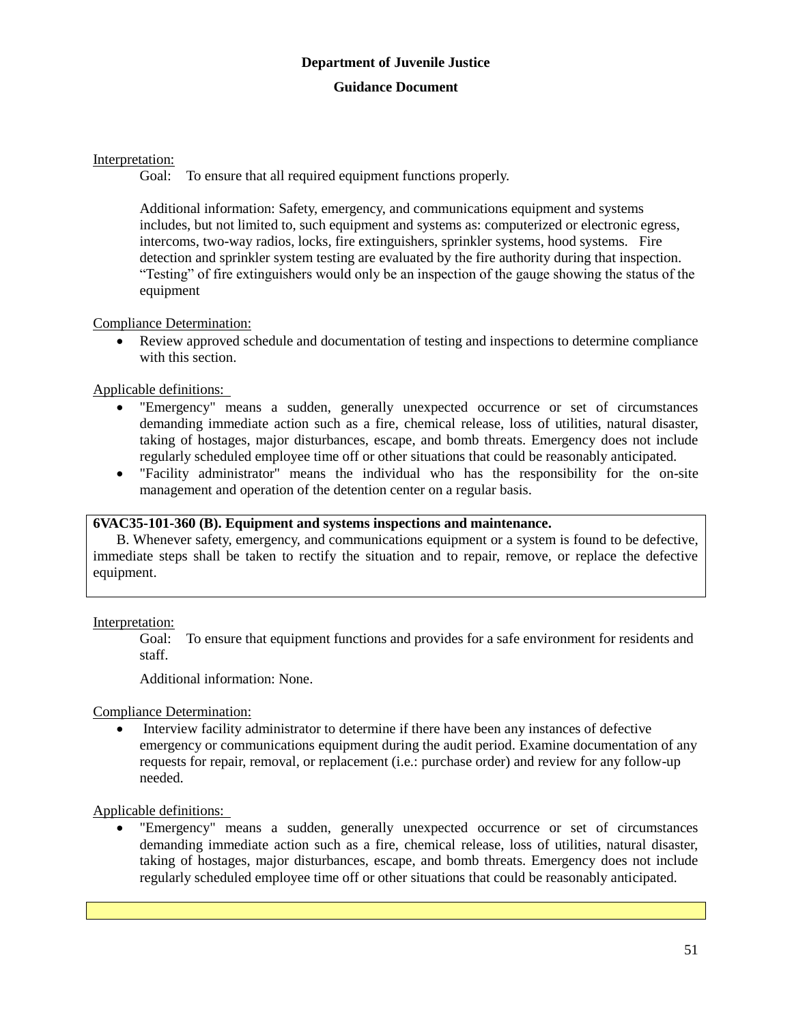### Interpretation:

Goal: To ensure that all required equipment functions properly.

Additional information: Safety, emergency, and communications equipment and systems includes, but not limited to, such equipment and systems as: computerized or electronic egress, intercoms, two-way radios, locks, fire extinguishers, sprinkler systems, hood systems. Fire detection and sprinkler system testing are evaluated by the fire authority during that inspection. "Testing" of fire extinguishers would only be an inspection of the gauge showing the status of the equipment

### Compliance Determination:

 Review approved schedule and documentation of testing and inspections to determine compliance with this section.

Applicable definitions:

- "Emergency" means a sudden, generally unexpected occurrence or set of circumstances demanding immediate action such as a fire, chemical release, loss of utilities, natural disaster, taking of hostages, major disturbances, escape, and bomb threats. Emergency does not include regularly scheduled employee time off or other situations that could be reasonably anticipated.
- "Facility administrator" means the individual who has the responsibility for the on-site management and operation of the detention center on a regular basis.

### **6VAC35-101-360 (B). Equipment and systems inspections and maintenance.**

B. Whenever safety, emergency, and communications equipment or a system is found to be defective, immediate steps shall be taken to rectify the situation and to repair, remove, or replace the defective equipment.

Interpretation:

Goal: To ensure that equipment functions and provides for a safe environment for residents and staff.

Additional information: None.

Compliance Determination:

 Interview facility administrator to determine if there have been any instances of defective emergency or communications equipment during the audit period. Examine documentation of any requests for repair, removal, or replacement (i.e.: purchase order) and review for any follow-up needed.

Applicable definitions:

 "Emergency" means a sudden, generally unexpected occurrence or set of circumstances demanding immediate action such as a fire, chemical release, loss of utilities, natural disaster, taking of hostages, major disturbances, escape, and bomb threats. Emergency does not include regularly scheduled employee time off or other situations that could be reasonably anticipated.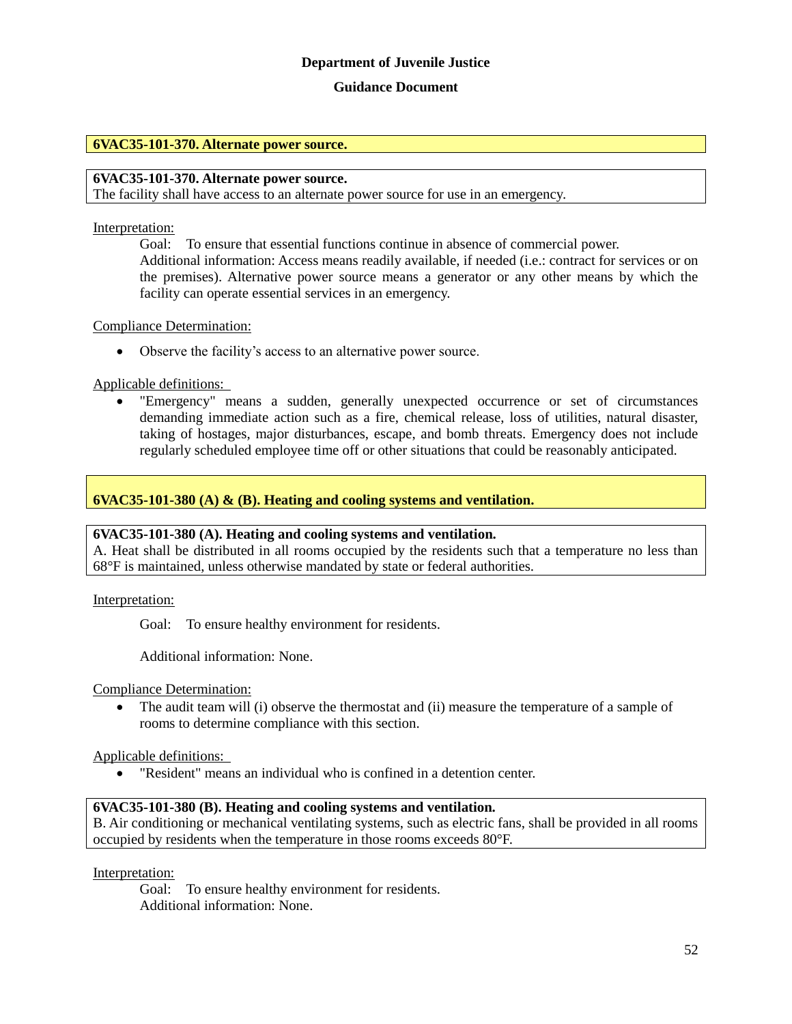### **Guidance Document**

#### **6VAC35-101-370. Alternate power source.**

### **6VAC35-101-370. Alternate power source.**

The facility shall have access to an alternate power source for use in an emergency.

#### Interpretation:

Goal: To ensure that essential functions continue in absence of commercial power. Additional information: Access means readily available, if needed (i.e.: contract for services or on the premises). Alternative power source means a generator or any other means by which the facility can operate essential services in an emergency.

#### Compliance Determination:

Observe the facility's access to an alternative power source.

Applicable definitions:

 "Emergency" means a sudden, generally unexpected occurrence or set of circumstances demanding immediate action such as a fire, chemical release, loss of utilities, natural disaster, taking of hostages, major disturbances, escape, and bomb threats. Emergency does not include regularly scheduled employee time off or other situations that could be reasonably anticipated.

### **6VAC35-101-380 (A) & (B). Heating and cooling systems and ventilation.**

### **6VAC35-101-380 (A). Heating and cooling systems and ventilation.**

A. Heat shall be distributed in all rooms occupied by the residents such that a temperature no less than 68°F is maintained, unless otherwise mandated by state or federal authorities.

Interpretation:

Goal: To ensure healthy environment for residents.

Additional information: None.

Compliance Determination:

• The audit team will (i) observe the thermostat and (ii) measure the temperature of a sample of rooms to determine compliance with this section.

Applicable definitions:

"Resident" means an individual who is confined in a detention center.

### **6VAC35-101-380 (B). Heating and cooling systems and ventilation.**

B. Air conditioning or mechanical ventilating systems, such as electric fans, shall be provided in all rooms occupied by residents when the temperature in those rooms exceeds 80°F.

Interpretation:

Goal: To ensure healthy environment for residents. Additional information: None.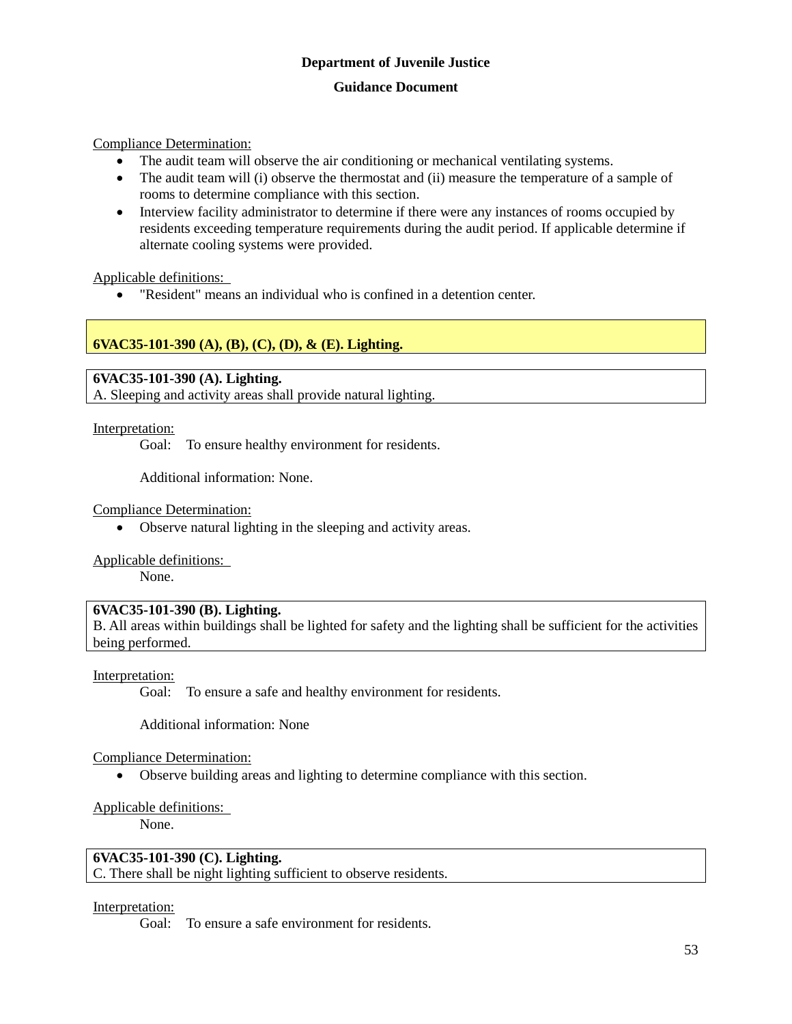Compliance Determination:

- The audit team will observe the air conditioning or mechanical ventilating systems.
- The audit team will (i) observe the thermostat and (ii) measure the temperature of a sample of rooms to determine compliance with this section.
- Interview facility administrator to determine if there were any instances of rooms occupied by residents exceeding temperature requirements during the audit period. If applicable determine if alternate cooling systems were provided.

Applicable definitions:

"Resident" means an individual who is confined in a detention center.

### **6VAC35-101-390 (A), (B), (C), (D), & (E). Lighting.**

**6VAC35-101-390 (A). Lighting.**

A. Sleeping and activity areas shall provide natural lighting.

Interpretation:

Goal: To ensure healthy environment for residents.

Additional information: None.

Compliance Determination:

Observe natural lighting in the sleeping and activity areas.

Applicable definitions:

None.

### **6VAC35-101-390 (B). Lighting.**

B. All areas within buildings shall be lighted for safety and the lighting shall be sufficient for the activities being performed.

#### Interpretation:

Goal: To ensure a safe and healthy environment for residents.

Additional information: None

Compliance Determination:

Observe building areas and lighting to determine compliance with this section.

#### Applicable definitions:

None.

### **6VAC35-101-390 (C). Lighting.**

C. There shall be night lighting sufficient to observe residents.

#### Interpretation:

Goal: To ensure a safe environment for residents.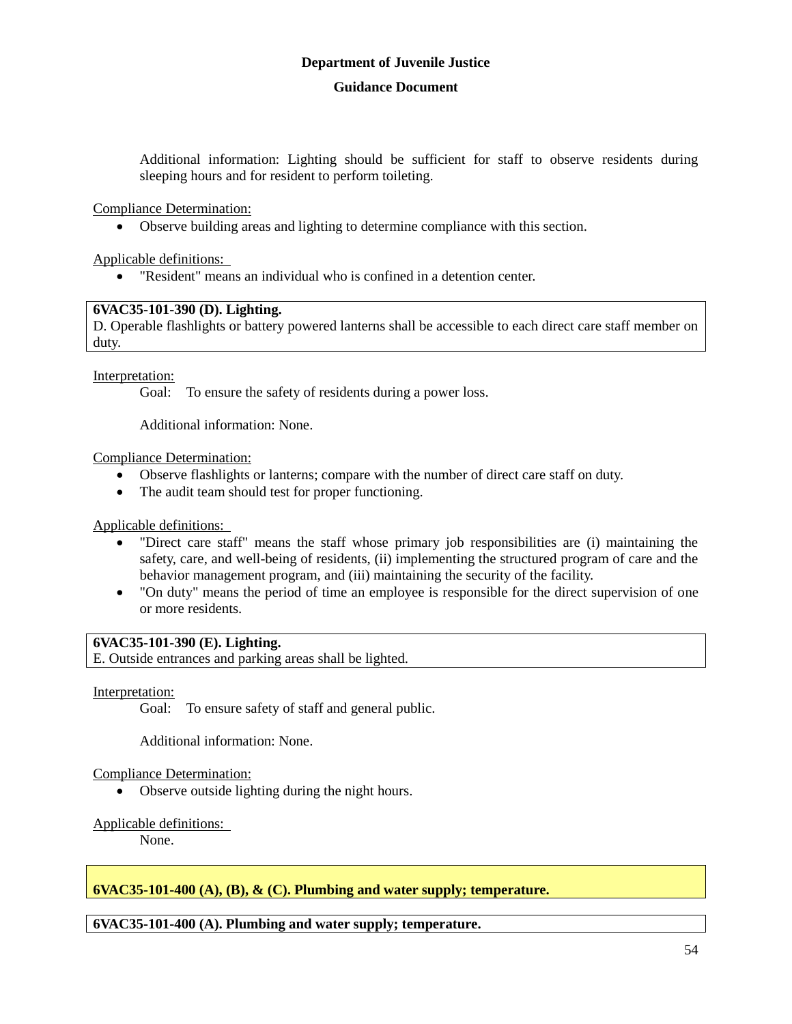Additional information: Lighting should be sufficient for staff to observe residents during sleeping hours and for resident to perform toileting.

Compliance Determination:

Observe building areas and lighting to determine compliance with this section.

Applicable definitions:

"Resident" means an individual who is confined in a detention center.

### **6VAC35-101-390 (D). Lighting.**

D. Operable flashlights or battery powered lanterns shall be accessible to each direct care staff member on duty.

Interpretation:

Goal: To ensure the safety of residents during a power loss.

Additional information: None.

Compliance Determination:

- Observe flashlights or lanterns; compare with the number of direct care staff on duty.
- The audit team should test for proper functioning.

Applicable definitions:

- "Direct care staff" means the staff whose primary job responsibilities are (i) maintaining the safety, care, and well-being of residents, (ii) implementing the structured program of care and the behavior management program, and (iii) maintaining the security of the facility.
- "On duty" means the period of time an employee is responsible for the direct supervision of one or more residents.

### **6VAC35-101-390 (E). Lighting.**

E. Outside entrances and parking areas shall be lighted.

### Interpretation:

Goal: To ensure safety of staff and general public.

Additional information: None.

### Compliance Determination:

• Observe outside lighting during the night hours.

### Applicable definitions:

None.

### **6VAC35-101-400 (A), (B), & (C). Plumbing and water supply; temperature.**

### **6VAC35-101-400 (A). Plumbing and water supply; temperature.**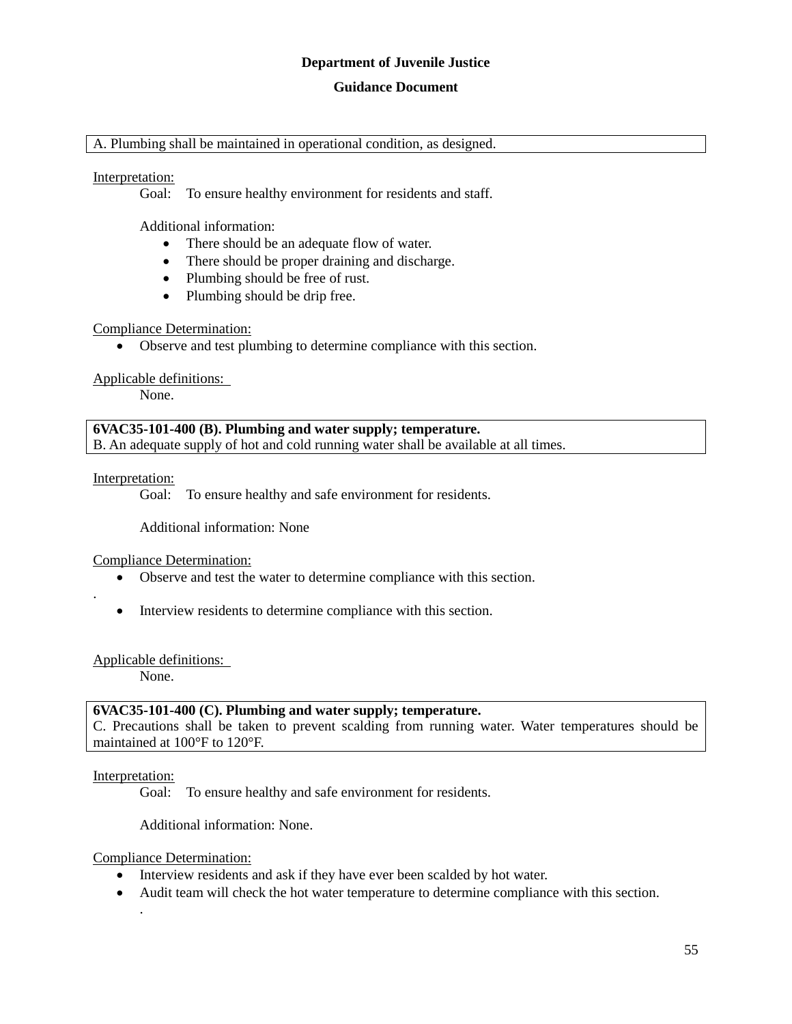#### **Guidance Document**

#### A. Plumbing shall be maintained in operational condition, as designed.

### Interpretation:

Goal: To ensure healthy environment for residents and staff.

Additional information:

- There should be an adequate flow of water.
- There should be proper draining and discharge.
- Plumbing should be free of rust.
- Plumbing should be drip free.

#### Compliance Determination:

Observe and test plumbing to determine compliance with this section.

#### Applicable definitions:

None.

**6VAC35-101-400 (B). Plumbing and water supply; temperature.** B. An adequate supply of hot and cold running water shall be available at all times.

Interpretation:

.

Goal: To ensure healthy and safe environment for residents.

Additional information: None

Compliance Determination:

- Observe and test the water to determine compliance with this section.
- Interview residents to determine compliance with this section.

Applicable definitions:

None.

#### **6VAC35-101-400 (C). Plumbing and water supply; temperature.**

C. Precautions shall be taken to prevent scalding from running water. Water temperatures should be maintained at 100°F to 120°F.

### Interpretation:

.

Goal: To ensure healthy and safe environment for residents.

Additional information: None.

Compliance Determination:

- Interview residents and ask if they have ever been scalded by hot water.
- Audit team will check the hot water temperature to determine compliance with this section.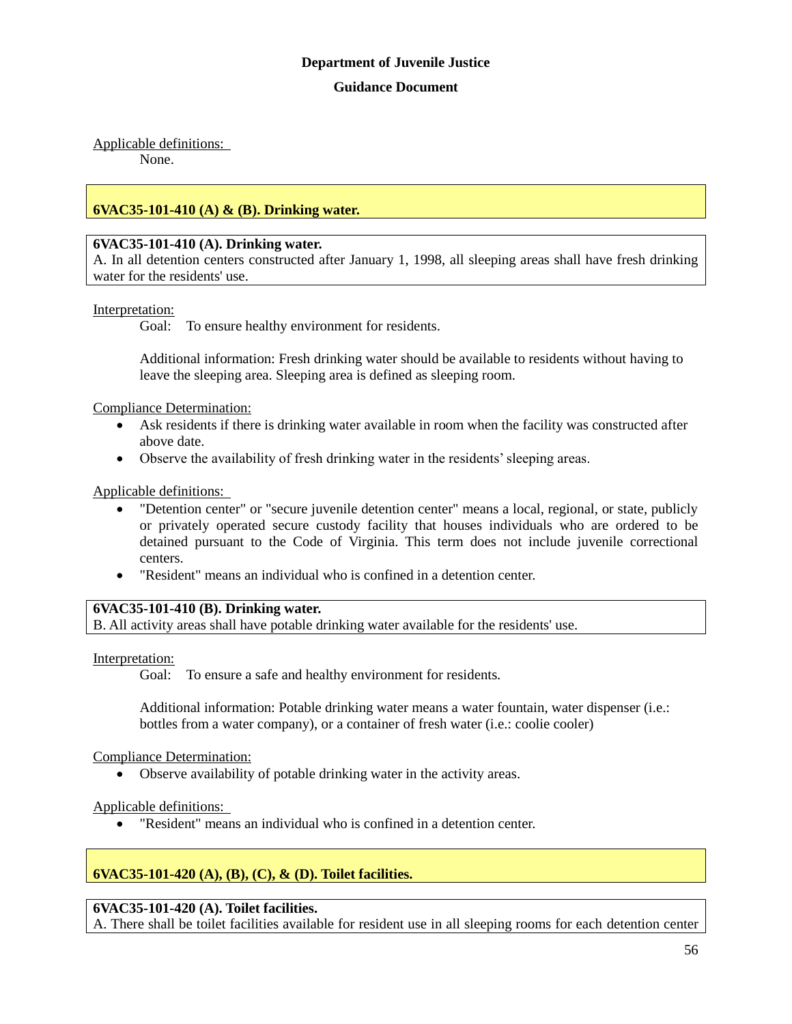### Applicable definitions:

None.

### **6VAC35-101-410 (A) & (B). Drinking water.**

### **6VAC35-101-410 (A). Drinking water.**

A. In all detention centers constructed after January 1, 1998, all sleeping areas shall have fresh drinking water for the residents' use.

#### Interpretation:

Goal: To ensure healthy environment for residents.

Additional information: Fresh drinking water should be available to residents without having to leave the sleeping area. Sleeping area is defined as sleeping room.

Compliance Determination:

- Ask residents if there is drinking water available in room when the facility was constructed after above date.
- Observe the availability of fresh drinking water in the residents' sleeping areas.

#### Applicable definitions:

- "Detention center" or "secure juvenile detention center" means a local, regional, or state, publicly or privately operated secure custody facility that houses individuals who are ordered to be detained pursuant to the Code of Virginia. This term does not include juvenile correctional centers.
- "Resident" means an individual who is confined in a detention center.

### **6VAC35-101-410 (B). Drinking water.**

B. All activity areas shall have potable drinking water available for the residents' use.

Interpretation:

Goal: To ensure a safe and healthy environment for residents.

Additional information: Potable drinking water means a water fountain, water dispenser (i.e.: bottles from a water company), or a container of fresh water (i.e.: coolie cooler)

Compliance Determination:

Observe availability of potable drinking water in the activity areas.

Applicable definitions:

"Resident" means an individual who is confined in a detention center.

### **6VAC35-101-420 (A), (B), (C), & (D). Toilet facilities.**

### **6VAC35-101-420 (A). Toilet facilities.**

A. There shall be toilet facilities available for resident use in all sleeping rooms for each detention center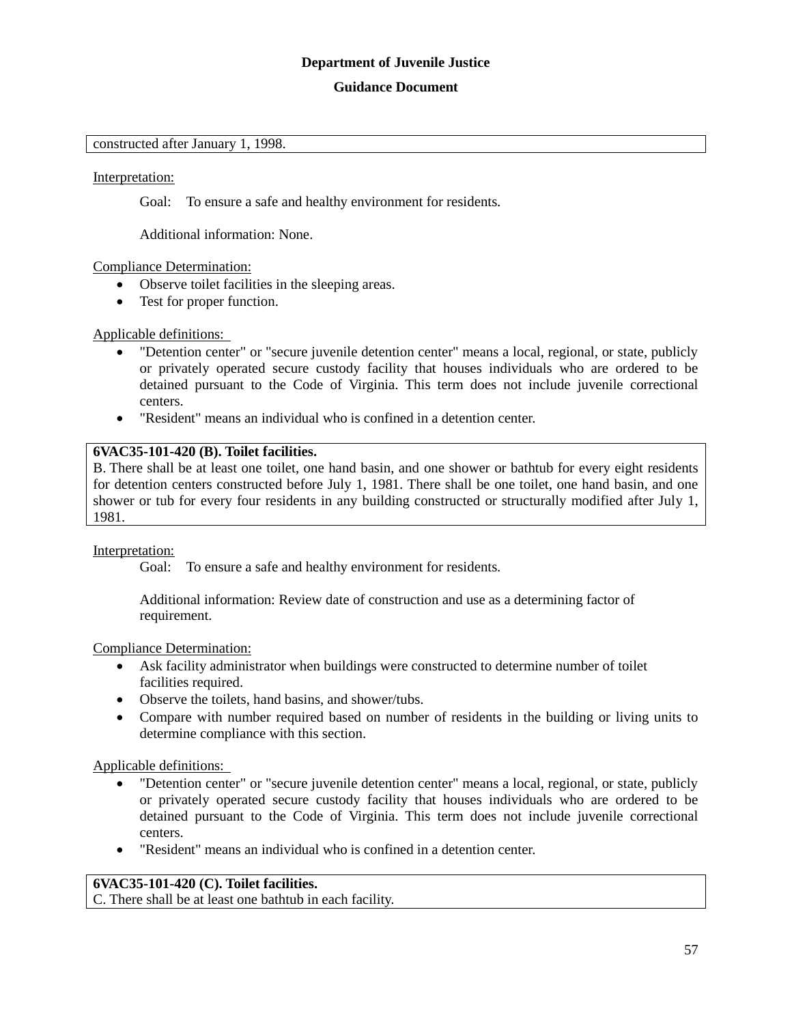### **Guidance Document**

#### constructed after January 1, 1998.

#### Interpretation:

Goal: To ensure a safe and healthy environment for residents.

Additional information: None.

### Compliance Determination:

- Observe toilet facilities in the sleeping areas.
- Test for proper function.

### Applicable definitions:

- "Detention center" or "secure juvenile detention center" means a local, regional, or state, publicly or privately operated secure custody facility that houses individuals who are ordered to be detained pursuant to the Code of Virginia. This term does not include juvenile correctional centers.
- "Resident" means an individual who is confined in a detention center.

### **6VAC35-101-420 (B). Toilet facilities.**

B. There shall be at least one toilet, one hand basin, and one shower or bathtub for every eight residents for detention centers constructed before July 1, 1981. There shall be one toilet, one hand basin, and one shower or tub for every four residents in any building constructed or structurally modified after July 1, 1981.

#### Interpretation:

Goal: To ensure a safe and healthy environment for residents.

Additional information: Review date of construction and use as a determining factor of requirement.

#### Compliance Determination:

- Ask facility administrator when buildings were constructed to determine number of toilet facilities required.
- Observe the toilets, hand basins, and shower/tubs.
- Compare with number required based on number of residents in the building or living units to determine compliance with this section.

Applicable definitions:

- "Detention center" or "secure juvenile detention center" means a local, regional, or state, publicly or privately operated secure custody facility that houses individuals who are ordered to be detained pursuant to the Code of Virginia. This term does not include juvenile correctional centers.
- "Resident" means an individual who is confined in a detention center.

### **6VAC35-101-420 (C). Toilet facilities.**

C. There shall be at least one bathtub in each facility.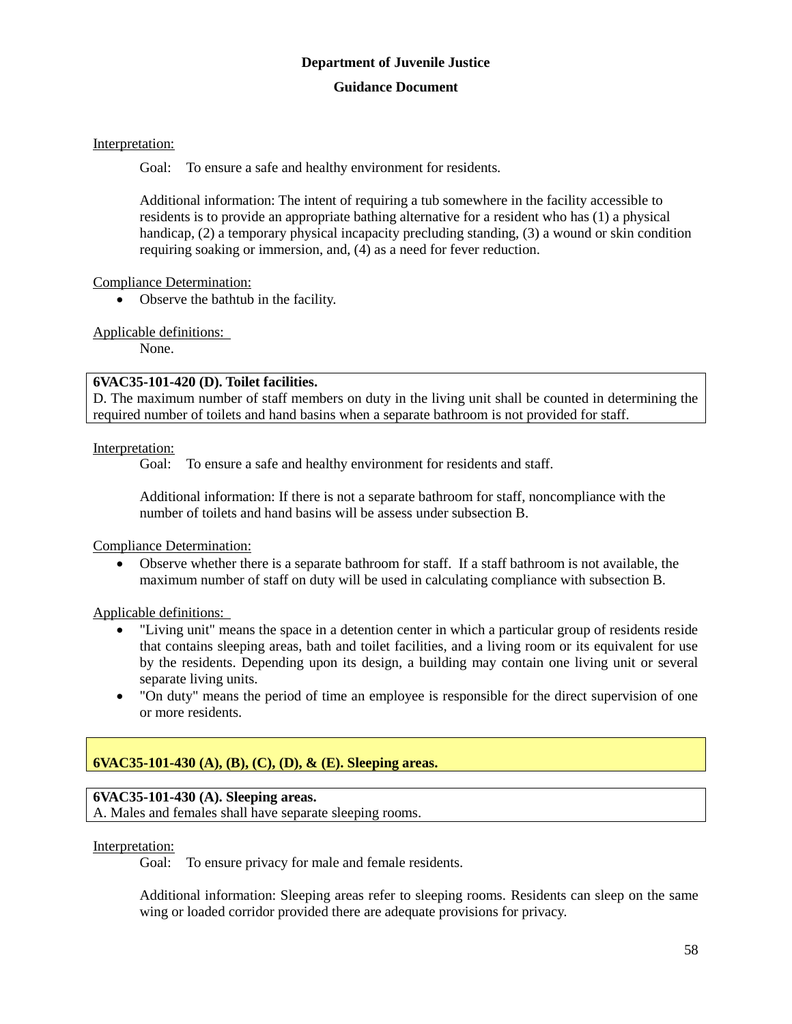### Interpretation:

Goal: To ensure a safe and healthy environment for residents.

Additional information: The intent of requiring a tub somewhere in the facility accessible to residents is to provide an appropriate bathing alternative for a resident who has (1) a physical handicap, (2) a temporary physical incapacity precluding standing, (3) a wound or skin condition requiring soaking or immersion, and, (4) as a need for fever reduction.

### Compliance Determination:

• Observe the bathtub in the facility.

Applicable definitions:

None.

### **6VAC35-101-420 (D). Toilet facilities.**

D. The maximum number of staff members on duty in the living unit shall be counted in determining the required number of toilets and hand basins when a separate bathroom is not provided for staff.

### Interpretation:

Goal: To ensure a safe and healthy environment for residents and staff.

Additional information: If there is not a separate bathroom for staff, noncompliance with the number of toilets and hand basins will be assess under subsection B.

Compliance Determination:

 Observe whether there is a separate bathroom for staff. If a staff bathroom is not available, the maximum number of staff on duty will be used in calculating compliance with subsection B.

Applicable definitions:

- "Living unit" means the space in a detention center in which a particular group of residents reside that contains sleeping areas, bath and toilet facilities, and a living room or its equivalent for use by the residents. Depending upon its design, a building may contain one living unit or several separate living units.
- "On duty" means the period of time an employee is responsible for the direct supervision of one or more residents.

### **6VAC35-101-430 (A), (B), (C), (D), & (E). Sleeping areas.**

### **6VAC35-101-430 (A). Sleeping areas.**

A. Males and females shall have separate sleeping rooms.

### Interpretation:

Goal: To ensure privacy for male and female residents.

Additional information: Sleeping areas refer to sleeping rooms. Residents can sleep on the same wing or loaded corridor provided there are adequate provisions for privacy.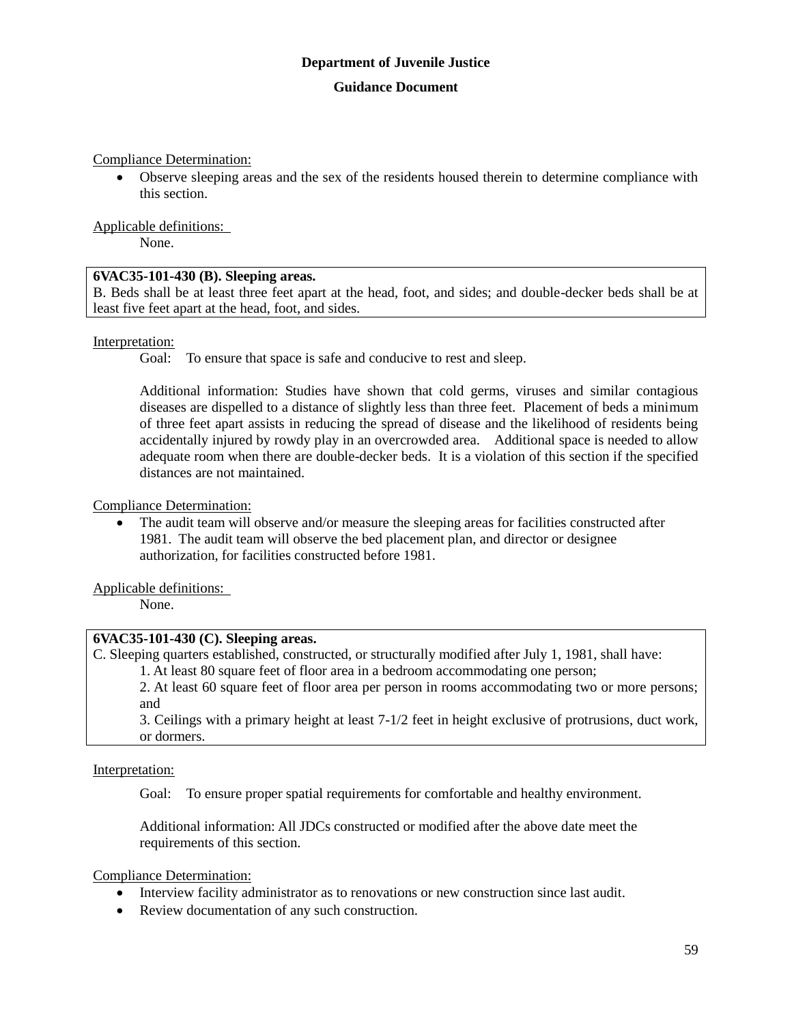Compliance Determination:

 Observe sleeping areas and the sex of the residents housed therein to determine compliance with this section.

Applicable definitions:

None.

### **6VAC35-101-430 (B). Sleeping areas.**

B. Beds shall be at least three feet apart at the head, foot, and sides; and double-decker beds shall be at least five feet apart at the head, foot, and sides.

Interpretation:

Goal: To ensure that space is safe and conducive to rest and sleep.

Additional information: Studies have shown that cold germs, viruses and similar contagious diseases are dispelled to a distance of slightly less than three feet. Placement of beds a minimum of three feet apart assists in reducing the spread of disease and the likelihood of residents being accidentally injured by rowdy play in an overcrowded area. Additional space is needed to allow adequate room when there are double-decker beds. It is a violation of this section if the specified distances are not maintained.

Compliance Determination:

 The audit team will observe and/or measure the sleeping areas for facilities constructed after 1981. The audit team will observe the bed placement plan, and director or designee authorization, for facilities constructed before 1981.

Applicable definitions:

None.

### **6VAC35-101-430 (C). Sleeping areas.**

C. Sleeping quarters established, constructed, or structurally modified after July 1, 1981, shall have: 1. At least 80 square feet of floor area in a bedroom accommodating one person;

2. At least 60 square feet of floor area per person in rooms accommodating two or more persons; and

3. Ceilings with a primary height at least 7-1/2 feet in height exclusive of protrusions, duct work, or dormers.

Interpretation:

Goal: To ensure proper spatial requirements for comfortable and healthy environment.

Additional information: All JDCs constructed or modified after the above date meet the requirements of this section.

Compliance Determination:

- Interview facility administrator as to renovations or new construction since last audit.
- Review documentation of any such construction.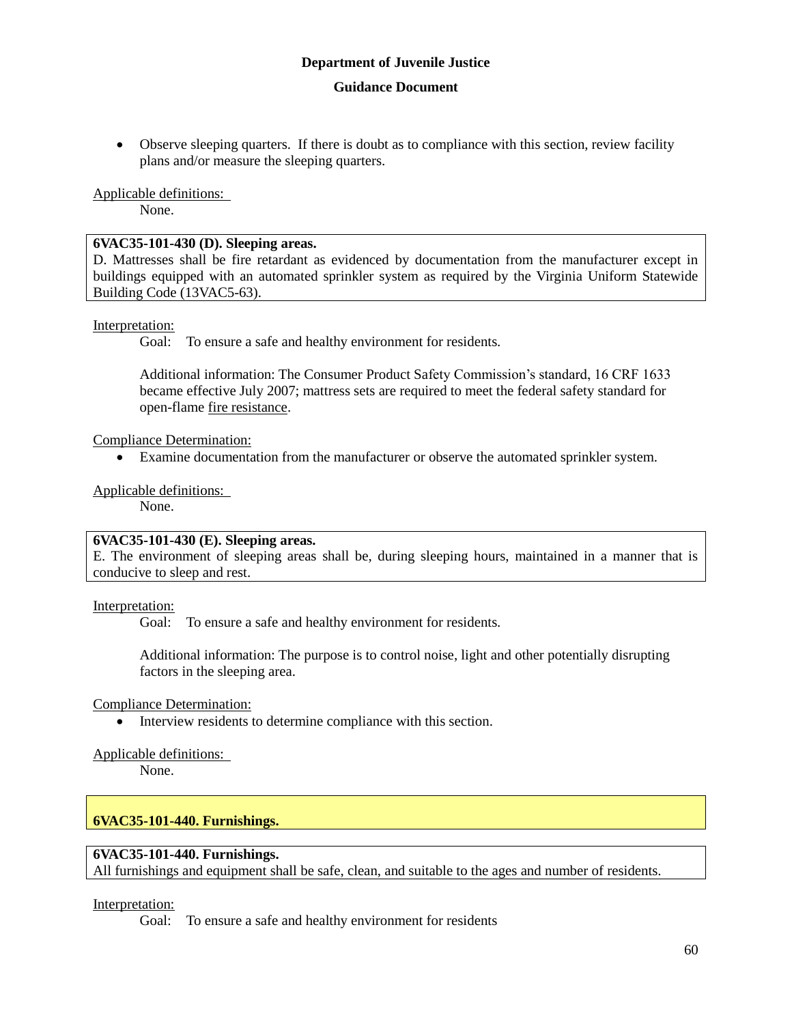Observe sleeping quarters. If there is doubt as to compliance with this section, review facility plans and/or measure the sleeping quarters.

### Applicable definitions:

None.

### **6VAC35-101-430 (D). Sleeping areas.**

D. Mattresses shall be fire retardant as evidenced by documentation from the manufacturer except in buildings equipped with an automated sprinkler system as required by the Virginia Uniform Statewide Building Code (13VAC5-63).

### Interpretation:

Goal: To ensure a safe and healthy environment for residents.

Additional information: The Consumer Product Safety Commission's standard, 16 CRF 1633 became effective July 2007; mattress sets are required to meet the federal safety standard for open-flame fire resistance.

Compliance Determination:

Examine documentation from the manufacturer or observe the automated sprinkler system.

Applicable definitions:

None.

### **6VAC35-101-430 (E). Sleeping areas.**

E. The environment of sleeping areas shall be, during sleeping hours, maintained in a manner that is conducive to sleep and rest.

Interpretation:

Goal: To ensure a safe and healthy environment for residents.

Additional information: The purpose is to control noise, light and other potentially disrupting factors in the sleeping area.

Compliance Determination:

• Interview residents to determine compliance with this section.

Applicable definitions:

None.

### **6VAC35-101-440. Furnishings.**

### **6VAC35-101-440. Furnishings.**

All furnishings and equipment shall be safe, clean, and suitable to the ages and number of residents.

### Interpretation:

Goal: To ensure a safe and healthy environment for residents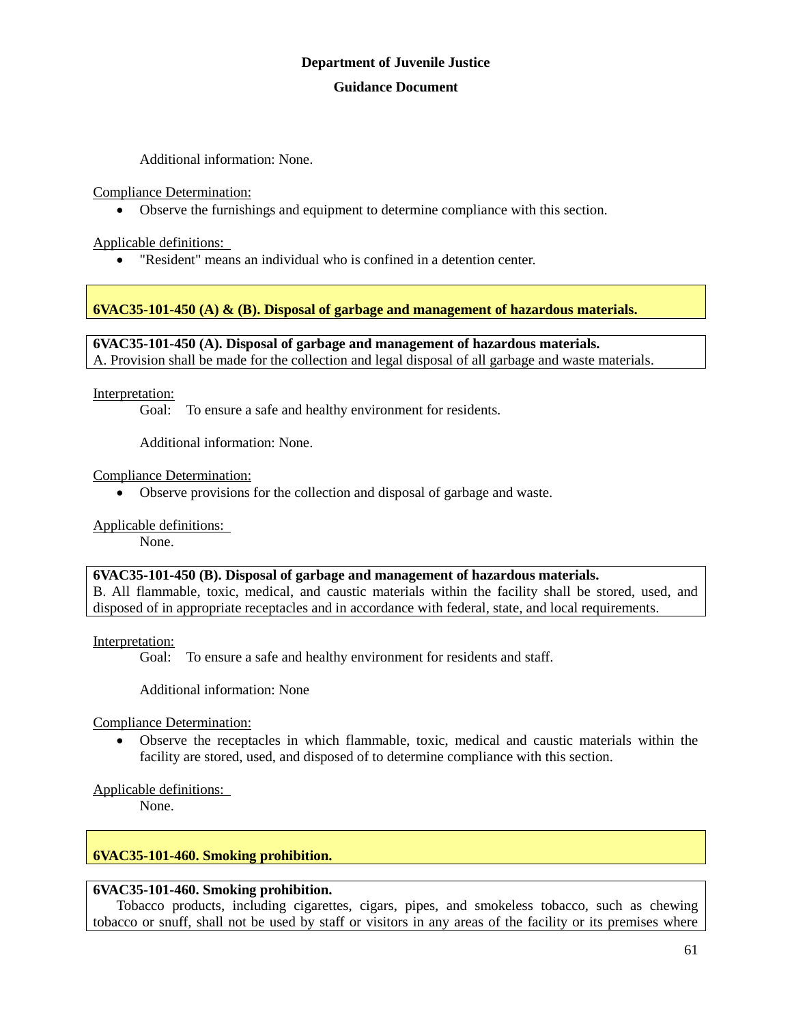Additional information: None.

Compliance Determination:

Observe the furnishings and equipment to determine compliance with this section.

Applicable definitions:

"Resident" means an individual who is confined in a detention center.

### **6VAC35-101-450 (A) & (B). Disposal of garbage and management of hazardous materials.**

**6VAC35-101-450 (A). Disposal of garbage and management of hazardous materials.** A. Provision shall be made for the collection and legal disposal of all garbage and waste materials.

Interpretation:

Goal: To ensure a safe and healthy environment for residents.

Additional information: None.

Compliance Determination:

Observe provisions for the collection and disposal of garbage and waste.

Applicable definitions:

None.

**6VAC35-101-450 (B). Disposal of garbage and management of hazardous materials.**

B. All flammable, toxic, medical, and caustic materials within the facility shall be stored, used, and disposed of in appropriate receptacles and in accordance with federal, state, and local requirements.

Interpretation:

Goal: To ensure a safe and healthy environment for residents and staff.

Additional information: None

Compliance Determination:

 Observe the receptacles in which flammable, toxic, medical and caustic materials within the facility are stored, used, and disposed of to determine compliance with this section.

Applicable definitions:

None.

### **6VAC35-101-460. Smoking prohibition.**

### **6VAC35-101-460. Smoking prohibition.**

Tobacco products, including cigarettes, cigars, pipes, and smokeless tobacco, such as chewing tobacco or snuff, shall not be used by staff or visitors in any areas of the facility or its premises where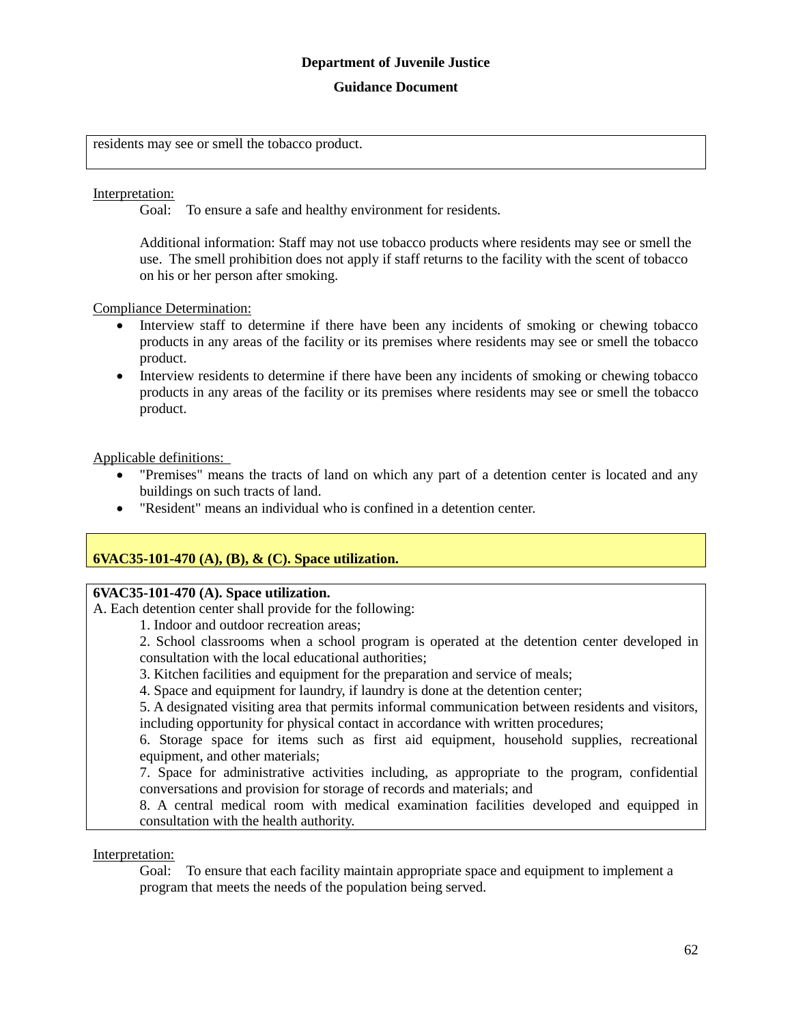### **Guidance Document**

residents may see or smell the tobacco product.

### Interpretation:

Goal: To ensure a safe and healthy environment for residents.

Additional information: Staff may not use tobacco products where residents may see or smell the use. The smell prohibition does not apply if staff returns to the facility with the scent of tobacco on his or her person after smoking.

#### Compliance Determination:

- Interview staff to determine if there have been any incidents of smoking or chewing tobacco products in any areas of the facility or its premises where residents may see or smell the tobacco product.
- Interview residents to determine if there have been any incidents of smoking or chewing tobacco products in any areas of the facility or its premises where residents may see or smell the tobacco product.

### Applicable definitions:

- "Premises" means the tracts of land on which any part of a detention center is located and any buildings on such tracts of land.
- "Resident" means an individual who is confined in a detention center.

### **6VAC35-101-470 (A), (B), & (C). Space utilization.**

### **6VAC35-101-470 (A). Space utilization.**

A. Each detention center shall provide for the following:

- 1. Indoor and outdoor recreation areas;
- 2. School classrooms when a school program is operated at the detention center developed in consultation with the local educational authorities;
- 3. Kitchen facilities and equipment for the preparation and service of meals;
- 4. Space and equipment for laundry, if laundry is done at the detention center;

5. A designated visiting area that permits informal communication between residents and visitors, including opportunity for physical contact in accordance with written procedures;

6. Storage space for items such as first aid equipment, household supplies, recreational equipment, and other materials;

7. Space for administrative activities including, as appropriate to the program, confidential conversations and provision for storage of records and materials; and

8. A central medical room with medical examination facilities developed and equipped in consultation with the health authority.

#### Interpretation:

Goal: To ensure that each facility maintain appropriate space and equipment to implement a program that meets the needs of the population being served.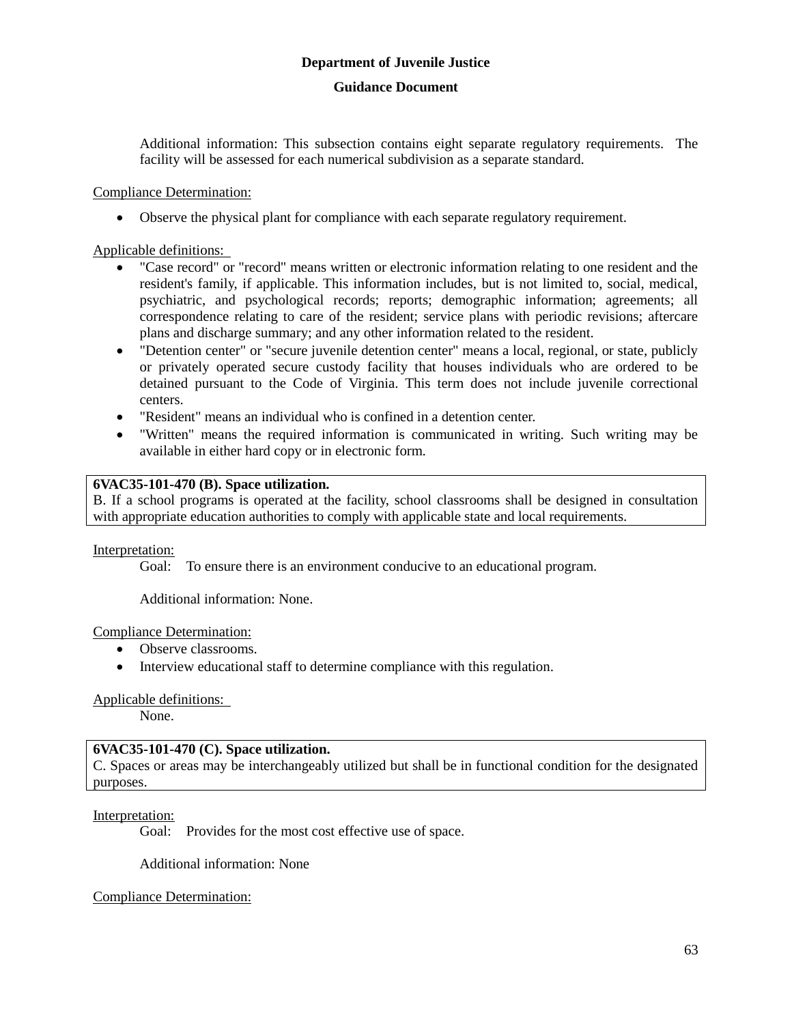Additional information: This subsection contains eight separate regulatory requirements. The facility will be assessed for each numerical subdivision as a separate standard.

### Compliance Determination:

Observe the physical plant for compliance with each separate regulatory requirement.

### Applicable definitions:

- "Case record" or "record" means written or electronic information relating to one resident and the resident's family, if applicable. This information includes, but is not limited to, social, medical, psychiatric, and psychological records; reports; demographic information; agreements; all correspondence relating to care of the resident; service plans with periodic revisions; aftercare plans and discharge summary; and any other information related to the resident.
- "Detention center" or "secure juvenile detention center" means a local, regional, or state, publicly or privately operated secure custody facility that houses individuals who are ordered to be detained pursuant to the Code of Virginia. This term does not include juvenile correctional centers.
- "Resident" means an individual who is confined in a detention center.
- "Written" means the required information is communicated in writing. Such writing may be available in either hard copy or in electronic form.

### **6VAC35-101-470 (B). Space utilization.**

B. If a school programs is operated at the facility, school classrooms shall be designed in consultation with appropriate education authorities to comply with applicable state and local requirements.

Interpretation:

Goal: To ensure there is an environment conducive to an educational program.

Additional information: None.

### Compliance Determination:

- Observe classrooms.
- Interview educational staff to determine compliance with this regulation.

### Applicable definitions:

None.

### **6VAC35-101-470 (C). Space utilization.**

C. Spaces or areas may be interchangeably utilized but shall be in functional condition for the designated purposes.

### Interpretation:

Goal: Provides for the most cost effective use of space.

Additional information: None

### Compliance Determination: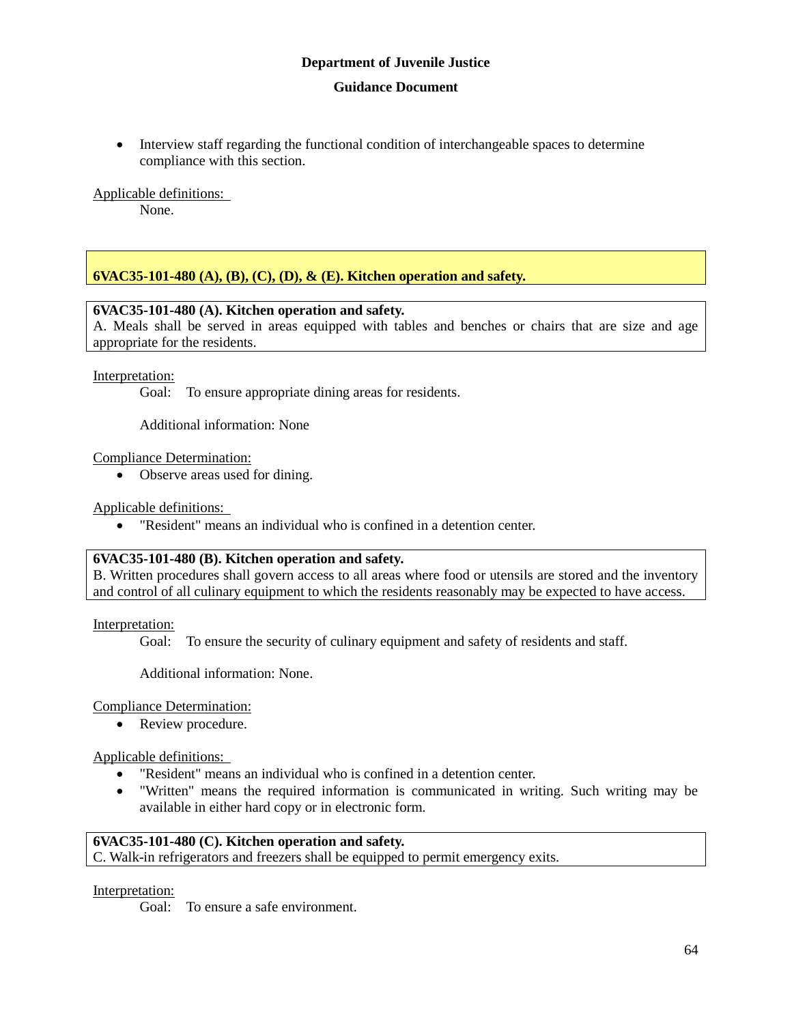### **Guidance Document**

 Interview staff regarding the functional condition of interchangeable spaces to determine compliance with this section.

Applicable definitions:

None.

### **6VAC35-101-480 (A), (B), (C), (D), & (E). Kitchen operation and safety.**

#### **6VAC35-101-480 (A). Kitchen operation and safety.**

A. Meals shall be served in areas equipped with tables and benches or chairs that are size and age appropriate for the residents.

#### Interpretation:

Goal: To ensure appropriate dining areas for residents.

Additional information: None

Compliance Determination:

• Observe areas used for dining.

Applicable definitions:

"Resident" means an individual who is confined in a detention center.

#### **6VAC35-101-480 (B). Kitchen operation and safety.**

B. Written procedures shall govern access to all areas where food or utensils are stored and the inventory and control of all culinary equipment to which the residents reasonably may be expected to have access.

Interpretation:

Goal: To ensure the security of culinary equipment and safety of residents and staff.

Additional information: None.

Compliance Determination:

• Review procedure.

Applicable definitions:

- "Resident" means an individual who is confined in a detention center.
- "Written" means the required information is communicated in writing. Such writing may be available in either hard copy or in electronic form.

### **6VAC35-101-480 (C). Kitchen operation and safety.**

C. Walk-in refrigerators and freezers shall be equipped to permit emergency exits.

Interpretation:

Goal: To ensure a safe environment.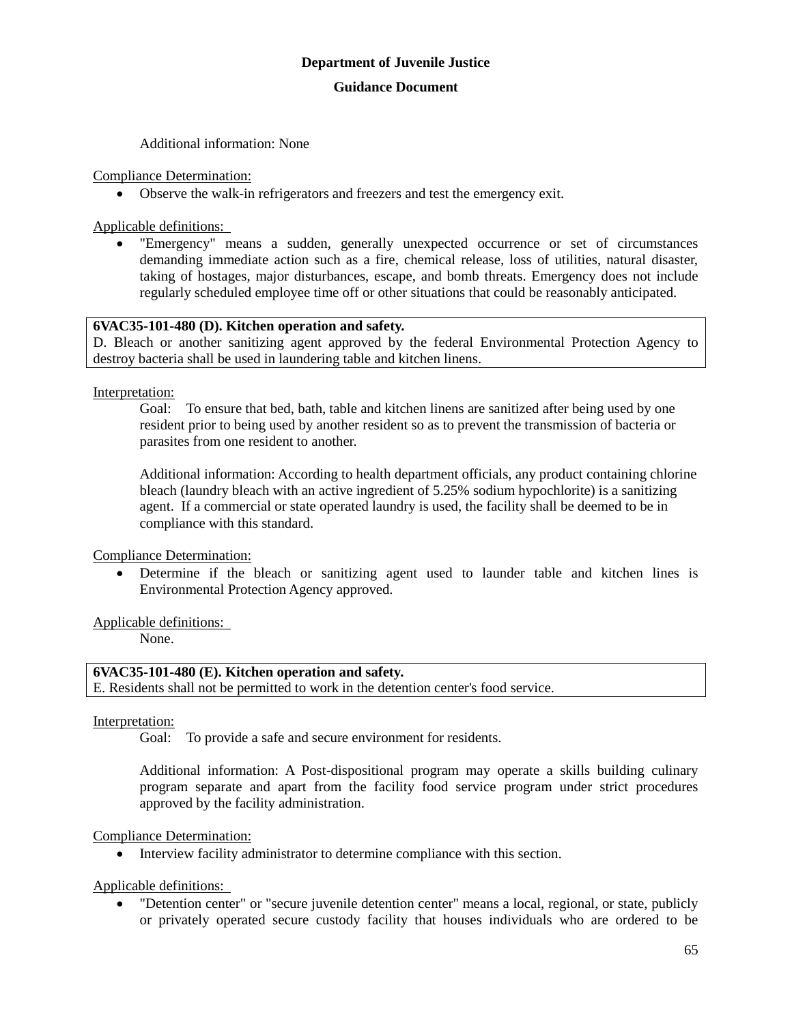Additional information: None

Compliance Determination:

Observe the walk-in refrigerators and freezers and test the emergency exit.

Applicable definitions:

 "Emergency" means a sudden, generally unexpected occurrence or set of circumstances demanding immediate action such as a fire, chemical release, loss of utilities, natural disaster, taking of hostages, major disturbances, escape, and bomb threats. Emergency does not include regularly scheduled employee time off or other situations that could be reasonably anticipated.

### **6VAC35-101-480 (D). Kitchen operation and safety.**

D. Bleach or another sanitizing agent approved by the federal Environmental Protection Agency to destroy bacteria shall be used in laundering table and kitchen linens.

Interpretation:

Goal: To ensure that bed, bath, table and kitchen linens are sanitized after being used by one resident prior to being used by another resident so as to prevent the transmission of bacteria or parasites from one resident to another.

Additional information: According to health department officials, any product containing chlorine bleach (laundry bleach with an active ingredient of 5.25% sodium hypochlorite) is a sanitizing agent. If a commercial or state operated laundry is used, the facility shall be deemed to be in compliance with this standard.

Compliance Determination:

 Determine if the bleach or sanitizing agent used to launder table and kitchen lines is Environmental Protection Agency approved.

Applicable definitions:

None.

### **6VAC35-101-480 (E). Kitchen operation and safety.**

E. Residents shall not be permitted to work in the detention center's food service.

Interpretation:

Goal: To provide a safe and secure environment for residents.

Additional information: A Post-dispositional program may operate a skills building culinary program separate and apart from the facility food service program under strict procedures approved by the facility administration.

#### Compliance Determination:

Interview facility administrator to determine compliance with this section.

Applicable definitions:

 "Detention center" or "secure juvenile detention center" means a local, regional, or state, publicly or privately operated secure custody facility that houses individuals who are ordered to be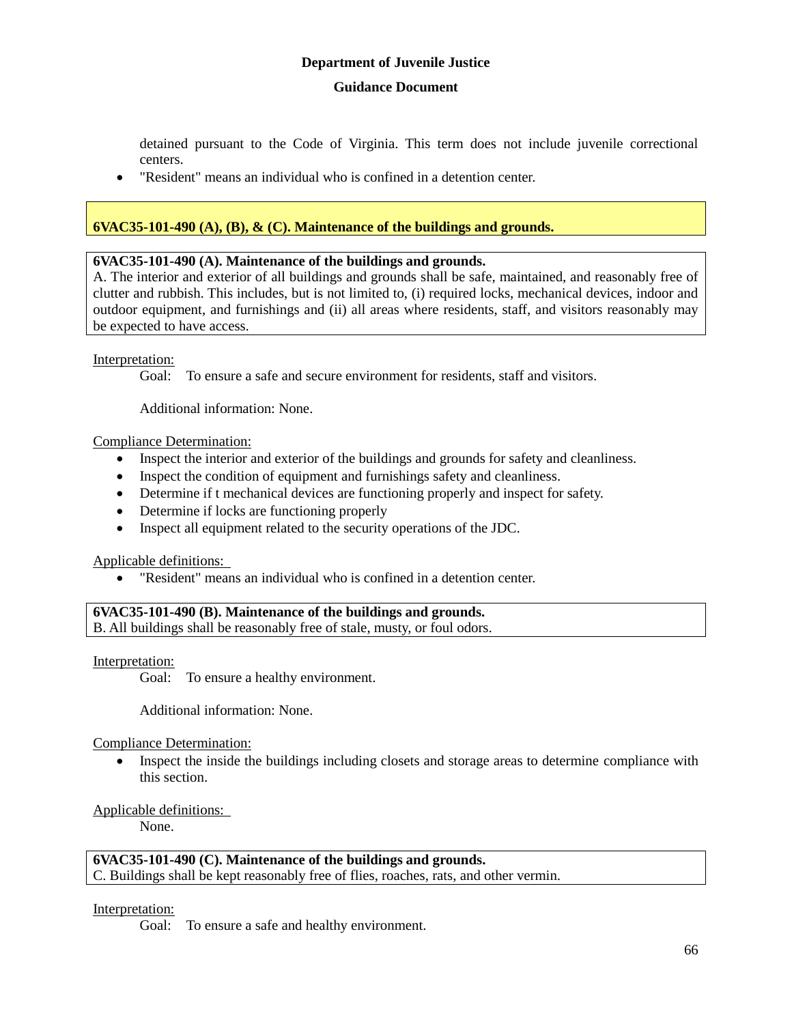detained pursuant to the Code of Virginia. This term does not include juvenile correctional centers.

"Resident" means an individual who is confined in a detention center.

### **6VAC35-101-490 (A), (B), & (C). Maintenance of the buildings and grounds.**

### **6VAC35-101-490 (A). Maintenance of the buildings and grounds.**

A. The interior and exterior of all buildings and grounds shall be safe, maintained, and reasonably free of clutter and rubbish. This includes, but is not limited to, (i) required locks, mechanical devices, indoor and outdoor equipment, and furnishings and (ii) all areas where residents, staff, and visitors reasonably may be expected to have access.

### Interpretation:

Goal: To ensure a safe and secure environment for residents, staff and visitors.

Additional information: None.

#### Compliance Determination:

- Inspect the interior and exterior of the buildings and grounds for safety and cleanliness.
- Inspect the condition of equipment and furnishings safety and cleanliness.
- Determine if t mechanical devices are functioning properly and inspect for safety.
- Determine if locks are functioning properly
- Inspect all equipment related to the security operations of the JDC.

#### Applicable definitions:

"Resident" means an individual who is confined in a detention center.

### **6VAC35-101-490 (B). Maintenance of the buildings and grounds.** B. All buildings shall be reasonably free of stale, musty, or foul odors.

Interpretation:

Goal: To ensure a healthy environment.

Additional information: None.

Compliance Determination:

• Inspect the inside the buildings including closets and storage areas to determine compliance with this section.

### Applicable definitions:

None.

### **6VAC35-101-490 (C). Maintenance of the buildings and grounds.**

C. Buildings shall be kept reasonably free of flies, roaches, rats, and other vermin.

#### Interpretation:

Goal: To ensure a safe and healthy environment.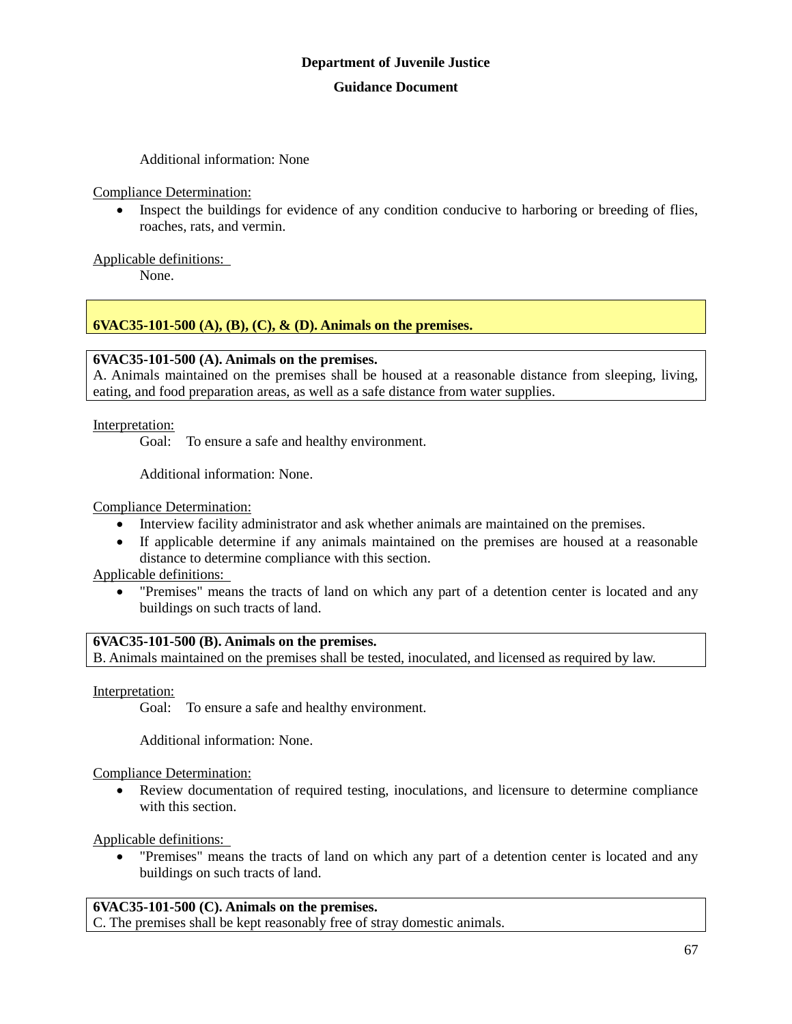Additional information: None

Compliance Determination:

• Inspect the buildings for evidence of any condition conducive to harboring or breeding of flies, roaches, rats, and vermin.

Applicable definitions:

None.

### **6VAC35-101-500 (A), (B), (C), & (D). Animals on the premises.**

### **6VAC35-101-500 (A). Animals on the premises.**

A. Animals maintained on the premises shall be housed at a reasonable distance from sleeping, living, eating, and food preparation areas, as well as a safe distance from water supplies.

Interpretation:

Goal: To ensure a safe and healthy environment.

Additional information: None.

Compliance Determination:

- Interview facility administrator and ask whether animals are maintained on the premises.
- If applicable determine if any animals maintained on the premises are housed at a reasonable distance to determine compliance with this section.

Applicable definitions:

 "Premises" means the tracts of land on which any part of a detention center is located and any buildings on such tracts of land.

### **6VAC35-101-500 (B). Animals on the premises.**

B. Animals maintained on the premises shall be tested, inoculated, and licensed as required by law.

Interpretation:

Goal: To ensure a safe and healthy environment.

Additional information: None.

Compliance Determination:

 Review documentation of required testing, inoculations, and licensure to determine compliance with this section.

Applicable definitions:

 "Premises" means the tracts of land on which any part of a detention center is located and any buildings on such tracts of land.

### **6VAC35-101-500 (C). Animals on the premises.**

C. The premises shall be kept reasonably free of stray domestic animals.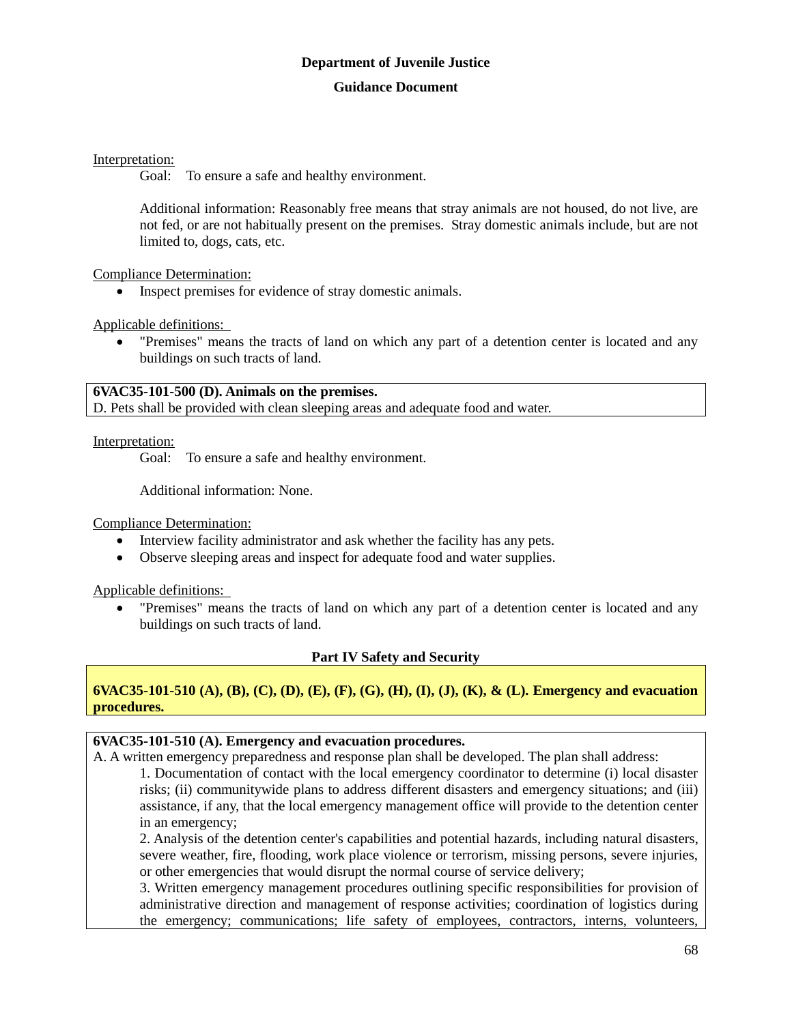### Interpretation:

Goal: To ensure a safe and healthy environment.

Additional information: Reasonably free means that stray animals are not housed, do not live, are not fed, or are not habitually present on the premises. Stray domestic animals include, but are not limited to, dogs, cats, etc.

Compliance Determination:

Inspect premises for evidence of stray domestic animals.

Applicable definitions:

 "Premises" means the tracts of land on which any part of a detention center is located and any buildings on such tracts of land.

**6VAC35-101-500 (D). Animals on the premises.**

D. Pets shall be provided with clean sleeping areas and adequate food and water.

Interpretation:

Goal: To ensure a safe and healthy environment.

Additional information: None.

Compliance Determination:

- Interview facility administrator and ask whether the facility has any pets.
- Observe sleeping areas and inspect for adequate food and water supplies.

Applicable definitions:

 "Premises" means the tracts of land on which any part of a detention center is located and any buildings on such tracts of land.

### **Part IV Safety and Security**

**6VAC35-101-510 (A), (B), (C), (D), (E), (F), (G), (H), (I), (J), (K), & (L). Emergency and evacuation procedures.**

### **6VAC35-101-510 (A). Emergency and evacuation procedures.**

A. A written emergency preparedness and response plan shall be developed. The plan shall address:

1. Documentation of contact with the local emergency coordinator to determine (i) local disaster risks; (ii) communitywide plans to address different disasters and emergency situations; and (iii) assistance, if any, that the local emergency management office will provide to the detention center in an emergency;

2. Analysis of the detention center's capabilities and potential hazards, including natural disasters, severe weather, fire, flooding, work place violence or terrorism, missing persons, severe injuries, or other emergencies that would disrupt the normal course of service delivery;

3. Written emergency management procedures outlining specific responsibilities for provision of administrative direction and management of response activities; coordination of logistics during the emergency; communications; life safety of employees, contractors, interns, volunteers,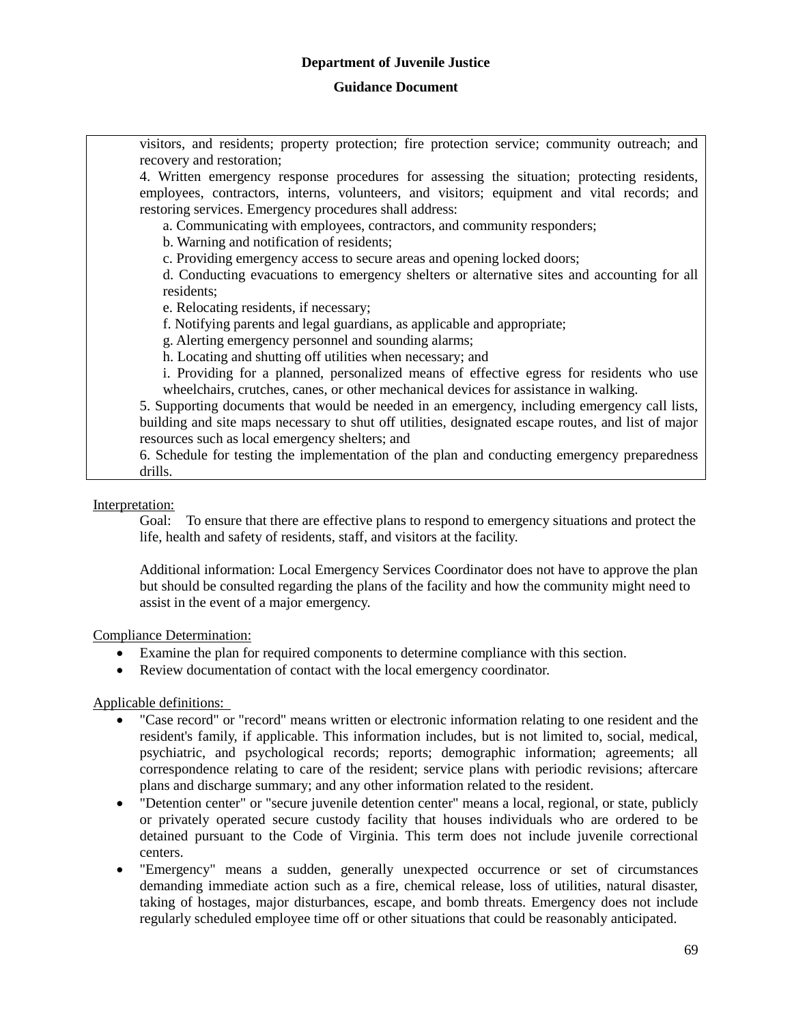### **Guidance Document**

visitors, and residents; property protection; fire protection service; community outreach; and recovery and restoration; 4. Written emergency response procedures for assessing the situation; protecting residents, employees, contractors, interns, volunteers, and visitors; equipment and vital records; and restoring services. Emergency procedures shall address: a. Communicating with employees, contractors, and community responders; b. Warning and notification of residents; c. Providing emergency access to secure areas and opening locked doors; d. Conducting evacuations to emergency shelters or alternative sites and accounting for all residents; e. Relocating residents, if necessary; f. Notifying parents and legal guardians, as applicable and appropriate; g. Alerting emergency personnel and sounding alarms; h. Locating and shutting off utilities when necessary; and i. Providing for a planned, personalized means of effective egress for residents who use wheelchairs, crutches, canes, or other mechanical devices for assistance in walking. 5. Supporting documents that would be needed in an emergency, including emergency call lists, building and site maps necessary to shut off utilities, designated escape routes, and list of major resources such as local emergency shelters; and 6. Schedule for testing the implementation of the plan and conducting emergency preparedness drills.

Interpretation:

Goal: To ensure that there are effective plans to respond to emergency situations and protect the life, health and safety of residents, staff, and visitors at the facility.

Additional information: Local Emergency Services Coordinator does not have to approve the plan but should be consulted regarding the plans of the facility and how the community might need to assist in the event of a major emergency.

Compliance Determination:

- Examine the plan for required components to determine compliance with this section.
- Review documentation of contact with the local emergency coordinator.

Applicable definitions:

- "Case record" or "record" means written or electronic information relating to one resident and the resident's family, if applicable. This information includes, but is not limited to, social, medical, psychiatric, and psychological records; reports; demographic information; agreements; all correspondence relating to care of the resident; service plans with periodic revisions; aftercare plans and discharge summary; and any other information related to the resident.
- "Detention center" or "secure juvenile detention center" means a local, regional, or state, publicly or privately operated secure custody facility that houses individuals who are ordered to be detained pursuant to the Code of Virginia. This term does not include juvenile correctional centers.
- "Emergency" means a sudden, generally unexpected occurrence or set of circumstances demanding immediate action such as a fire, chemical release, loss of utilities, natural disaster, taking of hostages, major disturbances, escape, and bomb threats. Emergency does not include regularly scheduled employee time off or other situations that could be reasonably anticipated.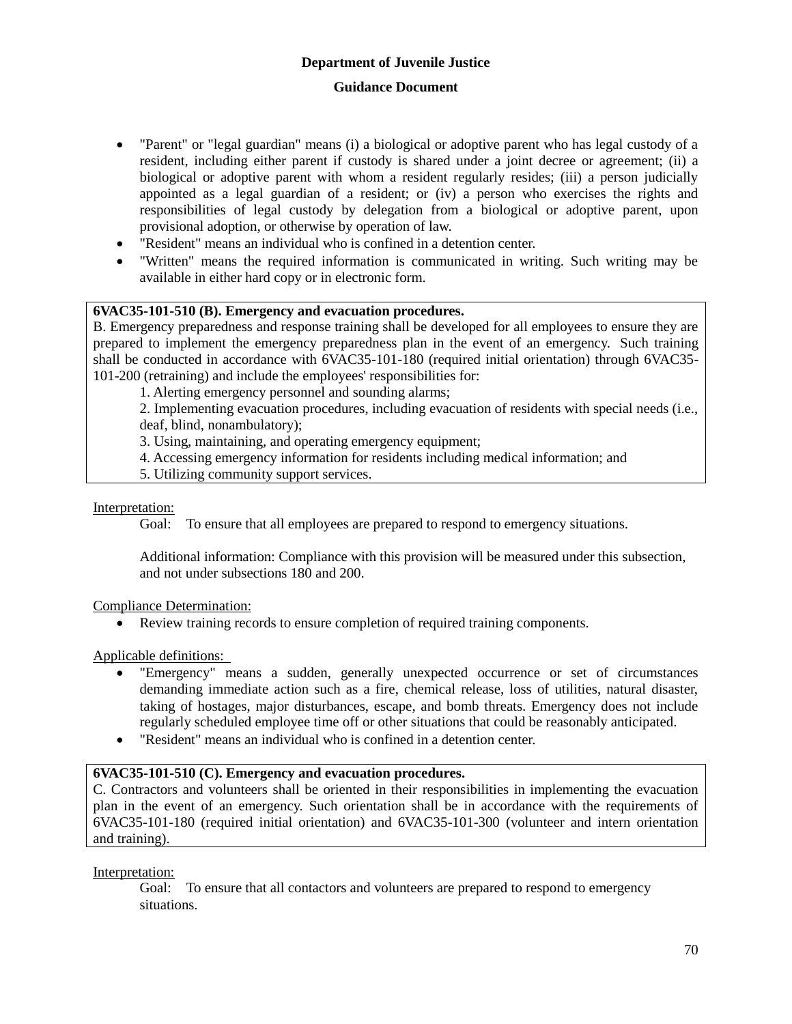- "Parent" or "legal guardian" means (i) a biological or adoptive parent who has legal custody of a resident, including either parent if custody is shared under a joint decree or agreement; (ii) a biological or adoptive parent with whom a resident regularly resides; (iii) a person judicially appointed as a legal guardian of a resident; or (iv) a person who exercises the rights and responsibilities of legal custody by delegation from a biological or adoptive parent, upon provisional adoption, or otherwise by operation of law.
- "Resident" means an individual who is confined in a detention center.
- "Written" means the required information is communicated in writing. Such writing may be available in either hard copy or in electronic form.

### **6VAC35-101-510 (B). Emergency and evacuation procedures.**

B. Emergency preparedness and response training shall be developed for all employees to ensure they are prepared to implement the emergency preparedness plan in the event of an emergency. Such training shall be conducted in accordance with 6VAC35-101-180 (required initial orientation) through 6VAC35- 101-200 (retraining) and include the employees' responsibilities for:

1. Alerting emergency personnel and sounding alarms;

2. Implementing evacuation procedures, including evacuation of residents with special needs (i.e., deaf, blind, nonambulatory);

3. Using, maintaining, and operating emergency equipment;

- 4. Accessing emergency information for residents including medical information; and
- 5. Utilizing community support services.

#### Interpretation:

Goal: To ensure that all employees are prepared to respond to emergency situations.

Additional information: Compliance with this provision will be measured under this subsection, and not under subsections 180 and 200.

Compliance Determination:

Review training records to ensure completion of required training components.

Applicable definitions:

- "Emergency" means a sudden, generally unexpected occurrence or set of circumstances demanding immediate action such as a fire, chemical release, loss of utilities, natural disaster, taking of hostages, major disturbances, escape, and bomb threats. Emergency does not include regularly scheduled employee time off or other situations that could be reasonably anticipated.
- "Resident" means an individual who is confined in a detention center.

### **6VAC35-101-510 (C). Emergency and evacuation procedures.**

C. Contractors and volunteers shall be oriented in their responsibilities in implementing the evacuation plan in the event of an emergency. Such orientation shall be in accordance with the requirements of 6VAC35-101-180 (required initial orientation) and 6VAC35-101-300 (volunteer and intern orientation and training).

Interpretation:

Goal: To ensure that all contactors and volunteers are prepared to respond to emergency situations.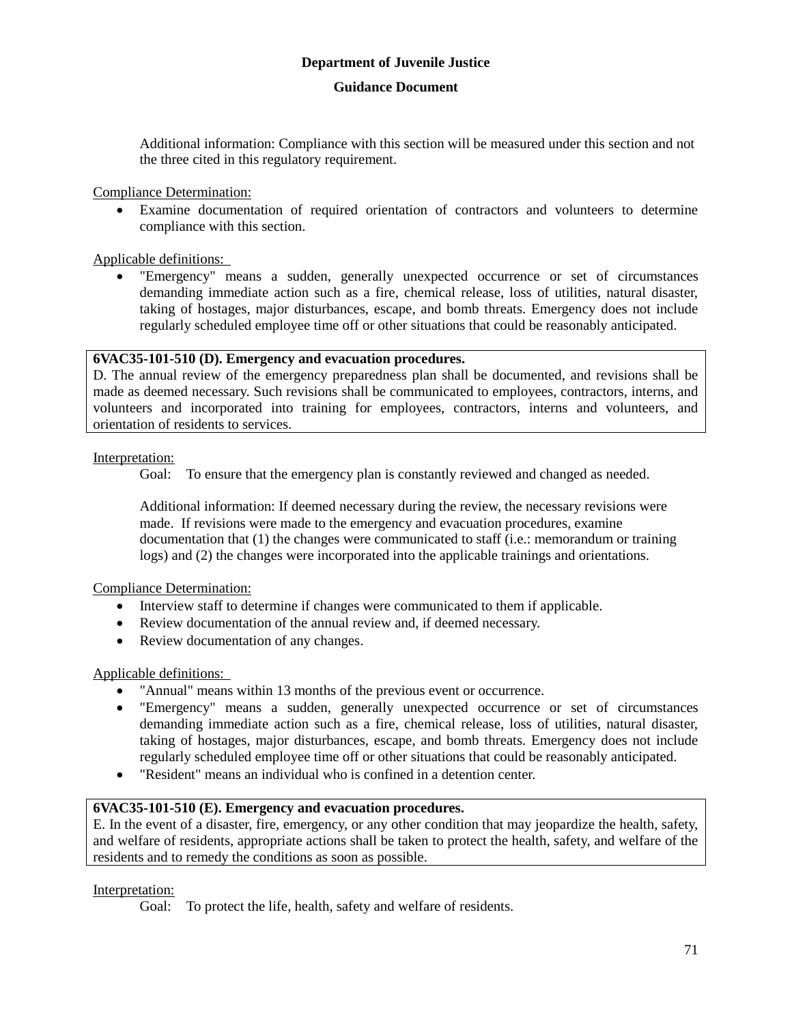### **Guidance Document**

Additional information: Compliance with this section will be measured under this section and not the three cited in this regulatory requirement.

Compliance Determination:

 Examine documentation of required orientation of contractors and volunteers to determine compliance with this section.

Applicable definitions:

 "Emergency" means a sudden, generally unexpected occurrence or set of circumstances demanding immediate action such as a fire, chemical release, loss of utilities, natural disaster, taking of hostages, major disturbances, escape, and bomb threats. Emergency does not include regularly scheduled employee time off or other situations that could be reasonably anticipated.

### **6VAC35-101-510 (D). Emergency and evacuation procedures.**

D. The annual review of the emergency preparedness plan shall be documented, and revisions shall be made as deemed necessary. Such revisions shall be communicated to employees, contractors, interns, and volunteers and incorporated into training for employees, contractors, interns and volunteers, and orientation of residents to services.

#### Interpretation:

Goal: To ensure that the emergency plan is constantly reviewed and changed as needed.

Additional information: If deemed necessary during the review, the necessary revisions were made. If revisions were made to the emergency and evacuation procedures, examine documentation that (1) the changes were communicated to staff (i.e.: memorandum or training logs) and (2) the changes were incorporated into the applicable trainings and orientations.

Compliance Determination:

- Interview staff to determine if changes were communicated to them if applicable.
- Review documentation of the annual review and, if deemed necessary.
- Review documentation of any changes.

### Applicable definitions:

- "Annual" means within 13 months of the previous event or occurrence.
- "Emergency" means a sudden, generally unexpected occurrence or set of circumstances demanding immediate action such as a fire, chemical release, loss of utilities, natural disaster, taking of hostages, major disturbances, escape, and bomb threats. Emergency does not include regularly scheduled employee time off or other situations that could be reasonably anticipated.
- "Resident" means an individual who is confined in a detention center.

### **6VAC35-101-510 (E). Emergency and evacuation procedures.**

E. In the event of a disaster, fire, emergency, or any other condition that may jeopardize the health, safety, and welfare of residents, appropriate actions shall be taken to protect the health, safety, and welfare of the residents and to remedy the conditions as soon as possible.

### Interpretation:

Goal: To protect the life, health, safety and welfare of residents.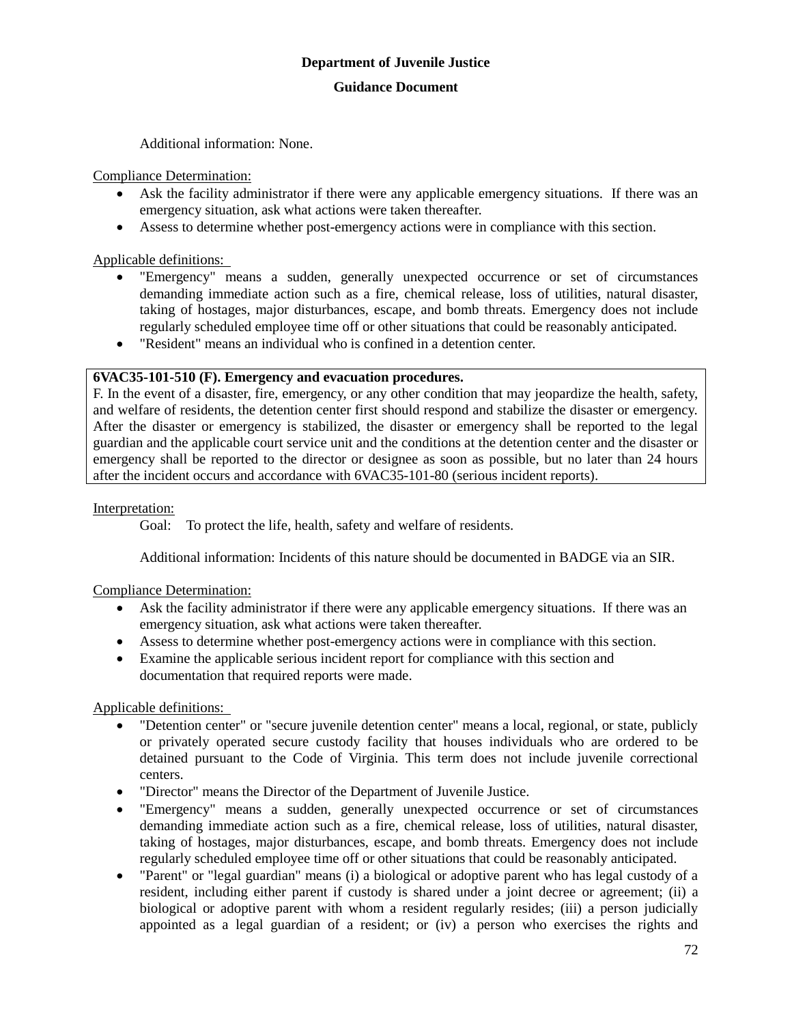Additional information: None.

### Compliance Determination:

- Ask the facility administrator if there were any applicable emergency situations. If there was an emergency situation, ask what actions were taken thereafter.
- Assess to determine whether post-emergency actions were in compliance with this section.

### Applicable definitions:

- "Emergency" means a sudden, generally unexpected occurrence or set of circumstances demanding immediate action such as a fire, chemical release, loss of utilities, natural disaster, taking of hostages, major disturbances, escape, and bomb threats. Emergency does not include regularly scheduled employee time off or other situations that could be reasonably anticipated.
- "Resident" means an individual who is confined in a detention center.

### **6VAC35-101-510 (F). Emergency and evacuation procedures.**

F. In the event of a disaster, fire, emergency, or any other condition that may jeopardize the health, safety, and welfare of residents, the detention center first should respond and stabilize the disaster or emergency. After the disaster or emergency is stabilized, the disaster or emergency shall be reported to the legal guardian and the applicable court service unit and the conditions at the detention center and the disaster or emergency shall be reported to the director or designee as soon as possible, but no later than 24 hours after the incident occurs and accordance with 6VAC35-101-80 (serious incident reports).

### Interpretation:

Goal: To protect the life, health, safety and welfare of residents.

Additional information: Incidents of this nature should be documented in BADGE via an SIR.

### Compliance Determination:

- Ask the facility administrator if there were any applicable emergency situations. If there was an emergency situation, ask what actions were taken thereafter.
- Assess to determine whether post-emergency actions were in compliance with this section.
- Examine the applicable serious incident report for compliance with this section and documentation that required reports were made.

### Applicable definitions:

- "Detention center" or "secure juvenile detention center" means a local, regional, or state, publicly or privately operated secure custody facility that houses individuals who are ordered to be detained pursuant to the Code of Virginia. This term does not include juvenile correctional centers.
- "Director" means the Director of the Department of Juvenile Justice.
- "Emergency" means a sudden, generally unexpected occurrence or set of circumstances demanding immediate action such as a fire, chemical release, loss of utilities, natural disaster, taking of hostages, major disturbances, escape, and bomb threats. Emergency does not include regularly scheduled employee time off or other situations that could be reasonably anticipated.
- "Parent" or "legal guardian" means (i) a biological or adoptive parent who has legal custody of a resident, including either parent if custody is shared under a joint decree or agreement; (ii) a biological or adoptive parent with whom a resident regularly resides; (iii) a person judicially appointed as a legal guardian of a resident; or (iv) a person who exercises the rights and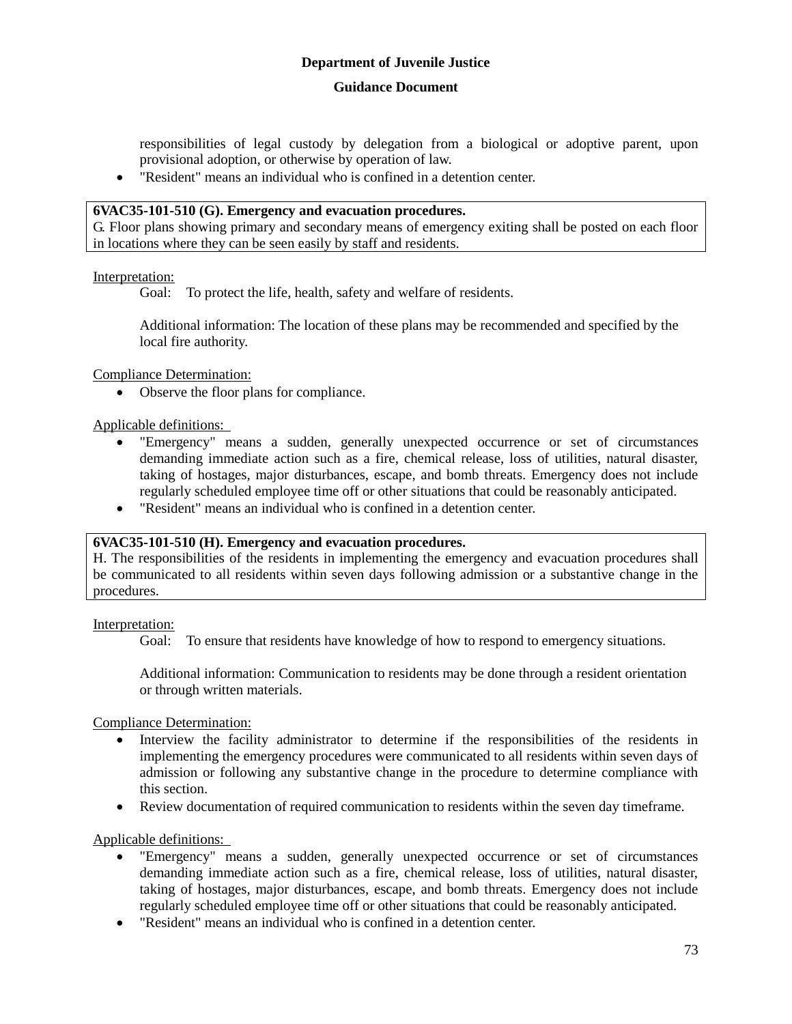## **Guidance Document**

responsibilities of legal custody by delegation from a biological or adoptive parent, upon provisional adoption, or otherwise by operation of law.

"Resident" means an individual who is confined in a detention center.

## **6VAC35-101-510 (G). Emergency and evacuation procedures.**

G. Floor plans showing primary and secondary means of emergency exiting shall be posted on each floor in locations where they can be seen easily by staff and residents.

#### Interpretation:

Goal: To protect the life, health, safety and welfare of residents.

Additional information: The location of these plans may be recommended and specified by the local fire authority.

Compliance Determination:

Observe the floor plans for compliance.

Applicable definitions:

- "Emergency" means a sudden, generally unexpected occurrence or set of circumstances demanding immediate action such as a fire, chemical release, loss of utilities, natural disaster, taking of hostages, major disturbances, escape, and bomb threats. Emergency does not include regularly scheduled employee time off or other situations that could be reasonably anticipated.
- "Resident" means an individual who is confined in a detention center.

## **6VAC35-101-510 (H). Emergency and evacuation procedures.**

H. The responsibilities of the residents in implementing the emergency and evacuation procedures shall be communicated to all residents within seven days following admission or a substantive change in the procedures.

#### Interpretation:

Goal: To ensure that residents have knowledge of how to respond to emergency situations.

Additional information: Communication to residents may be done through a resident orientation or through written materials.

Compliance Determination:

- Interview the facility administrator to determine if the responsibilities of the residents in implementing the emergency procedures were communicated to all residents within seven days of admission or following any substantive change in the procedure to determine compliance with this section.
- Review documentation of required communication to residents within the seven day timeframe.

## Applicable definitions:

- "Emergency" means a sudden, generally unexpected occurrence or set of circumstances demanding immediate action such as a fire, chemical release, loss of utilities, natural disaster, taking of hostages, major disturbances, escape, and bomb threats. Emergency does not include regularly scheduled employee time off or other situations that could be reasonably anticipated.
- "Resident" means an individual who is confined in a detention center.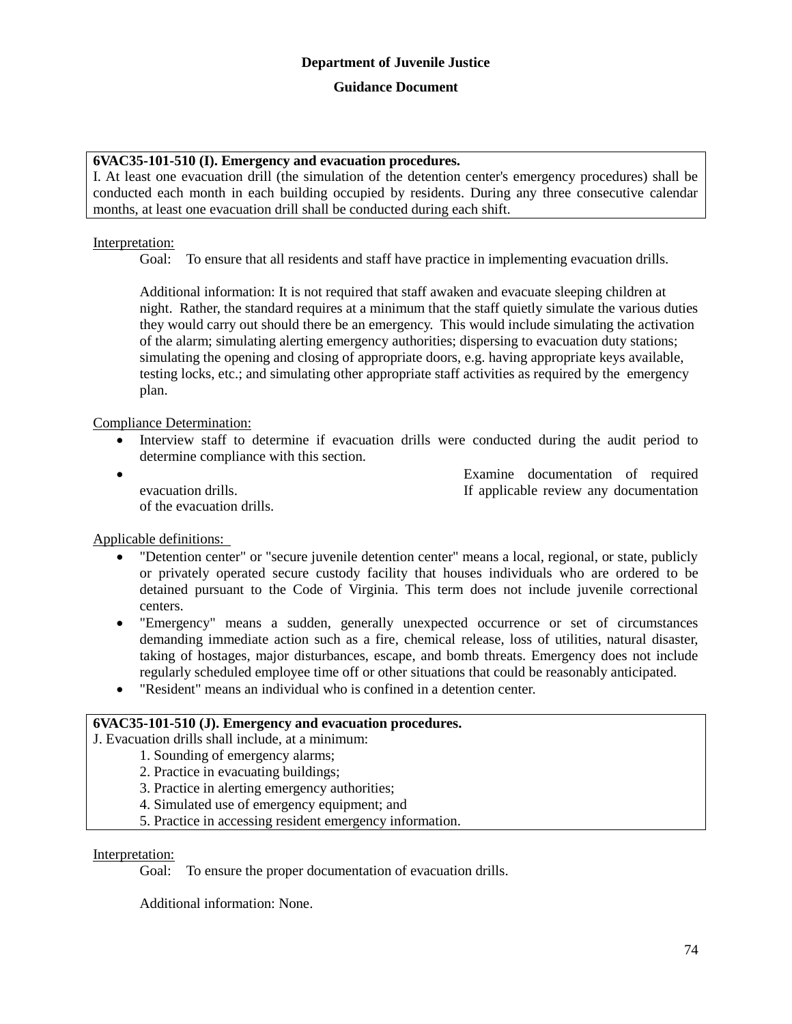## **6VAC35-101-510 (I). Emergency and evacuation procedures.**

I. At least one evacuation drill (the simulation of the detention center's emergency procedures) shall be conducted each month in each building occupied by residents. During any three consecutive calendar months, at least one evacuation drill shall be conducted during each shift.

## Interpretation:

Goal: To ensure that all residents and staff have practice in implementing evacuation drills.

Additional information: It is not required that staff awaken and evacuate sleeping children at night. Rather, the standard requires at a minimum that the staff quietly simulate the various duties they would carry out should there be an emergency. This would include simulating the activation of the alarm; simulating alerting emergency authorities; dispersing to evacuation duty stations; simulating the opening and closing of appropriate doors, e.g. having appropriate keys available, testing locks, etc.; and simulating other appropriate staff activities as required by the emergency plan.

Compliance Determination:

- Interview staff to determine if evacuation drills were conducted during the audit period to determine compliance with this section.
- 

of the evacuation drills.

 Examine documentation of required evacuation drills. If applicable review any documentation

Applicable definitions:

- "Detention center" or "secure juvenile detention center" means a local, regional, or state, publicly or privately operated secure custody facility that houses individuals who are ordered to be detained pursuant to the Code of Virginia. This term does not include juvenile correctional centers.
- "Emergency" means a sudden, generally unexpected occurrence or set of circumstances demanding immediate action such as a fire, chemical release, loss of utilities, natural disaster, taking of hostages, major disturbances, escape, and bomb threats. Emergency does not include regularly scheduled employee time off or other situations that could be reasonably anticipated.
- "Resident" means an individual who is confined in a detention center.

## **6VAC35-101-510 (J). Emergency and evacuation procedures.**

J. Evacuation drills shall include, at a minimum:

- 1. Sounding of emergency alarms;
- 2. Practice in evacuating buildings;
- 3. Practice in alerting emergency authorities;
- 4. Simulated use of emergency equipment; and
- 5. Practice in accessing resident emergency information.

## Interpretation:

Goal: To ensure the proper documentation of evacuation drills.

Additional information: None.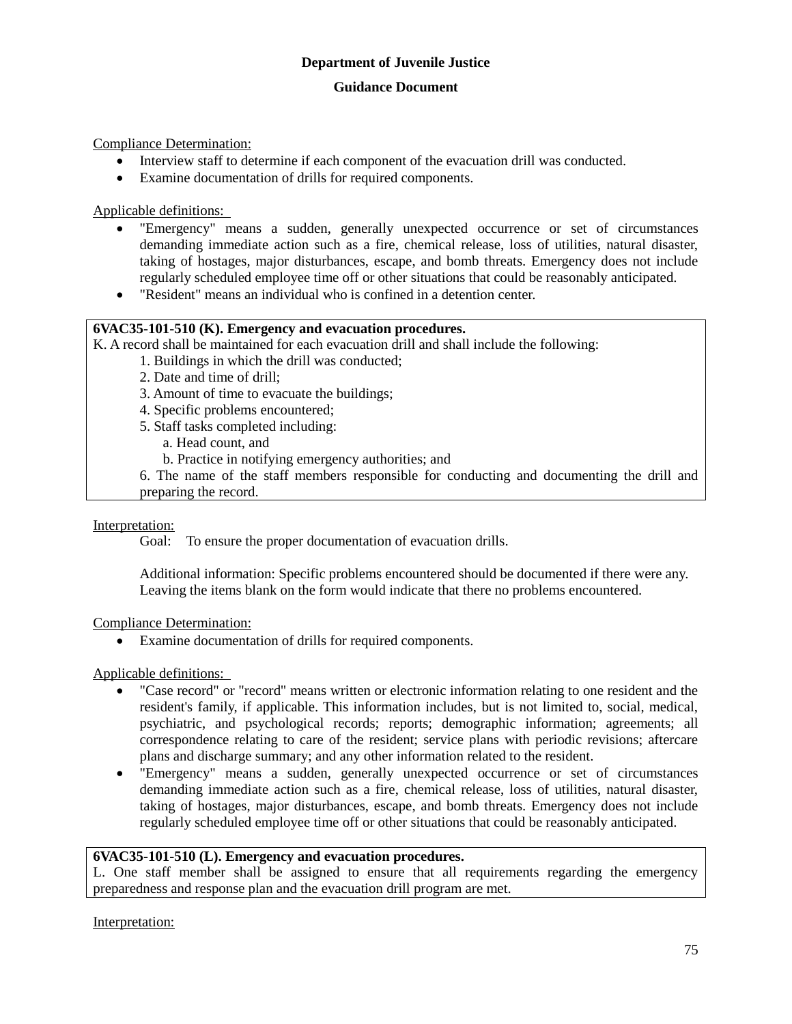Compliance Determination:

- Interview staff to determine if each component of the evacuation drill was conducted.
- Examine documentation of drills for required components.

Applicable definitions:

- "Emergency" means a sudden, generally unexpected occurrence or set of circumstances demanding immediate action such as a fire, chemical release, loss of utilities, natural disaster, taking of hostages, major disturbances, escape, and bomb threats. Emergency does not include regularly scheduled employee time off or other situations that could be reasonably anticipated.
- "Resident" means an individual who is confined in a detention center.

## **6VAC35-101-510 (K). Emergency and evacuation procedures.**

K. A record shall be maintained for each evacuation drill and shall include the following:

- 1. Buildings in which the drill was conducted;
- 2. Date and time of drill;
- 3. Amount of time to evacuate the buildings;
- 4. Specific problems encountered;
- 5. Staff tasks completed including:
	- a. Head count, and
	- b. Practice in notifying emergency authorities; and
- 6. The name of the staff members responsible for conducting and documenting the drill and preparing the record.

#### Interpretation:

Goal: To ensure the proper documentation of evacuation drills.

Additional information: Specific problems encountered should be documented if there were any. Leaving the items blank on the form would indicate that there no problems encountered.

#### Compliance Determination:

Examine documentation of drills for required components.

## Applicable definitions:

- "Case record" or "record" means written or electronic information relating to one resident and the resident's family, if applicable. This information includes, but is not limited to, social, medical, psychiatric, and psychological records; reports; demographic information; agreements; all correspondence relating to care of the resident; service plans with periodic revisions; aftercare plans and discharge summary; and any other information related to the resident.
- "Emergency" means a sudden, generally unexpected occurrence or set of circumstances demanding immediate action such as a fire, chemical release, loss of utilities, natural disaster, taking of hostages, major disturbances, escape, and bomb threats. Emergency does not include regularly scheduled employee time off or other situations that could be reasonably anticipated.

#### **6VAC35-101-510 (L). Emergency and evacuation procedures.**

L. One staff member shall be assigned to ensure that all requirements regarding the emergency preparedness and response plan and the evacuation drill program are met.

Interpretation: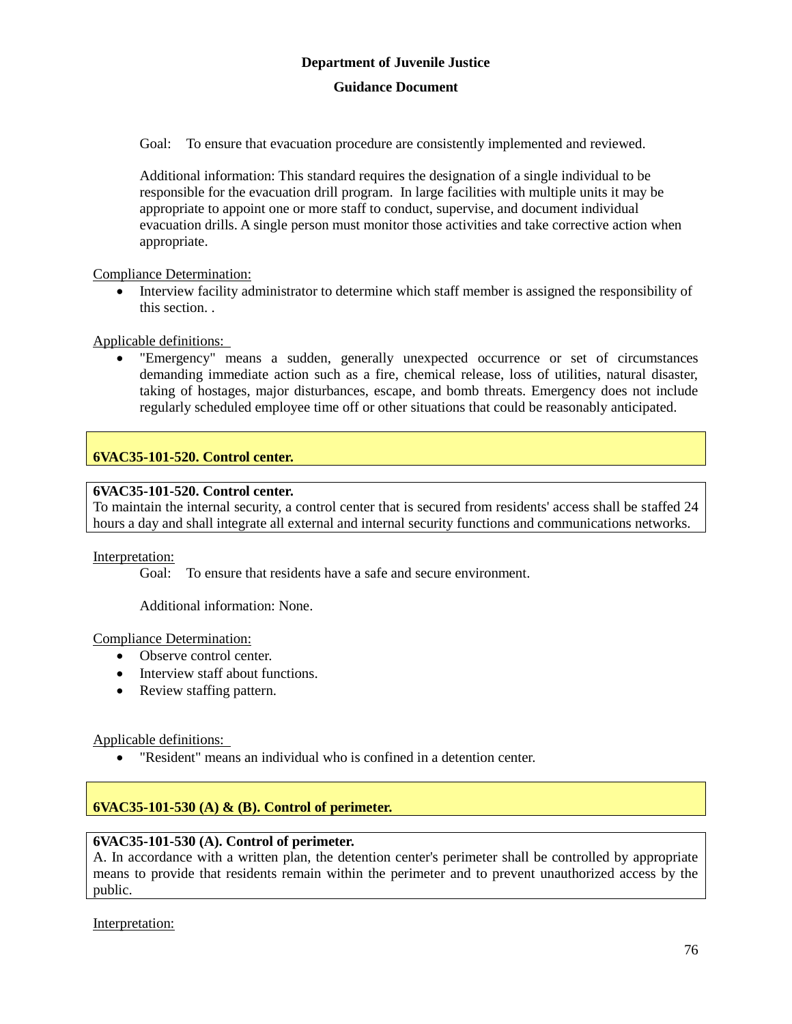Goal: To ensure that evacuation procedure are consistently implemented and reviewed.

Additional information: This standard requires the designation of a single individual to be responsible for the evacuation drill program. In large facilities with multiple units it may be appropriate to appoint one or more staff to conduct, supervise, and document individual evacuation drills. A single person must monitor those activities and take corrective action when appropriate.

Compliance Determination:

• Interview facility administrator to determine which staff member is assigned the responsibility of this section. .

Applicable definitions:

 "Emergency" means a sudden, generally unexpected occurrence or set of circumstances demanding immediate action such as a fire, chemical release, loss of utilities, natural disaster, taking of hostages, major disturbances, escape, and bomb threats. Emergency does not include regularly scheduled employee time off or other situations that could be reasonably anticipated.

## **6VAC35-101-520. Control center.**

## **6VAC35-101-520. Control center.**

To maintain the internal security, a control center that is secured from residents' access shall be staffed 24 hours a day and shall integrate all external and internal security functions and communications networks.

Interpretation:

Goal: To ensure that residents have a safe and secure environment.

Additional information: None.

Compliance Determination:

- Observe control center.
- Interview staff about functions.
- Review staffing pattern.

Applicable definitions:

"Resident" means an individual who is confined in a detention center.

## **6VAC35-101-530 (A) & (B). Control of perimeter.**

## **6VAC35-101-530 (A). Control of perimeter.**

A. In accordance with a written plan, the detention center's perimeter shall be controlled by appropriate means to provide that residents remain within the perimeter and to prevent unauthorized access by the public.

Interpretation: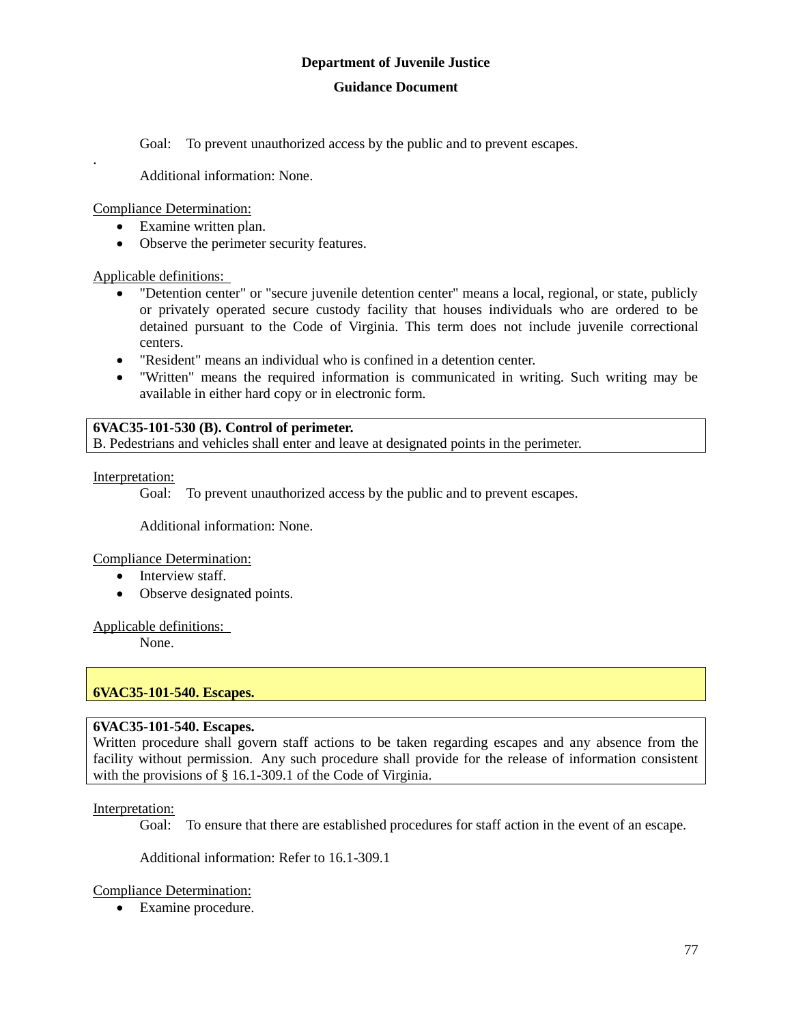#### **Guidance Document**

Goal: To prevent unauthorized access by the public and to prevent escapes.

Additional information: None.

Compliance Determination:

.

- Examine written plan.
- Observe the perimeter security features.

Applicable definitions:

- "Detention center" or "secure juvenile detention center" means a local, regional, or state, publicly or privately operated secure custody facility that houses individuals who are ordered to be detained pursuant to the Code of Virginia. This term does not include juvenile correctional centers.
- "Resident" means an individual who is confined in a detention center.
- "Written" means the required information is communicated in writing. Such writing may be available in either hard copy or in electronic form.

## **6VAC35-101-530 (B). Control of perimeter.**

B. Pedestrians and vehicles shall enter and leave at designated points in the perimeter.

Interpretation:

Goal: To prevent unauthorized access by the public and to prevent escapes.

Additional information: None.

Compliance Determination:

- Interview staff.
- Observe designated points.

Applicable definitions:

None.

## **6VAC35-101-540. Escapes.**

## **6VAC35-101-540. Escapes.**

Written procedure shall govern staff actions to be taken regarding escapes and any absence from the facility without permission. Any such procedure shall provide for the release of information consistent with the provisions of § 16.1-309.1 of the Code of Virginia.

## Interpretation:

Goal: To ensure that there are established procedures for staff action in the event of an escape.

Additional information: Refer to 16.1-309.1

## Compliance Determination:

Examine procedure.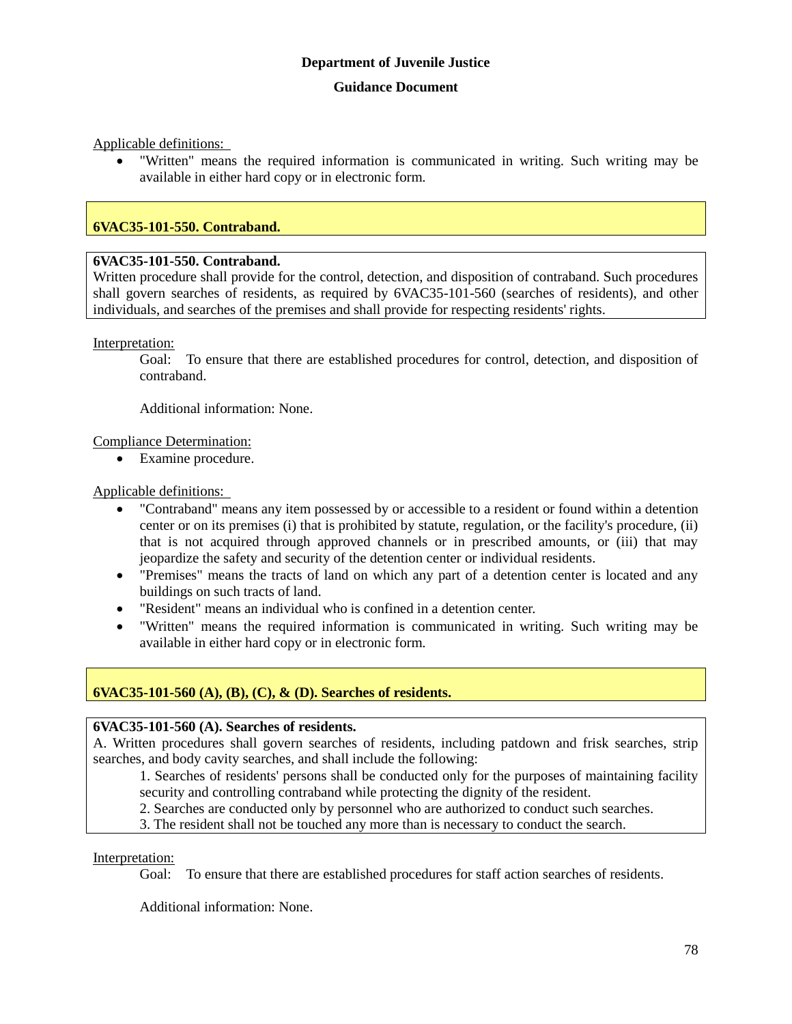Applicable definitions:

 "Written" means the required information is communicated in writing. Such writing may be available in either hard copy or in electronic form.

## **6VAC35-101-550. Contraband.**

#### **6VAC35-101-550. Contraband.**

Written procedure shall provide for the control, detection, and disposition of contraband. Such procedures shall govern searches of residents, as required by 6VAC35-101-560 (searches of residents), and other individuals, and searches of the premises and shall provide for respecting residents' rights.

Interpretation:

Goal: To ensure that there are established procedures for control, detection, and disposition of contraband.

Additional information: None.

#### Compliance Determination:

Examine procedure.

#### Applicable definitions:

- "Contraband" means any item possessed by or accessible to a resident or found within a detention center or on its premises (i) that is prohibited by statute, regulation, or the facility's procedure, (ii) that is not acquired through approved channels or in prescribed amounts, or (iii) that may jeopardize the safety and security of the detention center or individual residents.
- "Premises" means the tracts of land on which any part of a detention center is located and any buildings on such tracts of land.
- "Resident" means an individual who is confined in a detention center.
- "Written" means the required information is communicated in writing. Such writing may be available in either hard copy or in electronic form.

## **6VAC35-101-560 (A), (B), (C), & (D). Searches of residents.**

## **6VAC35-101-560 (A). Searches of residents.**

A. Written procedures shall govern searches of residents, including patdown and frisk searches, strip searches, and body cavity searches, and shall include the following:

1. Searches of residents' persons shall be conducted only for the purposes of maintaining facility security and controlling contraband while protecting the dignity of the resident.

- 2. Searches are conducted only by personnel who are authorized to conduct such searches.
- 3. The resident shall not be touched any more than is necessary to conduct the search.

#### Interpretation:

Goal: To ensure that there are established procedures for staff action searches of residents.

Additional information: None.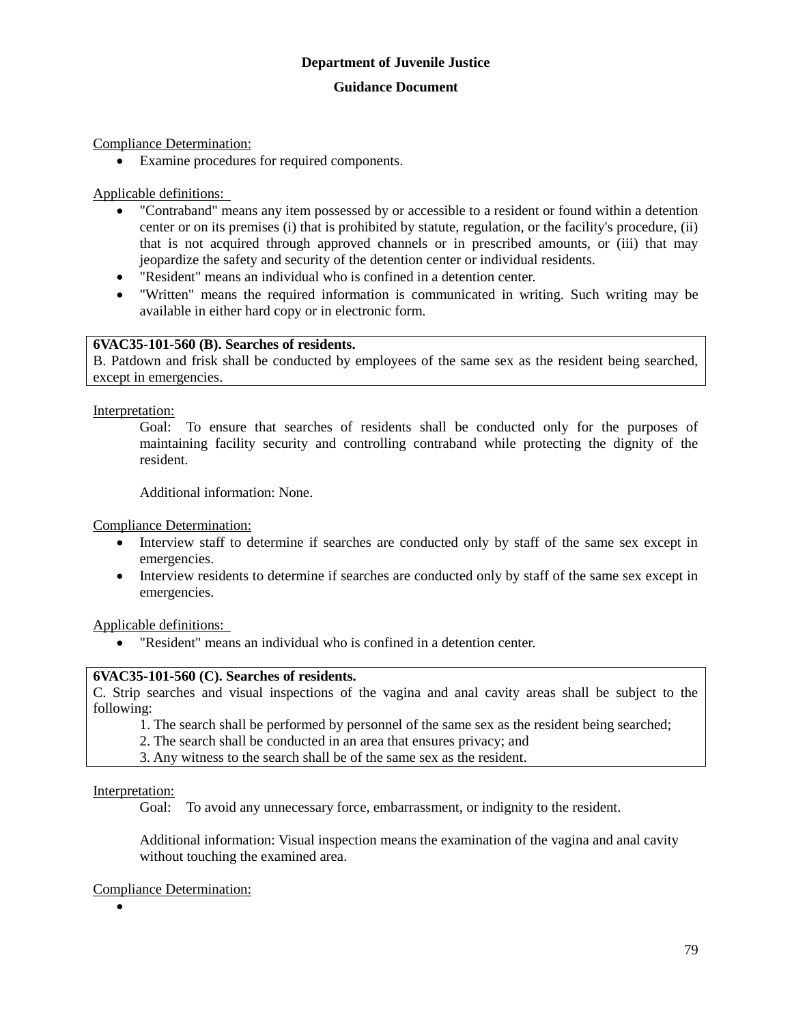Compliance Determination:

Examine procedures for required components.

Applicable definitions:

- "Contraband" means any item possessed by or accessible to a resident or found within a detention center or on its premises (i) that is prohibited by statute, regulation, or the facility's procedure, (ii) that is not acquired through approved channels or in prescribed amounts, or (iii) that may jeopardize the safety and security of the detention center or individual residents.
- "Resident" means an individual who is confined in a detention center.
- "Written" means the required information is communicated in writing. Such writing may be available in either hard copy or in electronic form.

## **6VAC35-101-560 (B). Searches of residents.**

B. Patdown and frisk shall be conducted by employees of the same sex as the resident being searched, except in emergencies.

Interpretation:

Goal: To ensure that searches of residents shall be conducted only for the purposes of maintaining facility security and controlling contraband while protecting the dignity of the resident.

Additional information: None.

Compliance Determination:

- Interview staff to determine if searches are conducted only by staff of the same sex except in emergencies.
- Interview residents to determine if searches are conducted only by staff of the same sex except in emergencies.

Applicable definitions:

"Resident" means an individual who is confined in a detention center.

#### **6VAC35-101-560 (C). Searches of residents.**

C. Strip searches and visual inspections of the vagina and anal cavity areas shall be subject to the following:

1. The search shall be performed by personnel of the same sex as the resident being searched;

2. The search shall be conducted in an area that ensures privacy; and

3. Any witness to the search shall be of the same sex as the resident.

Interpretation:

Goal: To avoid any unnecessary force, embarrassment, or indignity to the resident.

Additional information: Visual inspection means the examination of the vagina and anal cavity without touching the examined area.

Compliance Determination:

 $\bullet$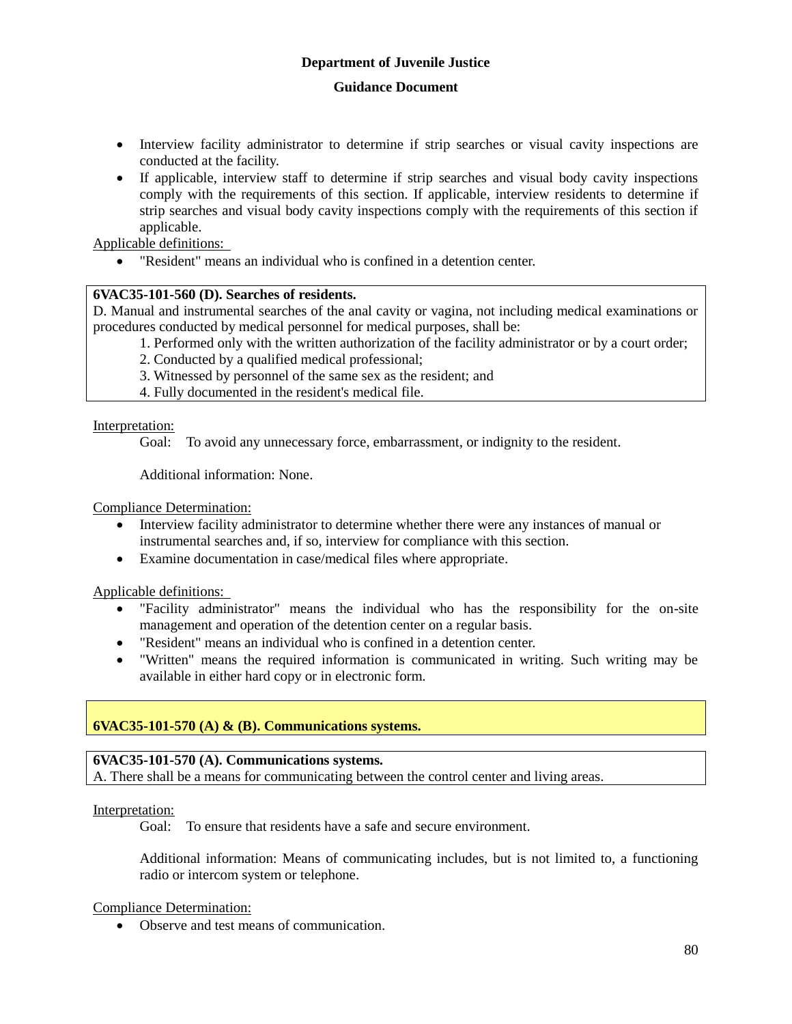#### **Guidance Document**

- Interview facility administrator to determine if strip searches or visual cavity inspections are conducted at the facility.
- If applicable, interview staff to determine if strip searches and visual body cavity inspections comply with the requirements of this section. If applicable, interview residents to determine if strip searches and visual body cavity inspections comply with the requirements of this section if applicable.

Applicable definitions:

"Resident" means an individual who is confined in a detention center.

## **6VAC35-101-560 (D). Searches of residents.**

D. Manual and instrumental searches of the anal cavity or vagina, not including medical examinations or procedures conducted by medical personnel for medical purposes, shall be:

1. Performed only with the written authorization of the facility administrator or by a court order;

2. Conducted by a qualified medical professional;

- 3. Witnessed by personnel of the same sex as the resident; and
- 4. Fully documented in the resident's medical file.

Interpretation:

Goal: To avoid any unnecessary force, embarrassment, or indignity to the resident.

Additional information: None.

Compliance Determination:

- Interview facility administrator to determine whether there were any instances of manual or instrumental searches and, if so, interview for compliance with this section.
- Examine documentation in case/medical files where appropriate.

Applicable definitions:

- "Facility administrator" means the individual who has the responsibility for the on-site management and operation of the detention center on a regular basis.
- "Resident" means an individual who is confined in a detention center.
- "Written" means the required information is communicated in writing. Such writing may be available in either hard copy or in electronic form.

## **6VAC35-101-570 (A) & (B). Communications systems.**

## **6VAC35-101-570 (A). Communications systems.**

A. There shall be a means for communicating between the control center and living areas.

Interpretation:

Goal: To ensure that residents have a safe and secure environment.

Additional information: Means of communicating includes, but is not limited to, a functioning radio or intercom system or telephone.

## Compliance Determination:

Observe and test means of communication.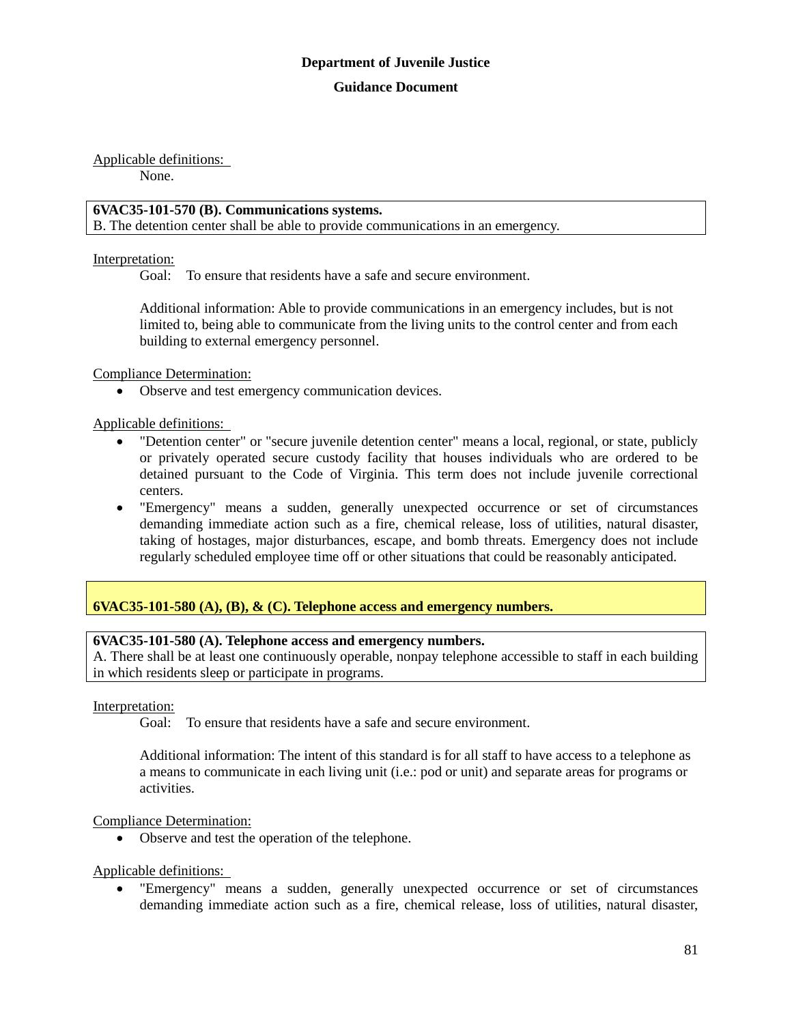Applicable definitions:

None.

## **6VAC35-101-570 (B). Communications systems.**

B. The detention center shall be able to provide communications in an emergency.

## Interpretation:

Goal: To ensure that residents have a safe and secure environment.

Additional information: Able to provide communications in an emergency includes, but is not limited to, being able to communicate from the living units to the control center and from each building to external emergency personnel.

Compliance Determination:

Observe and test emergency communication devices.

Applicable definitions:

- "Detention center" or "secure juvenile detention center" means a local, regional, or state, publicly or privately operated secure custody facility that houses individuals who are ordered to be detained pursuant to the Code of Virginia. This term does not include juvenile correctional centers.
- "Emergency" means a sudden, generally unexpected occurrence or set of circumstances demanding immediate action such as a fire, chemical release, loss of utilities, natural disaster, taking of hostages, major disturbances, escape, and bomb threats. Emergency does not include regularly scheduled employee time off or other situations that could be reasonably anticipated.

## **6VAC35-101-580 (A), (B), & (C). Telephone access and emergency numbers.**

## **6VAC35-101-580 (A). Telephone access and emergency numbers.**

A. There shall be at least one continuously operable, nonpay telephone accessible to staff in each building in which residents sleep or participate in programs.

## Interpretation:

Goal: To ensure that residents have a safe and secure environment.

Additional information: The intent of this standard is for all staff to have access to a telephone as a means to communicate in each living unit (i.e.: pod or unit) and separate areas for programs or activities.

## Compliance Determination:

• Observe and test the operation of the telephone.

Applicable definitions:

 "Emergency" means a sudden, generally unexpected occurrence or set of circumstances demanding immediate action such as a fire, chemical release, loss of utilities, natural disaster,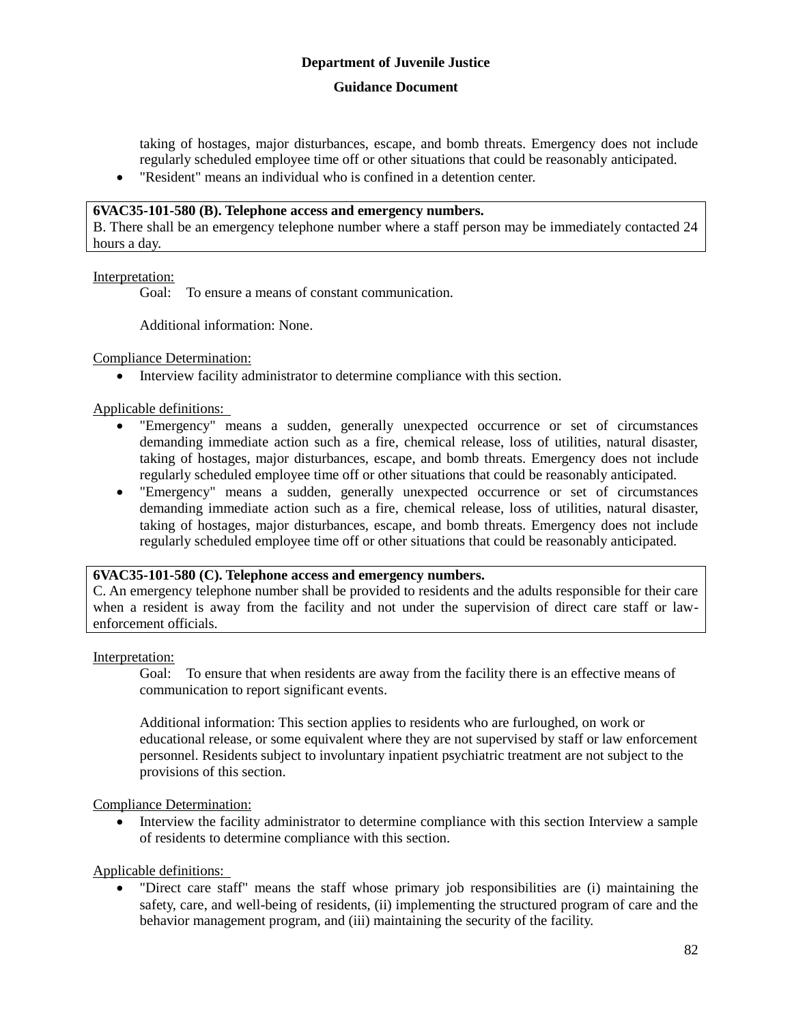#### **Guidance Document**

taking of hostages, major disturbances, escape, and bomb threats. Emergency does not include regularly scheduled employee time off or other situations that could be reasonably anticipated.

"Resident" means an individual who is confined in a detention center.

#### **6VAC35-101-580 (B). Telephone access and emergency numbers.**

B. There shall be an emergency telephone number where a staff person may be immediately contacted 24 hours a day.

Interpretation:

Goal: To ensure a means of constant communication.

Additional information: None.

Compliance Determination:

Interview facility administrator to determine compliance with this section.

Applicable definitions:

- "Emergency" means a sudden, generally unexpected occurrence or set of circumstances demanding immediate action such as a fire, chemical release, loss of utilities, natural disaster, taking of hostages, major disturbances, escape, and bomb threats. Emergency does not include regularly scheduled employee time off or other situations that could be reasonably anticipated.
- "Emergency" means a sudden, generally unexpected occurrence or set of circumstances demanding immediate action such as a fire, chemical release, loss of utilities, natural disaster, taking of hostages, major disturbances, escape, and bomb threats. Emergency does not include regularly scheduled employee time off or other situations that could be reasonably anticipated.

#### **6VAC35-101-580 (C). Telephone access and emergency numbers.**

C. An emergency telephone number shall be provided to residents and the adults responsible for their care when a resident is away from the facility and not under the supervision of direct care staff or lawenforcement officials.

Interpretation:

Goal: To ensure that when residents are away from the facility there is an effective means of communication to report significant events.

Additional information: This section applies to residents who are furloughed, on work or educational release, or some equivalent where they are not supervised by staff or law enforcement personnel. Residents subject to involuntary inpatient psychiatric treatment are not subject to the provisions of this section.

Compliance Determination:

• Interview the facility administrator to determine compliance with this section Interview a sample of residents to determine compliance with this section.

Applicable definitions:

 "Direct care staff" means the staff whose primary job responsibilities are (i) maintaining the safety, care, and well-being of residents, (ii) implementing the structured program of care and the behavior management program, and (iii) maintaining the security of the facility.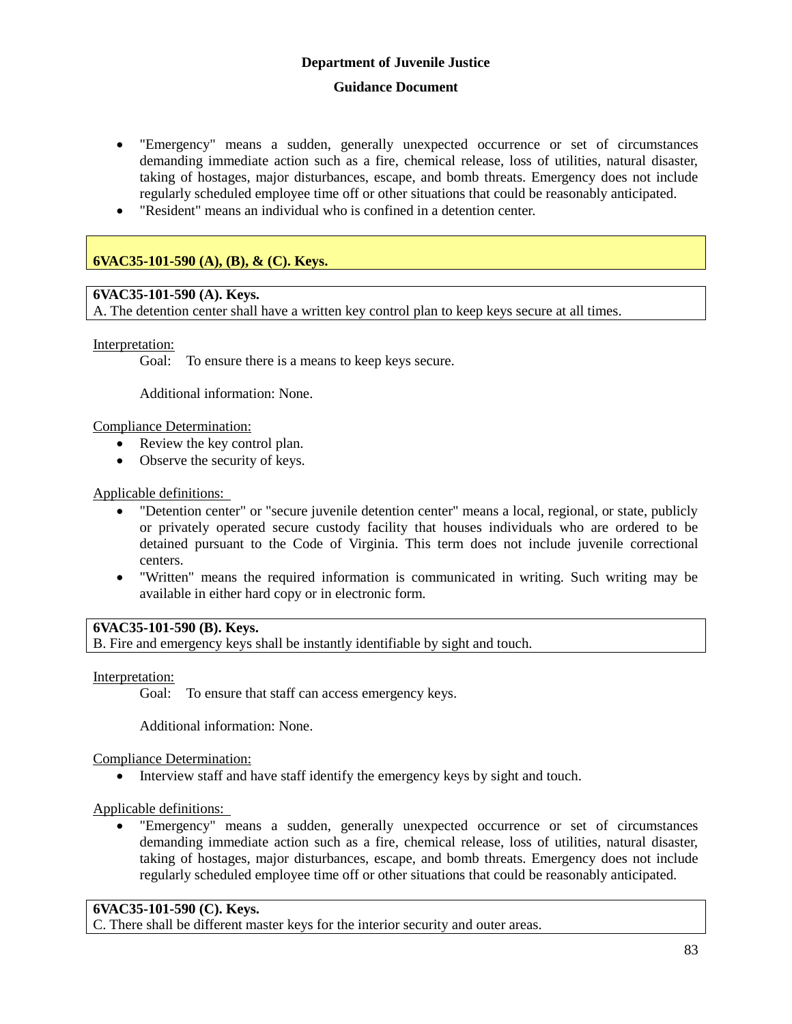- "Emergency" means a sudden, generally unexpected occurrence or set of circumstances demanding immediate action such as a fire, chemical release, loss of utilities, natural disaster, taking of hostages, major disturbances, escape, and bomb threats. Emergency does not include regularly scheduled employee time off or other situations that could be reasonably anticipated.
- "Resident" means an individual who is confined in a detention center.

## **6VAC35-101-590 (A), (B), & (C). Keys.**

## **6VAC35-101-590 (A). Keys.**

A. The detention center shall have a written key control plan to keep keys secure at all times.

Interpretation:

Goal: To ensure there is a means to keep keys secure.

Additional information: None.

Compliance Determination:

- Review the key control plan.
- Observe the security of keys.

## Applicable definitions:

- "Detention center" or "secure juvenile detention center" means a local, regional, or state, publicly or privately operated secure custody facility that houses individuals who are ordered to be detained pursuant to the Code of Virginia. This term does not include juvenile correctional centers.
- "Written" means the required information is communicated in writing. Such writing may be available in either hard copy or in electronic form.

## **6VAC35-101-590 (B). Keys.**

B. Fire and emergency keys shall be instantly identifiable by sight and touch.

Interpretation:

Goal: To ensure that staff can access emergency keys.

Additional information: None.

Compliance Determination:

• Interview staff and have staff identify the emergency keys by sight and touch.

Applicable definitions:

 "Emergency" means a sudden, generally unexpected occurrence or set of circumstances demanding immediate action such as a fire, chemical release, loss of utilities, natural disaster, taking of hostages, major disturbances, escape, and bomb threats. Emergency does not include regularly scheduled employee time off or other situations that could be reasonably anticipated.

## **6VAC35-101-590 (C). Keys.**

C. There shall be different master keys for the interior security and outer areas.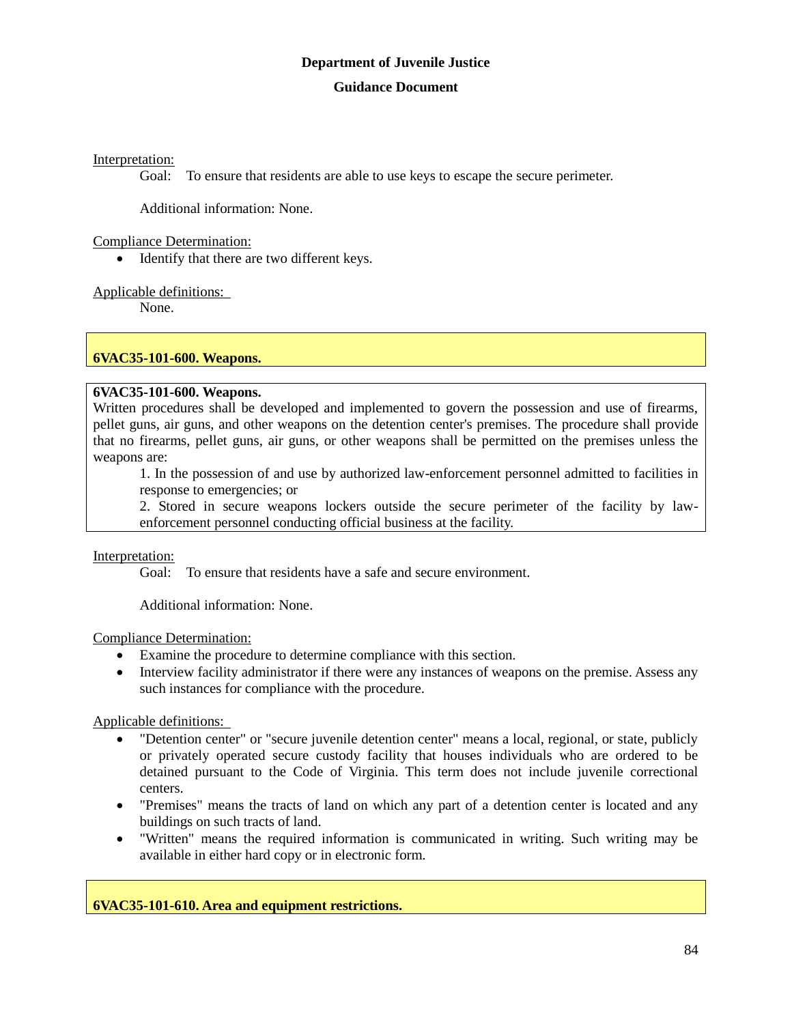Interpretation:

Goal: To ensure that residents are able to use keys to escape the secure perimeter.

Additional information: None.

Compliance Determination:

• Identify that there are two different keys.

Applicable definitions:

None.

## **6VAC35-101-600. Weapons.**

## **6VAC35-101-600. Weapons.**

Written procedures shall be developed and implemented to govern the possession and use of firearms, pellet guns, air guns, and other weapons on the detention center's premises. The procedure shall provide that no firearms, pellet guns, air guns, or other weapons shall be permitted on the premises unless the weapons are:

1. In the possession of and use by authorized law-enforcement personnel admitted to facilities in response to emergencies; or

2. Stored in secure weapons lockers outside the secure perimeter of the facility by lawenforcement personnel conducting official business at the facility.

## Interpretation:

Goal: To ensure that residents have a safe and secure environment.

Additional information: None.

Compliance Determination:

- Examine the procedure to determine compliance with this section.
- Interview facility administrator if there were any instances of weapons on the premise. Assess any such instances for compliance with the procedure.

Applicable definitions:

- "Detention center" or "secure juvenile detention center" means a local, regional, or state, publicly or privately operated secure custody facility that houses individuals who are ordered to be detained pursuant to the Code of Virginia. This term does not include juvenile correctional centers.
- "Premises" means the tracts of land on which any part of a detention center is located and any buildings on such tracts of land.
- "Written" means the required information is communicated in writing. Such writing may be available in either hard copy or in electronic form.

**6VAC35-101-610. Area and equipment restrictions.**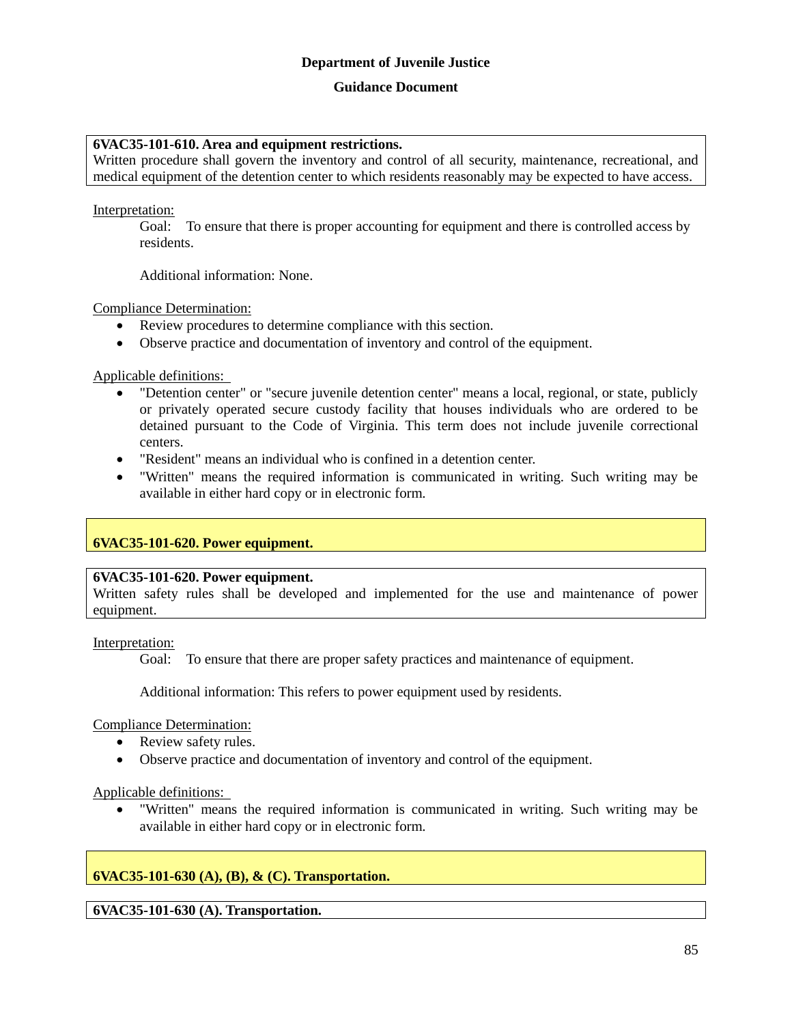#### **Guidance Document**

#### **6VAC35-101-610. Area and equipment restrictions.**

Written procedure shall govern the inventory and control of all security, maintenance, recreational, and medical equipment of the detention center to which residents reasonably may be expected to have access.

Interpretation:

Goal: To ensure that there is proper accounting for equipment and there is controlled access by residents.

Additional information: None.

Compliance Determination:

- Review procedures to determine compliance with this section.
- Observe practice and documentation of inventory and control of the equipment.

Applicable definitions:

- "Detention center" or "secure juvenile detention center" means a local, regional, or state, publicly or privately operated secure custody facility that houses individuals who are ordered to be detained pursuant to the Code of Virginia. This term does not include juvenile correctional centers.
- "Resident" means an individual who is confined in a detention center.
- "Written" means the required information is communicated in writing. Such writing may be available in either hard copy or in electronic form.

## **6VAC35-101-620. Power equipment.**

#### **6VAC35-101-620. Power equipment.**

Written safety rules shall be developed and implemented for the use and maintenance of power equipment.

Interpretation:

Goal: To ensure that there are proper safety practices and maintenance of equipment.

Additional information: This refers to power equipment used by residents.

Compliance Determination:

- Review safety rules.
- Observe practice and documentation of inventory and control of the equipment.

Applicable definitions:

 "Written" means the required information is communicated in writing. Such writing may be available in either hard copy or in electronic form.

## **6VAC35-101-630 (A), (B), & (C). Transportation.**

**6VAC35-101-630 (A). Transportation.**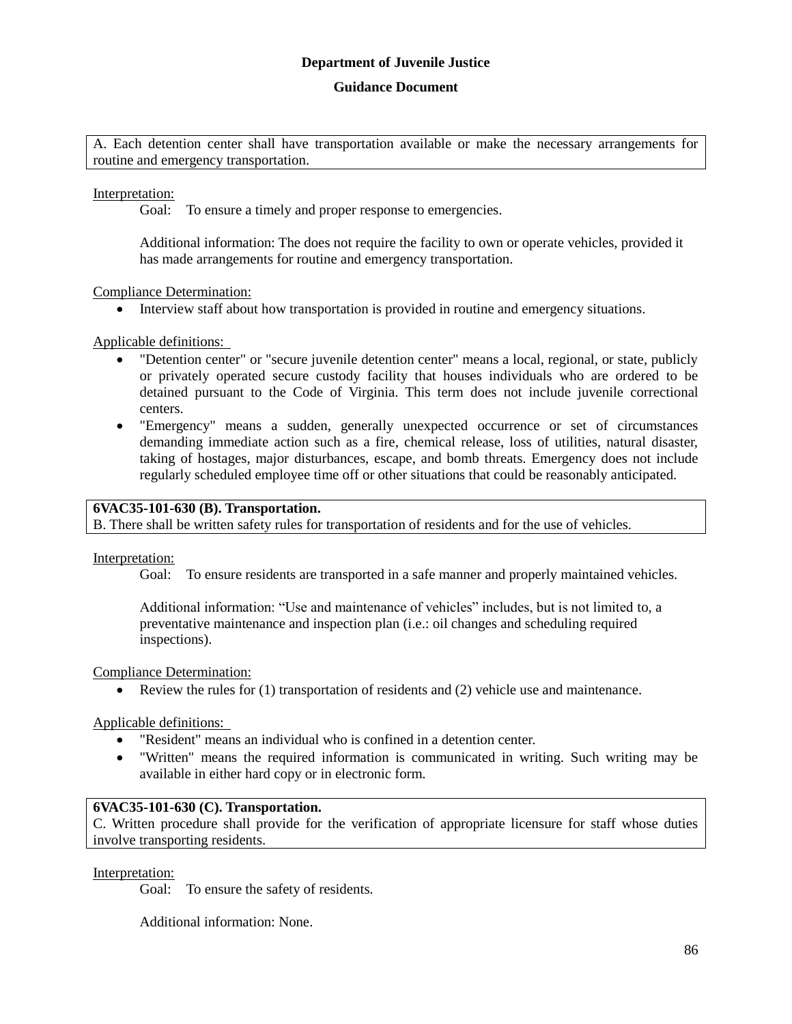A. Each detention center shall have transportation available or make the necessary arrangements for routine and emergency transportation.

Interpretation:

Goal: To ensure a timely and proper response to emergencies.

Additional information: The does not require the facility to own or operate vehicles, provided it has made arrangements for routine and emergency transportation.

Compliance Determination:

Interview staff about how transportation is provided in routine and emergency situations.

Applicable definitions:

- "Detention center" or "secure juvenile detention center" means a local, regional, or state, publicly or privately operated secure custody facility that houses individuals who are ordered to be detained pursuant to the Code of Virginia. This term does not include juvenile correctional centers.
- "Emergency" means a sudden, generally unexpected occurrence or set of circumstances demanding immediate action such as a fire, chemical release, loss of utilities, natural disaster, taking of hostages, major disturbances, escape, and bomb threats. Emergency does not include regularly scheduled employee time off or other situations that could be reasonably anticipated.

#### **6VAC35-101-630 (B). Transportation.**

B. There shall be written safety rules for transportation of residents and for the use of vehicles.

Interpretation:

Goal: To ensure residents are transported in a safe manner and properly maintained vehicles.

Additional information: "Use and maintenance of vehicles" includes, but is not limited to, a preventative maintenance and inspection plan (i.e.: oil changes and scheduling required inspections).

Compliance Determination:

Review the rules for (1) transportation of residents and (2) vehicle use and maintenance.

Applicable definitions:

- "Resident" means an individual who is confined in a detention center.
- "Written" means the required information is communicated in writing. Such writing may be available in either hard copy or in electronic form.

#### **6VAC35-101-630 (C). Transportation.**

C. Written procedure shall provide for the verification of appropriate licensure for staff whose duties involve transporting residents.

Interpretation:

Goal: To ensure the safety of residents.

Additional information: None.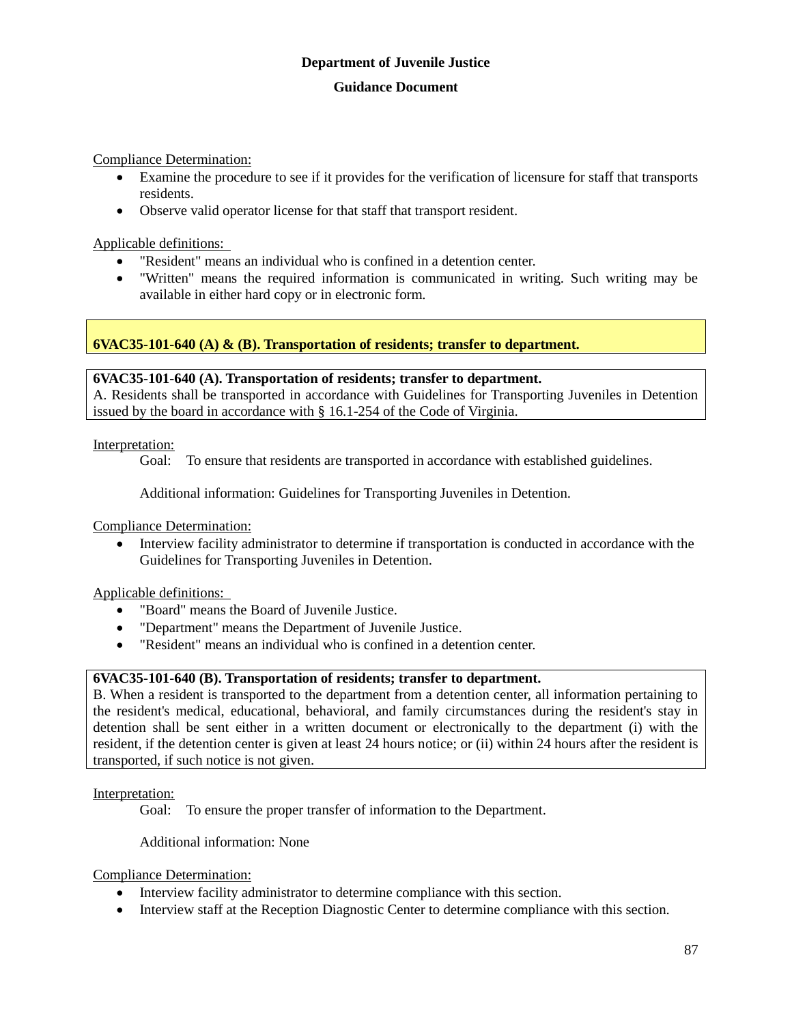## **Guidance Document**

Compliance Determination:

- Examine the procedure to see if it provides for the verification of licensure for staff that transports residents.
- Observe valid operator license for that staff that transport resident.

Applicable definitions:

- "Resident" means an individual who is confined in a detention center.
- "Written" means the required information is communicated in writing. Such writing may be available in either hard copy or in electronic form.

**6VAC35-101-640 (A) & (B). Transportation of residents; transfer to department.**

## **6VAC35-101-640 (A). Transportation of residents; transfer to department.**

A. Residents shall be transported in accordance with Guidelines for Transporting Juveniles in Detention issued by the board in accordance with § 16.1-254 of the Code of Virginia.

Interpretation:

Goal: To ensure that residents are transported in accordance with established guidelines.

Additional information: Guidelines for Transporting Juveniles in Detention.

Compliance Determination:

 Interview facility administrator to determine if transportation is conducted in accordance with the Guidelines for Transporting Juveniles in Detention.

Applicable definitions:

- "Board" means the Board of Juvenile Justice.
- "Department" means the Department of Juvenile Justice.
- "Resident" means an individual who is confined in a detention center.

## **6VAC35-101-640 (B). Transportation of residents; transfer to department.**

B. When a resident is transported to the department from a detention center, all information pertaining to the resident's medical, educational, behavioral, and family circumstances during the resident's stay in detention shall be sent either in a written document or electronically to the department (i) with the resident, if the detention center is given at least 24 hours notice; or (ii) within 24 hours after the resident is transported, if such notice is not given.

Interpretation:

Goal: To ensure the proper transfer of information to the Department.

Additional information: None

Compliance Determination:

- Interview facility administrator to determine compliance with this section.
- Interview staff at the Reception Diagnostic Center to determine compliance with this section.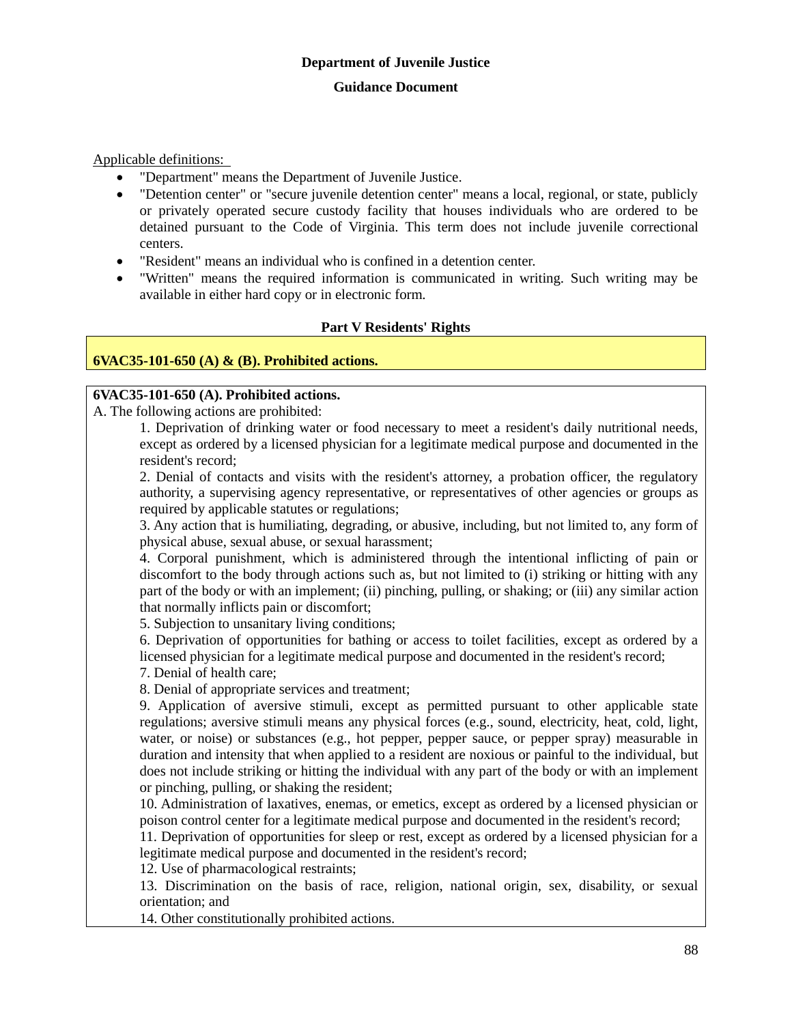Applicable definitions:

- "Department" means the Department of Juvenile Justice.
- "Detention center" or "secure juvenile detention center" means a local, regional, or state, publicly or privately operated secure custody facility that houses individuals who are ordered to be detained pursuant to the Code of Virginia. This term does not include juvenile correctional centers.
- "Resident" means an individual who is confined in a detention center.
- "Written" means the required information is communicated in writing. Such writing may be available in either hard copy or in electronic form.

## **Part V Residents' Rights**

## **6VAC35-101-650 (A) & (B). Prohibited actions.**

## **6VAC35-101-650 (A). Prohibited actions.**

A. The following actions are prohibited:

1. Deprivation of drinking water or food necessary to meet a resident's daily nutritional needs, except as ordered by a licensed physician for a legitimate medical purpose and documented in the resident's record;

2. Denial of contacts and visits with the resident's attorney, a probation officer, the regulatory authority, a supervising agency representative, or representatives of other agencies or groups as required by applicable statutes or regulations;

3. Any action that is humiliating, degrading, or abusive, including, but not limited to, any form of physical abuse, sexual abuse, or sexual harassment;

4. Corporal punishment, which is administered through the intentional inflicting of pain or discomfort to the body through actions such as, but not limited to (i) striking or hitting with any part of the body or with an implement; (ii) pinching, pulling, or shaking; or (iii) any similar action that normally inflicts pain or discomfort;

5. Subjection to unsanitary living conditions;

6. Deprivation of opportunities for bathing or access to toilet facilities, except as ordered by a licensed physician for a legitimate medical purpose and documented in the resident's record; 7. Denial of health care;

8. Denial of appropriate services and treatment;

9. Application of aversive stimuli, except as permitted pursuant to other applicable state regulations; aversive stimuli means any physical forces (e.g., sound, electricity, heat, cold, light, water, or noise) or substances (e.g., hot pepper, pepper sauce, or pepper spray) measurable in duration and intensity that when applied to a resident are noxious or painful to the individual, but does not include striking or hitting the individual with any part of the body or with an implement or pinching, pulling, or shaking the resident;

10. Administration of laxatives, enemas, or emetics, except as ordered by a licensed physician or poison control center for a legitimate medical purpose and documented in the resident's record;

11. Deprivation of opportunities for sleep or rest, except as ordered by a licensed physician for a legitimate medical purpose and documented in the resident's record;

12. Use of pharmacological restraints;

13. Discrimination on the basis of race, religion, national origin, sex, disability, or sexual orientation; and

14. Other constitutionally prohibited actions.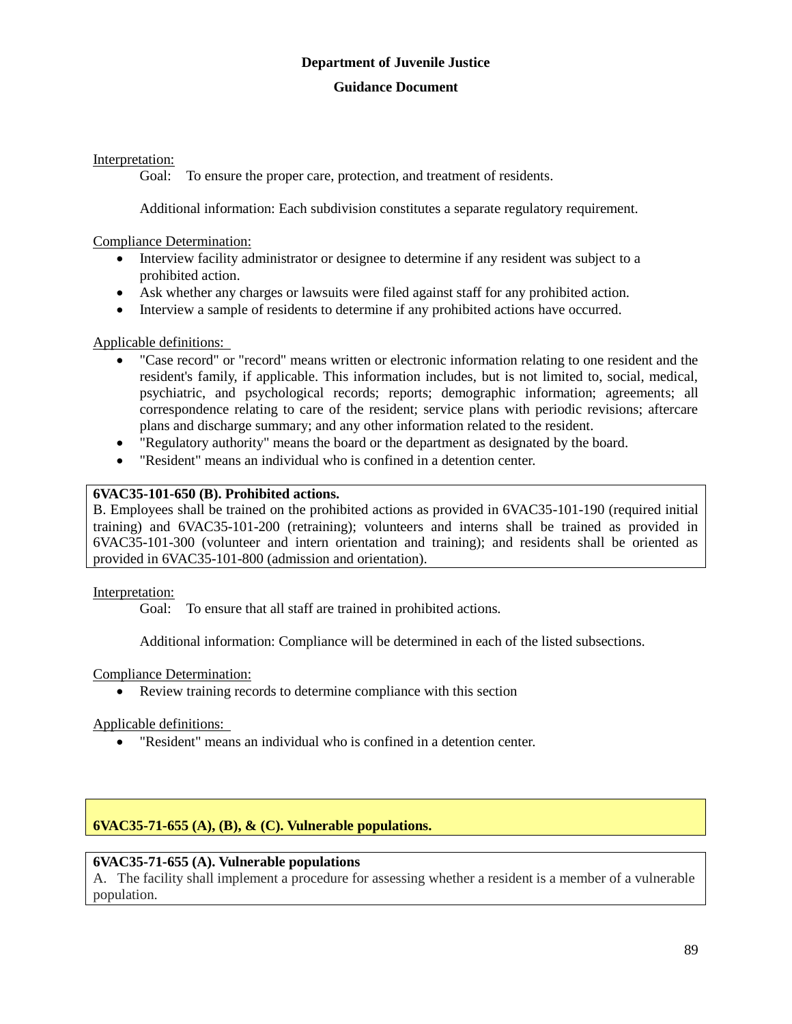## Interpretation:

Goal: To ensure the proper care, protection, and treatment of residents.

Additional information: Each subdivision constitutes a separate regulatory requirement.

Compliance Determination:

- Interview facility administrator or designee to determine if any resident was subject to a prohibited action.
- Ask whether any charges or lawsuits were filed against staff for any prohibited action.
- Interview a sample of residents to determine if any prohibited actions have occurred.

## Applicable definitions:

- "Case record" or "record" means written or electronic information relating to one resident and the resident's family, if applicable. This information includes, but is not limited to, social, medical, psychiatric, and psychological records; reports; demographic information; agreements; all correspondence relating to care of the resident; service plans with periodic revisions; aftercare plans and discharge summary; and any other information related to the resident.
- "Regulatory authority" means the board or the department as designated by the board.
- "Resident" means an individual who is confined in a detention center.

## **6VAC35-101-650 (B). Prohibited actions.**

B. Employees shall be trained on the prohibited actions as provided in 6VAC35-101-190 (required initial training) and 6VAC35-101-200 (retraining); volunteers and interns shall be trained as provided in 6VAC35-101-300 (volunteer and intern orientation and training); and residents shall be oriented as provided in 6VAC35-101-800 (admission and orientation).

Interpretation:

Goal: To ensure that all staff are trained in prohibited actions.

Additional information: Compliance will be determined in each of the listed subsections.

## Compliance Determination:

Review training records to determine compliance with this section

Applicable definitions:

"Resident" means an individual who is confined in a detention center.

## **6VAC35-71-655 (A), (B), & (C). Vulnerable populations.**

## **6VAC35-71-655 (A). Vulnerable populations**

A. The facility shall implement a procedure for assessing whether a resident is a member of a vulnerable population.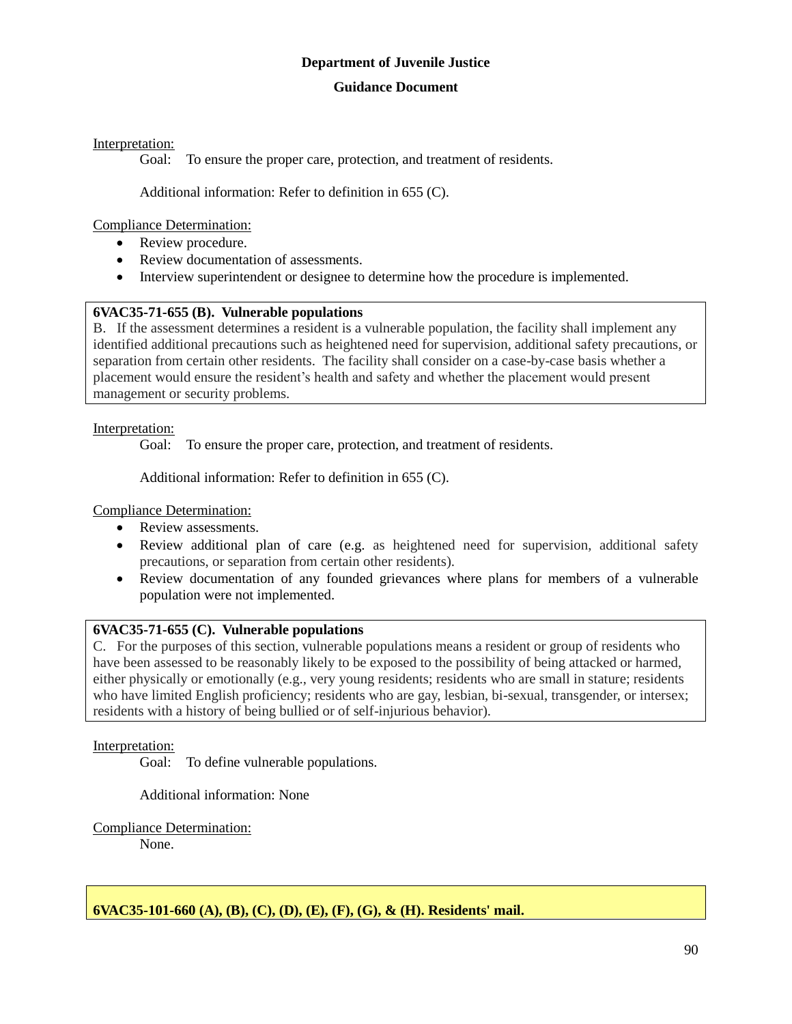## **Guidance Document**

Interpretation:

Goal: To ensure the proper care, protection, and treatment of residents.

Additional information: Refer to definition in 655 (C).

Compliance Determination:

- Review procedure.
- Review documentation of assessments.
- Interview superintendent or designee to determine how the procedure is implemented.

## **6VAC35-71-655 (B). Vulnerable populations**

B. If the assessment determines a resident is a vulnerable population, the facility shall implement any identified additional precautions such as heightened need for supervision, additional safety precautions, or separation from certain other residents. The facility shall consider on a case-by-case basis whether a placement would ensure the resident's health and safety and whether the placement would present management or security problems.

Interpretation:

Goal: To ensure the proper care, protection, and treatment of residents.

Additional information: Refer to definition in 655 (C).

Compliance Determination:

- Review assessments.
- Review additional plan of care (e.g. as heightened need for supervision, additional safety precautions, or separation from certain other residents).
- Review documentation of any founded grievances where plans for members of a vulnerable population were not implemented.

## **6VAC35-71-655 (C). Vulnerable populations**

C. For the purposes of this section, vulnerable populations means a resident or group of residents who have been assessed to be reasonably likely to be exposed to the possibility of being attacked or harmed, either physically or emotionally (e.g., very young residents; residents who are small in stature; residents who have limited English proficiency; residents who are gay, lesbian, bi-sexual, transgender, or intersex; residents with a history of being bullied or of self-injurious behavior).

Interpretation:

Goal: To define vulnerable populations.

Additional information: None

Compliance Determination:

None.

**6VAC35-101-660 (A), (B), (C), (D), (E), (F), (G), & (H). Residents' mail.**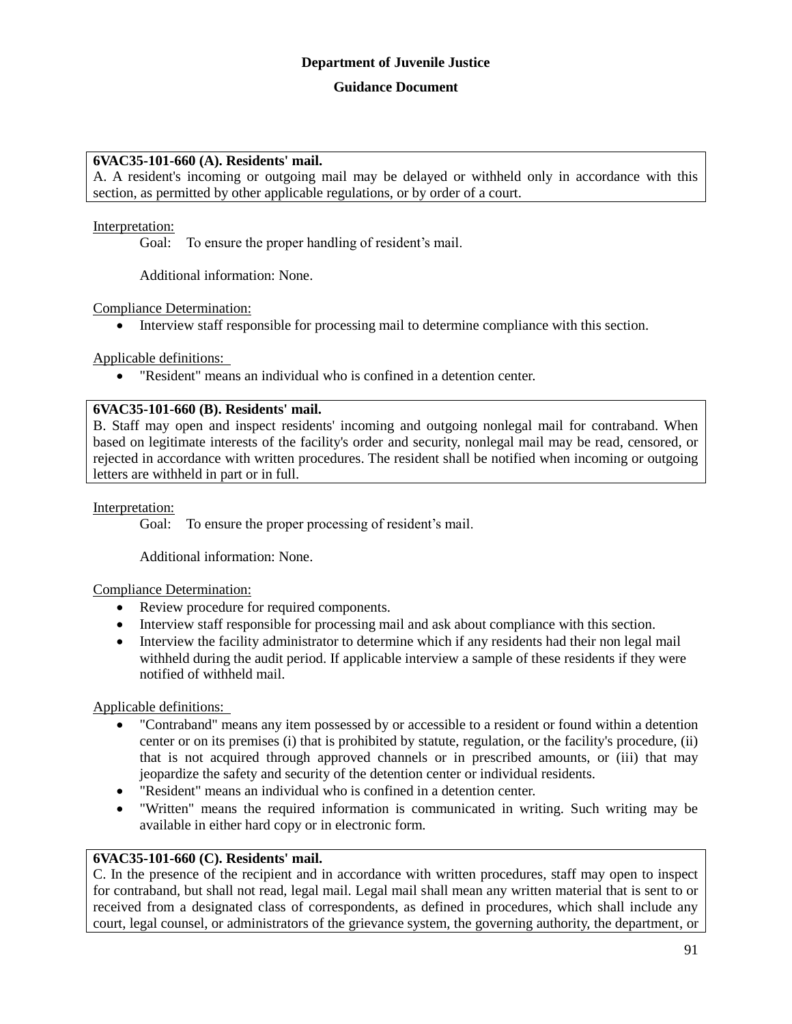## **6VAC35-101-660 (A). Residents' mail.**

A. A resident's incoming or outgoing mail may be delayed or withheld only in accordance with this section, as permitted by other applicable regulations, or by order of a court.

#### Interpretation:

Goal: To ensure the proper handling of resident's mail.

Additional information: None.

Compliance Determination:

Interview staff responsible for processing mail to determine compliance with this section.

Applicable definitions:

"Resident" means an individual who is confined in a detention center.

## **6VAC35-101-660 (B). Residents' mail.**

B. Staff may open and inspect residents' incoming and outgoing nonlegal mail for contraband. When based on legitimate interests of the facility's order and security, nonlegal mail may be read, censored, or rejected in accordance with written procedures. The resident shall be notified when incoming or outgoing letters are withheld in part or in full.

#### Interpretation:

Goal: To ensure the proper processing of resident's mail.

Additional information: None.

## Compliance Determination:

- Review procedure for required components.
- Interview staff responsible for processing mail and ask about compliance with this section.
- Interview the facility administrator to determine which if any residents had their non legal mail withheld during the audit period. If applicable interview a sample of these residents if they were notified of withheld mail.

Applicable definitions:

- "Contraband" means any item possessed by or accessible to a resident or found within a detention center or on its premises (i) that is prohibited by statute, regulation, or the facility's procedure, (ii) that is not acquired through approved channels or in prescribed amounts, or (iii) that may jeopardize the safety and security of the detention center or individual residents.
- "Resident" means an individual who is confined in a detention center.
- "Written" means the required information is communicated in writing. Such writing may be available in either hard copy or in electronic form.

## **6VAC35-101-660 (C). Residents' mail.**

C. In the presence of the recipient and in accordance with written procedures, staff may open to inspect for contraband, but shall not read, legal mail. Legal mail shall mean any written material that is sent to or received from a designated class of correspondents, as defined in procedures, which shall include any court, legal counsel, or administrators of the grievance system, the governing authority, the department, or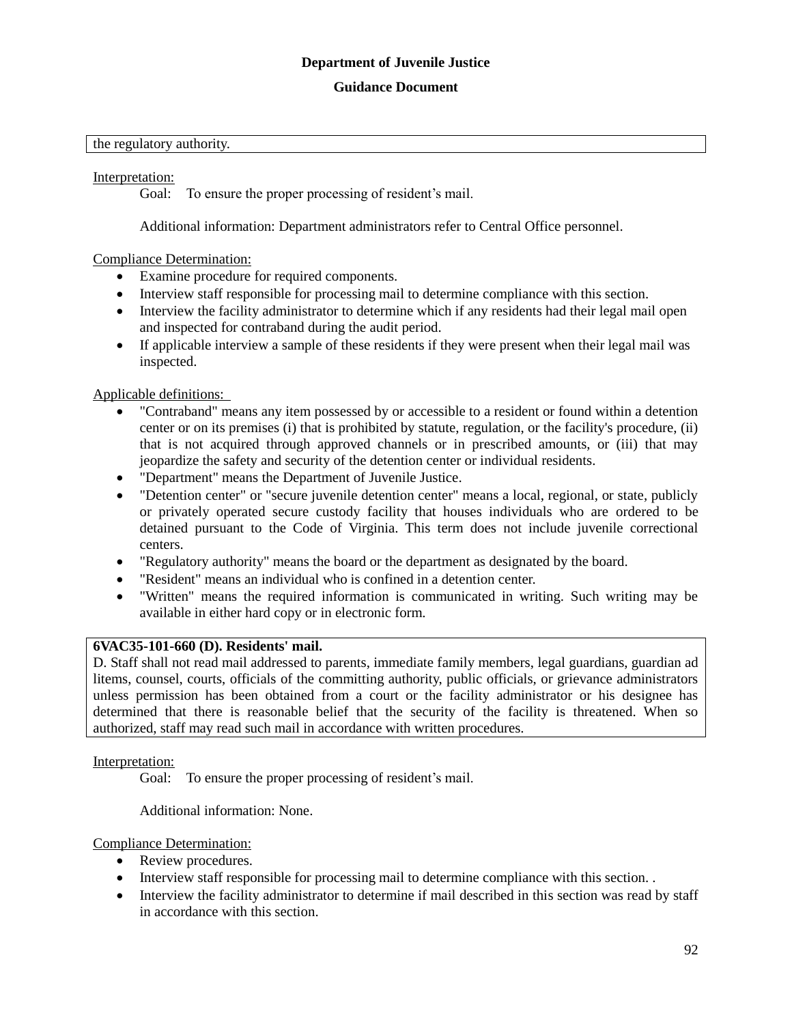#### **Guidance Document**

#### the regulatory authority.

#### Interpretation:

Goal: To ensure the proper processing of resident's mail.

Additional information: Department administrators refer to Central Office personnel.

## Compliance Determination:

- Examine procedure for required components.
- Interview staff responsible for processing mail to determine compliance with this section.
- Interview the facility administrator to determine which if any residents had their legal mail open and inspected for contraband during the audit period.
- If applicable interview a sample of these residents if they were present when their legal mail was inspected.

Applicable definitions:

- "Contraband" means any item possessed by or accessible to a resident or found within a detention center or on its premises (i) that is prohibited by statute, regulation, or the facility's procedure, (ii) that is not acquired through approved channels or in prescribed amounts, or (iii) that may jeopardize the safety and security of the detention center or individual residents.
- "Department" means the Department of Juvenile Justice.
- "Detention center" or "secure juvenile detention center" means a local, regional, or state, publicly or privately operated secure custody facility that houses individuals who are ordered to be detained pursuant to the Code of Virginia. This term does not include juvenile correctional centers.
- "Regulatory authority" means the board or the department as designated by the board.
- "Resident" means an individual who is confined in a detention center.
- "Written" means the required information is communicated in writing. Such writing may be available in either hard copy or in electronic form.

## **6VAC35-101-660 (D). Residents' mail.**

D. Staff shall not read mail addressed to parents, immediate family members, legal guardians, guardian ad litems, counsel, courts, officials of the committing authority, public officials, or grievance administrators unless permission has been obtained from a court or the facility administrator or his designee has determined that there is reasonable belief that the security of the facility is threatened. When so authorized, staff may read such mail in accordance with written procedures.

## Interpretation:

Goal: To ensure the proper processing of resident's mail.

Additional information: None.

## Compliance Determination:

- Review procedures.
- Interview staff responsible for processing mail to determine compliance with this section. .
- Interview the facility administrator to determine if mail described in this section was read by staff in accordance with this section.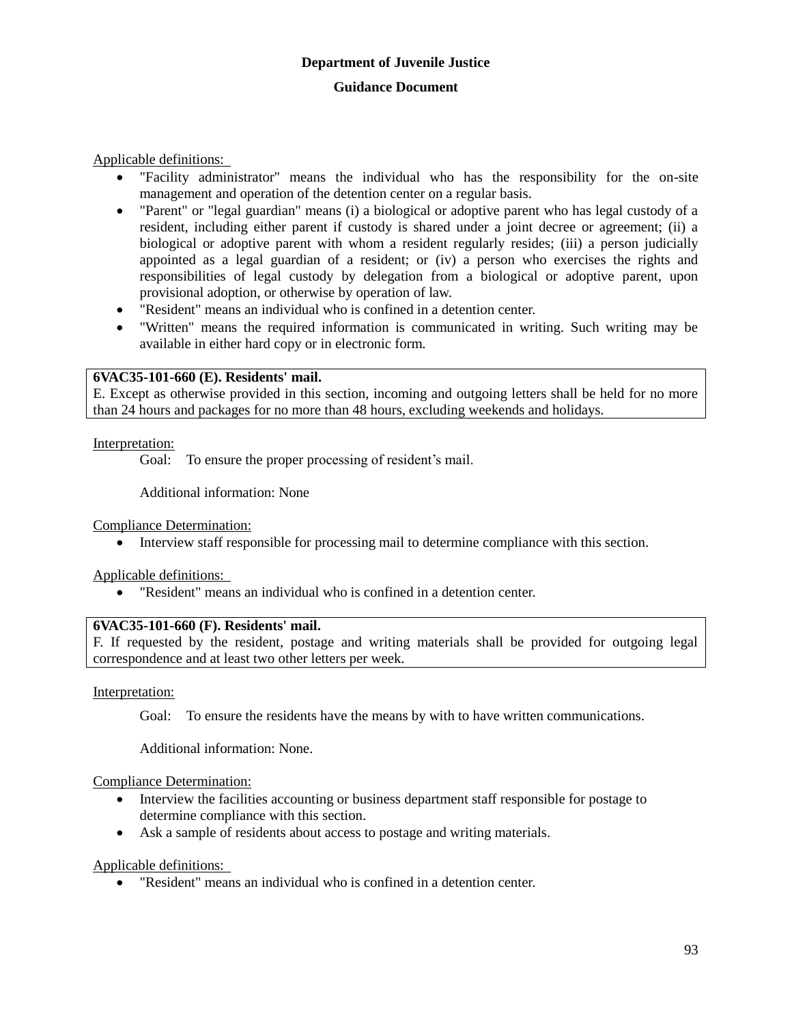Applicable definitions:

- "Facility administrator" means the individual who has the responsibility for the on-site management and operation of the detention center on a regular basis.
- "Parent" or "legal guardian" means (i) a biological or adoptive parent who has legal custody of a resident, including either parent if custody is shared under a joint decree or agreement; (ii) a biological or adoptive parent with whom a resident regularly resides; (iii) a person judicially appointed as a legal guardian of a resident; or (iv) a person who exercises the rights and responsibilities of legal custody by delegation from a biological or adoptive parent, upon provisional adoption, or otherwise by operation of law.
- "Resident" means an individual who is confined in a detention center.
- "Written" means the required information is communicated in writing. Such writing may be available in either hard copy or in electronic form.

## **6VAC35-101-660 (E). Residents' mail.**

E. Except as otherwise provided in this section, incoming and outgoing letters shall be held for no more than 24 hours and packages for no more than 48 hours, excluding weekends and holidays.

## Interpretation:

Goal: To ensure the proper processing of resident's mail.

Additional information: None

Compliance Determination:

Interview staff responsible for processing mail to determine compliance with this section.

Applicable definitions:

"Resident" means an individual who is confined in a detention center.

## **6VAC35-101-660 (F). Residents' mail.**

F. If requested by the resident, postage and writing materials shall be provided for outgoing legal correspondence and at least two other letters per week.

Interpretation:

Goal: To ensure the residents have the means by with to have written communications.

Additional information: None.

Compliance Determination:

- Interview the facilities accounting or business department staff responsible for postage to determine compliance with this section.
- Ask a sample of residents about access to postage and writing materials.

Applicable definitions:

"Resident" means an individual who is confined in a detention center.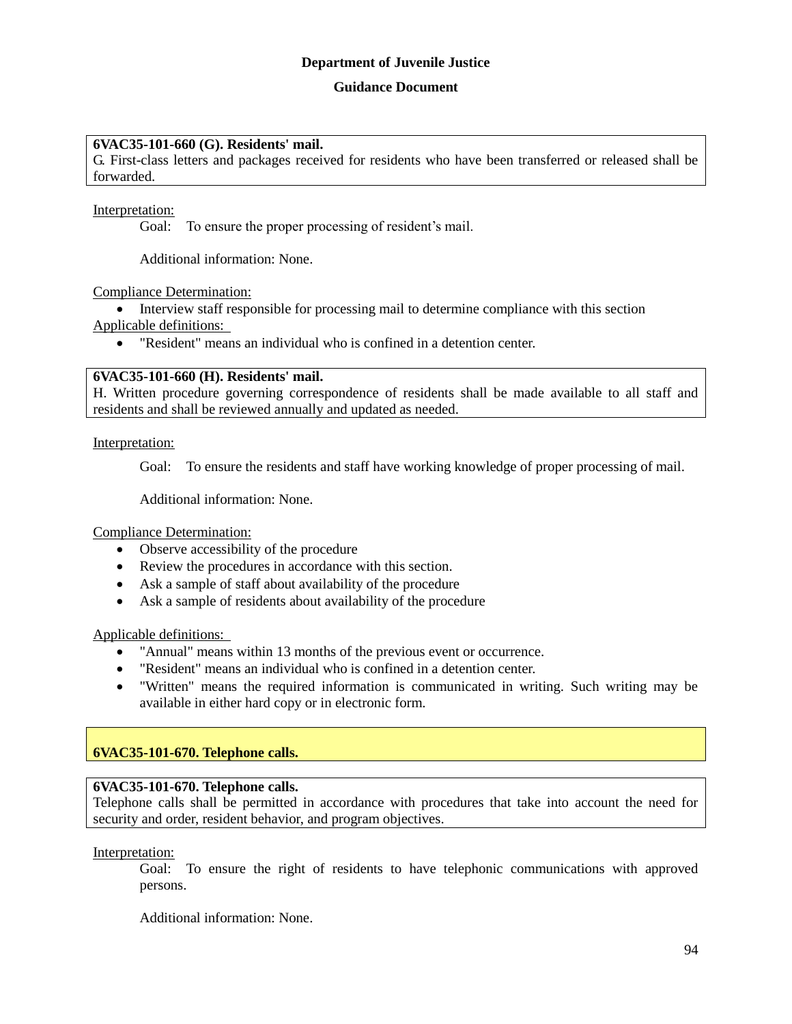#### **Guidance Document**

## **6VAC35-101-660 (G). Residents' mail.**

G. First-class letters and packages received for residents who have been transferred or released shall be forwarded.

Interpretation:

Goal: To ensure the proper processing of resident's mail.

Additional information: None.

Compliance Determination:

• Interview staff responsible for processing mail to determine compliance with this section Applicable definitions:

"Resident" means an individual who is confined in a detention center.

#### **6VAC35-101-660 (H). Residents' mail.**

H. Written procedure governing correspondence of residents shall be made available to all staff and residents and shall be reviewed annually and updated as needed.

Interpretation:

Goal: To ensure the residents and staff have working knowledge of proper processing of mail.

Additional information: None.

Compliance Determination:

- Observe accessibility of the procedure
- Review the procedures in accordance with this section.
- Ask a sample of staff about availability of the procedure
- Ask a sample of residents about availability of the procedure

Applicable definitions:

- "Annual" means within 13 months of the previous event or occurrence.
- "Resident" means an individual who is confined in a detention center.
- "Written" means the required information is communicated in writing. Such writing may be available in either hard copy or in electronic form.

## **6VAC35-101-670. Telephone calls.**

## **6VAC35-101-670. Telephone calls.**

Telephone calls shall be permitted in accordance with procedures that take into account the need for security and order, resident behavior, and program objectives.

Interpretation:

Goal: To ensure the right of residents to have telephonic communications with approved persons.

Additional information: None.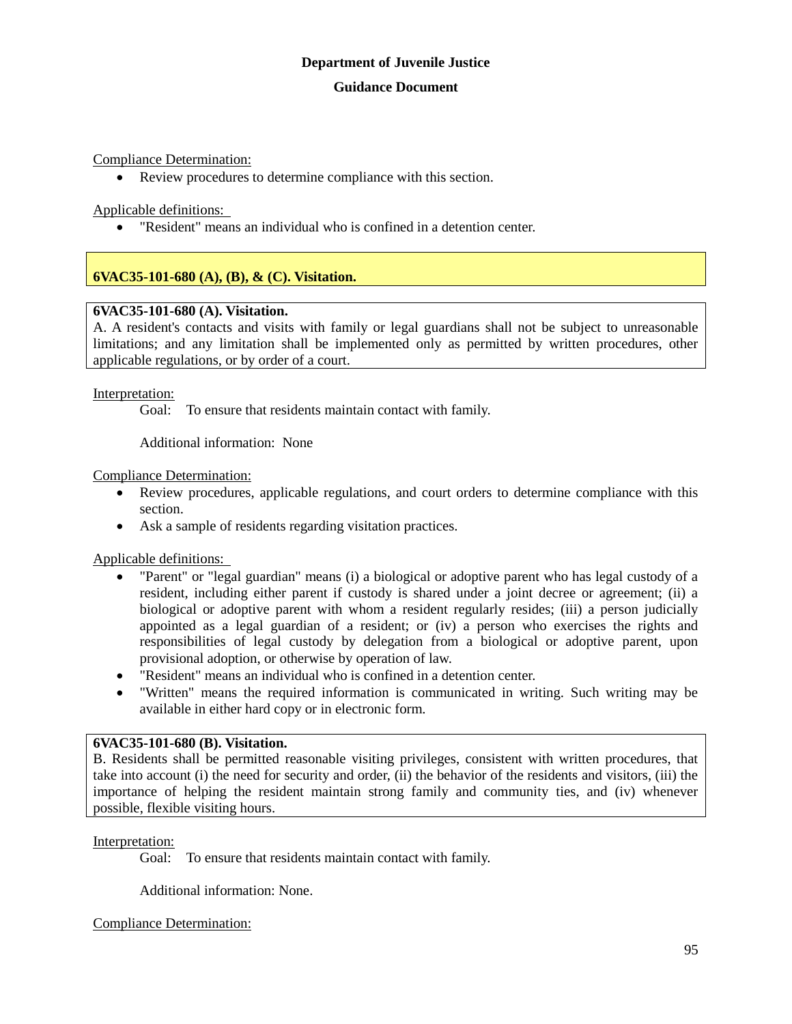Compliance Determination:

Review procedures to determine compliance with this section.

Applicable definitions:

"Resident" means an individual who is confined in a detention center.

## **6VAC35-101-680 (A), (B), & (C). Visitation.**

## **6VAC35-101-680 (A). Visitation.**

A. A resident's contacts and visits with family or legal guardians shall not be subject to unreasonable limitations; and any limitation shall be implemented only as permitted by written procedures, other applicable regulations, or by order of a court.

Interpretation:

Goal: To ensure that residents maintain contact with family.

Additional information: None

Compliance Determination:

- Review procedures, applicable regulations, and court orders to determine compliance with this section.
- Ask a sample of residents regarding visitation practices.

Applicable definitions:

- "Parent" or "legal guardian" means (i) a biological or adoptive parent who has legal custody of a resident, including either parent if custody is shared under a joint decree or agreement; (ii) a biological or adoptive parent with whom a resident regularly resides; (iii) a person judicially appointed as a legal guardian of a resident; or (iv) a person who exercises the rights and responsibilities of legal custody by delegation from a biological or adoptive parent, upon provisional adoption, or otherwise by operation of law.
- "Resident" means an individual who is confined in a detention center.
- "Written" means the required information is communicated in writing. Such writing may be available in either hard copy or in electronic form.

## **6VAC35-101-680 (B). Visitation.**

B. Residents shall be permitted reasonable visiting privileges, consistent with written procedures, that take into account (i) the need for security and order, (ii) the behavior of the residents and visitors, (iii) the importance of helping the resident maintain strong family and community ties, and (iv) whenever possible, flexible visiting hours.

## Interpretation:

Goal: To ensure that residents maintain contact with family.

Additional information: None.

Compliance Determination: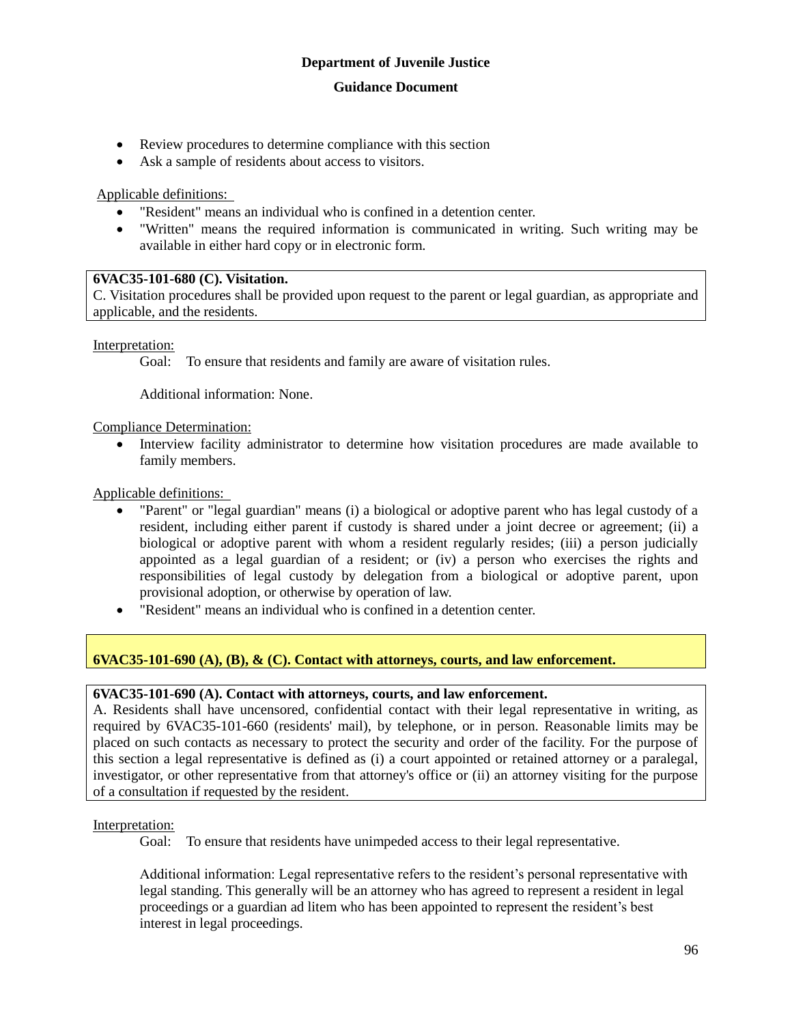- Review procedures to determine compliance with this section
- Ask a sample of residents about access to visitors.

## Applicable definitions:

- "Resident" means an individual who is confined in a detention center.
- "Written" means the required information is communicated in writing. Such writing may be available in either hard copy or in electronic form.

## **6VAC35-101-680 (C). Visitation.**

C. Visitation procedures shall be provided upon request to the parent or legal guardian, as appropriate and applicable, and the residents.

Interpretation:

Goal: To ensure that residents and family are aware of visitation rules.

Additional information: None.

Compliance Determination:

 Interview facility administrator to determine how visitation procedures are made available to family members.

Applicable definitions:

- "Parent" or "legal guardian" means (i) a biological or adoptive parent who has legal custody of a resident, including either parent if custody is shared under a joint decree or agreement; (ii) a biological or adoptive parent with whom a resident regularly resides; (iii) a person judicially appointed as a legal guardian of a resident; or (iv) a person who exercises the rights and responsibilities of legal custody by delegation from a biological or adoptive parent, upon provisional adoption, or otherwise by operation of law.
- "Resident" means an individual who is confined in a detention center.

## **6VAC35-101-690 (A), (B), & (C). Contact with attorneys, courts, and law enforcement.**

## **6VAC35-101-690 (A). Contact with attorneys, courts, and law enforcement.**

A. Residents shall have uncensored, confidential contact with their legal representative in writing, as required by 6VAC35-101-660 (residents' mail), by telephone, or in person. Reasonable limits may be placed on such contacts as necessary to protect the security and order of the facility. For the purpose of this section a legal representative is defined as (i) a court appointed or retained attorney or a paralegal, investigator, or other representative from that attorney's office or (ii) an attorney visiting for the purpose of a consultation if requested by the resident.

Interpretation:

Goal: To ensure that residents have unimpeded access to their legal representative.

Additional information: Legal representative refers to the resident's personal representative with legal standing. This generally will be an attorney who has agreed to represent a resident in legal proceedings or a guardian ad litem who has been appointed to represent the resident's best interest in legal proceedings.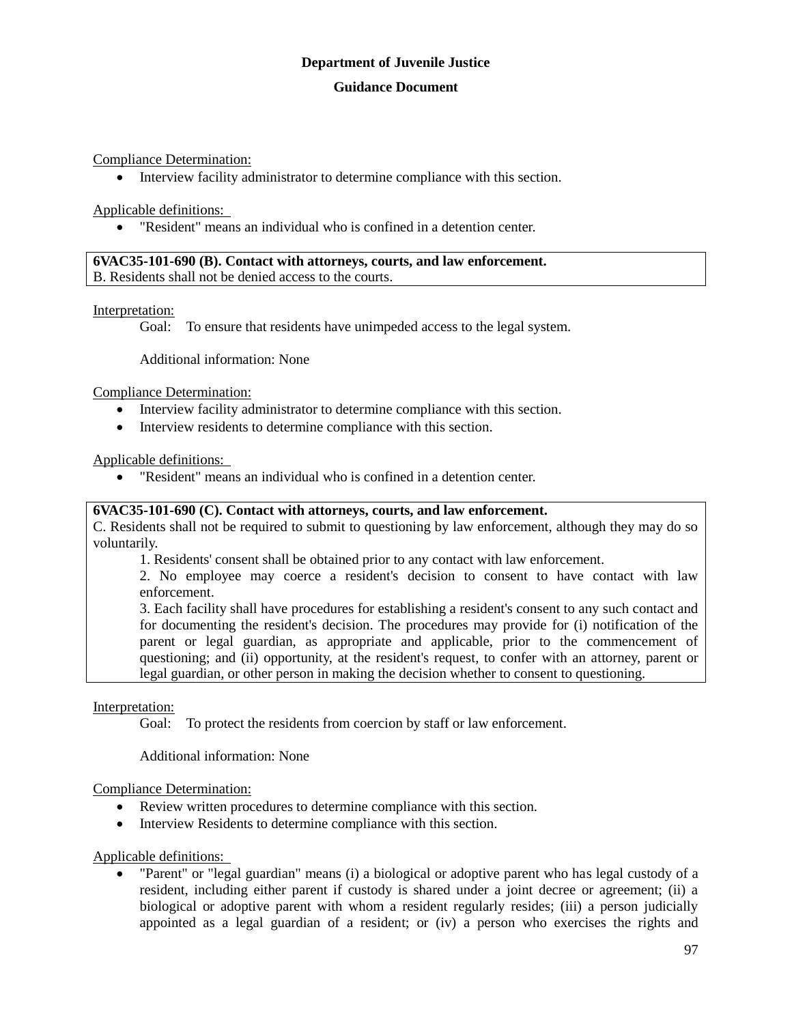## **Guidance Document**

Compliance Determination:

Interview facility administrator to determine compliance with this section.

Applicable definitions:

"Resident" means an individual who is confined in a detention center.

**6VAC35-101-690 (B). Contact with attorneys, courts, and law enforcement.** B. Residents shall not be denied access to the courts.

Interpretation:

Goal: To ensure that residents have unimpeded access to the legal system.

Additional information: None

Compliance Determination:

- Interview facility administrator to determine compliance with this section.
- Interview residents to determine compliance with this section.

Applicable definitions:

"Resident" means an individual who is confined in a detention center.

## **6VAC35-101-690 (C). Contact with attorneys, courts, and law enforcement.**

C. Residents shall not be required to submit to questioning by law enforcement, although they may do so voluntarily.

1. Residents' consent shall be obtained prior to any contact with law enforcement.

2. No employee may coerce a resident's decision to consent to have contact with law enforcement.

3. Each facility shall have procedures for establishing a resident's consent to any such contact and for documenting the resident's decision. The procedures may provide for (i) notification of the parent or legal guardian, as appropriate and applicable, prior to the commencement of questioning; and (ii) opportunity, at the resident's request, to confer with an attorney, parent or legal guardian, or other person in making the decision whether to consent to questioning.

Interpretation:

Goal: To protect the residents from coercion by staff or law enforcement.

Additional information: None

Compliance Determination:

- Review written procedures to determine compliance with this section.
- Interview Residents to determine compliance with this section.

Applicable definitions:

 "Parent" or "legal guardian" means (i) a biological or adoptive parent who has legal custody of a resident, including either parent if custody is shared under a joint decree or agreement; (ii) a biological or adoptive parent with whom a resident regularly resides; (iii) a person judicially appointed as a legal guardian of a resident; or (iv) a person who exercises the rights and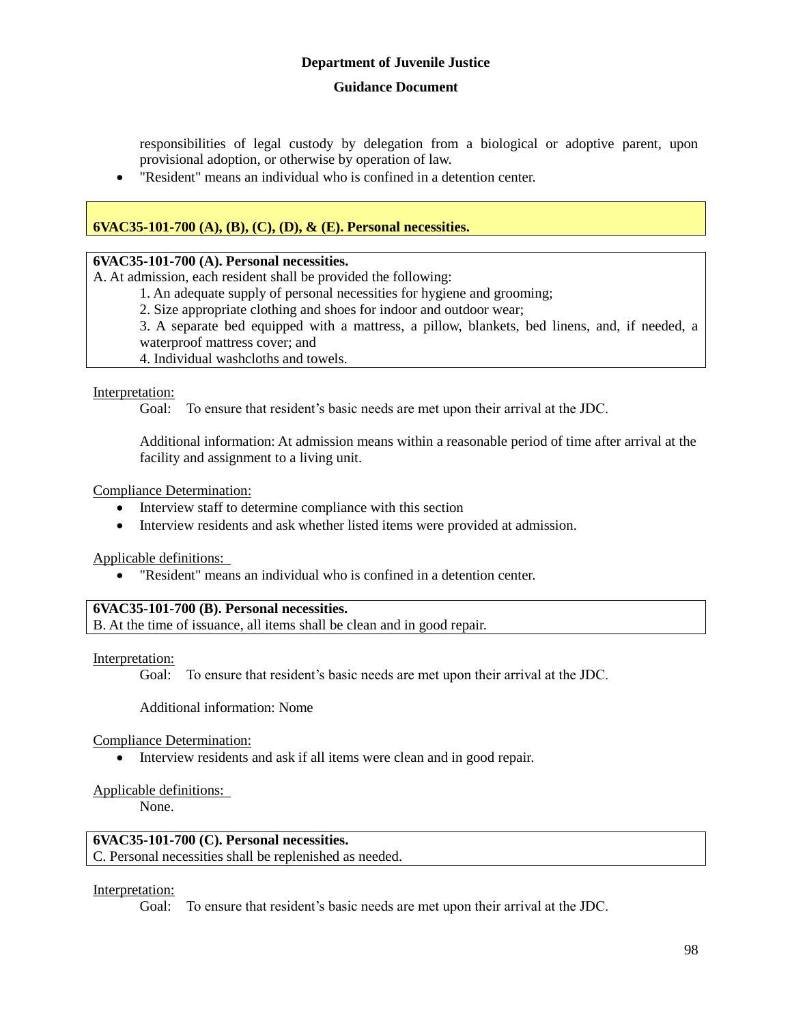## **Guidance Document**

responsibilities of legal custody by delegation from a biological or adoptive parent, upon provisional adoption, or otherwise by operation of law.

"Resident" means an individual who is confined in a detention center.

## **6VAC35-101-700 (A), (B), (C), (D), & (E). Personal necessities.**

#### **6VAC35-101-700 (A). Personal necessities.**

A. At admission, each resident shall be provided the following:

1. An adequate supply of personal necessities for hygiene and grooming;

2. Size appropriate clothing and shoes for indoor and outdoor wear;

3. A separate bed equipped with a mattress, a pillow, blankets, bed linens, and, if needed, a waterproof mattress cover; and

4. Individual washcloths and towels.

#### Interpretation:

Goal: To ensure that resident's basic needs are met upon their arrival at the JDC.

Additional information: At admission means within a reasonable period of time after arrival at the facility and assignment to a living unit.

Compliance Determination:

- Interview staff to determine compliance with this section
- Interview residents and ask whether listed items were provided at admission.

Applicable definitions:

"Resident" means an individual who is confined in a detention center.

#### **6VAC35-101-700 (B). Personal necessities.**

B. At the time of issuance, all items shall be clean and in good repair.

Interpretation:

Goal: To ensure that resident's basic needs are met upon their arrival at the JDC.

Additional information: Nome

Compliance Determination:

• Interview residents and ask if all items were clean and in good repair.

## Applicable definitions:

None.

## **6VAC35-101-700 (C). Personal necessities.**

C. Personal necessities shall be replenished as needed.

## Interpretation:

Goal: To ensure that resident's basic needs are met upon their arrival at the JDC.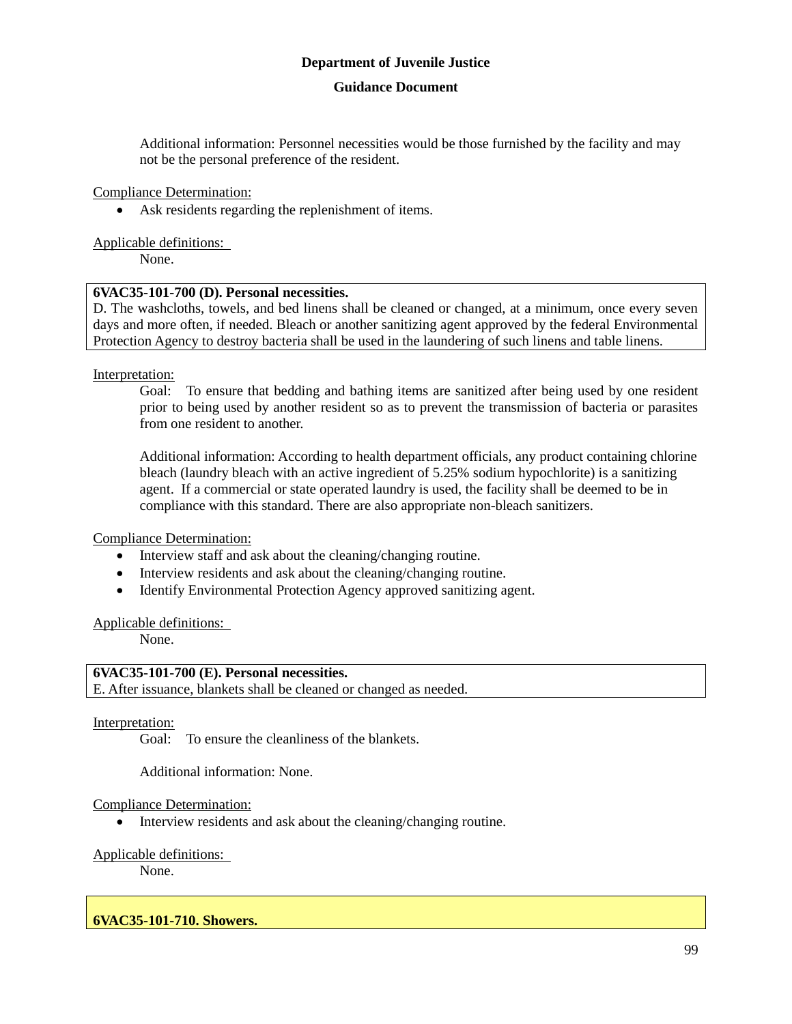#### **Guidance Document**

Additional information: Personnel necessities would be those furnished by the facility and may not be the personal preference of the resident.

Compliance Determination:

Ask residents regarding the replenishment of items.

Applicable definitions:

None.

## **6VAC35-101-700 (D). Personal necessities.**

D. The washcloths, towels, and bed linens shall be cleaned or changed, at a minimum, once every seven days and more often, if needed. Bleach or another sanitizing agent approved by the federal Environmental Protection Agency to destroy bacteria shall be used in the laundering of such linens and table linens.

Interpretation:

Goal: To ensure that bedding and bathing items are sanitized after being used by one resident prior to being used by another resident so as to prevent the transmission of bacteria or parasites from one resident to another.

Additional information: According to health department officials, any product containing chlorine bleach (laundry bleach with an active ingredient of 5.25% sodium hypochlorite) is a sanitizing agent. If a commercial or state operated laundry is used, the facility shall be deemed to be in compliance with this standard. There are also appropriate non-bleach sanitizers.

Compliance Determination:

- Interview staff and ask about the cleaning/changing routine.
- Interview residents and ask about the cleaning/changing routine.
- Identify Environmental Protection Agency approved sanitizing agent.

Applicable definitions:

None.

## **6VAC35-101-700 (E). Personal necessities.**

E. After issuance, blankets shall be cleaned or changed as needed.

Interpretation:

Goal: To ensure the cleanliness of the blankets.

Additional information: None.

#### Compliance Determination:

• Interview residents and ask about the cleaning/changing routine.

## Applicable definitions:

None.

## **6VAC35-101-710. Showers.**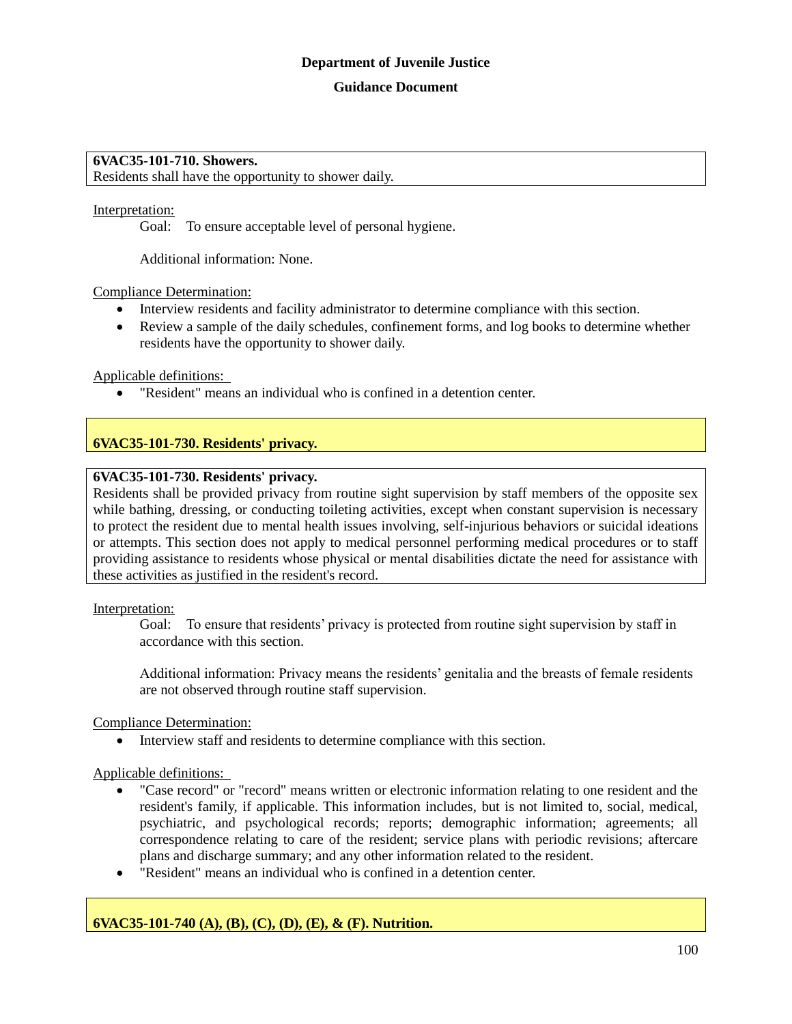## **Guidance Document**

#### **6VAC35-101-710. Showers.**

Residents shall have the opportunity to shower daily.

#### Interpretation:

Goal: To ensure acceptable level of personal hygiene.

Additional information: None.

Compliance Determination:

- Interview residents and facility administrator to determine compliance with this section.
- Review a sample of the daily schedules, confinement forms, and log books to determine whether residents have the opportunity to shower daily.

Applicable definitions:

"Resident" means an individual who is confined in a detention center.

## **6VAC35-101-730. Residents' privacy.**

## **6VAC35-101-730. Residents' privacy.**

Residents shall be provided privacy from routine sight supervision by staff members of the opposite sex while bathing, dressing, or conducting toileting activities, except when constant supervision is necessary to protect the resident due to mental health issues involving, self-injurious behaviors or suicidal ideations or attempts. This section does not apply to medical personnel performing medical procedures or to staff providing assistance to residents whose physical or mental disabilities dictate the need for assistance with these activities as justified in the resident's record.

#### Interpretation:

Goal: To ensure that residents' privacy is protected from routine sight supervision by staff in accordance with this section.

Additional information: Privacy means the residents' genitalia and the breasts of female residents are not observed through routine staff supervision.

Compliance Determination:

Interview staff and residents to determine compliance with this section.

## Applicable definitions:

- "Case record" or "record" means written or electronic information relating to one resident and the resident's family, if applicable. This information includes, but is not limited to, social, medical, psychiatric, and psychological records; reports; demographic information; agreements; all correspondence relating to care of the resident; service plans with periodic revisions; aftercare plans and discharge summary; and any other information related to the resident.
- "Resident" means an individual who is confined in a detention center.

## **6VAC35-101-740 (A), (B), (C), (D), (E), & (F). Nutrition.**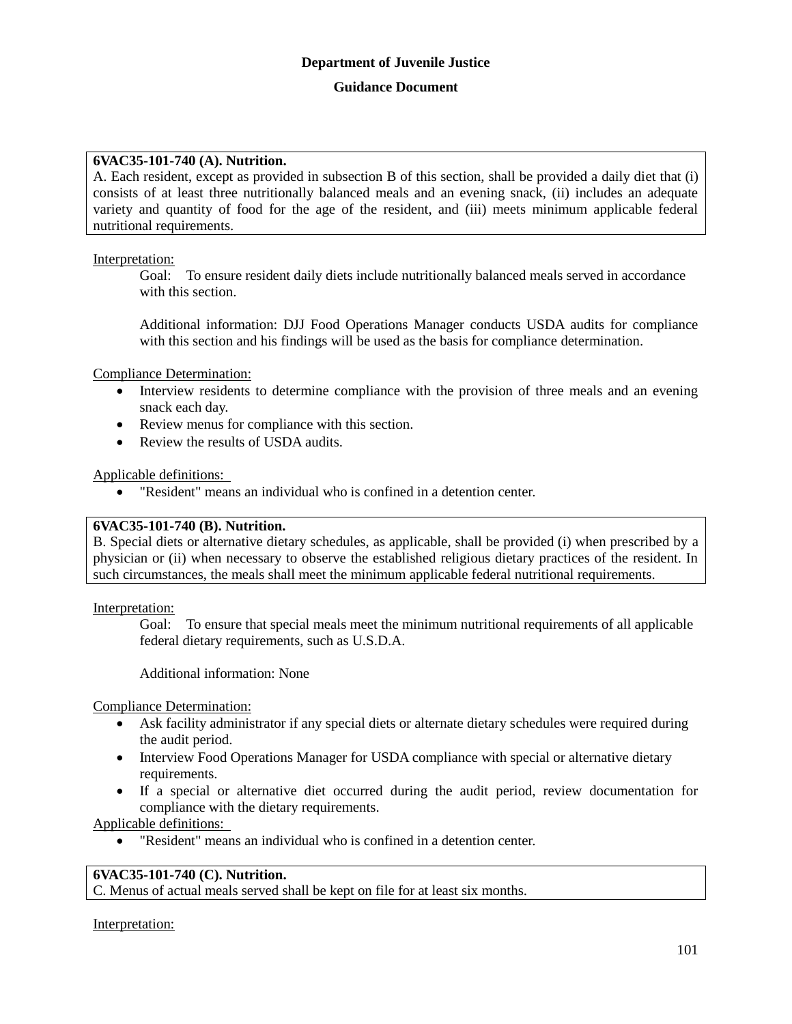## **6VAC35-101-740 (A). Nutrition.**

A. Each resident, except as provided in subsection B of this section, shall be provided a daily diet that (i) consists of at least three nutritionally balanced meals and an evening snack, (ii) includes an adequate variety and quantity of food for the age of the resident, and (iii) meets minimum applicable federal nutritional requirements.

## Interpretation:

Goal: To ensure resident daily diets include nutritionally balanced meals served in accordance with this section.

Additional information: DJJ Food Operations Manager conducts USDA audits for compliance with this section and his findings will be used as the basis for compliance determination.

Compliance Determination:

- Interview residents to determine compliance with the provision of three meals and an evening snack each day.
- Review menus for compliance with this section.
- Review the results of USDA audits.

## Applicable definitions:

"Resident" means an individual who is confined in a detention center.

## **6VAC35-101-740 (B). Nutrition.**

B. Special diets or alternative dietary schedules, as applicable, shall be provided (i) when prescribed by a physician or (ii) when necessary to observe the established religious dietary practices of the resident. In such circumstances, the meals shall meet the minimum applicable federal nutritional requirements.

Interpretation:

Goal: To ensure that special meals meet the minimum nutritional requirements of all applicable federal dietary requirements, such as U.S.D.A.

Additional information: None

Compliance Determination:

- Ask facility administrator if any special diets or alternate dietary schedules were required during the audit period.
- Interview Food Operations Manager for USDA compliance with special or alternative dietary requirements.
- If a special or alternative diet occurred during the audit period, review documentation for compliance with the dietary requirements.

Applicable definitions:

"Resident" means an individual who is confined in a detention center.

## **6VAC35-101-740 (C). Nutrition.**

C. Menus of actual meals served shall be kept on file for at least six months.

Interpretation: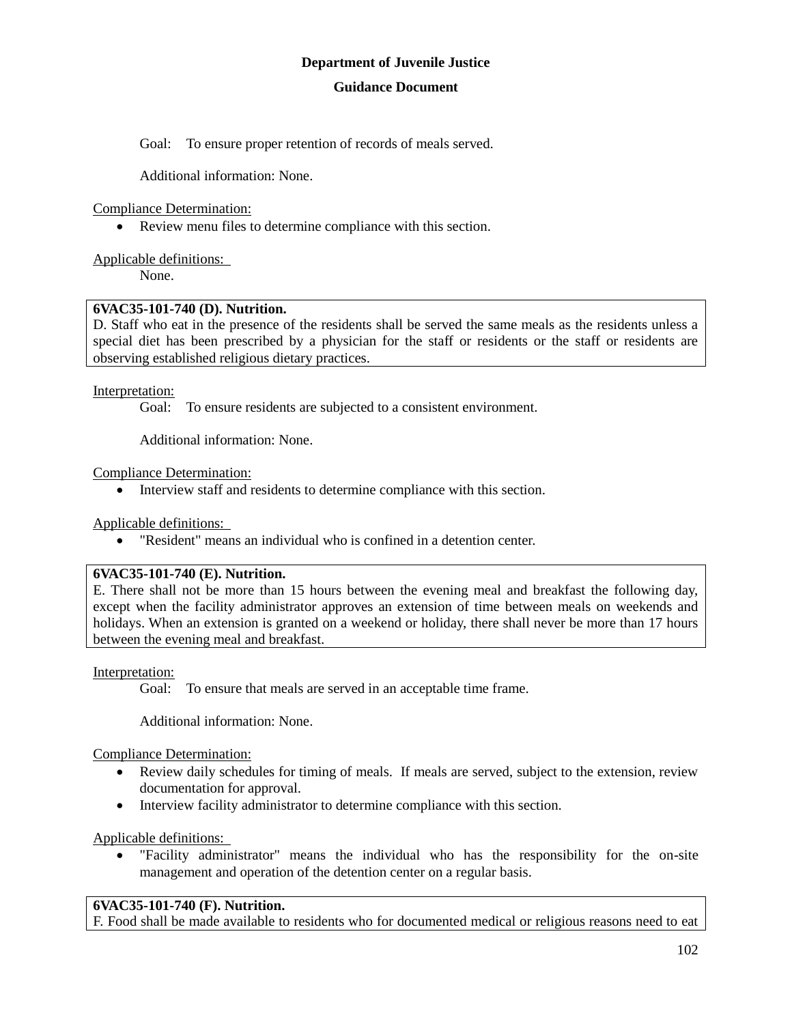Goal: To ensure proper retention of records of meals served.

Additional information: None.

Compliance Determination:

Review menu files to determine compliance with this section.

Applicable definitions:

None.

## **6VAC35-101-740 (D). Nutrition.**

D. Staff who eat in the presence of the residents shall be served the same meals as the residents unless a special diet has been prescribed by a physician for the staff or residents or the staff or residents are observing established religious dietary practices.

Interpretation:

Goal: To ensure residents are subjected to a consistent environment.

Additional information: None.

Compliance Determination:

Interview staff and residents to determine compliance with this section.

Applicable definitions:

"Resident" means an individual who is confined in a detention center.

## **6VAC35-101-740 (E). Nutrition.**

E. There shall not be more than 15 hours between the evening meal and breakfast the following day, except when the facility administrator approves an extension of time between meals on weekends and holidays. When an extension is granted on a weekend or holiday, there shall never be more than 17 hours between the evening meal and breakfast.

Interpretation:

Goal: To ensure that meals are served in an acceptable time frame.

Additional information: None.

Compliance Determination:

- Review daily schedules for timing of meals. If meals are served, subject to the extension, review documentation for approval.
- Interview facility administrator to determine compliance with this section.

Applicable definitions:

 "Facility administrator" means the individual who has the responsibility for the on-site management and operation of the detention center on a regular basis.

## **6VAC35-101-740 (F). Nutrition.**

F. Food shall be made available to residents who for documented medical or religious reasons need to eat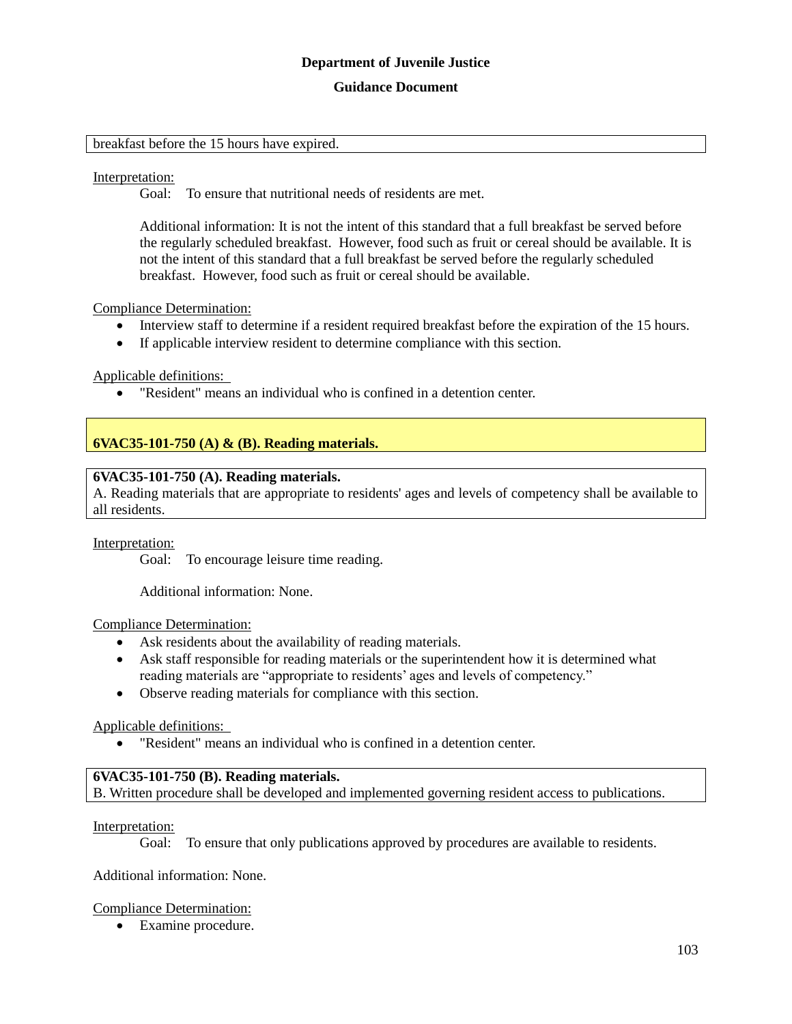#### **Guidance Document**

#### breakfast before the 15 hours have expired.

#### Interpretation:

Goal: To ensure that nutritional needs of residents are met.

Additional information: It is not the intent of this standard that a full breakfast be served before the regularly scheduled breakfast. However, food such as fruit or cereal should be available. It is not the intent of this standard that a full breakfast be served before the regularly scheduled breakfast. However, food such as fruit or cereal should be available.

#### Compliance Determination:

- Interview staff to determine if a resident required breakfast before the expiration of the 15 hours.
- If applicable interview resident to determine compliance with this section.

#### Applicable definitions:

"Resident" means an individual who is confined in a detention center.

## **6VAC35-101-750 (A) & (B). Reading materials.**

#### **6VAC35-101-750 (A). Reading materials.**

A. Reading materials that are appropriate to residents' ages and levels of competency shall be available to all residents.

#### Interpretation:

Goal: To encourage leisure time reading.

Additional information: None.

#### Compliance Determination:

- Ask residents about the availability of reading materials.
- Ask staff responsible for reading materials or the superintendent how it is determined what reading materials are "appropriate to residents' ages and levels of competency."
- Observe reading materials for compliance with this section.

#### Applicable definitions:

"Resident" means an individual who is confined in a detention center.

## **6VAC35-101-750 (B). Reading materials.**

B. Written procedure shall be developed and implemented governing resident access to publications.

Interpretation:

Goal: To ensure that only publications approved by procedures are available to residents.

Additional information: None.

## Compliance Determination:

Examine procedure.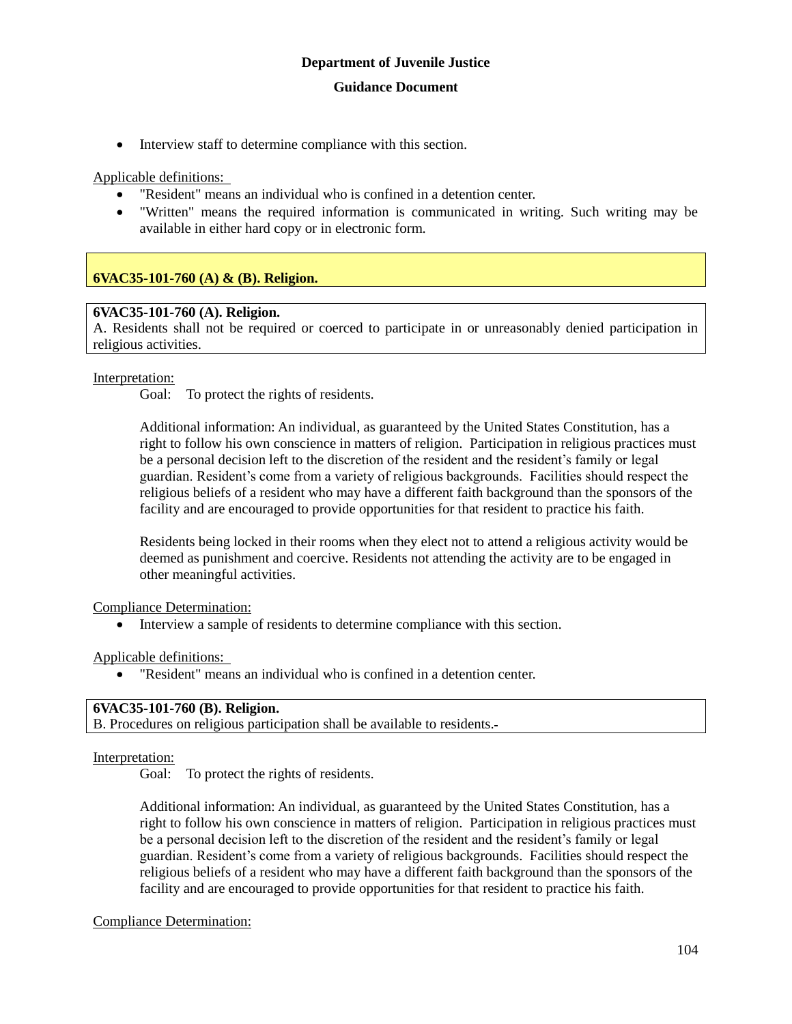• Interview staff to determine compliance with this section.

Applicable definitions:

- "Resident" means an individual who is confined in a detention center.
- "Written" means the required information is communicated in writing. Such writing may be available in either hard copy or in electronic form.

## **6VAC35-101-760 (A) & (B). Religion.**

## **6VAC35-101-760 (A). Religion.**

A. Residents shall not be required or coerced to participate in or unreasonably denied participation in religious activities.

## Interpretation:

Goal: To protect the rights of residents.

Additional information: An individual, as guaranteed by the United States Constitution, has a right to follow his own conscience in matters of religion. Participation in religious practices must be a personal decision left to the discretion of the resident and the resident's family or legal guardian. Resident's come from a variety of religious backgrounds. Facilities should respect the religious beliefs of a resident who may have a different faith background than the sponsors of the facility and are encouraged to provide opportunities for that resident to practice his faith.

Residents being locked in their rooms when they elect not to attend a religious activity would be deemed as punishment and coercive. Residents not attending the activity are to be engaged in other meaningful activities.

Compliance Determination:

Interview a sample of residents to determine compliance with this section.

Applicable definitions:

"Resident" means an individual who is confined in a detention center.

## **6VAC35-101-760 (B). Religion.**

B. Procedures on religious participation shall be available to residents.

## Interpretation:

Goal: To protect the rights of residents.

Additional information: An individual, as guaranteed by the United States Constitution, has a right to follow his own conscience in matters of religion. Participation in religious practices must be a personal decision left to the discretion of the resident and the resident's family or legal guardian. Resident's come from a variety of religious backgrounds. Facilities should respect the religious beliefs of a resident who may have a different faith background than the sponsors of the facility and are encouraged to provide opportunities for that resident to practice his faith.

Compliance Determination: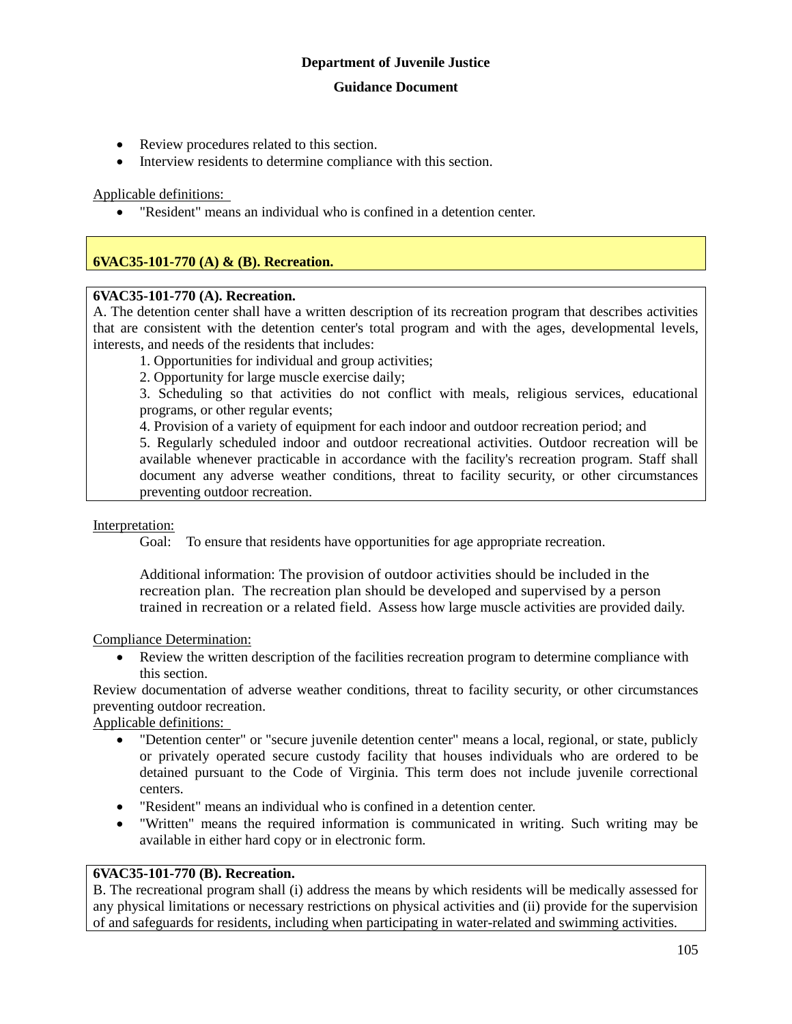#### **Guidance Document**

- Review procedures related to this section.
- Interview residents to determine compliance with this section.

## Applicable definitions:

"Resident" means an individual who is confined in a detention center.

## **6VAC35-101-770 (A) & (B). Recreation.**

## **6VAC35-101-770 (A). Recreation.**

A. The detention center shall have a written description of its recreation program that describes activities that are consistent with the detention center's total program and with the ages, developmental levels, interests, and needs of the residents that includes:

1. Opportunities for individual and group activities;

2. Opportunity for large muscle exercise daily;

3. Scheduling so that activities do not conflict with meals, religious services, educational programs, or other regular events;

4. Provision of a variety of equipment for each indoor and outdoor recreation period; and

5. Regularly scheduled indoor and outdoor recreational activities. Outdoor recreation will be available whenever practicable in accordance with the facility's recreation program. Staff shall document any adverse weather conditions, threat to facility security, or other circumstances preventing outdoor recreation.

Interpretation:

Goal: To ensure that residents have opportunities for age appropriate recreation.

Additional information: The provision of outdoor activities should be included in the recreation plan. The recreation plan should be developed and supervised by a person trained in recreation or a related field. Assess how large muscle activities are provided daily.

Compliance Determination:

 Review the written description of the facilities recreation program to determine compliance with this section.

Review documentation of adverse weather conditions, threat to facility security, or other circumstances preventing outdoor recreation.

Applicable definitions:

- "Detention center" or "secure juvenile detention center" means a local, regional, or state, publicly or privately operated secure custody facility that houses individuals who are ordered to be detained pursuant to the Code of Virginia. This term does not include juvenile correctional centers.
- "Resident" means an individual who is confined in a detention center.
- "Written" means the required information is communicated in writing. Such writing may be available in either hard copy or in electronic form.

## **6VAC35-101-770 (B). Recreation.**

B. The recreational program shall (i) address the means by which residents will be medically assessed for any physical limitations or necessary restrictions on physical activities and (ii) provide for the supervision of and safeguards for residents, including when participating in water-related and swimming activities.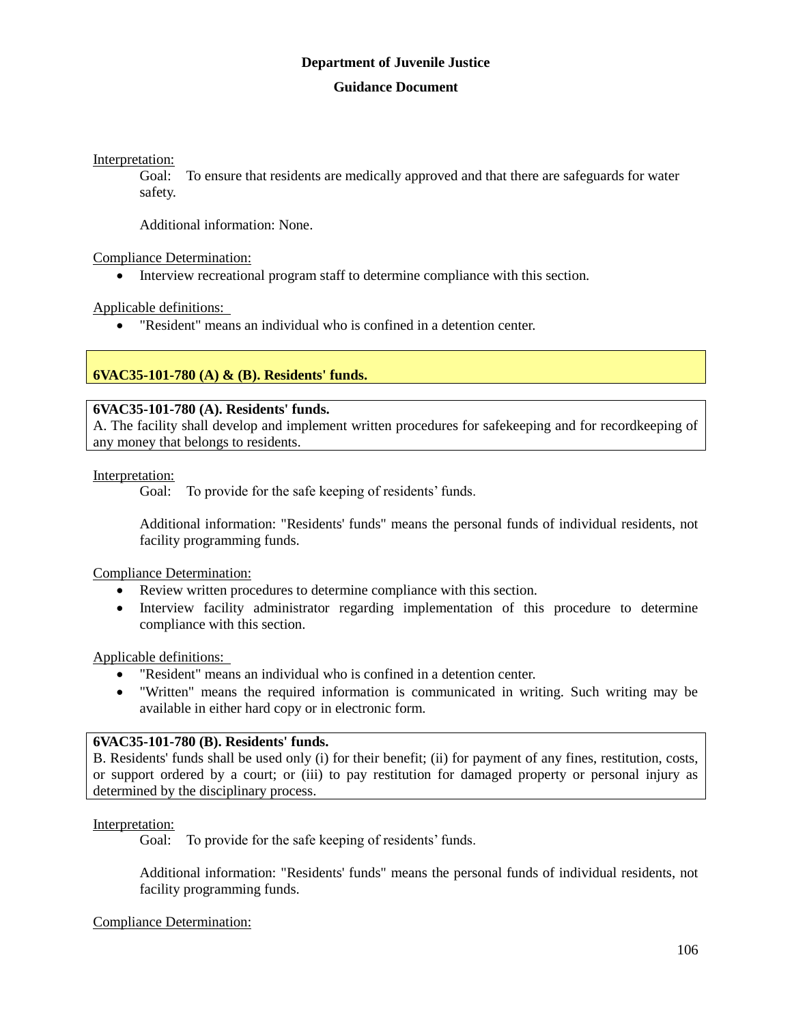Interpretation:

Goal: To ensure that residents are medically approved and that there are safeguards for water safety.

Additional information: None.

Compliance Determination:

Interview recreational program staff to determine compliance with this section.

Applicable definitions:

"Resident" means an individual who is confined in a detention center.

## **6VAC35-101-780 (A) & (B). Residents' funds.**

## **6VAC35-101-780 (A). Residents' funds.**

A. The facility shall develop and implement written procedures for safekeeping and for recordkeeping of any money that belongs to residents.

Interpretation:

Goal: To provide for the safe keeping of residents' funds.

Additional information: "Residents' funds" means the personal funds of individual residents, not facility programming funds.

Compliance Determination:

- Review written procedures to determine compliance with this section.
- Interview facility administrator regarding implementation of this procedure to determine compliance with this section.

Applicable definitions:

- "Resident" means an individual who is confined in a detention center.
- "Written" means the required information is communicated in writing. Such writing may be available in either hard copy or in electronic form.

## **6VAC35-101-780 (B). Residents' funds.**

B. Residents' funds shall be used only (i) for their benefit; (ii) for payment of any fines, restitution, costs, or support ordered by a court; or (iii) to pay restitution for damaged property or personal injury as determined by the disciplinary process.

Interpretation:

Goal: To provide for the safe keeping of residents' funds.

Additional information: "Residents' funds" means the personal funds of individual residents, not facility programming funds.

Compliance Determination: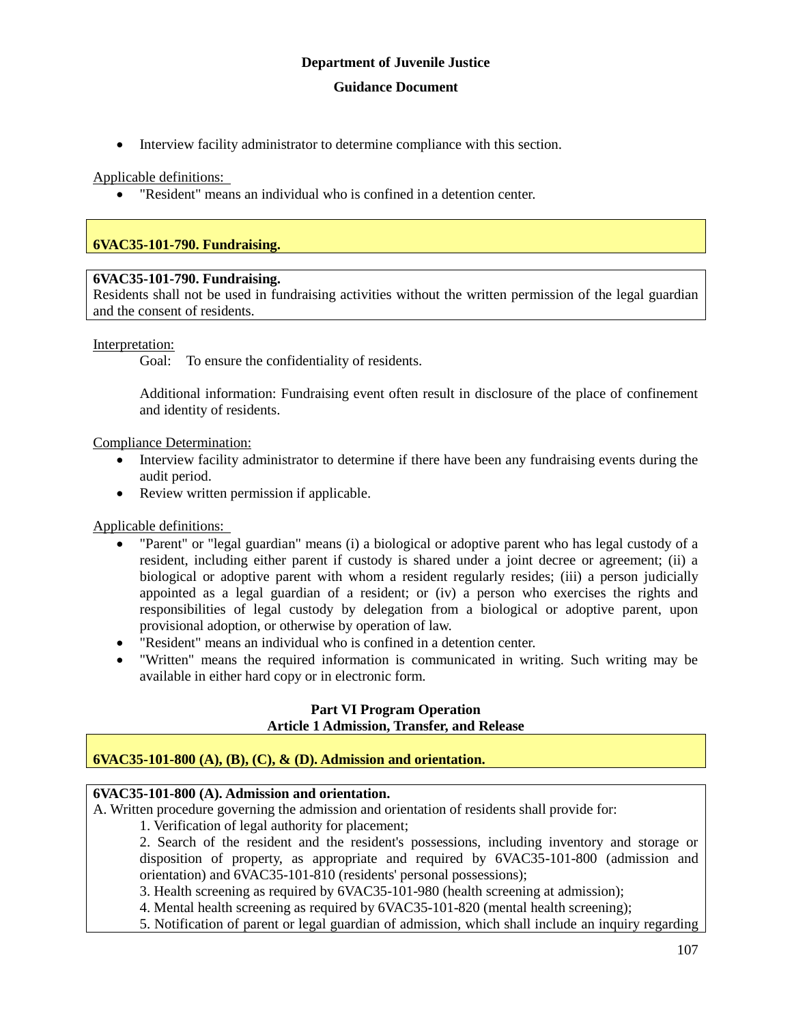Interview facility administrator to determine compliance with this section.

Applicable definitions:

"Resident" means an individual who is confined in a detention center.

## **6VAC35-101-790. Fundraising.**

#### **6VAC35-101-790. Fundraising.**

Residents shall not be used in fundraising activities without the written permission of the legal guardian and the consent of residents.

Interpretation:

Goal: To ensure the confidentiality of residents.

Additional information: Fundraising event often result in disclosure of the place of confinement and identity of residents.

Compliance Determination:

- Interview facility administrator to determine if there have been any fundraising events during the audit period.
- Review written permission if applicable.

Applicable definitions:

- "Parent" or "legal guardian" means (i) a biological or adoptive parent who has legal custody of a resident, including either parent if custody is shared under a joint decree or agreement; (ii) a biological or adoptive parent with whom a resident regularly resides; (iii) a person judicially appointed as a legal guardian of a resident; or (iv) a person who exercises the rights and responsibilities of legal custody by delegation from a biological or adoptive parent, upon provisional adoption, or otherwise by operation of law.
- "Resident" means an individual who is confined in a detention center.
- "Written" means the required information is communicated in writing. Such writing may be available in either hard copy or in electronic form.

#### **Part VI Program Operation Article 1 Admission, Transfer, and Release**

## **6VAC35-101-800 (A), (B), (C), & (D). Admission and orientation.**

## **6VAC35-101-800 (A). Admission and orientation.**

A. Written procedure governing the admission and orientation of residents shall provide for:

1. Verification of legal authority for placement;

2. Search of the resident and the resident's possessions, including inventory and storage or disposition of property, as appropriate and required by 6VAC35-101-800 (admission and orientation) and 6VAC35-101-810 (residents' personal possessions);

3. Health screening as required by 6VAC35-101-980 (health screening at admission);

4. Mental health screening as required by 6VAC35-101-820 (mental health screening);

5. Notification of parent or legal guardian of admission, which shall include an inquiry regarding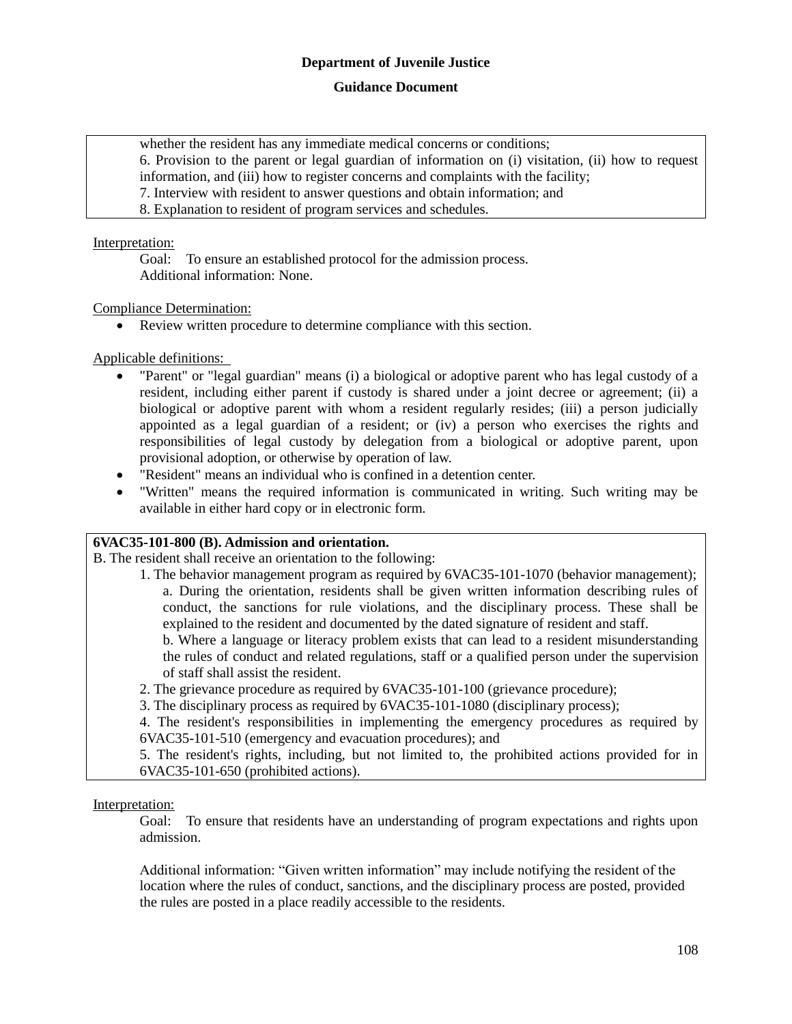## **Guidance Document**

whether the resident has any immediate medical concerns or conditions;

6. Provision to the parent or legal guardian of information on (i) visitation, (ii) how to request information, and (iii) how to register concerns and complaints with the facility;

- 7. Interview with resident to answer questions and obtain information; and
- 8. Explanation to resident of program services and schedules.

## Interpretation:

Goal: To ensure an established protocol for the admission process. Additional information: None.

## Compliance Determination:

Review written procedure to determine compliance with this section.

Applicable definitions:

- "Parent" or "legal guardian" means (i) a biological or adoptive parent who has legal custody of a resident, including either parent if custody is shared under a joint decree or agreement; (ii) a biological or adoptive parent with whom a resident regularly resides; (iii) a person judicially appointed as a legal guardian of a resident; or (iv) a person who exercises the rights and responsibilities of legal custody by delegation from a biological or adoptive parent, upon provisional adoption, or otherwise by operation of law.
- "Resident" means an individual who is confined in a detention center.
- "Written" means the required information is communicated in writing. Such writing may be available in either hard copy or in electronic form.

## **6VAC35-101-800 (B). Admission and orientation.**

B. The resident shall receive an orientation to the following:

1. The behavior management program as required by 6VAC35-101-1070 (behavior management); a. During the orientation, residents shall be given written information describing rules of conduct, the sanctions for rule violations, and the disciplinary process. These shall be explained to the resident and documented by the dated signature of resident and staff.

b. Where a language or literacy problem exists that can lead to a resident misunderstanding the rules of conduct and related regulations, staff or a qualified person under the supervision of staff shall assist the resident.

2. The grievance procedure as required by 6VAC35-101-100 (grievance procedure);

3. The disciplinary process as required by 6VAC35-101-1080 (disciplinary process);

4. The resident's responsibilities in implementing the emergency procedures as required by 6VAC35-101-510 (emergency and evacuation procedures); and

5. The resident's rights, including, but not limited to, the prohibited actions provided for in 6VAC35-101-650 (prohibited actions).

Interpretation:

Goal: To ensure that residents have an understanding of program expectations and rights upon admission.

Additional information: "Given written information" may include notifying the resident of the location where the rules of conduct, sanctions, and the disciplinary process are posted, provided the rules are posted in a place readily accessible to the residents.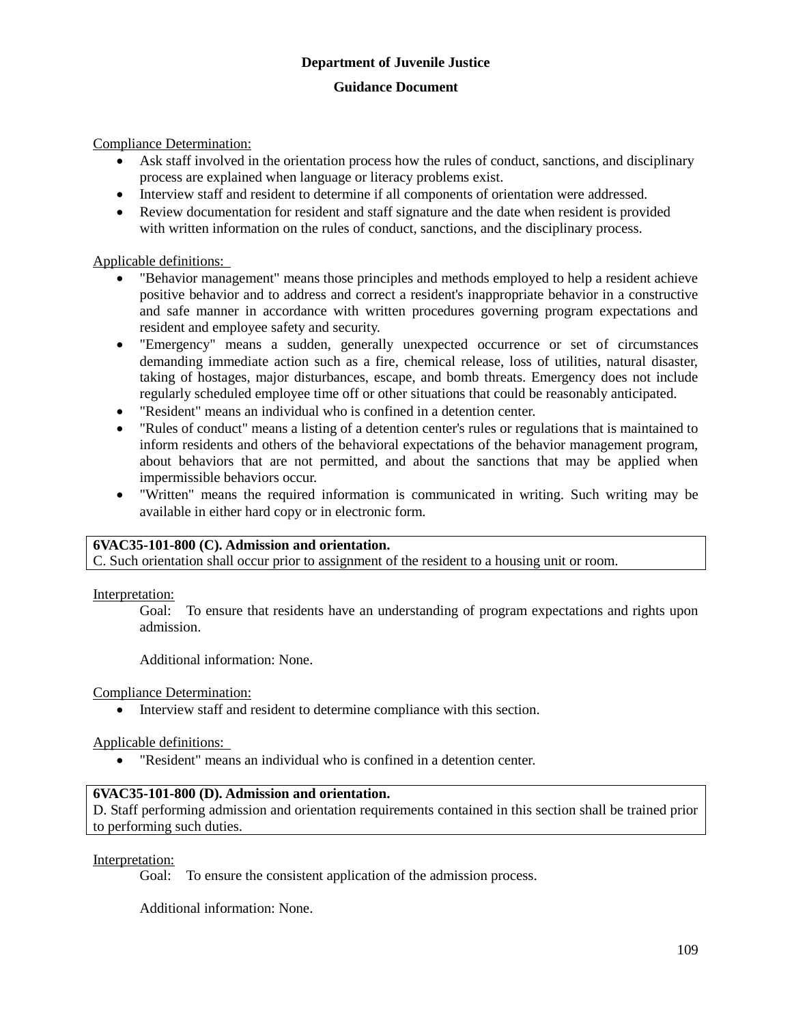Compliance Determination:

- Ask staff involved in the orientation process how the rules of conduct, sanctions, and disciplinary process are explained when language or literacy problems exist.
- Interview staff and resident to determine if all components of orientation were addressed.
- Review documentation for resident and staff signature and the date when resident is provided with written information on the rules of conduct, sanctions, and the disciplinary process.

#### Applicable definitions:

- "Behavior management" means those principles and methods employed to help a resident achieve positive behavior and to address and correct a resident's inappropriate behavior in a constructive and safe manner in accordance with written procedures governing program expectations and resident and employee safety and security.
- "Emergency" means a sudden, generally unexpected occurrence or set of circumstances demanding immediate action such as a fire, chemical release, loss of utilities, natural disaster, taking of hostages, major disturbances, escape, and bomb threats. Emergency does not include regularly scheduled employee time off or other situations that could be reasonably anticipated.
- "Resident" means an individual who is confined in a detention center.
- "Rules of conduct" means a listing of a detention center's rules or regulations that is maintained to inform residents and others of the behavioral expectations of the behavior management program, about behaviors that are not permitted, and about the sanctions that may be applied when impermissible behaviors occur.
- "Written" means the required information is communicated in writing. Such writing may be available in either hard copy or in electronic form.

#### **6VAC35-101-800 (C). Admission and orientation.**

C. Such orientation shall occur prior to assignment of the resident to a housing unit or room.

Interpretation:

Goal: To ensure that residents have an understanding of program expectations and rights upon admission.

Additional information: None.

Compliance Determination:

Interview staff and resident to determine compliance with this section.

Applicable definitions:

"Resident" means an individual who is confined in a detention center.

#### **6VAC35-101-800 (D). Admission and orientation.**

D. Staff performing admission and orientation requirements contained in this section shall be trained prior to performing such duties.

#### Interpretation:

Goal: To ensure the consistent application of the admission process.

Additional information: None.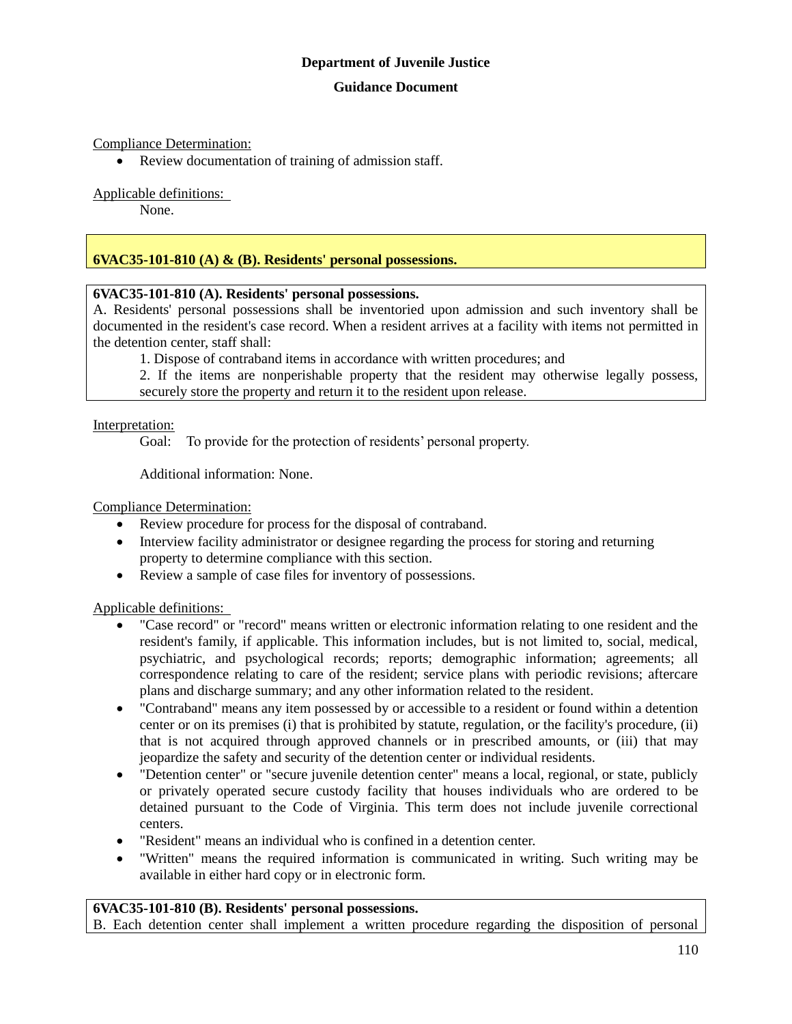#### **Guidance Document**

#### Compliance Determination:

• Review documentation of training of admission staff.

#### Applicable definitions:

None.

## **6VAC35-101-810 (A) & (B). Residents' personal possessions.**

#### **6VAC35-101-810 (A). Residents' personal possessions.**

A. Residents' personal possessions shall be inventoried upon admission and such inventory shall be documented in the resident's case record. When a resident arrives at a facility with items not permitted in the detention center, staff shall:

1. Dispose of contraband items in accordance with written procedures; and

2. If the items are nonperishable property that the resident may otherwise legally possess, securely store the property and return it to the resident upon release.

Interpretation:

Goal: To provide for the protection of residents' personal property.

Additional information: None.

#### Compliance Determination:

- Review procedure for process for the disposal of contraband.
- Interview facility administrator or designee regarding the process for storing and returning property to determine compliance with this section.
- Review a sample of case files for inventory of possessions.

#### Applicable definitions:

- "Case record" or "record" means written or electronic information relating to one resident and the resident's family, if applicable. This information includes, but is not limited to, social, medical, psychiatric, and psychological records; reports; demographic information; agreements; all correspondence relating to care of the resident; service plans with periodic revisions; aftercare plans and discharge summary; and any other information related to the resident.
- "Contraband" means any item possessed by or accessible to a resident or found within a detention center or on its premises (i) that is prohibited by statute, regulation, or the facility's procedure, (ii) that is not acquired through approved channels or in prescribed amounts, or (iii) that may jeopardize the safety and security of the detention center or individual residents.
- "Detention center" or "secure juvenile detention center" means a local, regional, or state, publicly or privately operated secure custody facility that houses individuals who are ordered to be detained pursuant to the Code of Virginia. This term does not include juvenile correctional centers.
- "Resident" means an individual who is confined in a detention center.
- "Written" means the required information is communicated in writing. Such writing may be available in either hard copy or in electronic form.

#### **6VAC35-101-810 (B). Residents' personal possessions.**

B. Each detention center shall implement a written procedure regarding the disposition of personal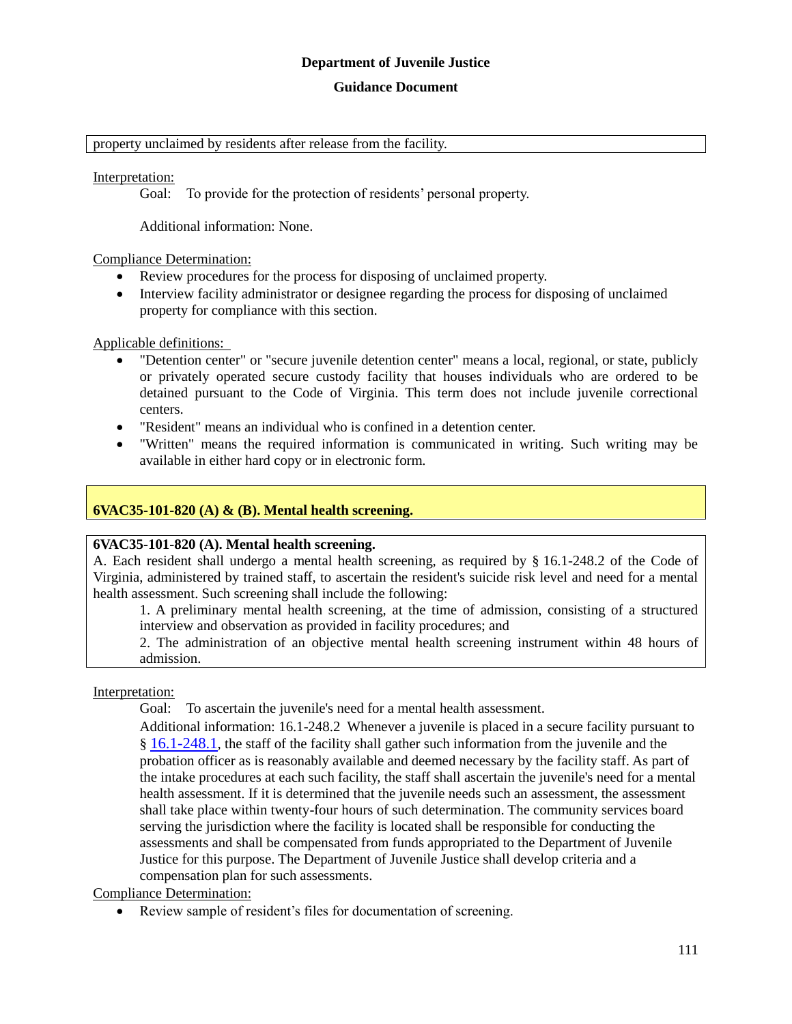#### **Guidance Document**

#### property unclaimed by residents after release from the facility.

Interpretation:

Goal: To provide for the protection of residents' personal property.

Additional information: None.

Compliance Determination:

- Review procedures for the process for disposing of unclaimed property.
- Interview facility administrator or designee regarding the process for disposing of unclaimed property for compliance with this section.

Applicable definitions:

- "Detention center" or "secure juvenile detention center" means a local, regional, or state, publicly or privately operated secure custody facility that houses individuals who are ordered to be detained pursuant to the Code of Virginia. This term does not include juvenile correctional centers.
- "Resident" means an individual who is confined in a detention center.
- "Written" means the required information is communicated in writing. Such writing may be available in either hard copy or in electronic form.

## **6VAC35-101-820 (A) & (B). Mental health screening.**

#### **6VAC35-101-820 (A). Mental health screening.**

A. Each resident shall undergo a mental health screening, as required by § 16.1-248.2 of the Code of Virginia, administered by trained staff, to ascertain the resident's suicide risk level and need for a mental health assessment. Such screening shall include the following:

1. A preliminary mental health screening, at the time of admission, consisting of a structured interview and observation as provided in facility procedures; and

2. The administration of an objective mental health screening instrument within 48 hours of admission.

Interpretation:

Goal: To ascertain the juvenile's need for a mental health assessment.

Additional information: 16.1-248.2 Whenever a juvenile is placed in a secure facility pursuant to § [16.1-248.1](http://leg1.state.va.us/cgi-bin/legp504.exe?000+cod+16.1-248.1), the staff of the facility shall gather such information from the juvenile and the probation officer as is reasonably available and deemed necessary by the facility staff. As part of the intake procedures at each such facility, the staff shall ascertain the juvenile's need for a mental health assessment. If it is determined that the juvenile needs such an assessment, the assessment shall take place within twenty-four hours of such determination. The community services board serving the jurisdiction where the facility is located shall be responsible for conducting the assessments and shall be compensated from funds appropriated to the Department of Juvenile Justice for this purpose. The Department of Juvenile Justice shall develop criteria and a compensation plan for such assessments.

Compliance Determination:

Review sample of resident's files for documentation of screening.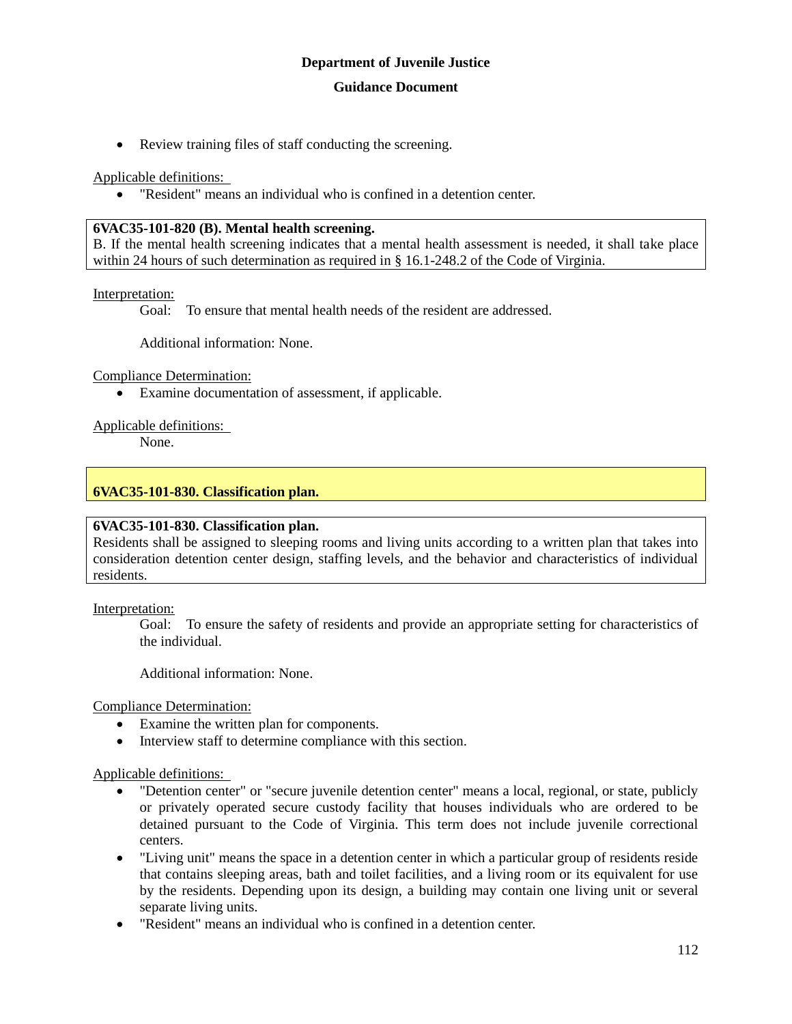Review training files of staff conducting the screening.

Applicable definitions:

"Resident" means an individual who is confined in a detention center.

#### **6VAC35-101-820 (B). Mental health screening.**

B. If the mental health screening indicates that a mental health assessment is needed, it shall take place within 24 hours of such determination as required in § 16.1-248.2 of the Code of Virginia.

#### Interpretation:

Goal: To ensure that mental health needs of the resident are addressed.

Additional information: None.

#### Compliance Determination:

Examine documentation of assessment, if applicable.

#### Applicable definitions:

None.

## **6VAC35-101-830. Classification plan.**

#### **6VAC35-101-830. Classification plan.**

Residents shall be assigned to sleeping rooms and living units according to a written plan that takes into consideration detention center design, staffing levels, and the behavior and characteristics of individual residents.

#### Interpretation:

Goal: To ensure the safety of residents and provide an appropriate setting for characteristics of the individual.

Additional information: None.

Compliance Determination:

- Examine the written plan for components.
- Interview staff to determine compliance with this section.

#### Applicable definitions:

- "Detention center" or "secure juvenile detention center" means a local, regional, or state, publicly or privately operated secure custody facility that houses individuals who are ordered to be detained pursuant to the Code of Virginia. This term does not include juvenile correctional centers.
- "Living unit" means the space in a detention center in which a particular group of residents reside that contains sleeping areas, bath and toilet facilities, and a living room or its equivalent for use by the residents. Depending upon its design, a building may contain one living unit or several separate living units.
- "Resident" means an individual who is confined in a detention center.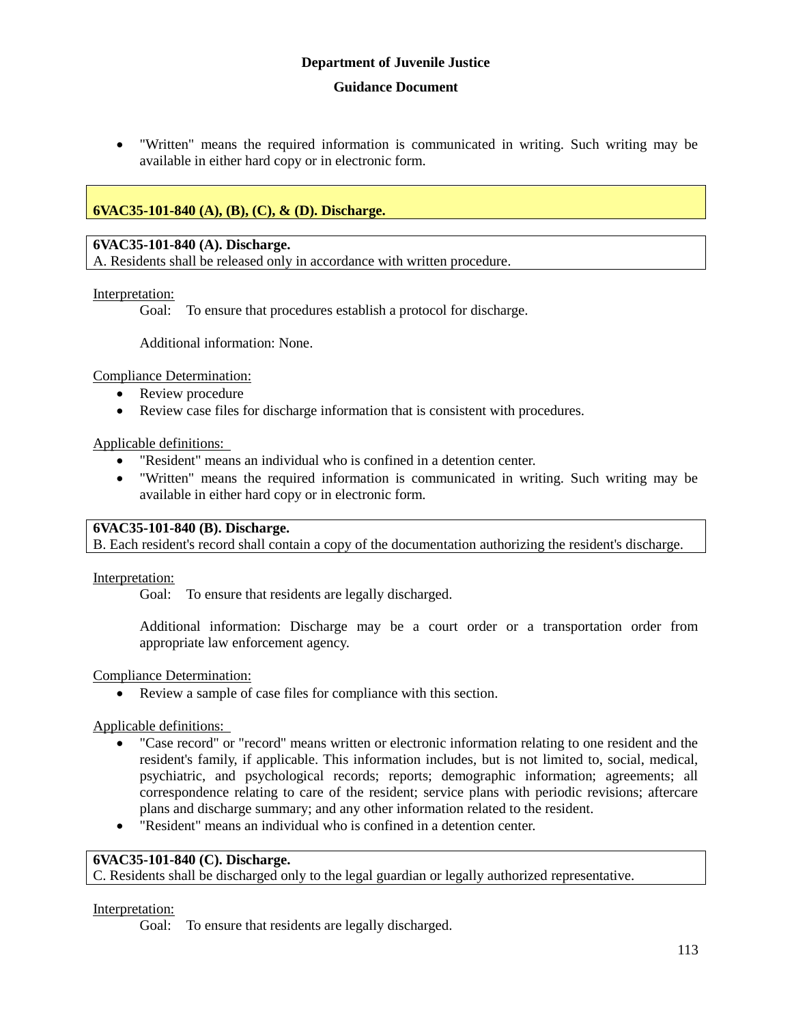"Written" means the required information is communicated in writing. Such writing may be available in either hard copy or in electronic form.

# **6VAC35-101-840 (A), (B), (C), & (D). Discharge.**

#### **6VAC35-101-840 (A). Discharge.**

A. Residents shall be released only in accordance with written procedure.

#### Interpretation:

Goal: To ensure that procedures establish a protocol for discharge.

Additional information: None.

Compliance Determination:

- Review procedure
- Review case files for discharge information that is consistent with procedures.

Applicable definitions:

- "Resident" means an individual who is confined in a detention center.
- "Written" means the required information is communicated in writing. Such writing may be available in either hard copy or in electronic form.

#### **6VAC35-101-840 (B). Discharge.**

B. Each resident's record shall contain a copy of the documentation authorizing the resident's discharge.

#### Interpretation:

Goal: To ensure that residents are legally discharged.

Additional information: Discharge may be a court order or a transportation order from appropriate law enforcement agency.

#### Compliance Determination:

Review a sample of case files for compliance with this section.

Applicable definitions:

- "Case record" or "record" means written or electronic information relating to one resident and the resident's family, if applicable. This information includes, but is not limited to, social, medical, psychiatric, and psychological records; reports; demographic information; agreements; all correspondence relating to care of the resident; service plans with periodic revisions; aftercare plans and discharge summary; and any other information related to the resident.
- "Resident" means an individual who is confined in a detention center.

## **6VAC35-101-840 (C). Discharge.**

C. Residents shall be discharged only to the legal guardian or legally authorized representative.

#### Interpretation:

Goal: To ensure that residents are legally discharged.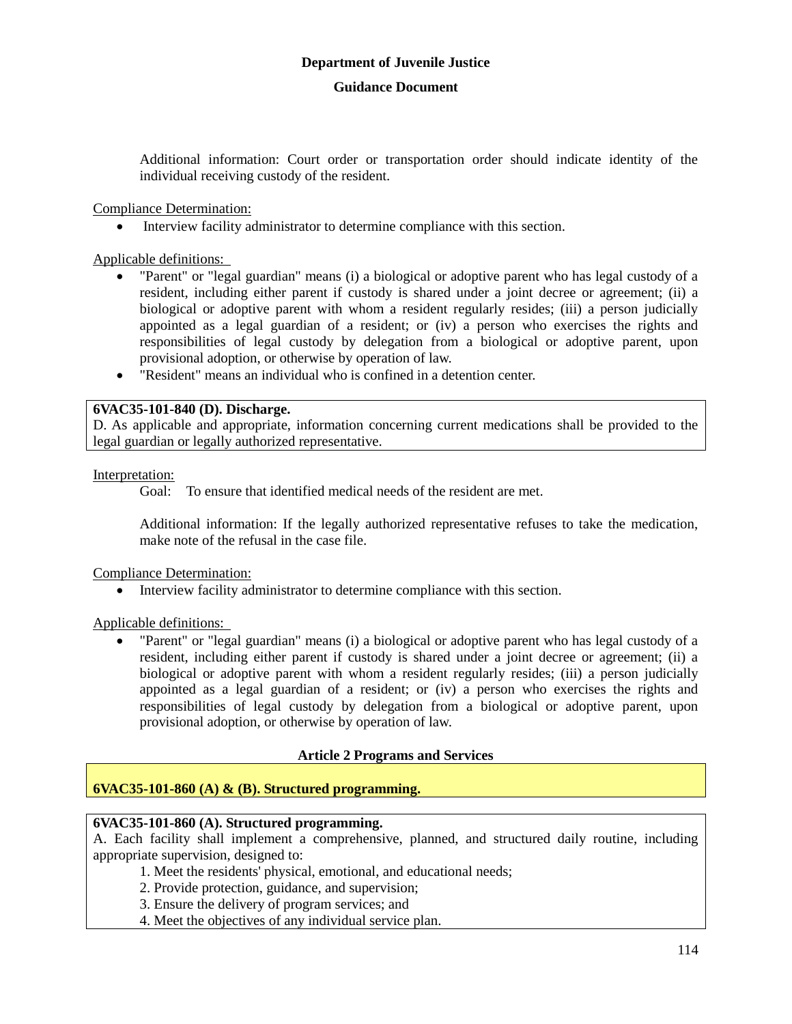Additional information: Court order or transportation order should indicate identity of the individual receiving custody of the resident.

#### Compliance Determination:

Interview facility administrator to determine compliance with this section.

Applicable definitions:

- "Parent" or "legal guardian" means (i) a biological or adoptive parent who has legal custody of a resident, including either parent if custody is shared under a joint decree or agreement; (ii) a biological or adoptive parent with whom a resident regularly resides; (iii) a person judicially appointed as a legal guardian of a resident; or (iv) a person who exercises the rights and responsibilities of legal custody by delegation from a biological or adoptive parent, upon provisional adoption, or otherwise by operation of law.
- "Resident" means an individual who is confined in a detention center.

#### **6VAC35-101-840 (D). Discharge.**

D. As applicable and appropriate, information concerning current medications shall be provided to the legal guardian or legally authorized representative.

#### Interpretation:

Goal: To ensure that identified medical needs of the resident are met.

Additional information: If the legally authorized representative refuses to take the medication, make note of the refusal in the case file.

#### Compliance Determination:

Interview facility administrator to determine compliance with this section.

Applicable definitions:

 "Parent" or "legal guardian" means (i) a biological or adoptive parent who has legal custody of a resident, including either parent if custody is shared under a joint decree or agreement; (ii) a biological or adoptive parent with whom a resident regularly resides; (iii) a person judicially appointed as a legal guardian of a resident; or (iv) a person who exercises the rights and responsibilities of legal custody by delegation from a biological or adoptive parent, upon provisional adoption, or otherwise by operation of law.

#### **Article 2 Programs and Services**

### **6VAC35-101-860 (A) & (B). Structured programming.**

#### **6VAC35-101-860 (A). Structured programming.**

A. Each facility shall implement a comprehensive, planned, and structured daily routine, including appropriate supervision, designed to:

- 1. Meet the residents' physical, emotional, and educational needs;
- 2. Provide protection, guidance, and supervision;
- 3. Ensure the delivery of program services; and
- 4. Meet the objectives of any individual service plan.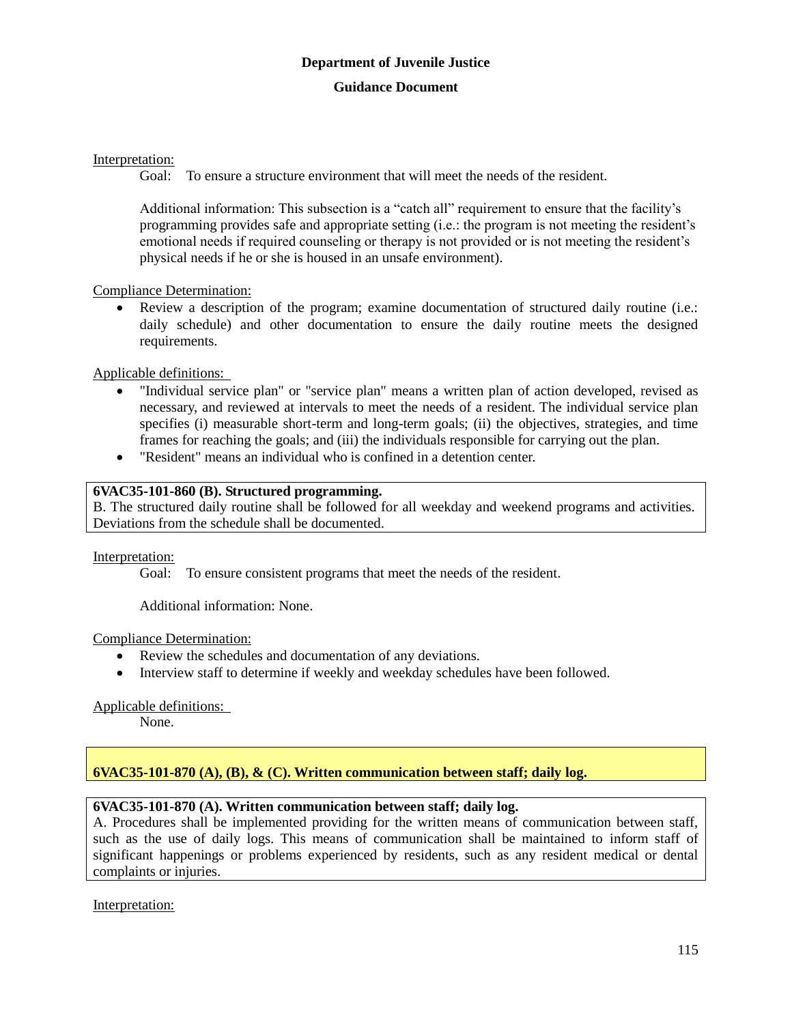#### Interpretation:

Goal: To ensure a structure environment that will meet the needs of the resident.

Additional information: This subsection is a "catch all" requirement to ensure that the facility's programming provides safe and appropriate setting (i.e.: the program is not meeting the resident's emotional needs if required counseling or therapy is not provided or is not meeting the resident's physical needs if he or she is housed in an unsafe environment).

## Compliance Determination:

 Review a description of the program; examine documentation of structured daily routine (i.e.: daily schedule) and other documentation to ensure the daily routine meets the designed requirements.

Applicable definitions:

- "Individual service plan" or "service plan" means a written plan of action developed, revised as necessary, and reviewed at intervals to meet the needs of a resident. The individual service plan specifies (i) measurable short-term and long-term goals; (ii) the objectives, strategies, and time frames for reaching the goals; and (iii) the individuals responsible for carrying out the plan.
- "Resident" means an individual who is confined in a detention center.

# **6VAC35-101-860 (B). Structured programming.**

B. The structured daily routine shall be followed for all weekday and weekend programs and activities. Deviations from the schedule shall be documented.

Interpretation:

Goal: To ensure consistent programs that meet the needs of the resident.

Additional information: None.

Compliance Determination:

- Review the schedules and documentation of any deviations.
- Interview staff to determine if weekly and weekday schedules have been followed.

#### Applicable definitions:

None.

# **6VAC35-101-870 (A), (B), & (C). Written communication between staff; daily log.**

# **6VAC35-101-870 (A). Written communication between staff; daily log.**

A. Procedures shall be implemented providing for the written means of communication between staff, such as the use of daily logs. This means of communication shall be maintained to inform staff of significant happenings or problems experienced by residents, such as any resident medical or dental complaints or injuries.

Interpretation: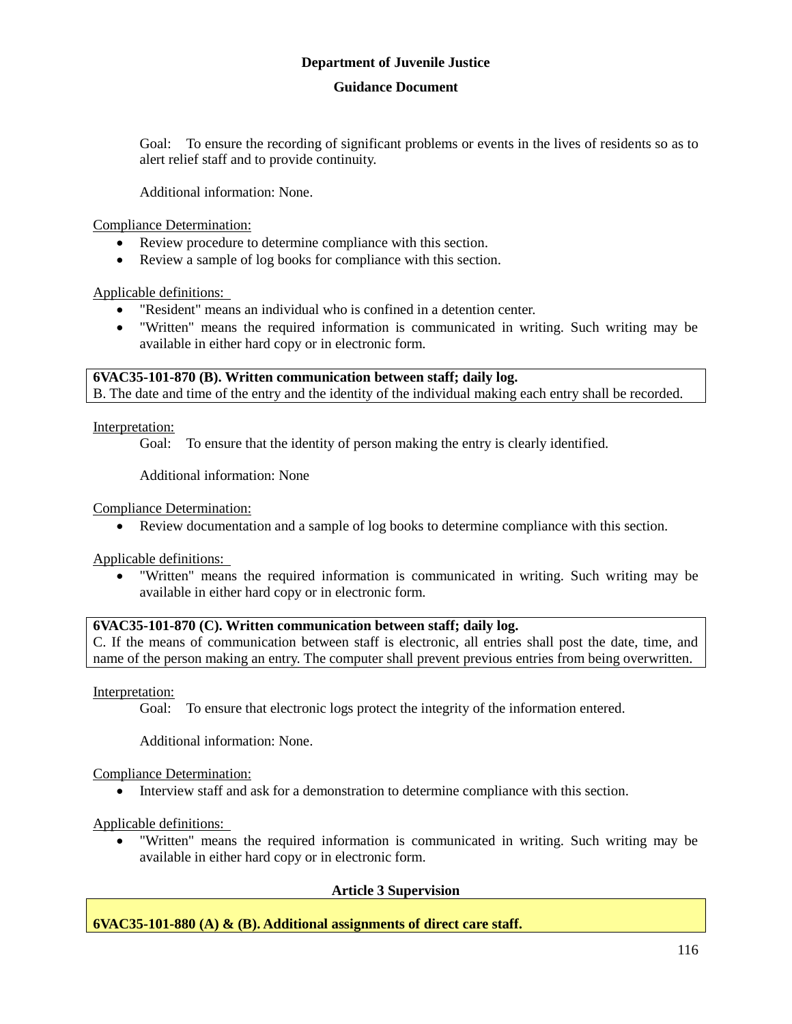#### **Guidance Document**

Goal: To ensure the recording of significant problems or events in the lives of residents so as to alert relief staff and to provide continuity.

Additional information: None.

Compliance Determination:

- Review procedure to determine compliance with this section.
- Review a sample of log books for compliance with this section.

Applicable definitions:

- "Resident" means an individual who is confined in a detention center.
- "Written" means the required information is communicated in writing. Such writing may be available in either hard copy or in electronic form.

**6VAC35-101-870 (B). Written communication between staff; daily log.** B. The date and time of the entry and the identity of the individual making each entry shall be recorded.

Interpretation:

Goal: To ensure that the identity of person making the entry is clearly identified.

Additional information: None

Compliance Determination:

Review documentation and a sample of log books to determine compliance with this section.

Applicable definitions:

 "Written" means the required information is communicated in writing. Such writing may be available in either hard copy or in electronic form.

# **6VAC35-101-870 (C). Written communication between staff; daily log.**

C. If the means of communication between staff is electronic, all entries shall post the date, time, and name of the person making an entry. The computer shall prevent previous entries from being overwritten.

Interpretation:

Goal: To ensure that electronic logs protect the integrity of the information entered.

Additional information: None.

Compliance Determination:

Interview staff and ask for a demonstration to determine compliance with this section.

Applicable definitions:

 "Written" means the required information is communicated in writing. Such writing may be available in either hard copy or in electronic form.

#### **Article 3 Supervision**

# **6VAC35-101-880 (A) & (B). Additional assignments of direct care staff.**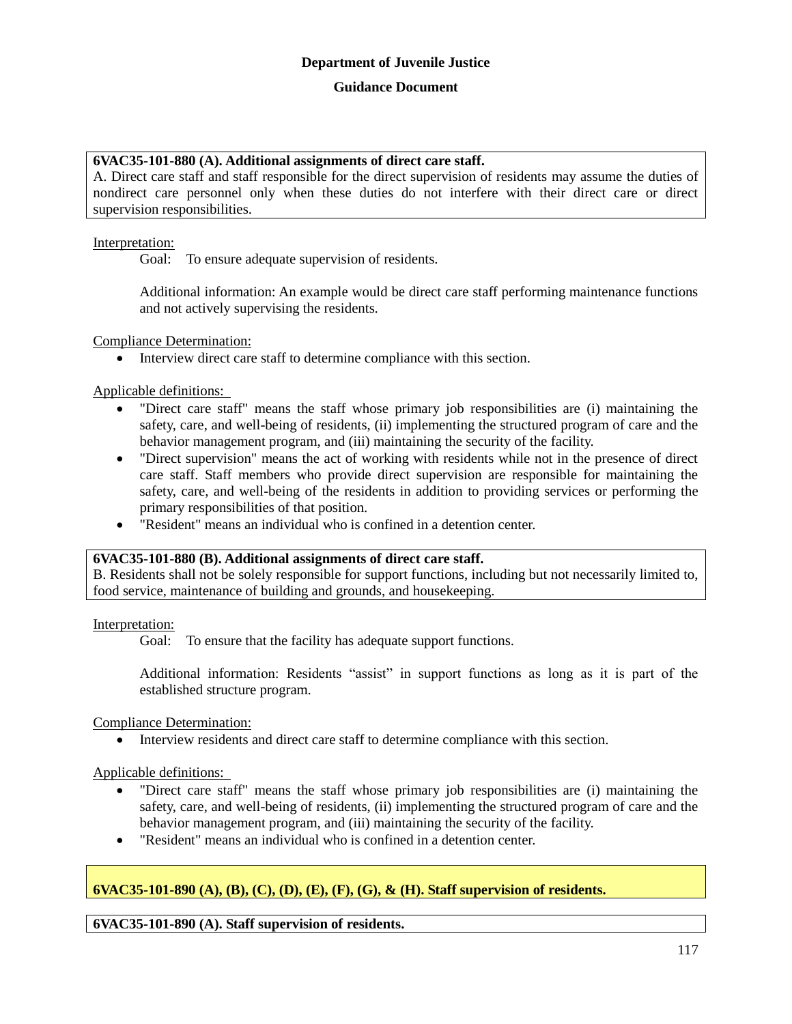## **6VAC35-101-880 (A). Additional assignments of direct care staff.**

A. Direct care staff and staff responsible for the direct supervision of residents may assume the duties of nondirect care personnel only when these duties do not interfere with their direct care or direct supervision responsibilities.

## Interpretation:

Goal: To ensure adequate supervision of residents.

Additional information: An example would be direct care staff performing maintenance functions and not actively supervising the residents.

Compliance Determination:

Interview direct care staff to determine compliance with this section.

## Applicable definitions:

- "Direct care staff" means the staff whose primary job responsibilities are (i) maintaining the safety, care, and well-being of residents, (ii) implementing the structured program of care and the behavior management program, and (iii) maintaining the security of the facility.
- "Direct supervision" means the act of working with residents while not in the presence of direct care staff. Staff members who provide direct supervision are responsible for maintaining the safety, care, and well-being of the residents in addition to providing services or performing the primary responsibilities of that position.
- "Resident" means an individual who is confined in a detention center.

#### **6VAC35-101-880 (B). Additional assignments of direct care staff.**

B. Residents shall not be solely responsible for support functions, including but not necessarily limited to, food service, maintenance of building and grounds, and housekeeping.

#### Interpretation:

Goal: To ensure that the facility has adequate support functions.

Additional information: Residents "assist" in support functions as long as it is part of the established structure program.

Compliance Determination:

Interview residents and direct care staff to determine compliance with this section.

#### Applicable definitions:

- "Direct care staff" means the staff whose primary job responsibilities are (i) maintaining the safety, care, and well-being of residents, (ii) implementing the structured program of care and the behavior management program, and (iii) maintaining the security of the facility.
- "Resident" means an individual who is confined in a detention center.

# **6VAC35-101-890 (A), (B), (C), (D), (E), (F), (G), & (H). Staff supervision of residents.**

# **6VAC35-101-890 (A). Staff supervision of residents.**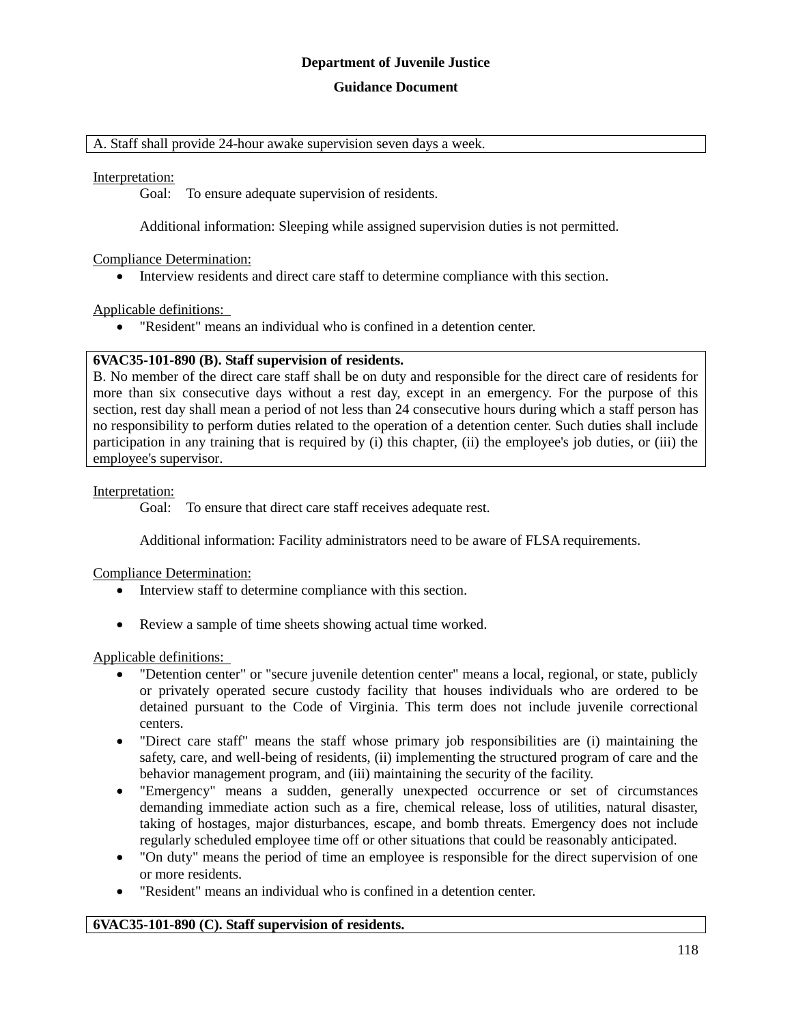#### **Guidance Document**

#### A. Staff shall provide 24-hour awake supervision seven days a week.

#### Interpretation:

Goal: To ensure adequate supervision of residents.

Additional information: Sleeping while assigned supervision duties is not permitted.

#### Compliance Determination:

Interview residents and direct care staff to determine compliance with this section.

#### Applicable definitions:

"Resident" means an individual who is confined in a detention center.

#### **6VAC35-101-890 (B). Staff supervision of residents.**

B. No member of the direct care staff shall be on duty and responsible for the direct care of residents for more than six consecutive days without a rest day, except in an emergency. For the purpose of this section, rest day shall mean a period of not less than 24 consecutive hours during which a staff person has no responsibility to perform duties related to the operation of a detention center. Such duties shall include participation in any training that is required by (i) this chapter, (ii) the employee's job duties, or (iii) the employee's supervisor.

#### Interpretation:

Goal: To ensure that direct care staff receives adequate rest.

Additional information: Facility administrators need to be aware of FLSA requirements.

#### Compliance Determination:

- Interview staff to determine compliance with this section.
- Review a sample of time sheets showing actual time worked.

#### Applicable definitions:

- "Detention center" or "secure juvenile detention center" means a local, regional, or state, publicly or privately operated secure custody facility that houses individuals who are ordered to be detained pursuant to the Code of Virginia. This term does not include juvenile correctional centers.
- "Direct care staff" means the staff whose primary job responsibilities are (i) maintaining the safety, care, and well-being of residents, (ii) implementing the structured program of care and the behavior management program, and (iii) maintaining the security of the facility.
- "Emergency" means a sudden, generally unexpected occurrence or set of circumstances demanding immediate action such as a fire, chemical release, loss of utilities, natural disaster, taking of hostages, major disturbances, escape, and bomb threats. Emergency does not include regularly scheduled employee time off or other situations that could be reasonably anticipated.
- "On duty" means the period of time an employee is responsible for the direct supervision of one or more residents.
- "Resident" means an individual who is confined in a detention center.

#### **6VAC35-101-890 (C). Staff supervision of residents.**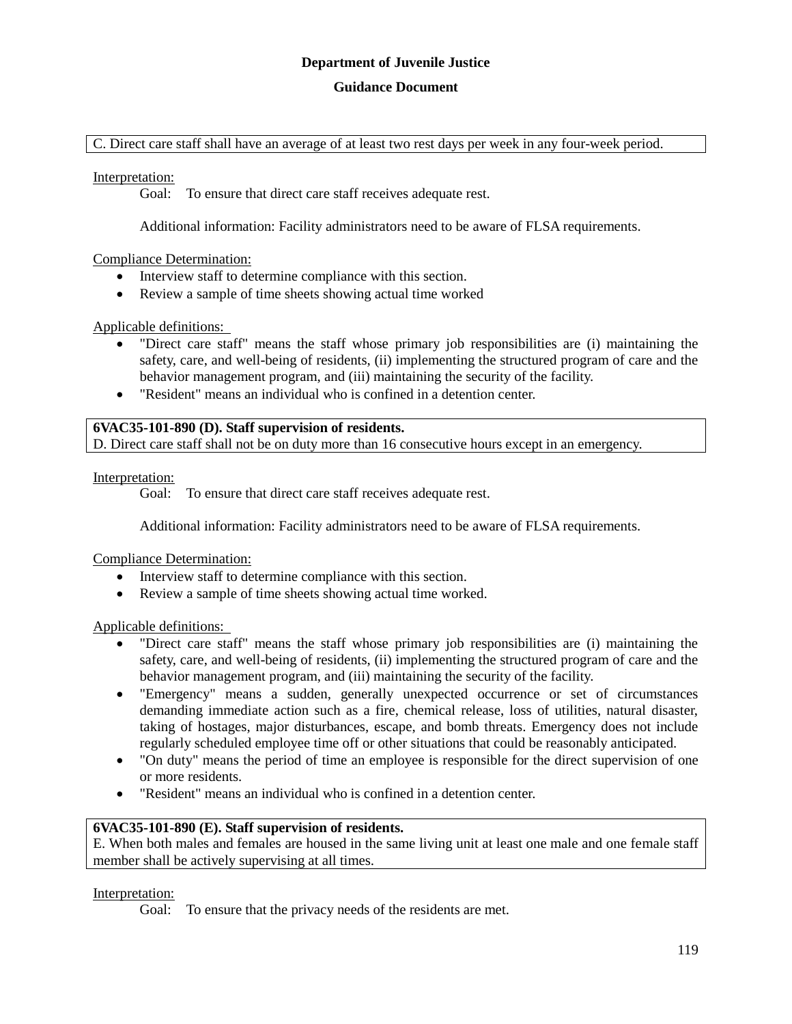#### **Guidance Document**

C. Direct care staff shall have an average of at least two rest days per week in any four-week period.

Interpretation:

Goal: To ensure that direct care staff receives adequate rest.

Additional information: Facility administrators need to be aware of FLSA requirements.

#### Compliance Determination:

- Interview staff to determine compliance with this section.
- Review a sample of time sheets showing actual time worked

#### Applicable definitions:

- "Direct care staff" means the staff whose primary job responsibilities are (i) maintaining the safety, care, and well-being of residents, (ii) implementing the structured program of care and the behavior management program, and (iii) maintaining the security of the facility.
- "Resident" means an individual who is confined in a detention center.

## **6VAC35-101-890 (D). Staff supervision of residents.**

D. Direct care staff shall not be on duty more than 16 consecutive hours except in an emergency.

Interpretation:

Goal: To ensure that direct care staff receives adequate rest.

Additional information: Facility administrators need to be aware of FLSA requirements.

Compliance Determination:

- Interview staff to determine compliance with this section.
- Review a sample of time sheets showing actual time worked.

#### Applicable definitions:

- "Direct care staff" means the staff whose primary job responsibilities are (i) maintaining the safety, care, and well-being of residents, (ii) implementing the structured program of care and the behavior management program, and (iii) maintaining the security of the facility.
- "Emergency" means a sudden, generally unexpected occurrence or set of circumstances demanding immediate action such as a fire, chemical release, loss of utilities, natural disaster, taking of hostages, major disturbances, escape, and bomb threats. Emergency does not include regularly scheduled employee time off or other situations that could be reasonably anticipated.
- "On duty" means the period of time an employee is responsible for the direct supervision of one or more residents.
- "Resident" means an individual who is confined in a detention center.

#### **6VAC35-101-890 (E). Staff supervision of residents.**

E. When both males and females are housed in the same living unit at least one male and one female staff member shall be actively supervising at all times.

#### Interpretation:

Goal: To ensure that the privacy needs of the residents are met.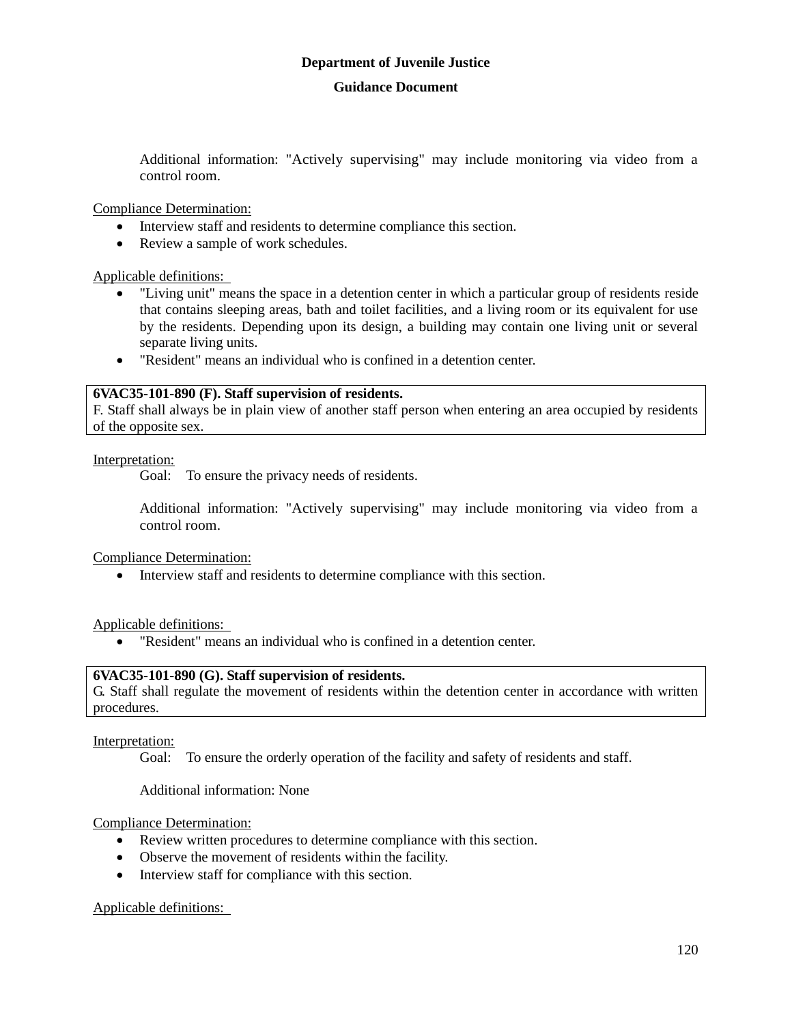Additional information: "Actively supervising" may include monitoring via video from a control room.

Compliance Determination:

- Interview staff and residents to determine compliance this section.
- Review a sample of work schedules.

Applicable definitions:

- "Living unit" means the space in a detention center in which a particular group of residents reside that contains sleeping areas, bath and toilet facilities, and a living room or its equivalent for use by the residents. Depending upon its design, a building may contain one living unit or several separate living units.
- "Resident" means an individual who is confined in a detention center.

#### **6VAC35-101-890 (F). Staff supervision of residents.**

F. Staff shall always be in plain view of another staff person when entering an area occupied by residents of the opposite sex.

#### Interpretation:

Goal: To ensure the privacy needs of residents.

Additional information: "Actively supervising" may include monitoring via video from a control room.

Compliance Determination:

Interview staff and residents to determine compliance with this section.

Applicable definitions:

"Resident" means an individual who is confined in a detention center.

#### **6VAC35-101-890 (G). Staff supervision of residents.**

G. Staff shall regulate the movement of residents within the detention center in accordance with written procedures.

#### Interpretation:

Goal: To ensure the orderly operation of the facility and safety of residents and staff.

Additional information: None

#### Compliance Determination:

- Review written procedures to determine compliance with this section.
- Observe the movement of residents within the facility.
- Interview staff for compliance with this section.

#### Applicable definitions: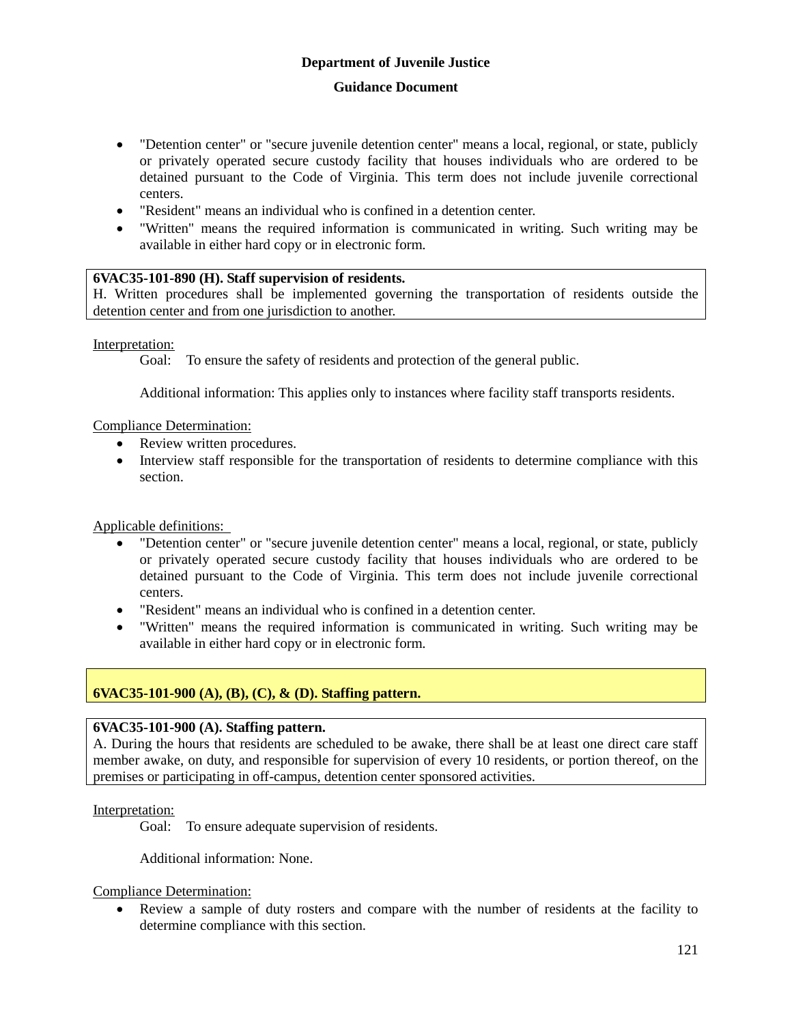- "Detention center" or "secure juvenile detention center" means a local, regional, or state, publicly or privately operated secure custody facility that houses individuals who are ordered to be detained pursuant to the Code of Virginia. This term does not include juvenile correctional centers.
- "Resident" means an individual who is confined in a detention center.
- "Written" means the required information is communicated in writing. Such writing may be available in either hard copy or in electronic form.

### **6VAC35-101-890 (H). Staff supervision of residents.**

H. Written procedures shall be implemented governing the transportation of residents outside the detention center and from one jurisdiction to another.

Interpretation:

Goal: To ensure the safety of residents and protection of the general public.

Additional information: This applies only to instances where facility staff transports residents.

Compliance Determination:

- Review written procedures.
- Interview staff responsible for the transportation of residents to determine compliance with this section.

Applicable definitions:

- "Detention center" or "secure juvenile detention center" means a local, regional, or state, publicly or privately operated secure custody facility that houses individuals who are ordered to be detained pursuant to the Code of Virginia. This term does not include juvenile correctional centers.
- "Resident" means an individual who is confined in a detention center.
- "Written" means the required information is communicated in writing. Such writing may be available in either hard copy or in electronic form.

# **6VAC35-101-900 (A), (B), (C), & (D). Staffing pattern.**

#### **6VAC35-101-900 (A). Staffing pattern.**

A. During the hours that residents are scheduled to be awake, there shall be at least one direct care staff member awake, on duty, and responsible for supervision of every 10 residents, or portion thereof, on the premises or participating in off-campus, detention center sponsored activities.

Interpretation:

Goal: To ensure adequate supervision of residents.

Additional information: None.

Compliance Determination:

 Review a sample of duty rosters and compare with the number of residents at the facility to determine compliance with this section.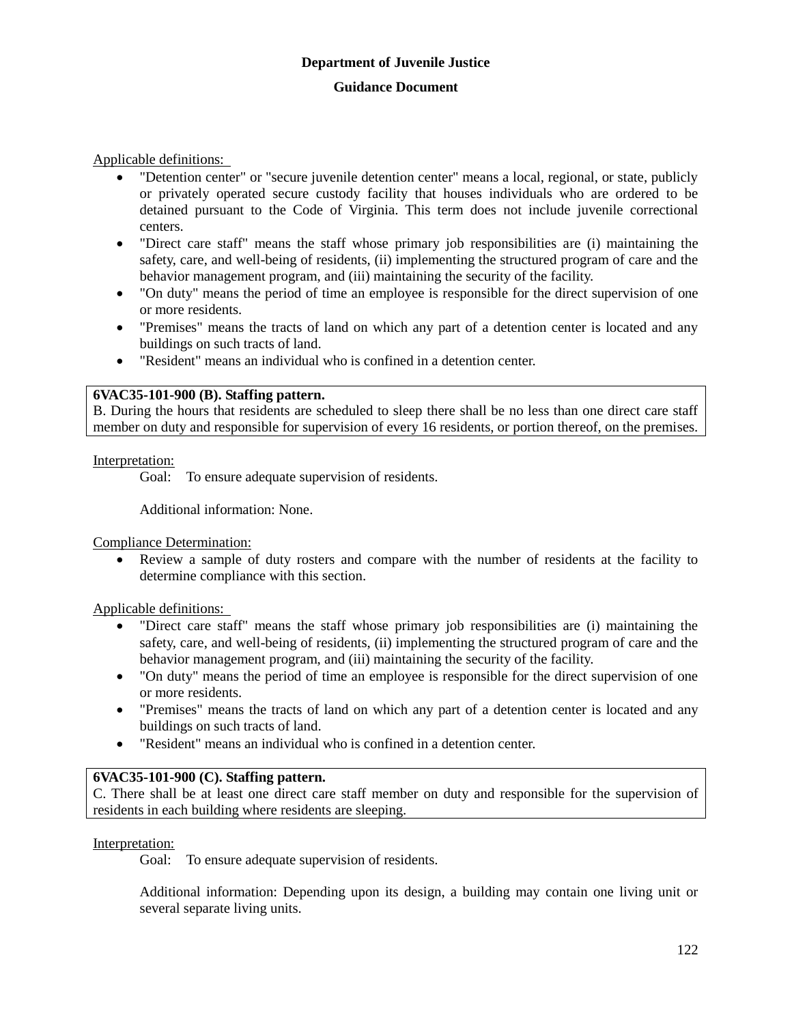Applicable definitions:

- "Detention center" or "secure juvenile detention center" means a local, regional, or state, publicly or privately operated secure custody facility that houses individuals who are ordered to be detained pursuant to the Code of Virginia. This term does not include juvenile correctional centers.
- "Direct care staff" means the staff whose primary job responsibilities are (i) maintaining the safety, care, and well-being of residents, (ii) implementing the structured program of care and the behavior management program, and (iii) maintaining the security of the facility.
- "On duty" means the period of time an employee is responsible for the direct supervision of one or more residents.
- "Premises" means the tracts of land on which any part of a detention center is located and any buildings on such tracts of land.
- "Resident" means an individual who is confined in a detention center.

## **6VAC35-101-900 (B). Staffing pattern.**

B. During the hours that residents are scheduled to sleep there shall be no less than one direct care staff member on duty and responsible for supervision of every 16 residents, or portion thereof, on the premises.

#### Interpretation:

Goal: To ensure adequate supervision of residents.

Additional information: None.

Compliance Determination:

 Review a sample of duty rosters and compare with the number of residents at the facility to determine compliance with this section.

Applicable definitions:

- "Direct care staff" means the staff whose primary job responsibilities are (i) maintaining the safety, care, and well-being of residents, (ii) implementing the structured program of care and the behavior management program, and (iii) maintaining the security of the facility.
- "On duty" means the period of time an employee is responsible for the direct supervision of one or more residents.
- "Premises" means the tracts of land on which any part of a detention center is located and any buildings on such tracts of land.
- "Resident" means an individual who is confined in a detention center.

## **6VAC35-101-900 (C). Staffing pattern.**

C. There shall be at least one direct care staff member on duty and responsible for the supervision of residents in each building where residents are sleeping.

#### Interpretation:

Goal: To ensure adequate supervision of residents.

Additional information: Depending upon its design, a building may contain one living unit or several separate living units.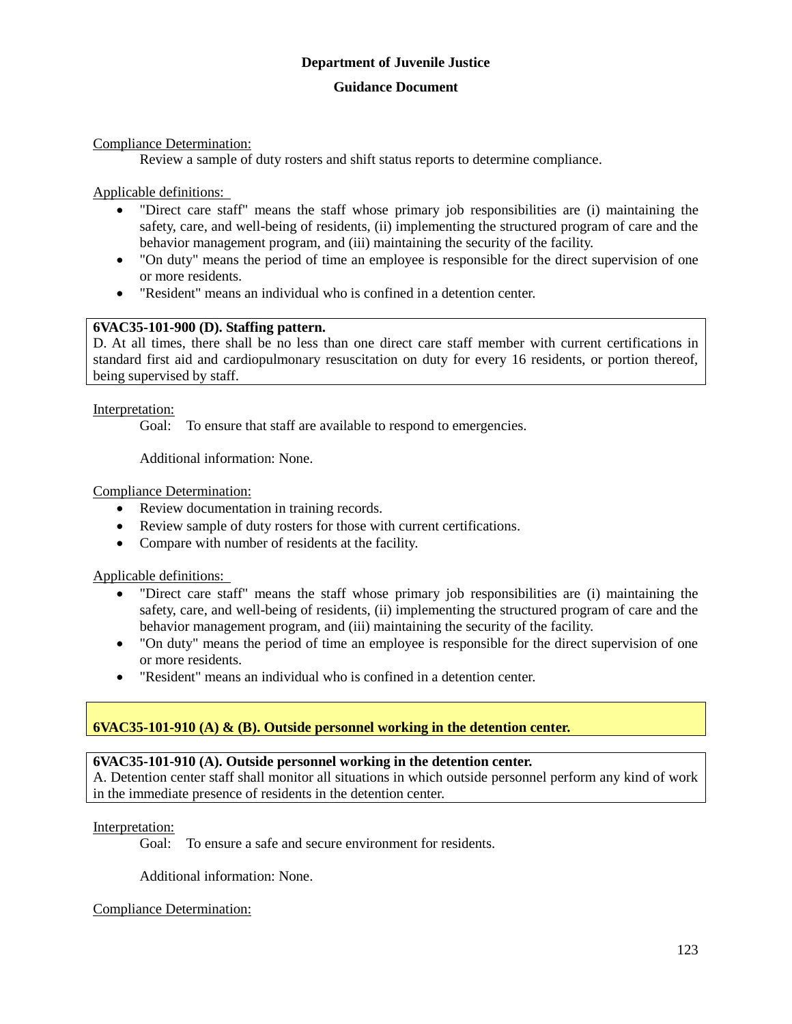#### **Guidance Document**

Compliance Determination:

Review a sample of duty rosters and shift status reports to determine compliance.

Applicable definitions:

- "Direct care staff" means the staff whose primary job responsibilities are (i) maintaining the safety, care, and well-being of residents, (ii) implementing the structured program of care and the behavior management program, and (iii) maintaining the security of the facility.
- "On duty" means the period of time an employee is responsible for the direct supervision of one or more residents.
- "Resident" means an individual who is confined in a detention center.

# **6VAC35-101-900 (D). Staffing pattern.**

D. At all times, there shall be no less than one direct care staff member with current certifications in standard first aid and cardiopulmonary resuscitation on duty for every 16 residents, or portion thereof, being supervised by staff.

Interpretation:

Goal: To ensure that staff are available to respond to emergencies.

Additional information: None.

Compliance Determination:

- Review documentation in training records.
- Review sample of duty rosters for those with current certifications.
- Compare with number of residents at the facility.

Applicable definitions:

- "Direct care staff" means the staff whose primary job responsibilities are (i) maintaining the safety, care, and well-being of residents, (ii) implementing the structured program of care and the behavior management program, and (iii) maintaining the security of the facility.
- "On duty" means the period of time an employee is responsible for the direct supervision of one or more residents.
- "Resident" means an individual who is confined in a detention center.

#### **6VAC35-101-910 (A) & (B). Outside personnel working in the detention center.**

#### **6VAC35-101-910 (A). Outside personnel working in the detention center.**

A. Detention center staff shall monitor all situations in which outside personnel perform any kind of work in the immediate presence of residents in the detention center.

Interpretation:

Goal: To ensure a safe and secure environment for residents.

Additional information: None.

Compliance Determination: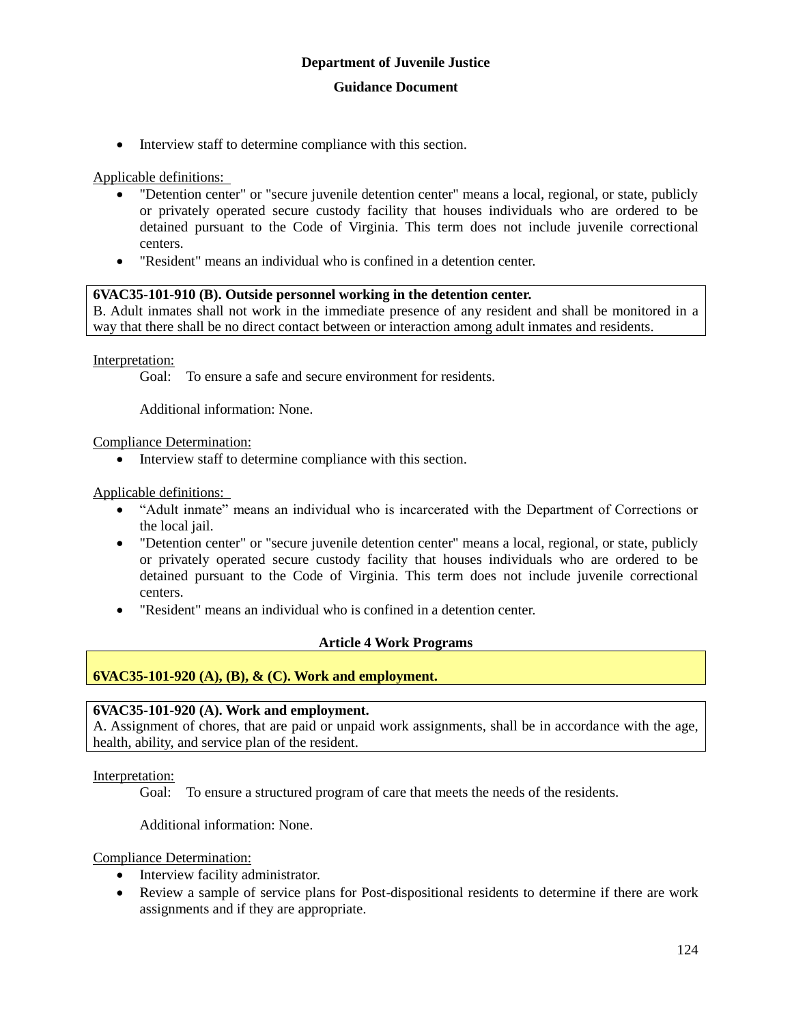• Interview staff to determine compliance with this section.

Applicable definitions:

- "Detention center" or "secure juvenile detention center" means a local, regional, or state, publicly or privately operated secure custody facility that houses individuals who are ordered to be detained pursuant to the Code of Virginia. This term does not include juvenile correctional centers.
- "Resident" means an individual who is confined in a detention center.

#### **6VAC35-101-910 (B). Outside personnel working in the detention center.**

B. Adult inmates shall not work in the immediate presence of any resident and shall be monitored in a way that there shall be no direct contact between or interaction among adult inmates and residents.

Interpretation:

Goal: To ensure a safe and secure environment for residents.

Additional information: None.

Compliance Determination:

• Interview staff to determine compliance with this section.

Applicable definitions:

- "Adult inmate" means an individual who is incarcerated with the Department of Corrections or the local jail.
- "Detention center" or "secure juvenile detention center" means a local, regional, or state, publicly or privately operated secure custody facility that houses individuals who are ordered to be detained pursuant to the Code of Virginia. This term does not include juvenile correctional centers.
- "Resident" means an individual who is confined in a detention center.

# **Article 4 Work Programs**

# **6VAC35-101-920 (A), (B), & (C). Work and employment.**

#### **6VAC35-101-920 (A). Work and employment.**

A. Assignment of chores, that are paid or unpaid work assignments, shall be in accordance with the age, health, ability, and service plan of the resident.

Interpretation:

Goal: To ensure a structured program of care that meets the needs of the residents.

Additional information: None.

Compliance Determination:

- Interview facility administrator.
- Review a sample of service plans for Post-dispositional residents to determine if there are work assignments and if they are appropriate.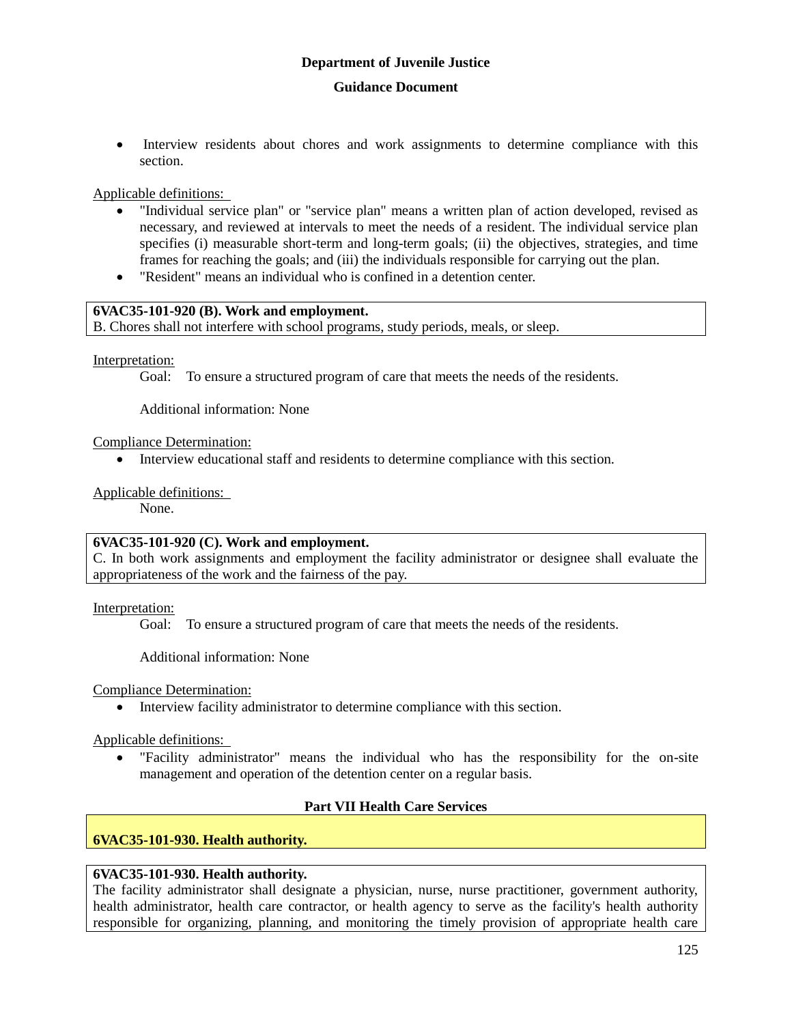• Interview residents about chores and work assignments to determine compliance with this section.

Applicable definitions:

- "Individual service plan" or "service plan" means a written plan of action developed, revised as necessary, and reviewed at intervals to meet the needs of a resident. The individual service plan specifies (i) measurable short-term and long-term goals; (ii) the objectives, strategies, and time frames for reaching the goals; and (iii) the individuals responsible for carrying out the plan.
- "Resident" means an individual who is confined in a detention center.

#### **6VAC35-101-920 (B). Work and employment.**

B. Chores shall not interfere with school programs, study periods, meals, or sleep.

Interpretation:

Goal: To ensure a structured program of care that meets the needs of the residents.

Additional information: None

#### Compliance Determination:

Interview educational staff and residents to determine compliance with this section.

Applicable definitions:

None.

#### **6VAC35-101-920 (C). Work and employment.**

C. In both work assignments and employment the facility administrator or designee shall evaluate the appropriateness of the work and the fairness of the pay.

Interpretation:

Goal: To ensure a structured program of care that meets the needs of the residents.

Additional information: None

Compliance Determination:

Interview facility administrator to determine compliance with this section.

Applicable definitions:

 "Facility administrator" means the individual who has the responsibility for the on-site management and operation of the detention center on a regular basis.

# **Part VII Health Care Services**

# **6VAC35-101-930. Health authority.**

## **6VAC35-101-930. Health authority.**

The facility administrator shall designate a physician, nurse, nurse practitioner, government authority, health administrator, health care contractor, or health agency to serve as the facility's health authority responsible for organizing, planning, and monitoring the timely provision of appropriate health care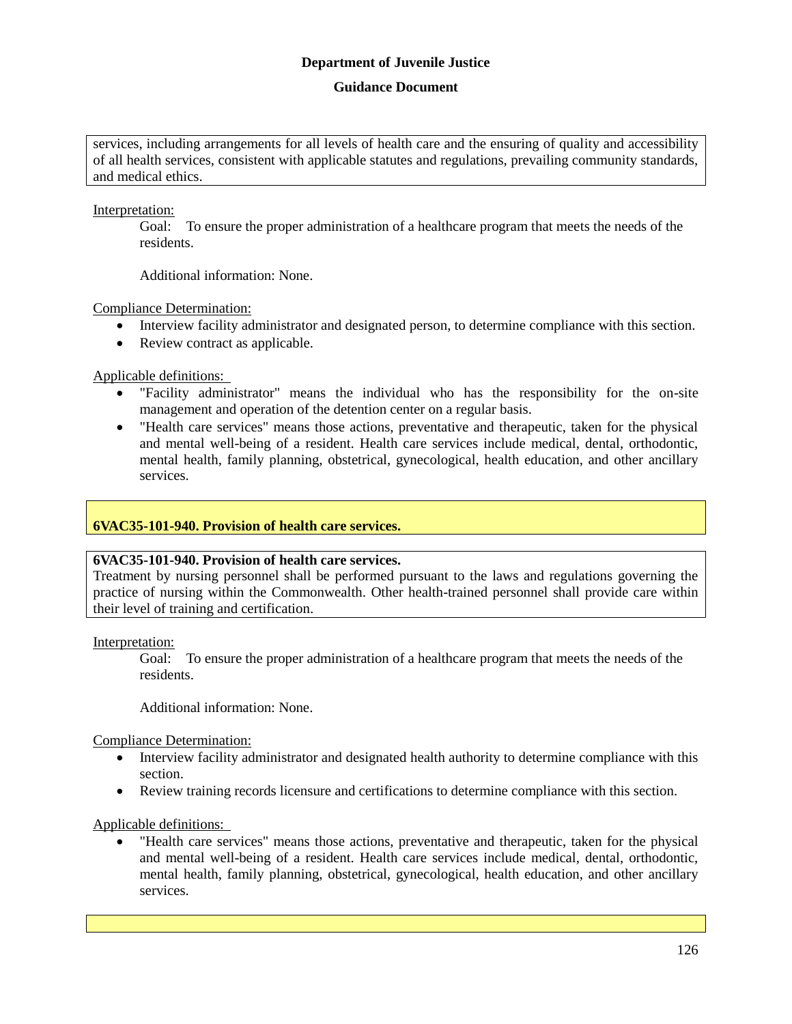# **Guidance Document**

services, including arrangements for all levels of health care and the ensuring of quality and accessibility of all health services, consistent with applicable statutes and regulations, prevailing community standards, and medical ethics.

Interpretation:

Goal: To ensure the proper administration of a healthcare program that meets the needs of the residents.

Additional information: None.

Compliance Determination:

- Interview facility administrator and designated person, to determine compliance with this section.
- Review contract as applicable.

Applicable definitions:

- "Facility administrator" means the individual who has the responsibility for the on-site management and operation of the detention center on a regular basis.
- "Health care services" means those actions, preventative and therapeutic, taken for the physical and mental well-being of a resident. Health care services include medical, dental, orthodontic, mental health, family planning, obstetrical, gynecological, health education, and other ancillary services.

# **6VAC35-101-940. Provision of health care services.**

#### **6VAC35-101-940. Provision of health care services.**

Treatment by nursing personnel shall be performed pursuant to the laws and regulations governing the practice of nursing within the Commonwealth. Other health-trained personnel shall provide care within their level of training and certification.

Interpretation:

Goal: To ensure the proper administration of a healthcare program that meets the needs of the residents.

Additional information: None.

Compliance Determination:

- Interview facility administrator and designated health authority to determine compliance with this section.
- Review training records licensure and certifications to determine compliance with this section.

Applicable definitions:

 "Health care services" means those actions, preventative and therapeutic, taken for the physical and mental well-being of a resident. Health care services include medical, dental, orthodontic, mental health, family planning, obstetrical, gynecological, health education, and other ancillary services.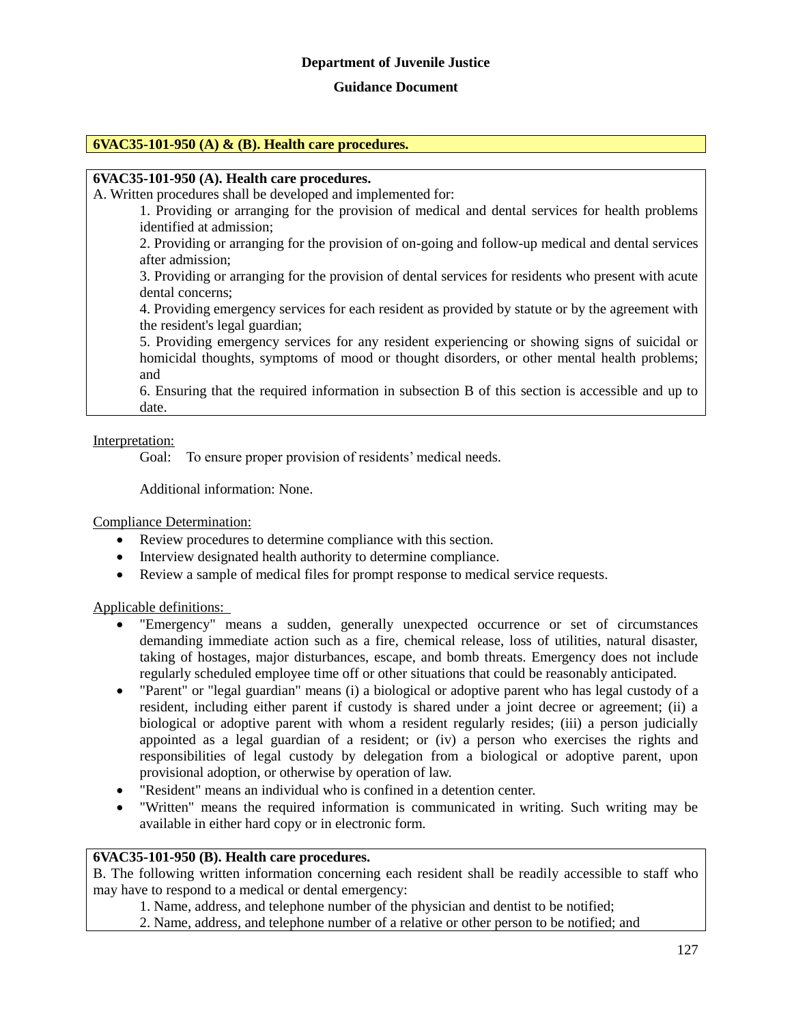#### **Guidance Document**

#### **6VAC35-101-950 (A) & (B). Health care procedures.**

#### **6VAC35-101-950 (A). Health care procedures.**

A. Written procedures shall be developed and implemented for:

1. Providing or arranging for the provision of medical and dental services for health problems identified at admission;

2. Providing or arranging for the provision of on-going and follow-up medical and dental services after admission;

3. Providing or arranging for the provision of dental services for residents who present with acute dental concerns;

4. Providing emergency services for each resident as provided by statute or by the agreement with the resident's legal guardian;

5. Providing emergency services for any resident experiencing or showing signs of suicidal or homicidal thoughts, symptoms of mood or thought disorders, or other mental health problems; and

6. Ensuring that the required information in subsection B of this section is accessible and up to date.

Interpretation:

Goal: To ensure proper provision of residents' medical needs.

Additional information: None.

Compliance Determination:

- Review procedures to determine compliance with this section.
- Interview designated health authority to determine compliance.
- Review a sample of medical files for prompt response to medical service requests.

Applicable definitions:

- "Emergency" means a sudden, generally unexpected occurrence or set of circumstances demanding immediate action such as a fire, chemical release, loss of utilities, natural disaster, taking of hostages, major disturbances, escape, and bomb threats. Emergency does not include regularly scheduled employee time off or other situations that could be reasonably anticipated.
- "Parent" or "legal guardian" means (i) a biological or adoptive parent who has legal custody of a resident, including either parent if custody is shared under a joint decree or agreement; (ii) a biological or adoptive parent with whom a resident regularly resides; (iii) a person judicially appointed as a legal guardian of a resident; or (iv) a person who exercises the rights and responsibilities of legal custody by delegation from a biological or adoptive parent, upon provisional adoption, or otherwise by operation of law.
- "Resident" means an individual who is confined in a detention center.
- "Written" means the required information is communicated in writing. Such writing may be available in either hard copy or in electronic form.

#### **6VAC35-101-950 (B). Health care procedures.**

B. The following written information concerning each resident shall be readily accessible to staff who may have to respond to a medical or dental emergency:

- 1. Name, address, and telephone number of the physician and dentist to be notified;
- 2. Name, address, and telephone number of a relative or other person to be notified; and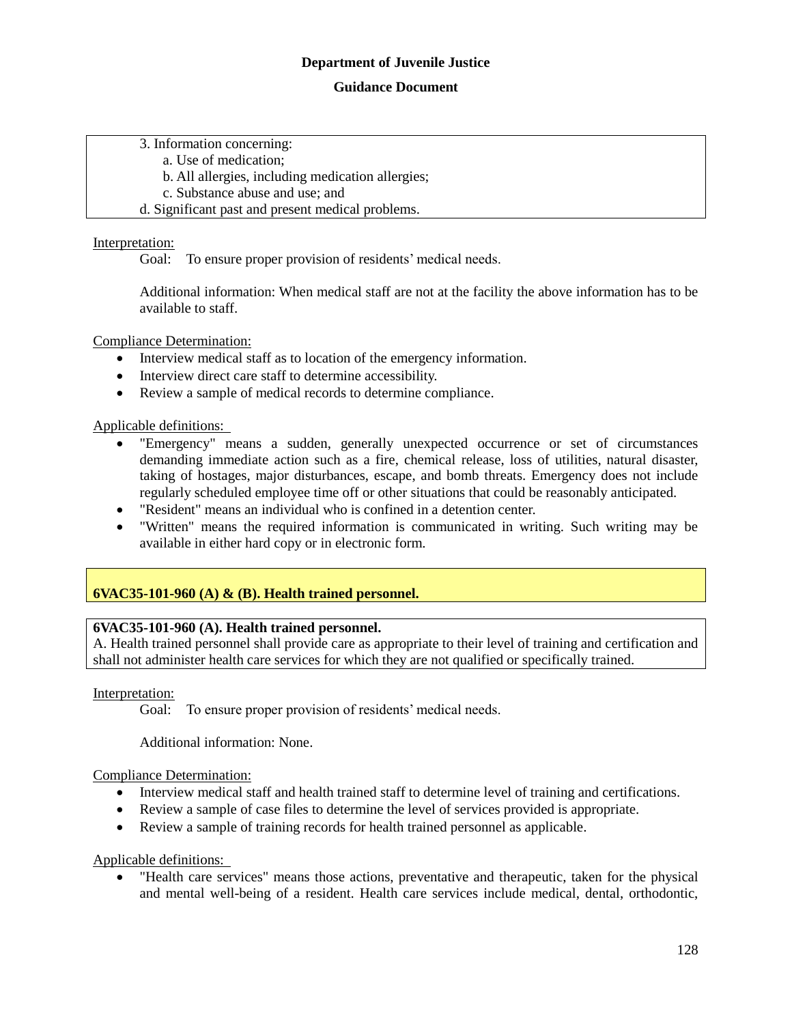#### **Guidance Document**

3. Information concerning:

a. Use of medication;

b. All allergies, including medication allergies;

c. Substance abuse and use; and

d. Significant past and present medical problems.

## Interpretation:

Goal: To ensure proper provision of residents' medical needs.

Additional information: When medical staff are not at the facility the above information has to be available to staff.

Compliance Determination:

- Interview medical staff as to location of the emergency information.
- Interview direct care staff to determine accessibility.
- Review a sample of medical records to determine compliance.

Applicable definitions:

- "Emergency" means a sudden, generally unexpected occurrence or set of circumstances demanding immediate action such as a fire, chemical release, loss of utilities, natural disaster, taking of hostages, major disturbances, escape, and bomb threats. Emergency does not include regularly scheduled employee time off or other situations that could be reasonably anticipated.
- "Resident" means an individual who is confined in a detention center.
- "Written" means the required information is communicated in writing. Such writing may be available in either hard copy or in electronic form.

# **6VAC35-101-960 (A) & (B). Health trained personnel.**

#### **6VAC35-101-960 (A). Health trained personnel.**

A. Health trained personnel shall provide care as appropriate to their level of training and certification and shall not administer health care services for which they are not qualified or specifically trained.

Interpretation:

Goal: To ensure proper provision of residents' medical needs.

Additional information: None.

# Compliance Determination:

- Interview medical staff and health trained staff to determine level of training and certifications.
- Review a sample of case files to determine the level of services provided is appropriate.
- Review a sample of training records for health trained personnel as applicable.

Applicable definitions:

 "Health care services" means those actions, preventative and therapeutic, taken for the physical and mental well-being of a resident. Health care services include medical, dental, orthodontic,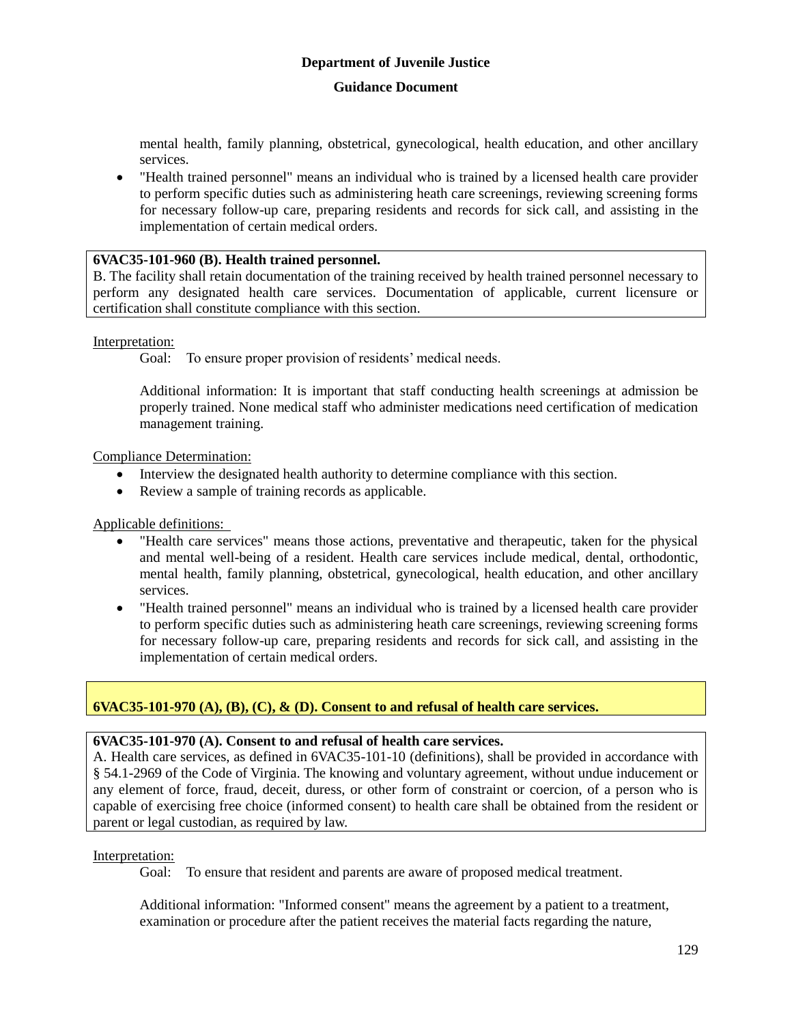# **Guidance Document**

mental health, family planning, obstetrical, gynecological, health education, and other ancillary services.

 "Health trained personnel" means an individual who is trained by a licensed health care provider to perform specific duties such as administering heath care screenings, reviewing screening forms for necessary follow-up care, preparing residents and records for sick call, and assisting in the implementation of certain medical orders.

### **6VAC35-101-960 (B). Health trained personnel.**

B. The facility shall retain documentation of the training received by health trained personnel necessary to perform any designated health care services. Documentation of applicable, current licensure or certification shall constitute compliance with this section.

## Interpretation:

Goal: To ensure proper provision of residents' medical needs.

Additional information: It is important that staff conducting health screenings at admission be properly trained. None medical staff who administer medications need certification of medication management training.

## Compliance Determination:

- Interview the designated health authority to determine compliance with this section.
- Review a sample of training records as applicable.

Applicable definitions:

- "Health care services" means those actions, preventative and therapeutic, taken for the physical and mental well-being of a resident. Health care services include medical, dental, orthodontic, mental health, family planning, obstetrical, gynecological, health education, and other ancillary services.
- "Health trained personnel" means an individual who is trained by a licensed health care provider to perform specific duties such as administering heath care screenings, reviewing screening forms for necessary follow-up care, preparing residents and records for sick call, and assisting in the implementation of certain medical orders.

# **6VAC35-101-970 (A), (B), (C), & (D). Consent to and refusal of health care services.**

#### **6VAC35-101-970 (A). Consent to and refusal of health care services.**

A. Health care services, as defined in 6VAC35-101-10 (definitions), shall be provided in accordance with § 54.1-2969 of the Code of Virginia. The knowing and voluntary agreement, without undue inducement or any element of force, fraud, deceit, duress, or other form of constraint or coercion, of a person who is capable of exercising free choice (informed consent) to health care shall be obtained from the resident or parent or legal custodian, as required by law.

#### Interpretation:

Goal: To ensure that resident and parents are aware of proposed medical treatment.

Additional information: "Informed consent" means the agreement by a patient to a treatment, examination or procedure after the patient receives the material facts regarding the nature,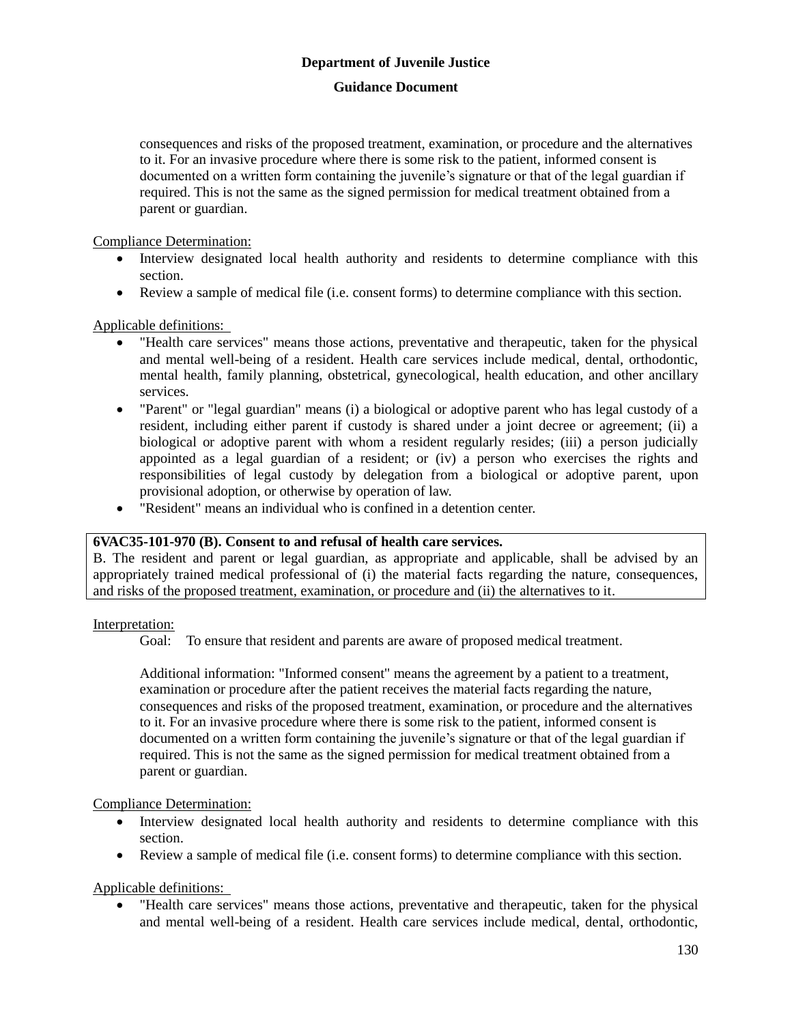## **Guidance Document**

consequences and risks of the proposed treatment, examination, or procedure and the alternatives to it. For an invasive procedure where there is some risk to the patient, informed consent is documented on a written form containing the juvenile's signature or that of the legal guardian if required. This is not the same as the signed permission for medical treatment obtained from a parent or guardian.

Compliance Determination:

- Interview designated local health authority and residents to determine compliance with this section.
- Review a sample of medical file (i.e. consent forms) to determine compliance with this section.

#### Applicable definitions:

- "Health care services" means those actions, preventative and therapeutic, taken for the physical and mental well-being of a resident. Health care services include medical, dental, orthodontic, mental health, family planning, obstetrical, gynecological, health education, and other ancillary services.
- "Parent" or "legal guardian" means (i) a biological or adoptive parent who has legal custody of a resident, including either parent if custody is shared under a joint decree or agreement; (ii) a biological or adoptive parent with whom a resident regularly resides; (iii) a person judicially appointed as a legal guardian of a resident; or (iv) a person who exercises the rights and responsibilities of legal custody by delegation from a biological or adoptive parent, upon provisional adoption, or otherwise by operation of law.
- "Resident" means an individual who is confined in a detention center.

#### **6VAC35-101-970 (B). Consent to and refusal of health care services.**

B. The resident and parent or legal guardian, as appropriate and applicable, shall be advised by an appropriately trained medical professional of (i) the material facts regarding the nature, consequences, and risks of the proposed treatment, examination, or procedure and (ii) the alternatives to it.

#### Interpretation:

Goal: To ensure that resident and parents are aware of proposed medical treatment.

Additional information: "Informed consent" means the agreement by a patient to a treatment, examination or procedure after the patient receives the material facts regarding the nature, consequences and risks of the proposed treatment, examination, or procedure and the alternatives to it. For an invasive procedure where there is some risk to the patient, informed consent is documented on a written form containing the juvenile's signature or that of the legal guardian if required. This is not the same as the signed permission for medical treatment obtained from a parent or guardian.

#### Compliance Determination:

- Interview designated local health authority and residents to determine compliance with this section.
- Review a sample of medical file (i.e. consent forms) to determine compliance with this section.

Applicable definitions:

 "Health care services" means those actions, preventative and therapeutic, taken for the physical and mental well-being of a resident. Health care services include medical, dental, orthodontic,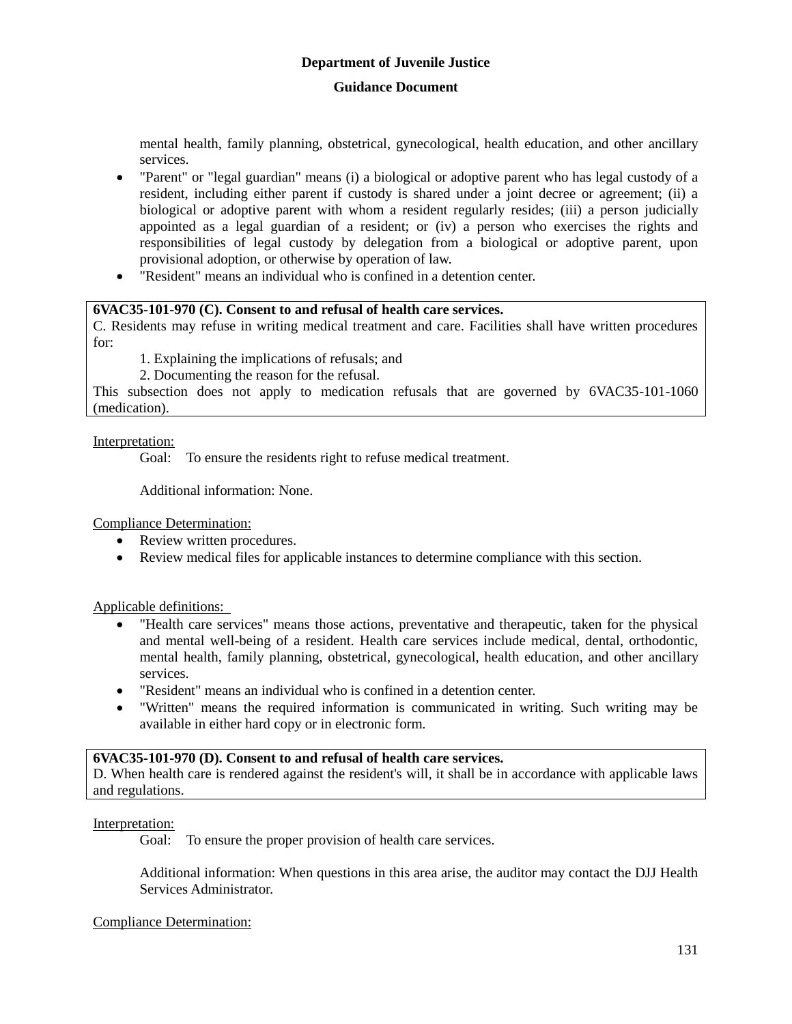### **Guidance Document**

mental health, family planning, obstetrical, gynecological, health education, and other ancillary services.

- "Parent" or "legal guardian" means (i) a biological or adoptive parent who has legal custody of a resident, including either parent if custody is shared under a joint decree or agreement; (ii) a biological or adoptive parent with whom a resident regularly resides; (iii) a person judicially appointed as a legal guardian of a resident; or (iv) a person who exercises the rights and responsibilities of legal custody by delegation from a biological or adoptive parent, upon provisional adoption, or otherwise by operation of law.
- "Resident" means an individual who is confined in a detention center.

## **6VAC35-101-970 (C). Consent to and refusal of health care services.**

C. Residents may refuse in writing medical treatment and care. Facilities shall have written procedures for:

1. Explaining the implications of refusals; and

2. Documenting the reason for the refusal.

This subsection does not apply to medication refusals that are governed by 6VAC35-101-1060 (medication).

## Interpretation:

Goal: To ensure the residents right to refuse medical treatment.

Additional information: None.

Compliance Determination:

- Review written procedures.
- Review medical files for applicable instances to determine compliance with this section.

Applicable definitions:

- "Health care services" means those actions, preventative and therapeutic, taken for the physical and mental well-being of a resident. Health care services include medical, dental, orthodontic, mental health, family planning, obstetrical, gynecological, health education, and other ancillary services.
- "Resident" means an individual who is confined in a detention center.
- "Written" means the required information is communicated in writing. Such writing may be available in either hard copy or in electronic form.

#### **6VAC35-101-970 (D). Consent to and refusal of health care services.**

D. When health care is rendered against the resident's will, it shall be in accordance with applicable laws and regulations.

#### Interpretation:

Goal: To ensure the proper provision of health care services.

Additional information: When questions in this area arise, the auditor may contact the DJJ Health Services Administrator.

Compliance Determination: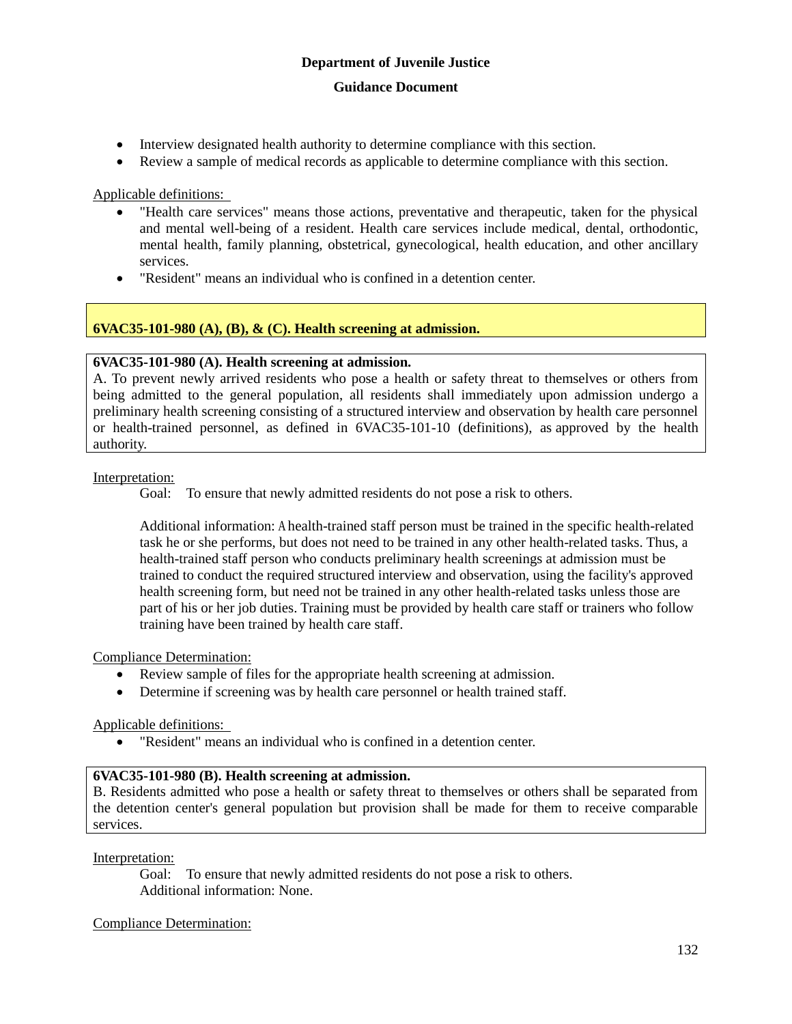- Interview designated health authority to determine compliance with this section.
- Review a sample of medical records as applicable to determine compliance with this section.

Applicable definitions:

- "Health care services" means those actions, preventative and therapeutic, taken for the physical and mental well-being of a resident. Health care services include medical, dental, orthodontic, mental health, family planning, obstetrical, gynecological, health education, and other ancillary services.
- "Resident" means an individual who is confined in a detention center.

# **6VAC35-101-980 (A), (B), & (C). Health screening at admission.**

## **6VAC35-101-980 (A). Health screening at admission.**

A. To prevent newly arrived residents who pose a health or safety threat to themselves or others from being admitted to the general population, all residents shall immediately upon admission undergo a preliminary health screening consisting of a structured interview and observation by health care personnel or health-trained personnel, as defined in 6VAC35-101-10 (definitions), as approved by the health authority.

#### Interpretation:

Goal: To ensure that newly admitted residents do not pose a risk to others.

Additional information: A health-trained staff person must be trained in the specific health-related task he or she performs, but does not need to be trained in any other health-related tasks. Thus, a health-trained staff person who conducts preliminary health screenings at admission must be trained to conduct the required structured interview and observation, using the facility's approved health screening form, but need not be trained in any other health-related tasks unless those are part of his or her job duties. Training must be provided by health care staff or trainers who follow training have been trained by health care staff.

Compliance Determination:

- Review sample of files for the appropriate health screening at admission.
- Determine if screening was by health care personnel or health trained staff.

### Applicable definitions:

"Resident" means an individual who is confined in a detention center.

# **6VAC35-101-980 (B). Health screening at admission.**

B. Residents admitted who pose a health or safety threat to themselves or others shall be separated from the detention center's general population but provision shall be made for them to receive comparable services.

#### Interpretation:

Goal: To ensure that newly admitted residents do not pose a risk to others. Additional information: None.

#### Compliance Determination: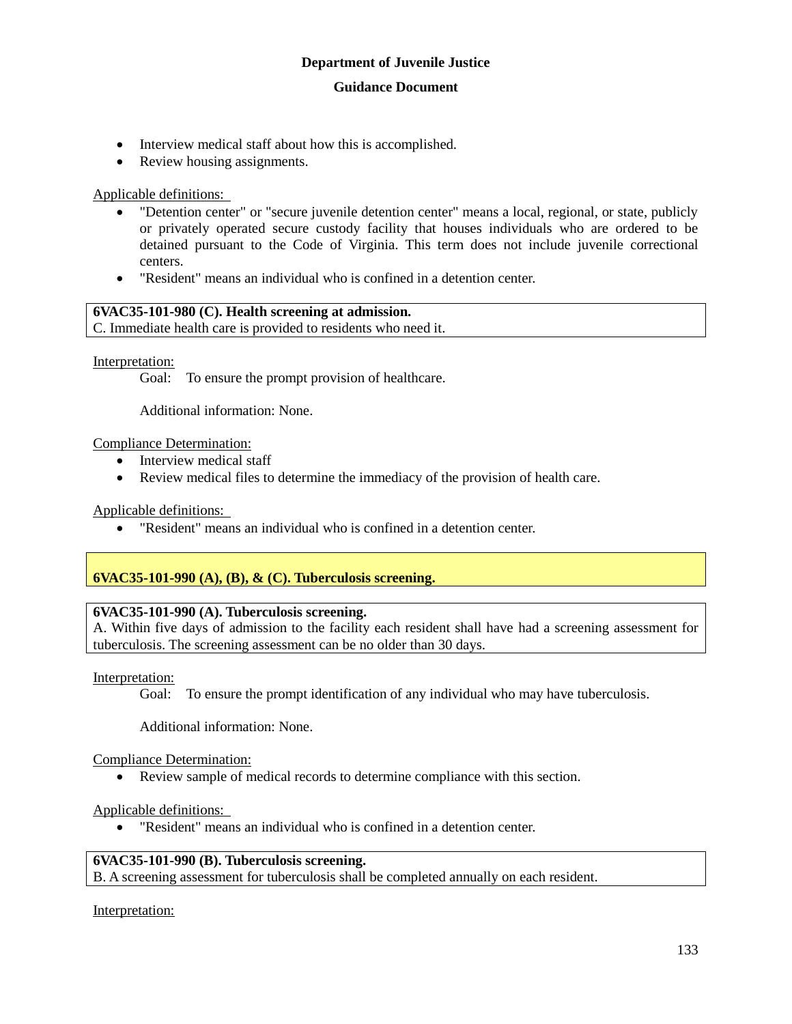- Interview medical staff about how this is accomplished.
- Review housing assignments.

#### Applicable definitions:

- "Detention center" or "secure juvenile detention center" means a local, regional, or state, publicly or privately operated secure custody facility that houses individuals who are ordered to be detained pursuant to the Code of Virginia. This term does not include juvenile correctional centers.
- "Resident" means an individual who is confined in a detention center.

## **6VAC35-101-980 (C). Health screening at admission.**

C. Immediate health care is provided to residents who need it.

#### Interpretation:

Goal: To ensure the prompt provision of healthcare.

Additional information: None.

#### Compliance Determination:

- Interview medical staff
- Review medical files to determine the immediacy of the provision of health care.

Applicable definitions:

"Resident" means an individual who is confined in a detention center.

#### **6VAC35-101-990 (A), (B), & (C). Tuberculosis screening.**

#### **6VAC35-101-990 (A). Tuberculosis screening.**

A. Within five days of admission to the facility each resident shall have had a screening assessment for tuberculosis. The screening assessment can be no older than 30 days.

#### Interpretation:

Goal: To ensure the prompt identification of any individual who may have tuberculosis.

Additional information: None.

Compliance Determination:

Review sample of medical records to determine compliance with this section.

#### Applicable definitions:

"Resident" means an individual who is confined in a detention center.

#### **6VAC35-101-990 (B). Tuberculosis screening.**

B. A screening assessment for tuberculosis shall be completed annually on each resident.

Interpretation: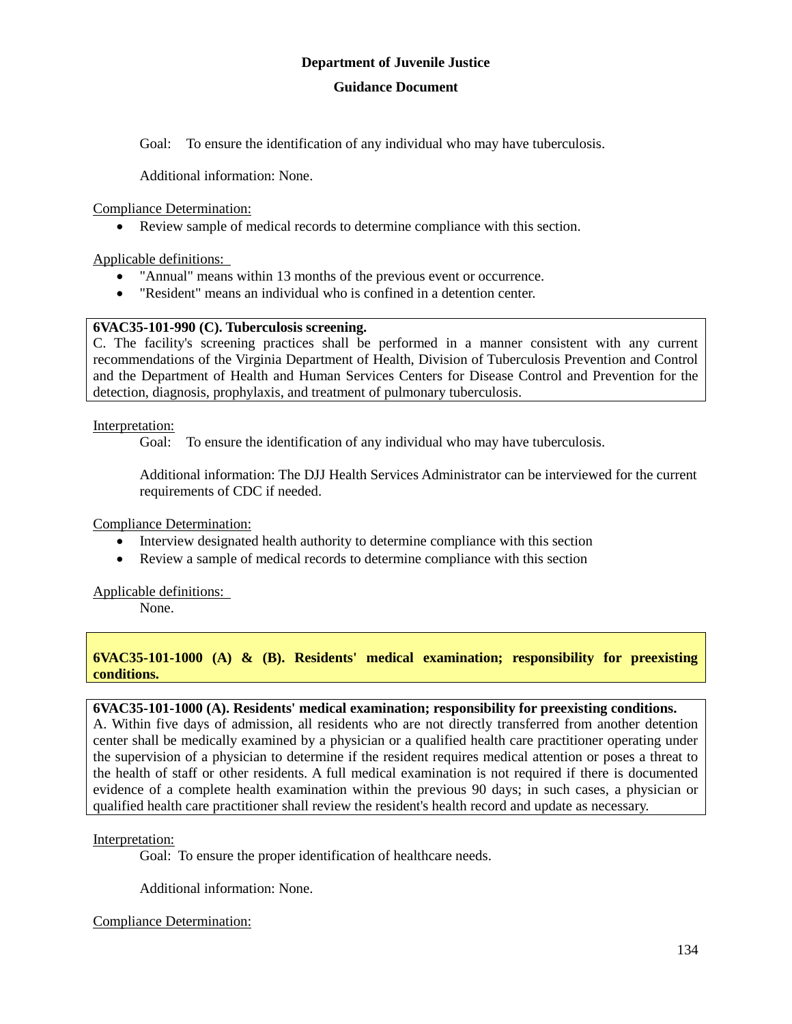Goal: To ensure the identification of any individual who may have tuberculosis.

Additional information: None.

Compliance Determination:

Review sample of medical records to determine compliance with this section.

Applicable definitions:

- "Annual" means within 13 months of the previous event or occurrence.
- "Resident" means an individual who is confined in a detention center.

## **6VAC35-101-990 (C). Tuberculosis screening.**

C. The facility's screening practices shall be performed in a manner consistent with any current recommendations of the Virginia Department of Health, Division of Tuberculosis Prevention and Control and the Department of Health and Human Services Centers for Disease Control and Prevention for the detection, diagnosis, prophylaxis, and treatment of pulmonary tuberculosis.

Interpretation:

Goal: To ensure the identification of any individual who may have tuberculosis.

Additional information: The DJJ Health Services Administrator can be interviewed for the current requirements of CDC if needed.

Compliance Determination:

- Interview designated health authority to determine compliance with this section
- Review a sample of medical records to determine compliance with this section

Applicable definitions:

None.

**6VAC35-101-1000 (A) & (B). Residents' medical examination; responsibility for preexisting conditions.**

# **6VAC35-101-1000 (A). Residents' medical examination; responsibility for preexisting conditions.**

A. Within five days of admission, all residents who are not directly transferred from another detention center shall be medically examined by a physician or a qualified health care practitioner operating under the supervision of a physician to determine if the resident requires medical attention or poses a threat to the health of staff or other residents. A full medical examination is not required if there is documented evidence of a complete health examination within the previous 90 days; in such cases, a physician or qualified health care practitioner shall review the resident's health record and update as necessary.

#### Interpretation:

Goal: To ensure the proper identification of healthcare needs.

Additional information: None.

Compliance Determination: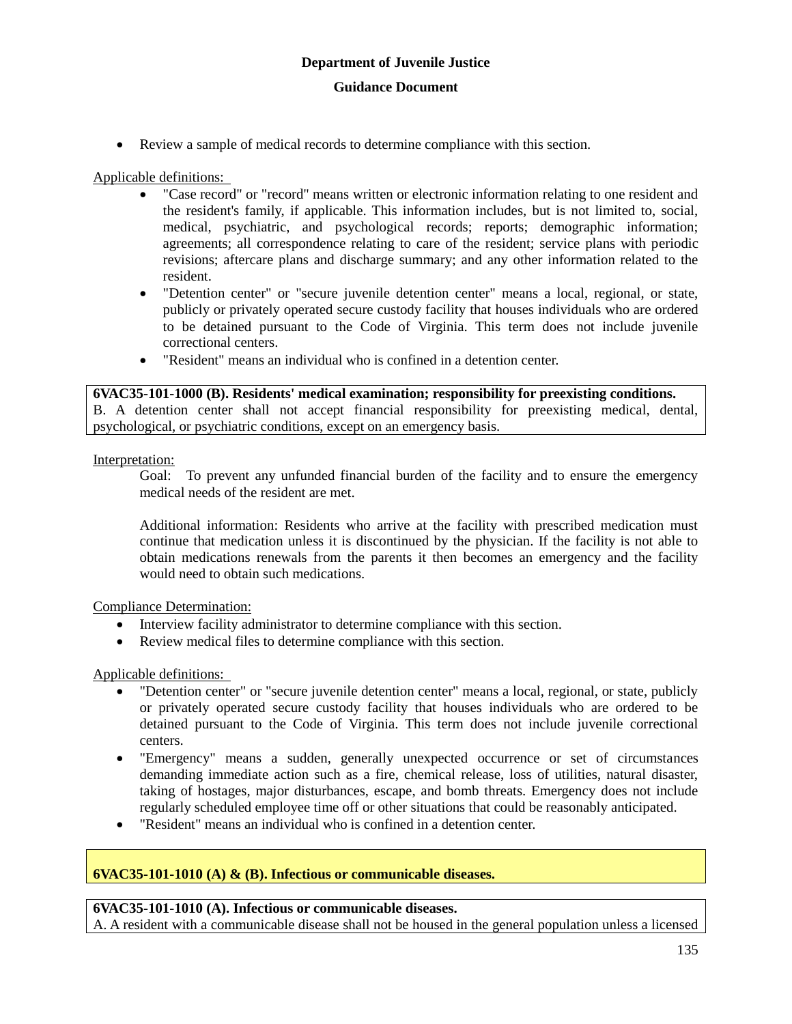Review a sample of medical records to determine compliance with this section.

Applicable definitions:

- "Case record" or "record" means written or electronic information relating to one resident and the resident's family, if applicable. This information includes, but is not limited to, social, medical, psychiatric, and psychological records; reports; demographic information; agreements; all correspondence relating to care of the resident; service plans with periodic revisions; aftercare plans and discharge summary; and any other information related to the resident.
- "Detention center" or "secure juvenile detention center" means a local, regional, or state, publicly or privately operated secure custody facility that houses individuals who are ordered to be detained pursuant to the Code of Virginia. This term does not include juvenile correctional centers.
- "Resident" means an individual who is confined in a detention center.

#### **6VAC35-101-1000 (B). Residents' medical examination; responsibility for preexisting conditions.**

B. A detention center shall not accept financial responsibility for preexisting medical, dental, psychological, or psychiatric conditions, except on an emergency basis.

#### Interpretation:

Goal: To prevent any unfunded financial burden of the facility and to ensure the emergency medical needs of the resident are met.

Additional information: Residents who arrive at the facility with prescribed medication must continue that medication unless it is discontinued by the physician. If the facility is not able to obtain medications renewals from the parents it then becomes an emergency and the facility would need to obtain such medications.

Compliance Determination:

- Interview facility administrator to determine compliance with this section.
- Review medical files to determine compliance with this section.

Applicable definitions:

- "Detention center" or "secure juvenile detention center" means a local, regional, or state, publicly or privately operated secure custody facility that houses individuals who are ordered to be detained pursuant to the Code of Virginia. This term does not include juvenile correctional centers.
- "Emergency" means a sudden, generally unexpected occurrence or set of circumstances demanding immediate action such as a fire, chemical release, loss of utilities, natural disaster, taking of hostages, major disturbances, escape, and bomb threats. Emergency does not include regularly scheduled employee time off or other situations that could be reasonably anticipated.
- "Resident" means an individual who is confined in a detention center.

# **6VAC35-101-1010 (A) & (B). Infectious or communicable diseases.**

#### **6VAC35-101-1010 (A). Infectious or communicable diseases.**

A. A resident with a communicable disease shall not be housed in the general population unless a licensed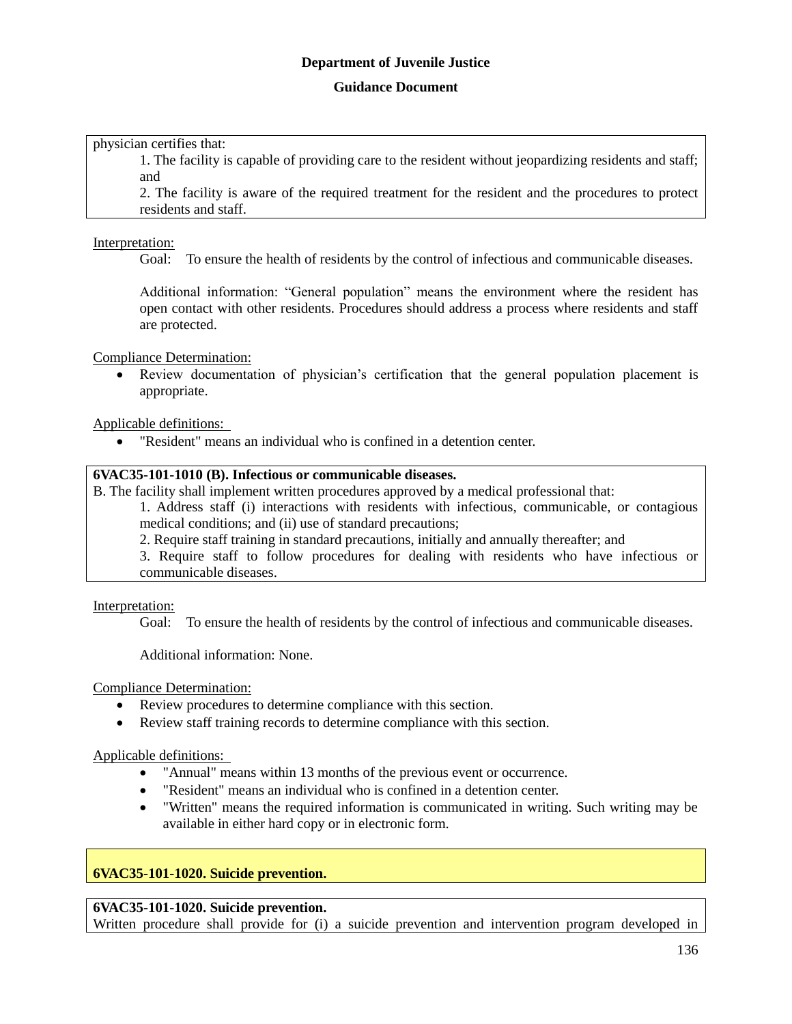#### **Guidance Document**

physician certifies that:

1. The facility is capable of providing care to the resident without jeopardizing residents and staff; and

2. The facility is aware of the required treatment for the resident and the procedures to protect residents and staff.

#### Interpretation:

Goal: To ensure the health of residents by the control of infectious and communicable diseases.

Additional information: "General population" means the environment where the resident has open contact with other residents. Procedures should address a process where residents and staff are protected.

Compliance Determination:

 Review documentation of physician's certification that the general population placement is appropriate.

Applicable definitions:

"Resident" means an individual who is confined in a detention center.

#### **6VAC35-101-1010 (B). Infectious or communicable diseases.**

B. The facility shall implement written procedures approved by a medical professional that:

1. Address staff (i) interactions with residents with infectious, communicable, or contagious medical conditions; and (ii) use of standard precautions;

2. Require staff training in standard precautions, initially and annually thereafter; and

3. Require staff to follow procedures for dealing with residents who have infectious or communicable diseases.

#### Interpretation:

Goal: To ensure the health of residents by the control of infectious and communicable diseases.

Additional information: None.

Compliance Determination:

- Review procedures to determine compliance with this section.
- Review staff training records to determine compliance with this section.

Applicable definitions:

- "Annual" means within 13 months of the previous event or occurrence.
- "Resident" means an individual who is confined in a detention center.
- "Written" means the required information is communicated in writing. Such writing may be available in either hard copy or in electronic form.

#### **6VAC35-101-1020. Suicide prevention.**

#### **6VAC35-101-1020. Suicide prevention.**

Written procedure shall provide for (i) a suicide prevention and intervention program developed in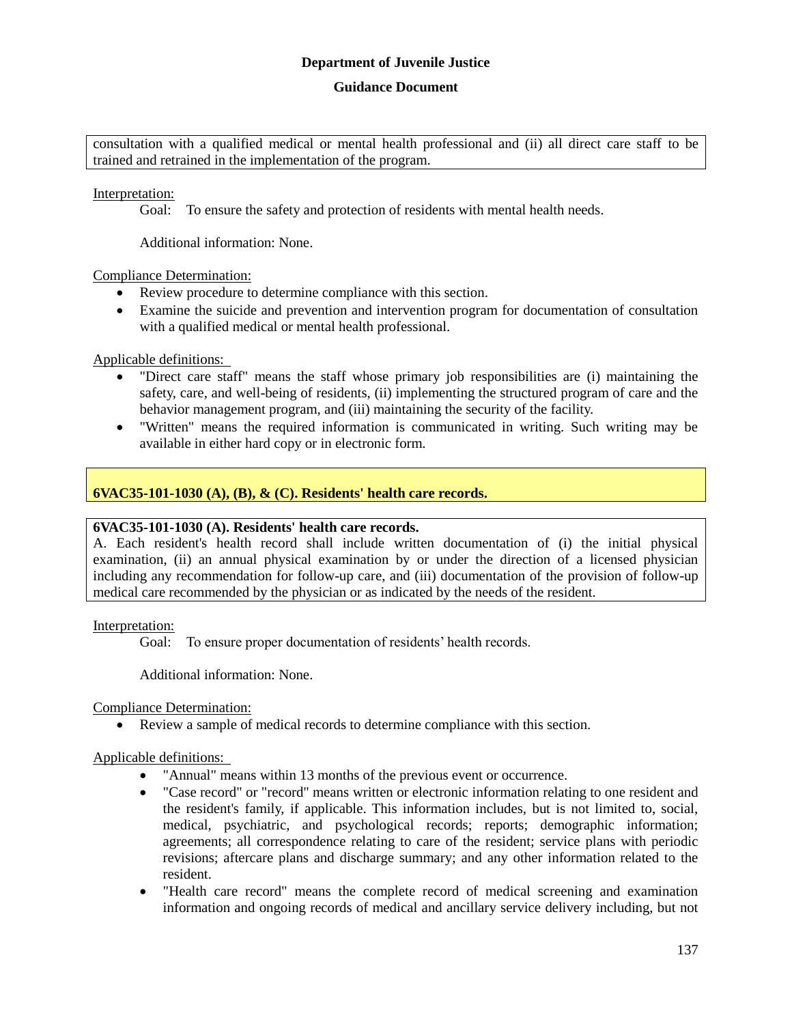#### **Guidance Document**

consultation with a qualified medical or mental health professional and (ii) all direct care staff to be trained and retrained in the implementation of the program.

Interpretation:

Goal: To ensure the safety and protection of residents with mental health needs.

Additional information: None.

Compliance Determination:

- Review procedure to determine compliance with this section.
- Examine the suicide and prevention and intervention program for documentation of consultation with a qualified medical or mental health professional.

Applicable definitions:

- "Direct care staff" means the staff whose primary job responsibilities are (i) maintaining the safety, care, and well-being of residents, (ii) implementing the structured program of care and the behavior management program, and (iii) maintaining the security of the facility.
- "Written" means the required information is communicated in writing. Such writing may be available in either hard copy or in electronic form.

# **6VAC35-101-1030 (A), (B), & (C). Residents' health care records.**

#### **6VAC35-101-1030 (A). Residents' health care records.**

A. Each resident's health record shall include written documentation of (i) the initial physical examination, (ii) an annual physical examination by or under the direction of a licensed physician including any recommendation for follow-up care, and (iii) documentation of the provision of follow-up medical care recommended by the physician or as indicated by the needs of the resident.

Interpretation:

Goal: To ensure proper documentation of residents' health records.

Additional information: None.

Compliance Determination:

Review a sample of medical records to determine compliance with this section.

#### Applicable definitions:

- "Annual" means within 13 months of the previous event or occurrence.
- "Case record" or "record" means written or electronic information relating to one resident and the resident's family, if applicable. This information includes, but is not limited to, social, medical, psychiatric, and psychological records; reports; demographic information; agreements; all correspondence relating to care of the resident; service plans with periodic revisions; aftercare plans and discharge summary; and any other information related to the resident.
- "Health care record" means the complete record of medical screening and examination information and ongoing records of medical and ancillary service delivery including, but not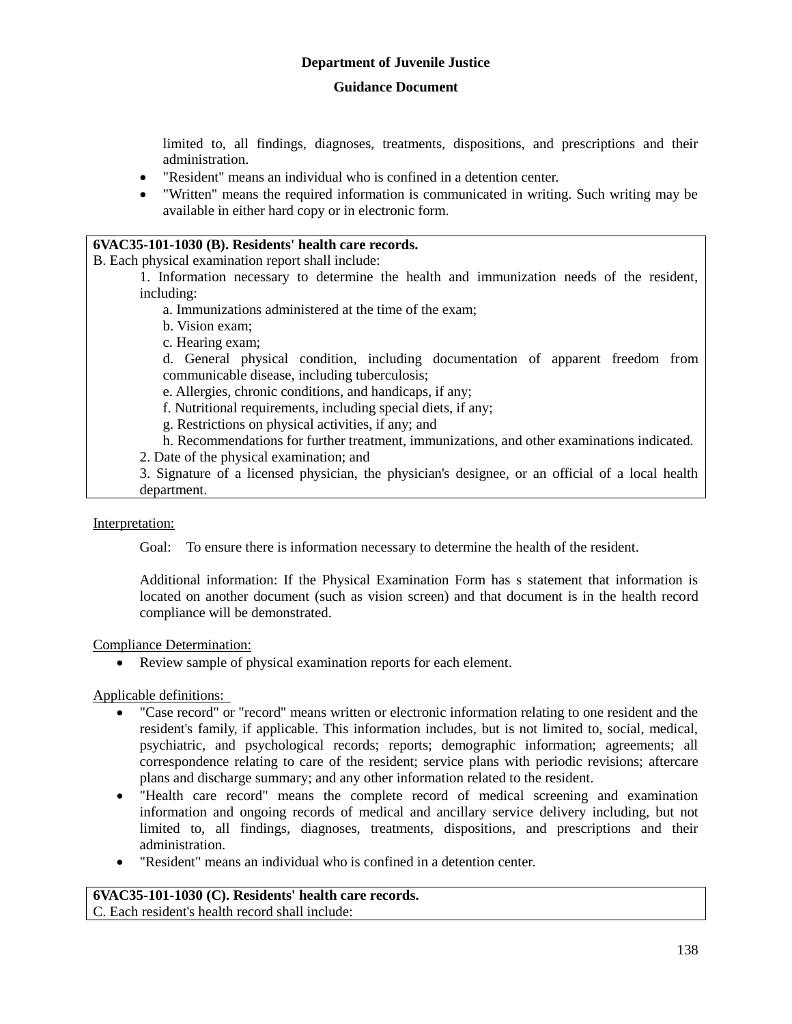#### **Guidance Document**

limited to, all findings, diagnoses, treatments, dispositions, and prescriptions and their administration.

- "Resident" means an individual who is confined in a detention center.
- "Written" means the required information is communicated in writing. Such writing may be available in either hard copy or in electronic form.

### **6VAC35-101-1030 (B). Residents' health care records.**

B. Each physical examination report shall include:

- 1. Information necessary to determine the health and immunization needs of the resident, including:
	- a. Immunizations administered at the time of the exam;
	- b. Vision exam;
	- c. Hearing exam;

d. General physical condition, including documentation of apparent freedom from communicable disease, including tuberculosis;

e. Allergies, chronic conditions, and handicaps, if any;

f. Nutritional requirements, including special diets, if any;

g. Restrictions on physical activities, if any; and

- h. Recommendations for further treatment, immunizations, and other examinations indicated.
- 2. Date of the physical examination; and

3. Signature of a licensed physician, the physician's designee, or an official of a local health department.

#### Interpretation:

Goal: To ensure there is information necessary to determine the health of the resident.

Additional information: If the Physical Examination Form has s statement that information is located on another document (such as vision screen) and that document is in the health record compliance will be demonstrated.

Compliance Determination:

Review sample of physical examination reports for each element.

Applicable definitions:

- "Case record" or "record" means written or electronic information relating to one resident and the resident's family, if applicable. This information includes, but is not limited to, social, medical, psychiatric, and psychological records; reports; demographic information; agreements; all correspondence relating to care of the resident; service plans with periodic revisions; aftercare plans and discharge summary; and any other information related to the resident.
- "Health care record" means the complete record of medical screening and examination information and ongoing records of medical and ancillary service delivery including, but not limited to, all findings, diagnoses, treatments, dispositions, and prescriptions and their administration.
- "Resident" means an individual who is confined in a detention center.

# **6VAC35-101-1030 (C). Residents' health care records.**

C. Each resident's health record shall include: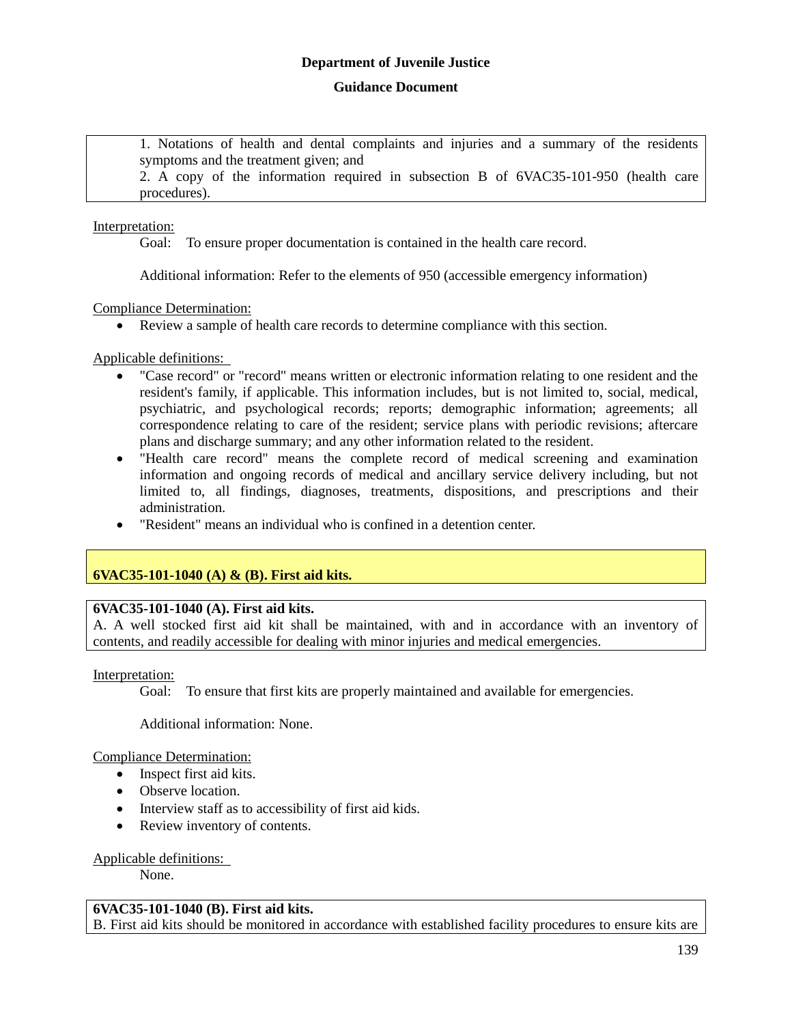1. Notations of health and dental complaints and injuries and a summary of the residents symptoms and the treatment given; and

2. A copy of the information required in subsection B of 6VAC35-101-950 (health care procedures).

#### Interpretation:

Goal: To ensure proper documentation is contained in the health care record.

Additional information: Refer to the elements of 950 (accessible emergency information)

Compliance Determination:

Review a sample of health care records to determine compliance with this section.

Applicable definitions:

- "Case record" or "record" means written or electronic information relating to one resident and the resident's family, if applicable. This information includes, but is not limited to, social, medical, psychiatric, and psychological records; reports; demographic information; agreements; all correspondence relating to care of the resident; service plans with periodic revisions; aftercare plans and discharge summary; and any other information related to the resident.
- "Health care record" means the complete record of medical screening and examination information and ongoing records of medical and ancillary service delivery including, but not limited to, all findings, diagnoses, treatments, dispositions, and prescriptions and their administration.
- "Resident" means an individual who is confined in a detention center.

# **6VAC35-101-1040 (A) & (B). First aid kits.**

#### **6VAC35-101-1040 (A). First aid kits.**

A. A well stocked first aid kit shall be maintained, with and in accordance with an inventory of contents, and readily accessible for dealing with minor injuries and medical emergencies.

#### Interpretation:

Goal: To ensure that first kits are properly maintained and available for emergencies.

Additional information: None.

Compliance Determination:

- Inspect first aid kits.
- Observe location.
- Interview staff as to accessibility of first aid kids.
- Review inventory of contents.

Applicable definitions:

None.

#### **6VAC35-101-1040 (B). First aid kits.**

B. First aid kits should be monitored in accordance with established facility procedures to ensure kits are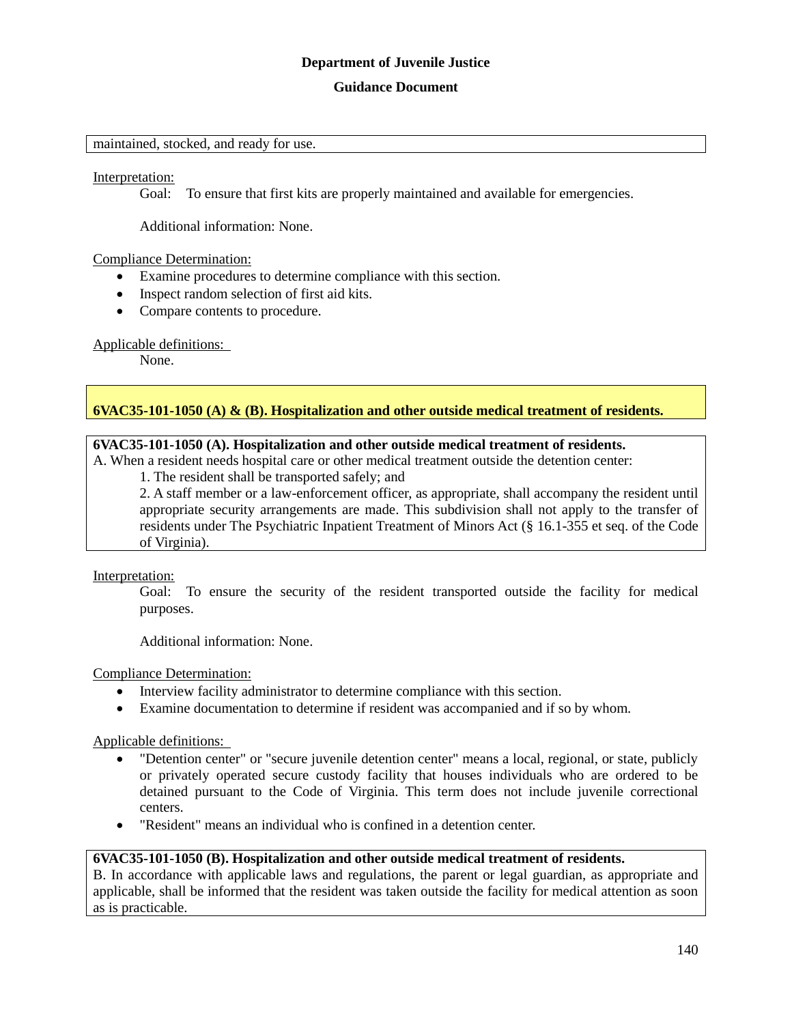#### **Guidance Document**

#### maintained, stocked, and ready for use.

#### Interpretation:

Goal: To ensure that first kits are properly maintained and available for emergencies.

Additional information: None.

#### Compliance Determination:

- Examine procedures to determine compliance with this section.
- Inspect random selection of first aid kits.
- Compare contents to procedure.

#### Applicable definitions:

None.

#### **6VAC35-101-1050 (A) & (B). Hospitalization and other outside medical treatment of residents.**

### **6VAC35-101-1050 (A). Hospitalization and other outside medical treatment of residents.**

A. When a resident needs hospital care or other medical treatment outside the detention center:

1. The resident shall be transported safely; and

2. A staff member or a law-enforcement officer, as appropriate, shall accompany the resident until appropriate security arrangements are made. This subdivision shall not apply to the transfer of residents under The Psychiatric Inpatient Treatment of Minors Act (§ 16.1-355 et seq. of the Code of Virginia).

Interpretation:

Goal: To ensure the security of the resident transported outside the facility for medical purposes.

Additional information: None.

#### Compliance Determination:

- Interview facility administrator to determine compliance with this section.
- Examine documentation to determine if resident was accompanied and if so by whom.

Applicable definitions:

- "Detention center" or "secure juvenile detention center" means a local, regional, or state, publicly or privately operated secure custody facility that houses individuals who are ordered to be detained pursuant to the Code of Virginia. This term does not include juvenile correctional centers.
- "Resident" means an individual who is confined in a detention center.

#### **6VAC35-101-1050 (B). Hospitalization and other outside medical treatment of residents.**

B. In accordance with applicable laws and regulations, the parent or legal guardian, as appropriate and applicable, shall be informed that the resident was taken outside the facility for medical attention as soon as is practicable.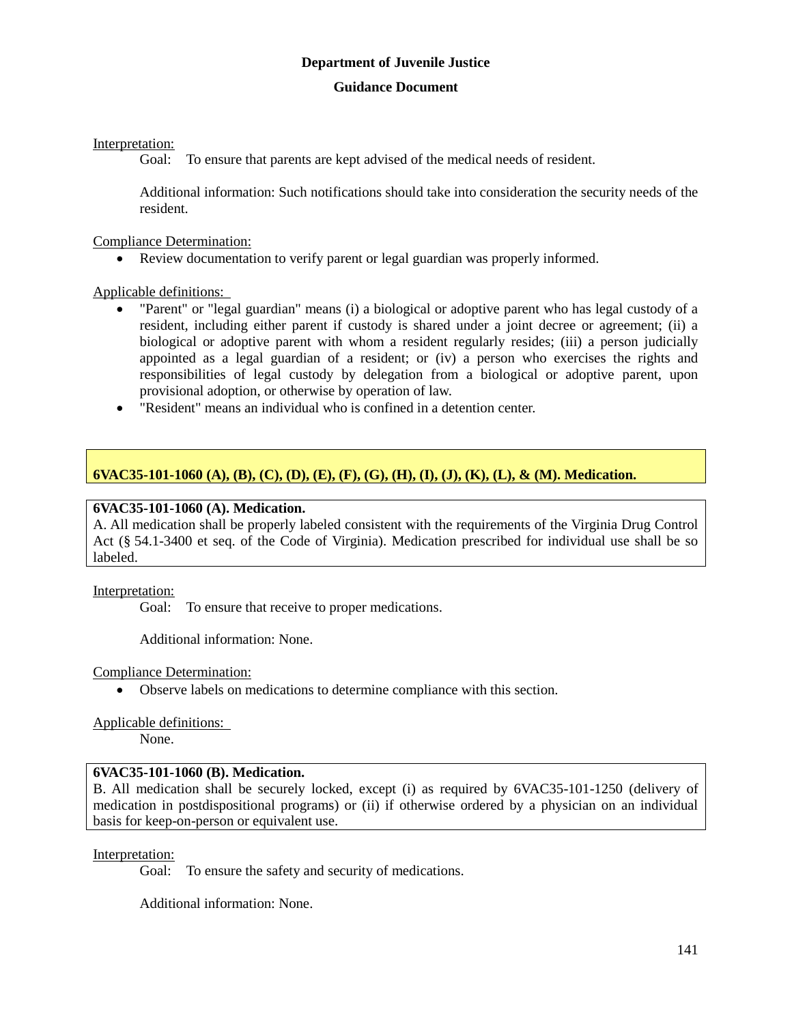## **Guidance Document**

Interpretation:

Goal: To ensure that parents are kept advised of the medical needs of resident.

Additional information: Such notifications should take into consideration the security needs of the resident.

Compliance Determination:

Review documentation to verify parent or legal guardian was properly informed.

Applicable definitions:

- "Parent" or "legal guardian" means (i) a biological or adoptive parent who has legal custody of a resident, including either parent if custody is shared under a joint decree or agreement; (ii) a biological or adoptive parent with whom a resident regularly resides; (iii) a person judicially appointed as a legal guardian of a resident; or (iv) a person who exercises the rights and responsibilities of legal custody by delegation from a biological or adoptive parent, upon provisional adoption, or otherwise by operation of law.
- "Resident" means an individual who is confined in a detention center.

# **6VAC35-101-1060 (A), (B), (C), (D), (E), (F), (G), (H), (I), (J), (K), (L), & (M). Medication.**

## **6VAC35-101-1060 (A). Medication.**

A. All medication shall be properly labeled consistent with the requirements of the Virginia Drug Control Act (§ 54.1-3400 et seq. of the Code of Virginia). Medication prescribed for individual use shall be so labeled.

Interpretation:

Goal: To ensure that receive to proper medications.

Additional information: None.

Compliance Determination:

Observe labels on medications to determine compliance with this section.

Applicable definitions:

None.

#### **6VAC35-101-1060 (B). Medication.**

B. All medication shall be securely locked, except (i) as required by 6VAC35-101-1250 (delivery of medication in postdispositional programs) or (ii) if otherwise ordered by a physician on an individual basis for keep-on-person or equivalent use.

#### Interpretation:

Goal: To ensure the safety and security of medications.

Additional information: None.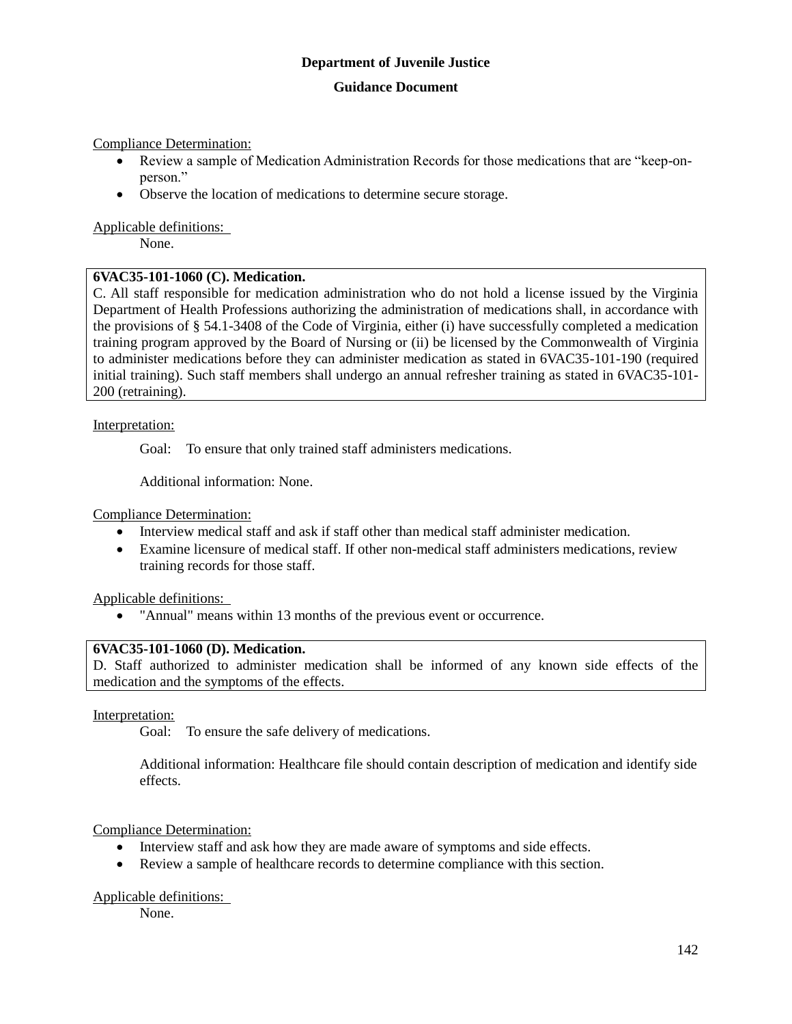#### **Guidance Document**

Compliance Determination:

- Review a sample of Medication Administration Records for those medications that are "keep-onperson."
- Observe the location of medications to determine secure storage.

Applicable definitions:

None.

#### **6VAC35-101-1060 (C). Medication.**

C. All staff responsible for medication administration who do not hold a license issued by the Virginia Department of Health Professions authorizing the administration of medications shall, in accordance with the provisions of § 54.1-3408 of the Code of Virginia, either (i) have successfully completed a medication training program approved by the Board of Nursing or (ii) be licensed by the Commonwealth of Virginia to administer medications before they can administer medication as stated in 6VAC35-101-190 (required initial training). Such staff members shall undergo an annual refresher training as stated in 6VAC35-101- 200 (retraining).

#### Interpretation:

Goal: To ensure that only trained staff administers medications.

Additional information: None.

Compliance Determination:

- Interview medical staff and ask if staff other than medical staff administer medication.
- Examine licensure of medical staff. If other non-medical staff administers medications, review training records for those staff.

Applicable definitions:

"Annual" means within 13 months of the previous event or occurrence.

#### **6VAC35-101-1060 (D). Medication.**

D. Staff authorized to administer medication shall be informed of any known side effects of the medication and the symptoms of the effects.

#### Interpretation:

Goal: To ensure the safe delivery of medications.

Additional information: Healthcare file should contain description of medication and identify side effects.

#### Compliance Determination:

- Interview staff and ask how they are made aware of symptoms and side effects.
- Review a sample of healthcare records to determine compliance with this section.

#### Applicable definitions:

None.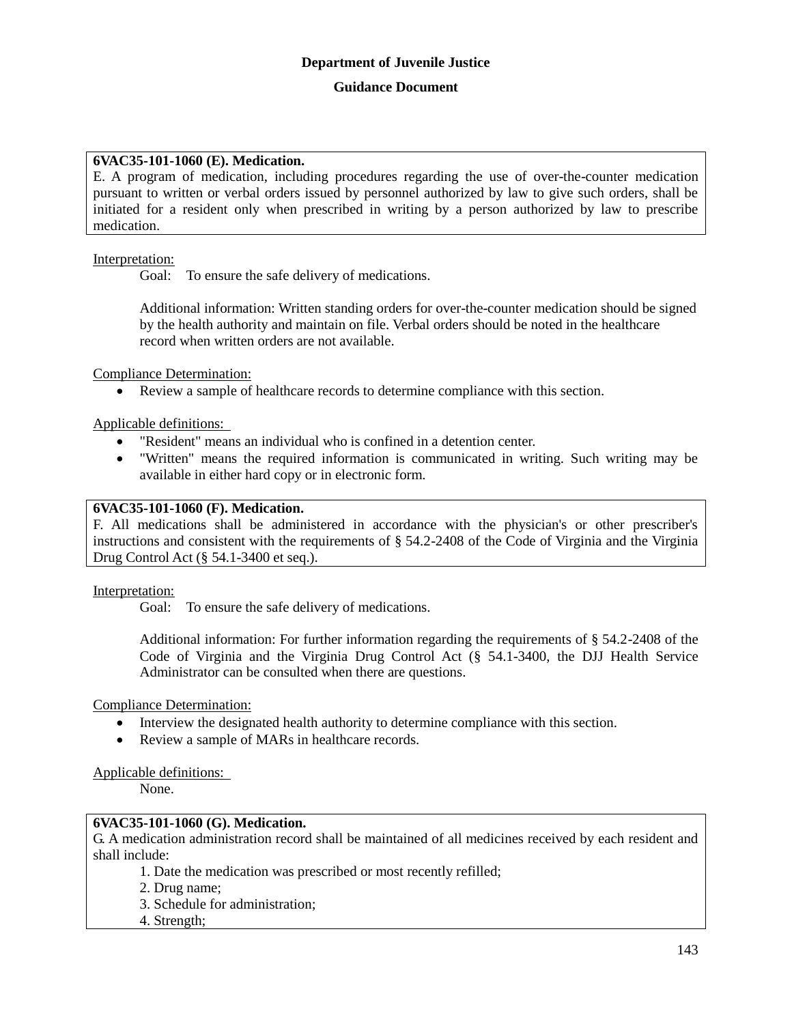# **6VAC35-101-1060 (E). Medication.**

E. A program of medication, including procedures regarding the use of over-the-counter medication pursuant to written or verbal orders issued by personnel authorized by law to give such orders, shall be initiated for a resident only when prescribed in writing by a person authorized by law to prescribe medication.

Interpretation:

Goal: To ensure the safe delivery of medications.

Additional information: Written standing orders for over-the-counter medication should be signed by the health authority and maintain on file. Verbal orders should be noted in the healthcare record when written orders are not available.

Compliance Determination:

Review a sample of healthcare records to determine compliance with this section.

Applicable definitions:

- "Resident" means an individual who is confined in a detention center.
- "Written" means the required information is communicated in writing. Such writing may be available in either hard copy or in electronic form.

#### **6VAC35-101-1060 (F). Medication.**

F. All medications shall be administered in accordance with the physician's or other prescriber's instructions and consistent with the requirements of § 54.2-2408 of the Code of Virginia and the Virginia Drug Control Act (§ 54.1-3400 et seq.).

Interpretation:

Goal: To ensure the safe delivery of medications.

Additional information: For further information regarding the requirements of § 54.2-2408 of the Code of Virginia and the Virginia Drug Control Act (§ 54.1-3400, the DJJ Health Service Administrator can be consulted when there are questions.

Compliance Determination:

- Interview the designated health authority to determine compliance with this section.
- Review a sample of MARs in healthcare records.

Applicable definitions:

None.

#### **6VAC35-101-1060 (G). Medication.**

G. A medication administration record shall be maintained of all medicines received by each resident and shall include:

1. Date the medication was prescribed or most recently refilled;

2. Drug name;

- 3. Schedule for administration;
- 4. Strength;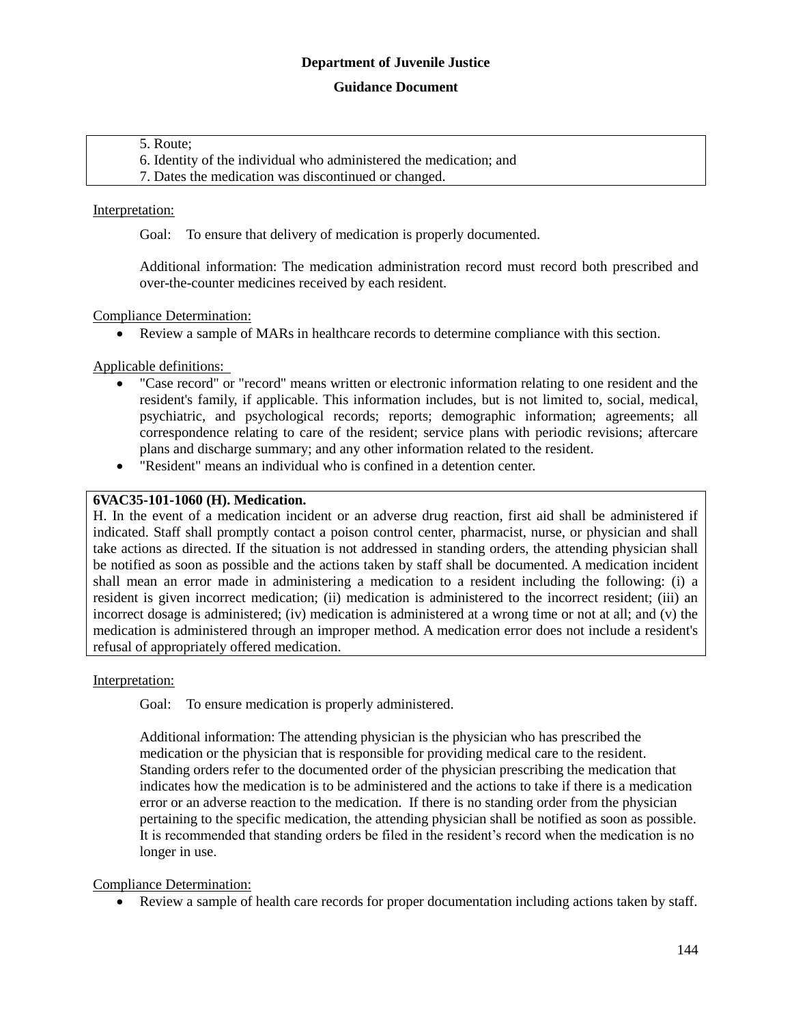#### **Guidance Document**

#### 5. Route;

6. Identity of the individual who administered the medication; and

7. Dates the medication was discontinued or changed.

#### Interpretation:

Goal: To ensure that delivery of medication is properly documented.

Additional information: The medication administration record must record both prescribed and over-the-counter medicines received by each resident.

#### Compliance Determination:

Review a sample of MARs in healthcare records to determine compliance with this section.

Applicable definitions:

- "Case record" or "record" means written or electronic information relating to one resident and the resident's family, if applicable. This information includes, but is not limited to, social, medical, psychiatric, and psychological records; reports; demographic information; agreements; all correspondence relating to care of the resident; service plans with periodic revisions; aftercare plans and discharge summary; and any other information related to the resident.
- "Resident" means an individual who is confined in a detention center.

### **6VAC35-101-1060 (H). Medication.**

H. In the event of a medication incident or an adverse drug reaction, first aid shall be administered if indicated. Staff shall promptly contact a poison control center, pharmacist, nurse, or physician and shall take actions as directed. If the situation is not addressed in standing orders, the attending physician shall be notified as soon as possible and the actions taken by staff shall be documented. A medication incident shall mean an error made in administering a medication to a resident including the following: (i) a resident is given incorrect medication; (ii) medication is administered to the incorrect resident; (iii) an incorrect dosage is administered; (iv) medication is administered at a wrong time or not at all; and (v) the medication is administered through an improper method. A medication error does not include a resident's refusal of appropriately offered medication.

#### Interpretation:

Goal: To ensure medication is properly administered.

Additional information: The attending physician is the physician who has prescribed the medication or the physician that is responsible for providing medical care to the resident. Standing orders refer to the documented order of the physician prescribing the medication that indicates how the medication is to be administered and the actions to take if there is a medication error or an adverse reaction to the medication. If there is no standing order from the physician pertaining to the specific medication, the attending physician shall be notified as soon as possible. It is recommended that standing orders be filed in the resident's record when the medication is no longer in use.

#### Compliance Determination:

Review a sample of health care records for proper documentation including actions taken by staff.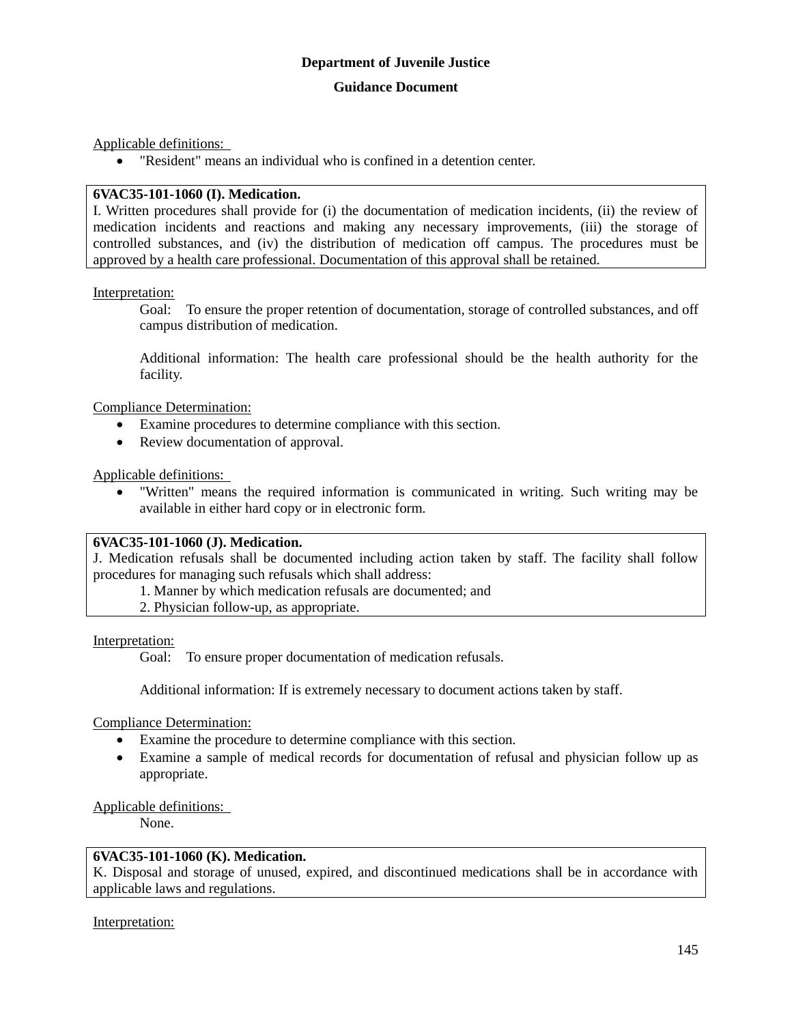Applicable definitions:

"Resident" means an individual who is confined in a detention center.

## **6VAC35-101-1060 (I). Medication.**

I. Written procedures shall provide for (i) the documentation of medication incidents, (ii) the review of medication incidents and reactions and making any necessary improvements, (iii) the storage of controlled substances, and (iv) the distribution of medication off campus. The procedures must be approved by a health care professional. Documentation of this approval shall be retained.

## Interpretation:

Goal: To ensure the proper retention of documentation, storage of controlled substances, and off campus distribution of medication.

Additional information: The health care professional should be the health authority for the facility.

Compliance Determination:

- Examine procedures to determine compliance with this section.
- Review documentation of approval.

Applicable definitions:

 "Written" means the required information is communicated in writing. Such writing may be available in either hard copy or in electronic form.

## **6VAC35-101-1060 (J). Medication.**

J. Medication refusals shall be documented including action taken by staff. The facility shall follow procedures for managing such refusals which shall address:

1. Manner by which medication refusals are documented; and

2. Physician follow-up, as appropriate.

Interpretation:

Goal: To ensure proper documentation of medication refusals.

Additional information: If is extremely necessary to document actions taken by staff.

Compliance Determination:

- Examine the procedure to determine compliance with this section.
- Examine a sample of medical records for documentation of refusal and physician follow up as appropriate.

Applicable definitions:

None.

# **6VAC35-101-1060 (K). Medication.**

K. Disposal and storage of unused, expired, and discontinued medications shall be in accordance with applicable laws and regulations.

Interpretation: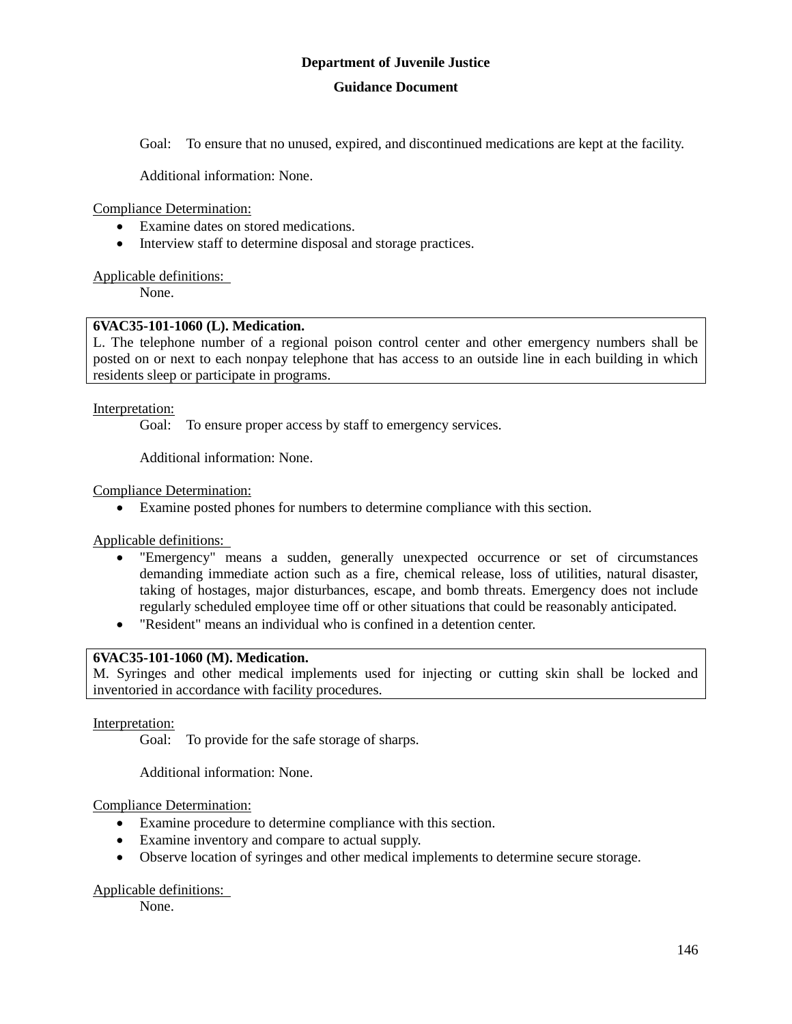Goal: To ensure that no unused, expired, and discontinued medications are kept at the facility.

Additional information: None.

Compliance Determination:

- Examine dates on stored medications.
- Interview staff to determine disposal and storage practices.

#### Applicable definitions:

None.

#### **6VAC35-101-1060 (L). Medication.**

L. The telephone number of a regional poison control center and other emergency numbers shall be posted on or next to each nonpay telephone that has access to an outside line in each building in which residents sleep or participate in programs.

Interpretation:

Goal: To ensure proper access by staff to emergency services.

Additional information: None.

Compliance Determination:

Examine posted phones for numbers to determine compliance with this section.

Applicable definitions:

- "Emergency" means a sudden, generally unexpected occurrence or set of circumstances demanding immediate action such as a fire, chemical release, loss of utilities, natural disaster, taking of hostages, major disturbances, escape, and bomb threats. Emergency does not include regularly scheduled employee time off or other situations that could be reasonably anticipated.
- "Resident" means an individual who is confined in a detention center.

## **6VAC35-101-1060 (M). Medication.**

M. Syringes and other medical implements used for injecting or cutting skin shall be locked and inventoried in accordance with facility procedures.

Interpretation:

Goal: To provide for the safe storage of sharps.

Additional information: None.

Compliance Determination:

- Examine procedure to determine compliance with this section.
- Examine inventory and compare to actual supply.
- Observe location of syringes and other medical implements to determine secure storage.

#### Applicable definitions:

None.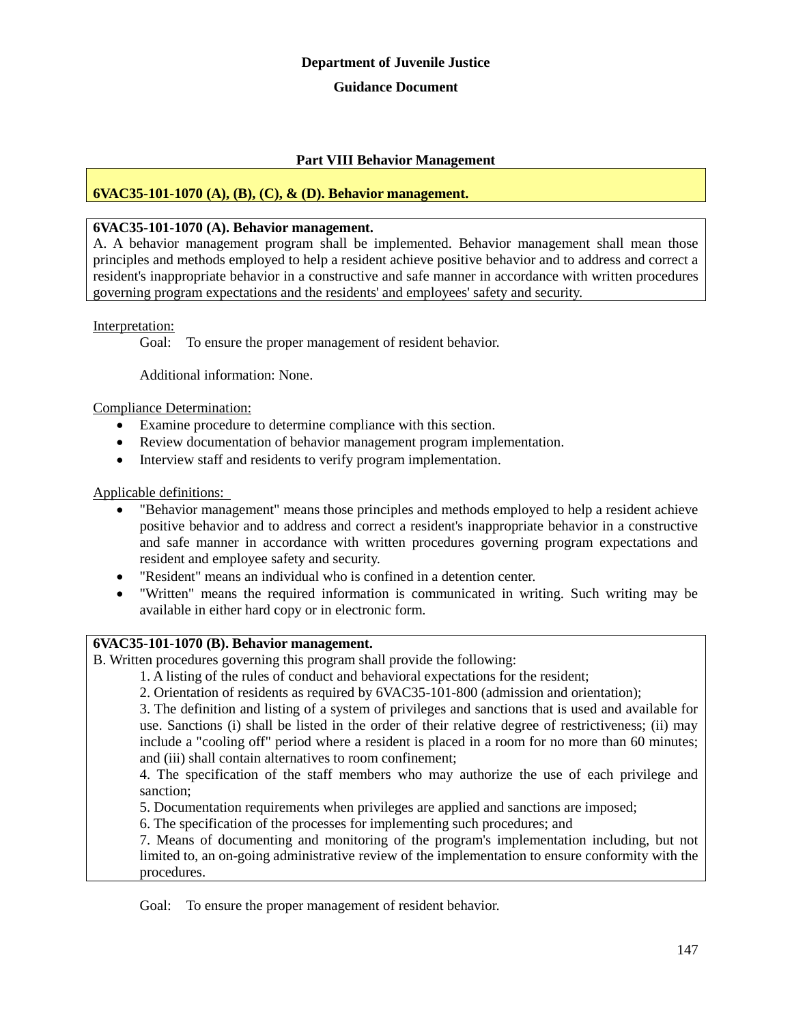#### **Guidance Document**

## **Part VIII Behavior Management**

## **6VAC35-101-1070 (A), (B), (C), & (D). Behavior management.**

## **6VAC35-101-1070 (A). Behavior management.**

A. A behavior management program shall be implemented. Behavior management shall mean those principles and methods employed to help a resident achieve positive behavior and to address and correct a resident's inappropriate behavior in a constructive and safe manner in accordance with written procedures governing program expectations and the residents' and employees' safety and security.

#### Interpretation:

Goal: To ensure the proper management of resident behavior.

Additional information: None.

#### Compliance Determination:

- Examine procedure to determine compliance with this section.
- Review documentation of behavior management program implementation.
- Interview staff and residents to verify program implementation.

#### Applicable definitions:

- "Behavior management" means those principles and methods employed to help a resident achieve positive behavior and to address and correct a resident's inappropriate behavior in a constructive and safe manner in accordance with written procedures governing program expectations and resident and employee safety and security.
- "Resident" means an individual who is confined in a detention center.
- "Written" means the required information is communicated in writing. Such writing may be available in either hard copy or in electronic form.

## **6VAC35-101-1070 (B). Behavior management.**

B. Written procedures governing this program shall provide the following:

1. A listing of the rules of conduct and behavioral expectations for the resident;

2. Orientation of residents as required by 6VAC35-101-800 (admission and orientation);

3. The definition and listing of a system of privileges and sanctions that is used and available for use. Sanctions (i) shall be listed in the order of their relative degree of restrictiveness; (ii) may include a "cooling off" period where a resident is placed in a room for no more than 60 minutes; and (iii) shall contain alternatives to room confinement;

4. The specification of the staff members who may authorize the use of each privilege and sanction;

5. Documentation requirements when privileges are applied and sanctions are imposed;

6. The specification of the processes for implementing such procedures; and

7. Means of documenting and monitoring of the program's implementation including, but not limited to, an on-going administrative review of the implementation to ensure conformity with the procedures.

Goal: To ensure the proper management of resident behavior.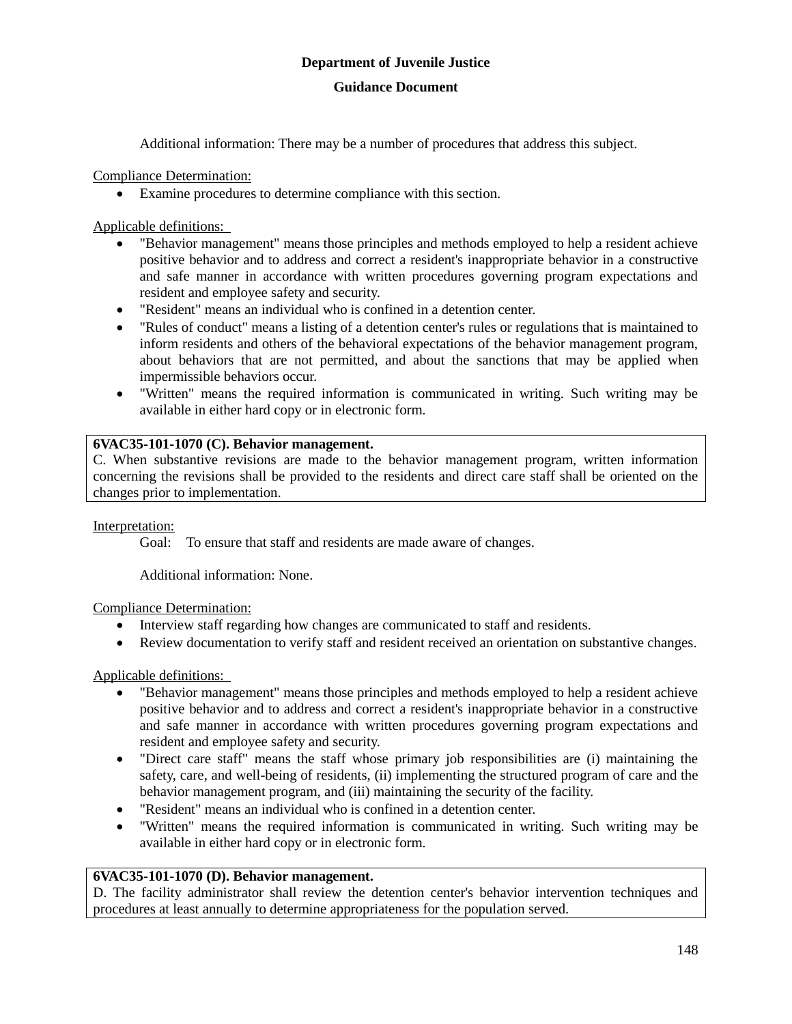## **Guidance Document**

Additional information: There may be a number of procedures that address this subject.

Compliance Determination:

Examine procedures to determine compliance with this section.

Applicable definitions:

- "Behavior management" means those principles and methods employed to help a resident achieve positive behavior and to address and correct a resident's inappropriate behavior in a constructive and safe manner in accordance with written procedures governing program expectations and resident and employee safety and security.
- "Resident" means an individual who is confined in a detention center.
- "Rules of conduct" means a listing of a detention center's rules or regulations that is maintained to inform residents and others of the behavioral expectations of the behavior management program, about behaviors that are not permitted, and about the sanctions that may be applied when impermissible behaviors occur.
- "Written" means the required information is communicated in writing. Such writing may be available in either hard copy or in electronic form.

## **6VAC35-101-1070 (C). Behavior management.**

C. When substantive revisions are made to the behavior management program, written information concerning the revisions shall be provided to the residents and direct care staff shall be oriented on the changes prior to implementation.

Interpretation:

Goal: To ensure that staff and residents are made aware of changes.

Additional information: None.

## Compliance Determination:

- Interview staff regarding how changes are communicated to staff and residents.
- Review documentation to verify staff and resident received an orientation on substantive changes.

## Applicable definitions:

- "Behavior management" means those principles and methods employed to help a resident achieve positive behavior and to address and correct a resident's inappropriate behavior in a constructive and safe manner in accordance with written procedures governing program expectations and resident and employee safety and security.
- "Direct care staff" means the staff whose primary job responsibilities are (i) maintaining the safety, care, and well-being of residents, (ii) implementing the structured program of care and the behavior management program, and (iii) maintaining the security of the facility.
- "Resident" means an individual who is confined in a detention center.
- "Written" means the required information is communicated in writing. Such writing may be available in either hard copy or in electronic form.

## **6VAC35-101-1070 (D). Behavior management.**

D. The facility administrator shall review the detention center's behavior intervention techniques and procedures at least annually to determine appropriateness for the population served.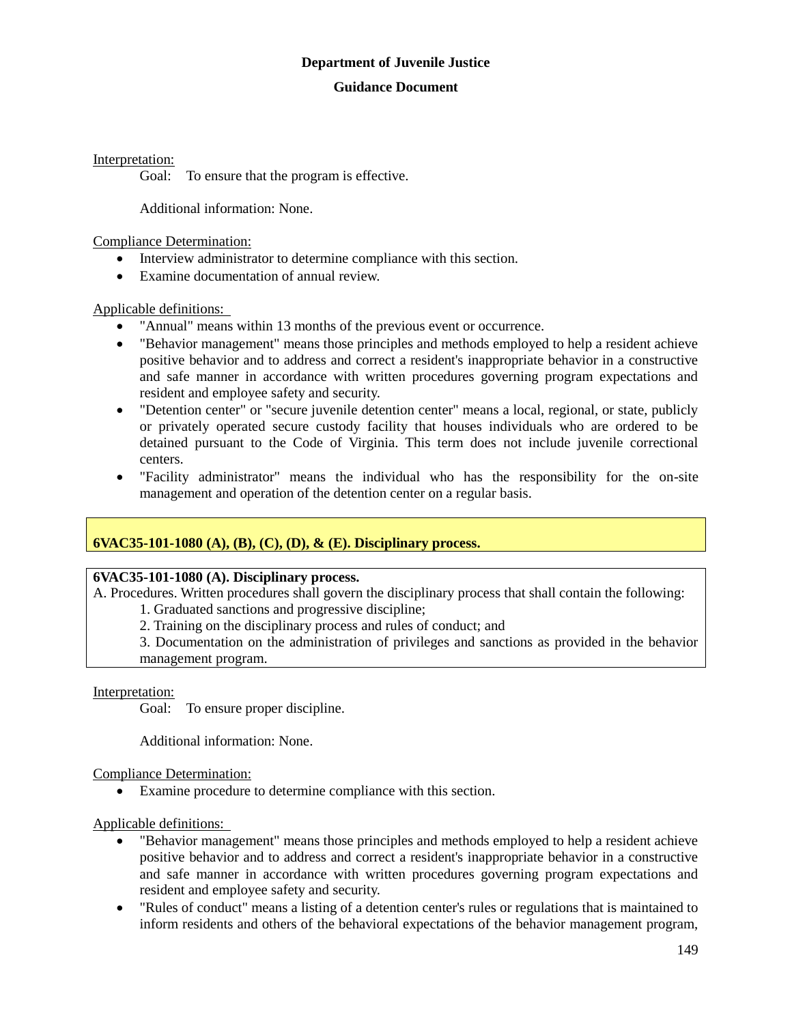## **Guidance Document**

Interpretation:

Goal: To ensure that the program is effective.

Additional information: None.

Compliance Determination:

- Interview administrator to determine compliance with this section.
- Examine documentation of annual review.

Applicable definitions:

- "Annual" means within 13 months of the previous event or occurrence.
- "Behavior management" means those principles and methods employed to help a resident achieve positive behavior and to address and correct a resident's inappropriate behavior in a constructive and safe manner in accordance with written procedures governing program expectations and resident and employee safety and security.
- "Detention center" or "secure juvenile detention center" means a local, regional, or state, publicly or privately operated secure custody facility that houses individuals who are ordered to be detained pursuant to the Code of Virginia. This term does not include juvenile correctional centers.
- "Facility administrator" means the individual who has the responsibility for the on-site management and operation of the detention center on a regular basis.

## **6VAC35-101-1080 (A), (B), (C), (D), & (E). Disciplinary process.**

## **6VAC35-101-1080 (A). Disciplinary process.**

A. Procedures. Written procedures shall govern the disciplinary process that shall contain the following: 1. Graduated sanctions and progressive discipline;

2. Training on the disciplinary process and rules of conduct; and

3. Documentation on the administration of privileges and sanctions as provided in the behavior management program.

Interpretation:

Goal: To ensure proper discipline.

Additional information: None.

Compliance Determination:

Examine procedure to determine compliance with this section.

- "Behavior management" means those principles and methods employed to help a resident achieve positive behavior and to address and correct a resident's inappropriate behavior in a constructive and safe manner in accordance with written procedures governing program expectations and resident and employee safety and security.
- "Rules of conduct" means a listing of a detention center's rules or regulations that is maintained to inform residents and others of the behavioral expectations of the behavior management program,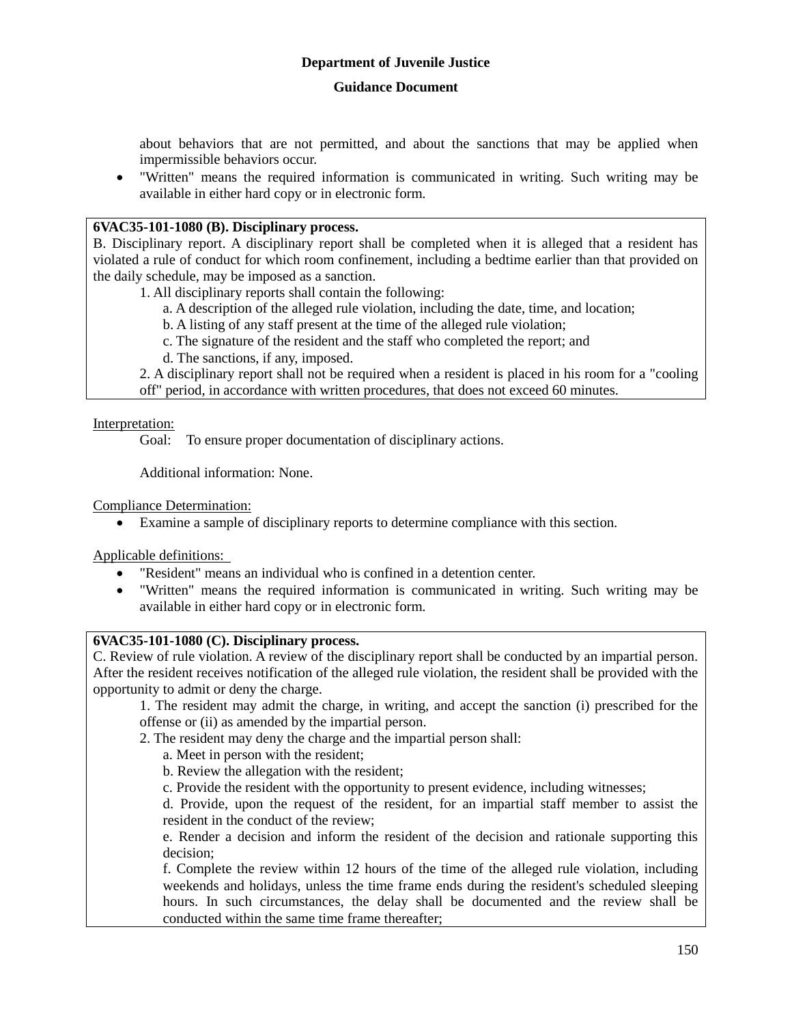#### **Guidance Document**

about behaviors that are not permitted, and about the sanctions that may be applied when impermissible behaviors occur.

 "Written" means the required information is communicated in writing. Such writing may be available in either hard copy or in electronic form.

## **6VAC35-101-1080 (B). Disciplinary process.**

B. Disciplinary report. A disciplinary report shall be completed when it is alleged that a resident has violated a rule of conduct for which room confinement, including a bedtime earlier than that provided on the daily schedule, may be imposed as a sanction.

1. All disciplinary reports shall contain the following:

- a. A description of the alleged rule violation, including the date, time, and location;
- b. A listing of any staff present at the time of the alleged rule violation;
- c. The signature of the resident and the staff who completed the report; and
- d. The sanctions, if any, imposed.

2. A disciplinary report shall not be required when a resident is placed in his room for a "cooling off" period, in accordance with written procedures, that does not exceed 60 minutes.

Interpretation:

Goal: To ensure proper documentation of disciplinary actions.

Additional information: None.

Compliance Determination:

Examine a sample of disciplinary reports to determine compliance with this section.

Applicable definitions:

- "Resident" means an individual who is confined in a detention center.
- "Written" means the required information is communicated in writing. Such writing may be available in either hard copy or in electronic form.

## **6VAC35-101-1080 (C). Disciplinary process.**

C. Review of rule violation. A review of the disciplinary report shall be conducted by an impartial person. After the resident receives notification of the alleged rule violation, the resident shall be provided with the opportunity to admit or deny the charge.

1. The resident may admit the charge, in writing, and accept the sanction (i) prescribed for the offense or (ii) as amended by the impartial person.

2. The resident may deny the charge and the impartial person shall:

a. Meet in person with the resident;

b. Review the allegation with the resident;

c. Provide the resident with the opportunity to present evidence, including witnesses;

d. Provide, upon the request of the resident, for an impartial staff member to assist the resident in the conduct of the review;

e. Render a decision and inform the resident of the decision and rationale supporting this decision;

f. Complete the review within 12 hours of the time of the alleged rule violation, including weekends and holidays, unless the time frame ends during the resident's scheduled sleeping hours. In such circumstances, the delay shall be documented and the review shall be conducted within the same time frame thereafter;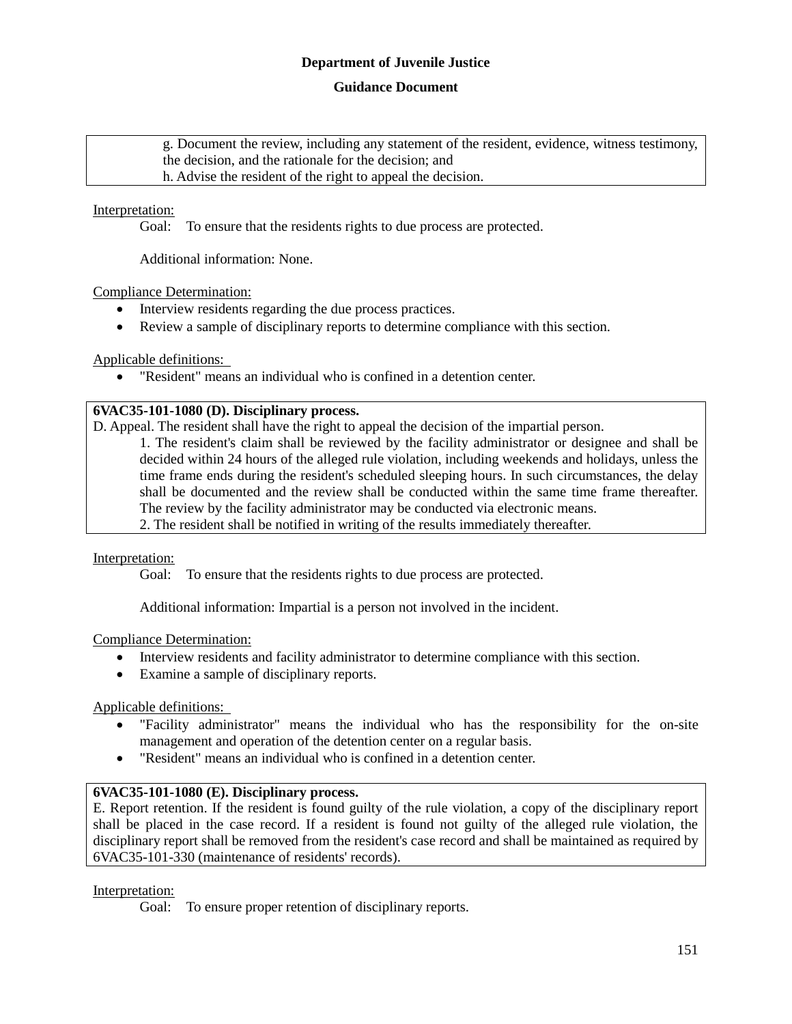## **Guidance Document**

g. Document the review, including any statement of the resident, evidence, witness testimony, the decision, and the rationale for the decision; and h. Advise the resident of the right to appeal the decision.

## Interpretation:

Goal: To ensure that the residents rights to due process are protected.

Additional information: None.

Compliance Determination:

- Interview residents regarding the due process practices.
- Review a sample of disciplinary reports to determine compliance with this section.

Applicable definitions:

"Resident" means an individual who is confined in a detention center.

## **6VAC35-101-1080 (D). Disciplinary process.**

D. Appeal. The resident shall have the right to appeal the decision of the impartial person.

1. The resident's claim shall be reviewed by the facility administrator or designee and shall be decided within 24 hours of the alleged rule violation, including weekends and holidays, unless the time frame ends during the resident's scheduled sleeping hours. In such circumstances, the delay shall be documented and the review shall be conducted within the same time frame thereafter. The review by the facility administrator may be conducted via electronic means.

2. The resident shall be notified in writing of the results immediately thereafter.

Interpretation:

Goal: To ensure that the residents rights to due process are protected.

Additional information: Impartial is a person not involved in the incident.

Compliance Determination:

- Interview residents and facility administrator to determine compliance with this section.
- Examine a sample of disciplinary reports.

Applicable definitions:

- "Facility administrator" means the individual who has the responsibility for the on-site management and operation of the detention center on a regular basis.
- "Resident" means an individual who is confined in a detention center.

## **6VAC35-101-1080 (E). Disciplinary process.**

E. Report retention. If the resident is found guilty of the rule violation, a copy of the disciplinary report shall be placed in the case record. If a resident is found not guilty of the alleged rule violation, the disciplinary report shall be removed from the resident's case record and shall be maintained as required by 6VAC35-101-330 (maintenance of residents' records).

## Interpretation:

Goal: To ensure proper retention of disciplinary reports.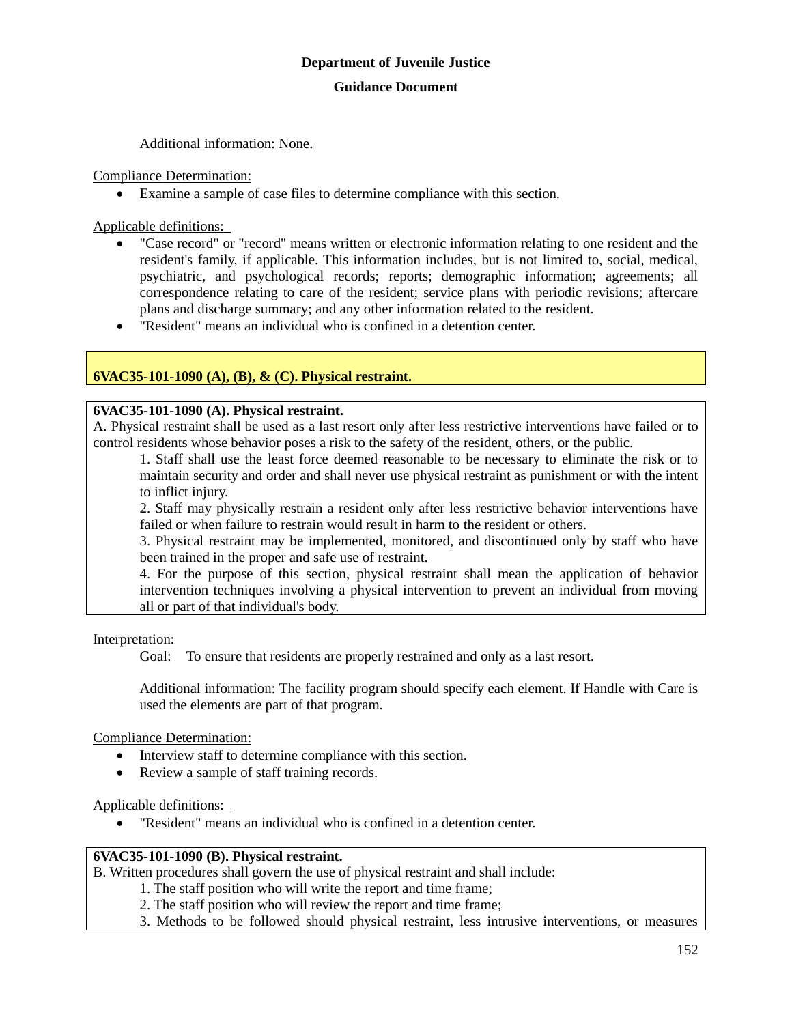Additional information: None.

Compliance Determination:

Examine a sample of case files to determine compliance with this section.

Applicable definitions:

- "Case record" or "record" means written or electronic information relating to one resident and the resident's family, if applicable. This information includes, but is not limited to, social, medical, psychiatric, and psychological records; reports; demographic information; agreements; all correspondence relating to care of the resident; service plans with periodic revisions; aftercare plans and discharge summary; and any other information related to the resident.
- "Resident" means an individual who is confined in a detention center.

## **6VAC35-101-1090 (A), (B), & (C). Physical restraint.**

#### **6VAC35-101-1090 (A). Physical restraint.**

A. Physical restraint shall be used as a last resort only after less restrictive interventions have failed or to control residents whose behavior poses a risk to the safety of the resident, others, or the public.

1. Staff shall use the least force deemed reasonable to be necessary to eliminate the risk or to maintain security and order and shall never use physical restraint as punishment or with the intent to inflict injury.

2. Staff may physically restrain a resident only after less restrictive behavior interventions have failed or when failure to restrain would result in harm to the resident or others.

3. Physical restraint may be implemented, monitored, and discontinued only by staff who have been trained in the proper and safe use of restraint.

4. For the purpose of this section, physical restraint shall mean the application of behavior intervention techniques involving a physical intervention to prevent an individual from moving all or part of that individual's body.

Interpretation:

Goal: To ensure that residents are properly restrained and only as a last resort.

Additional information: The facility program should specify each element. If Handle with Care is used the elements are part of that program.

Compliance Determination:

- Interview staff to determine compliance with this section.
- Review a sample of staff training records.

Applicable definitions:

"Resident" means an individual who is confined in a detention center.

## **6VAC35-101-1090 (B). Physical restraint.**

B. Written procedures shall govern the use of physical restraint and shall include:

- 1. The staff position who will write the report and time frame;
	- 2. The staff position who will review the report and time frame;

3. Methods to be followed should physical restraint, less intrusive interventions, or measures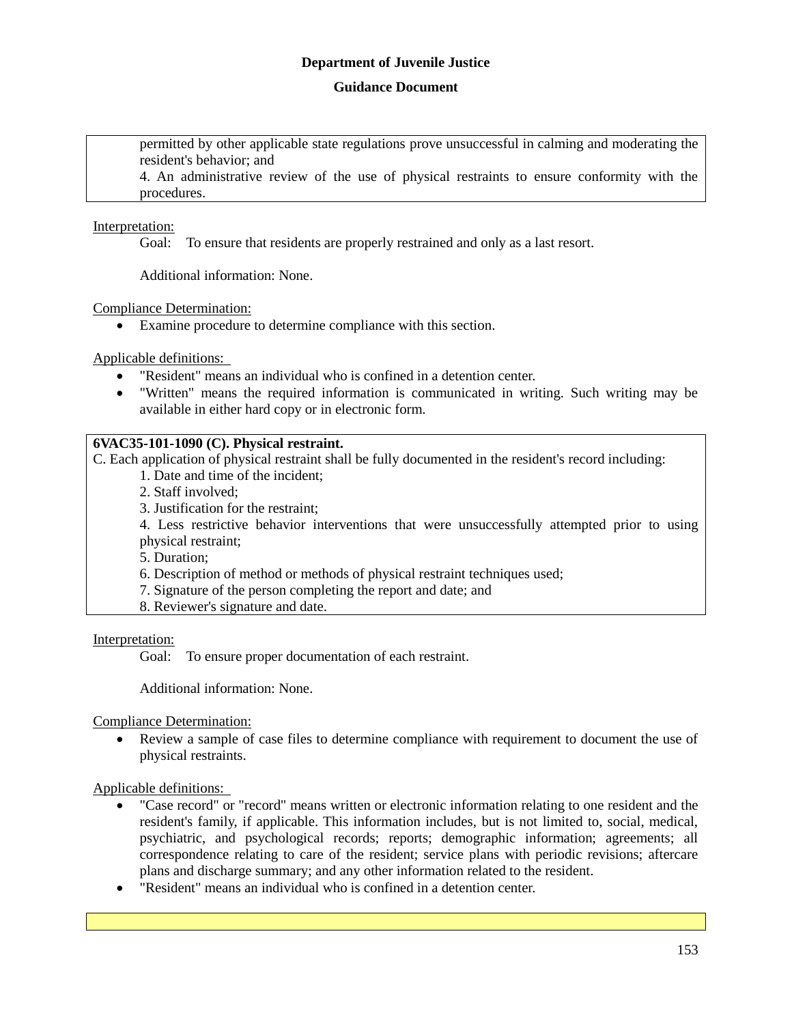## **Guidance Document**

permitted by other applicable state regulations prove unsuccessful in calming and moderating the resident's behavior; and

4. An administrative review of the use of physical restraints to ensure conformity with the procedures.

## Interpretation:

Goal: To ensure that residents are properly restrained and only as a last resort.

Additional information: None.

Compliance Determination:

Examine procedure to determine compliance with this section.

Applicable definitions:

- "Resident" means an individual who is confined in a detention center.
- "Written" means the required information is communicated in writing. Such writing may be available in either hard copy or in electronic form.

## **6VAC35-101-1090 (C). Physical restraint.**

C. Each application of physical restraint shall be fully documented in the resident's record including:

- 1. Date and time of the incident;
- 2. Staff involved;
- 3. Justification for the restraint;

4. Less restrictive behavior interventions that were unsuccessfully attempted prior to using physical restraint;

5. Duration;

6. Description of method or methods of physical restraint techniques used;

- 7. Signature of the person completing the report and date; and
- 8. Reviewer's signature and date.

Interpretation:

Goal: To ensure proper documentation of each restraint.

Additional information: None.

Compliance Determination:

 Review a sample of case files to determine compliance with requirement to document the use of physical restraints.

- "Case record" or "record" means written or electronic information relating to one resident and the resident's family, if applicable. This information includes, but is not limited to, social, medical, psychiatric, and psychological records; reports; demographic information; agreements; all correspondence relating to care of the resident; service plans with periodic revisions; aftercare plans and discharge summary; and any other information related to the resident.
- "Resident" means an individual who is confined in a detention center.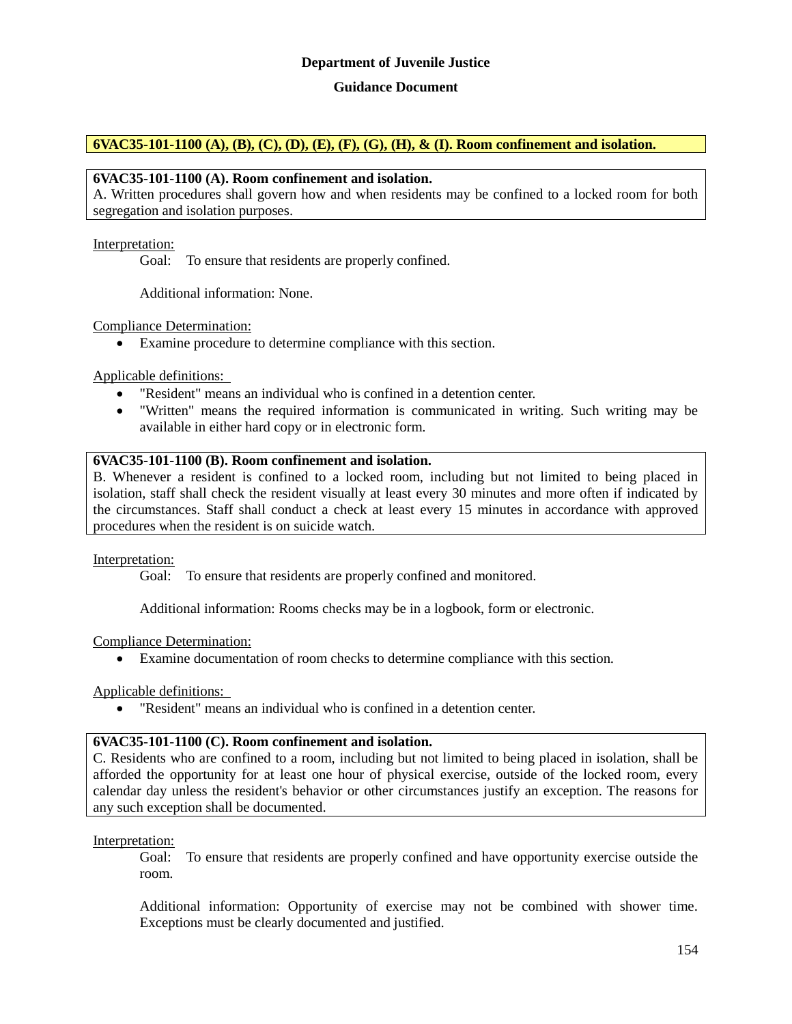#### **Guidance Document**

## **6VAC35-101-1100 (A), (B), (C), (D), (E), (F), (G), (H), & (I). Room confinement and isolation.**

#### **6VAC35-101-1100 (A). Room confinement and isolation.**

A. Written procedures shall govern how and when residents may be confined to a locked room for both segregation and isolation purposes.

#### Interpretation:

Goal: To ensure that residents are properly confined.

Additional information: None.

#### Compliance Determination:

Examine procedure to determine compliance with this section.

Applicable definitions:

- "Resident" means an individual who is confined in a detention center.
- "Written" means the required information is communicated in writing. Such writing may be available in either hard copy or in electronic form.

#### **6VAC35-101-1100 (B). Room confinement and isolation.**

B. Whenever a resident is confined to a locked room, including but not limited to being placed in isolation, staff shall check the resident visually at least every 30 minutes and more often if indicated by the circumstances. Staff shall conduct a check at least every 15 minutes in accordance with approved procedures when the resident is on suicide watch.

#### Interpretation:

Goal: To ensure that residents are properly confined and monitored.

Additional information: Rooms checks may be in a logbook, form or electronic.

#### Compliance Determination:

Examine documentation of room checks to determine compliance with this section.

#### Applicable definitions:

"Resident" means an individual who is confined in a detention center.

#### **6VAC35-101-1100 (C). Room confinement and isolation.**

C. Residents who are confined to a room, including but not limited to being placed in isolation, shall be afforded the opportunity for at least one hour of physical exercise, outside of the locked room, every calendar day unless the resident's behavior or other circumstances justify an exception. The reasons for any such exception shall be documented.

#### Interpretation:

Goal: To ensure that residents are properly confined and have opportunity exercise outside the room.

Additional information: Opportunity of exercise may not be combined with shower time. Exceptions must be clearly documented and justified.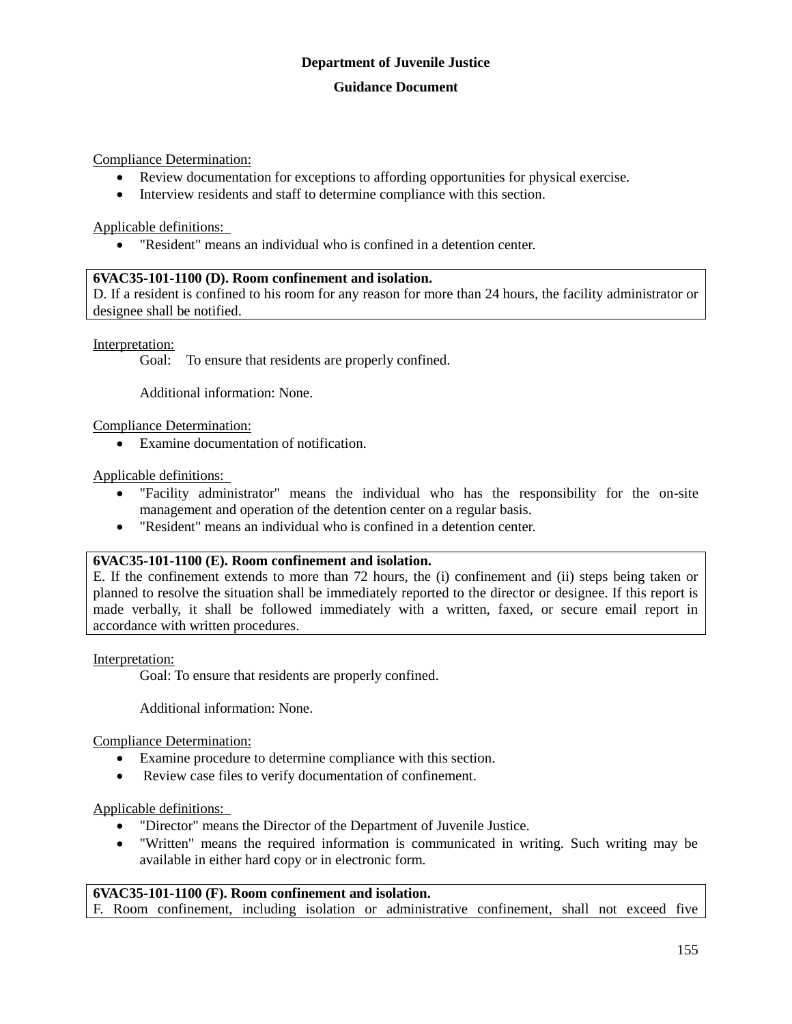## **Guidance Document**

Compliance Determination:

- Review documentation for exceptions to affording opportunities for physical exercise.
- Interview residents and staff to determine compliance with this section.

Applicable definitions:

"Resident" means an individual who is confined in a detention center.

## **6VAC35-101-1100 (D). Room confinement and isolation.**

D. If a resident is confined to his room for any reason for more than 24 hours, the facility administrator or designee shall be notified.

Interpretation:

Goal: To ensure that residents are properly confined.

Additional information: None.

Compliance Determination:

Examine documentation of notification.

Applicable definitions:

- "Facility administrator" means the individual who has the responsibility for the on-site management and operation of the detention center on a regular basis.
- "Resident" means an individual who is confined in a detention center.

## **6VAC35-101-1100 (E). Room confinement and isolation.**

E. If the confinement extends to more than 72 hours, the (i) confinement and (ii) steps being taken or planned to resolve the situation shall be immediately reported to the director or designee. If this report is made verbally, it shall be followed immediately with a written, faxed, or secure email report in accordance with written procedures.

Interpretation:

Goal: To ensure that residents are properly confined.

Additional information: None.

Compliance Determination:

- Examine procedure to determine compliance with this section.
- Review case files to verify documentation of confinement.

Applicable definitions:

- "Director" means the Director of the Department of Juvenile Justice.
- "Written" means the required information is communicated in writing. Such writing may be available in either hard copy or in electronic form.

## **6VAC35-101-1100 (F). Room confinement and isolation.**

F. Room confinement, including isolation or administrative confinement, shall not exceed five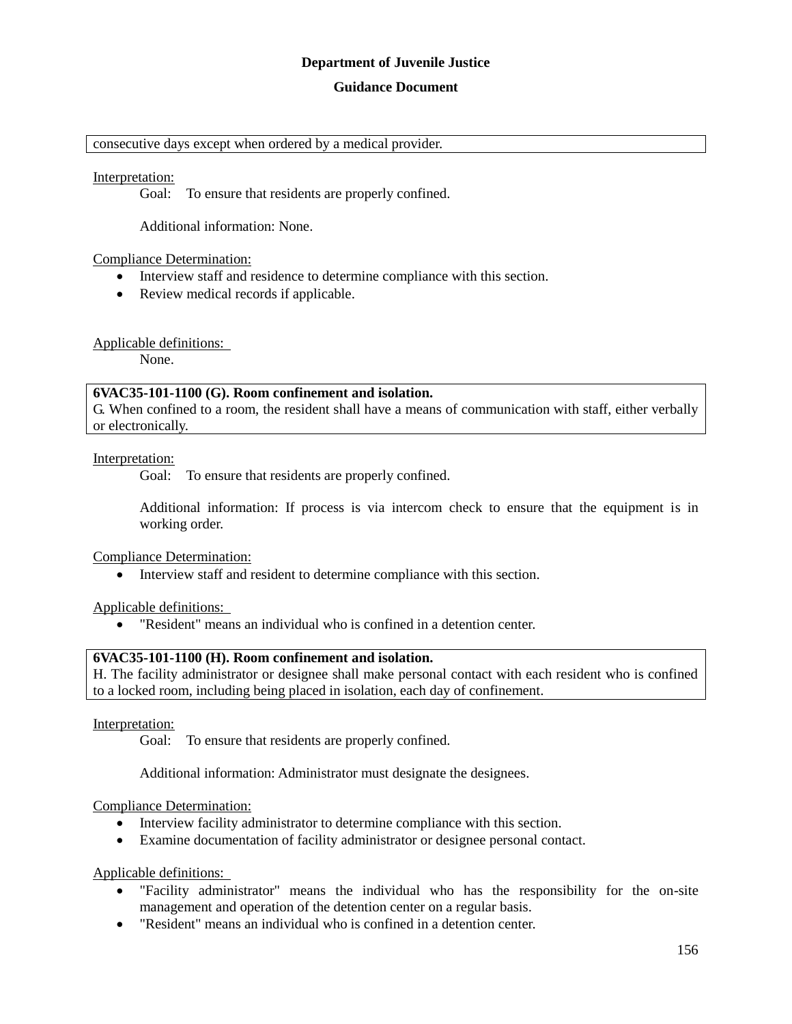#### **Guidance Document**

#### consecutive days except when ordered by a medical provider.

#### Interpretation:

Goal: To ensure that residents are properly confined.

Additional information: None.

#### Compliance Determination:

- Interview staff and residence to determine compliance with this section.
- Review medical records if applicable.

#### Applicable definitions:

None.

## **6VAC35-101-1100 (G). Room confinement and isolation.**

G. When confined to a room, the resident shall have a means of communication with staff, either verbally or electronically.

#### Interpretation:

Goal: To ensure that residents are properly confined.

Additional information: If process is via intercom check to ensure that the equipment is in working order.

Compliance Determination:

Interview staff and resident to determine compliance with this section.

Applicable definitions:

"Resident" means an individual who is confined in a detention center.

#### **6VAC35-101-1100 (H). Room confinement and isolation.**

H. The facility administrator or designee shall make personal contact with each resident who is confined to a locked room, including being placed in isolation, each day of confinement.

Interpretation:

Goal: To ensure that residents are properly confined.

Additional information: Administrator must designate the designees.

#### Compliance Determination:

- Interview facility administrator to determine compliance with this section.
- Examine documentation of facility administrator or designee personal contact.

- "Facility administrator" means the individual who has the responsibility for the on-site management and operation of the detention center on a regular basis.
- "Resident" means an individual who is confined in a detention center.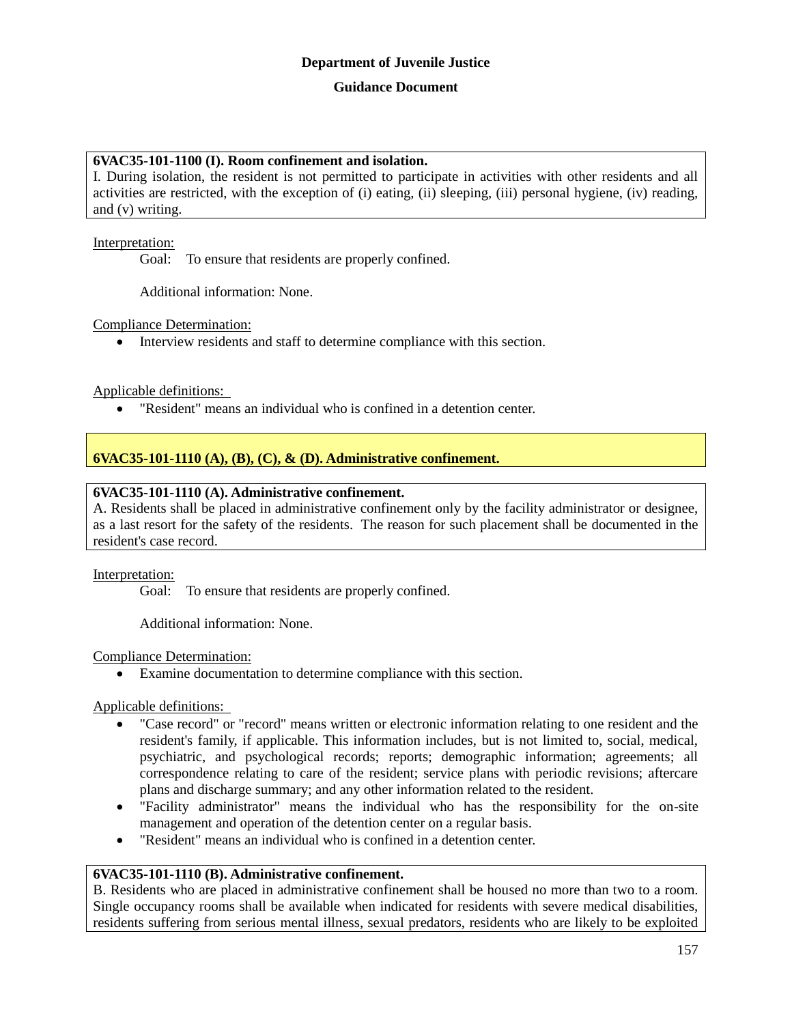## **6VAC35-101-1100 (I). Room confinement and isolation.**

I. During isolation, the resident is not permitted to participate in activities with other residents and all activities are restricted, with the exception of (i) eating, (ii) sleeping, (iii) personal hygiene, (iv) reading, and (v) writing.

## Interpretation:

Goal: To ensure that residents are properly confined.

Additional information: None.

Compliance Determination:

Interview residents and staff to determine compliance with this section.

Applicable definitions:

"Resident" means an individual who is confined in a detention center.

## **6VAC35-101-1110 (A), (B), (C), & (D). Administrative confinement.**

## **6VAC35-101-1110 (A). Administrative confinement.**

A. Residents shall be placed in administrative confinement only by the facility administrator or designee, as a last resort for the safety of the residents. The reason for such placement shall be documented in the resident's case record.

## Interpretation:

Goal: To ensure that residents are properly confined.

Additional information: None.

## Compliance Determination:

Examine documentation to determine compliance with this section.

Applicable definitions:

- "Case record" or "record" means written or electronic information relating to one resident and the resident's family, if applicable. This information includes, but is not limited to, social, medical, psychiatric, and psychological records; reports; demographic information; agreements; all correspondence relating to care of the resident; service plans with periodic revisions; aftercare plans and discharge summary; and any other information related to the resident.
- "Facility administrator" means the individual who has the responsibility for the on-site management and operation of the detention center on a regular basis.
- "Resident" means an individual who is confined in a detention center.

## **6VAC35-101-1110 (B). Administrative confinement.**

B. Residents who are placed in administrative confinement shall be housed no more than two to a room. Single occupancy rooms shall be available when indicated for residents with severe medical disabilities, residents suffering from serious mental illness, sexual predators, residents who are likely to be exploited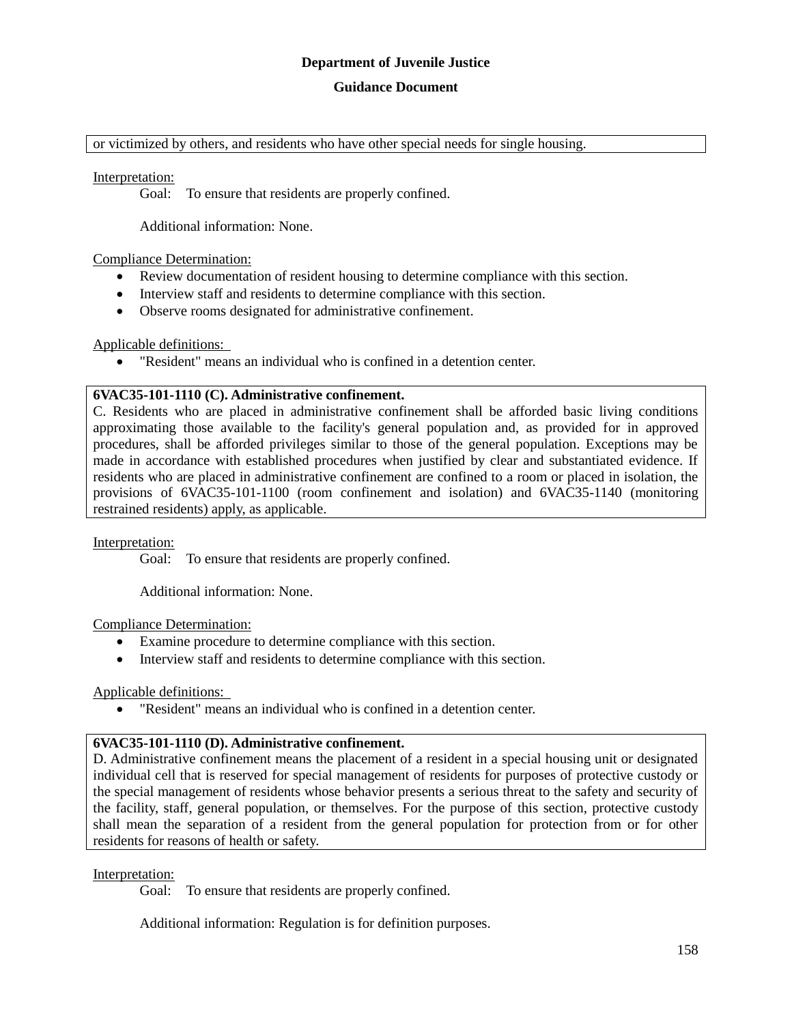#### **Guidance Document**

or victimized by others, and residents who have other special needs for single housing.

#### Interpretation:

Goal: To ensure that residents are properly confined.

Additional information: None.

#### Compliance Determination:

- Review documentation of resident housing to determine compliance with this section.
- Interview staff and residents to determine compliance with this section.
- Observe rooms designated for administrative confinement.

## Applicable definitions:

"Resident" means an individual who is confined in a detention center.

## **6VAC35-101-1110 (C). Administrative confinement.**

C. Residents who are placed in administrative confinement shall be afforded basic living conditions approximating those available to the facility's general population and, as provided for in approved procedures, shall be afforded privileges similar to those of the general population. Exceptions may be made in accordance with established procedures when justified by clear and substantiated evidence. If residents who are placed in administrative confinement are confined to a room or placed in isolation, the provisions of 6VAC35-101-1100 (room confinement and isolation) and 6VAC35-1140 (monitoring restrained residents) apply, as applicable.

## Interpretation:

Goal: To ensure that residents are properly confined.

Additional information: None.

## Compliance Determination:

- Examine procedure to determine compliance with this section.
- Interview staff and residents to determine compliance with this section.

## Applicable definitions:

"Resident" means an individual who is confined in a detention center.

## **6VAC35-101-1110 (D). Administrative confinement.**

D. Administrative confinement means the placement of a resident in a special housing unit or designated individual cell that is reserved for special management of residents for purposes of protective custody or the special management of residents whose behavior presents a serious threat to the safety and security of the facility, staff, general population, or themselves. For the purpose of this section, protective custody shall mean the separation of a resident from the general population for protection from or for other residents for reasons of health or safety.

## Interpretation:

Goal: To ensure that residents are properly confined.

Additional information: Regulation is for definition purposes.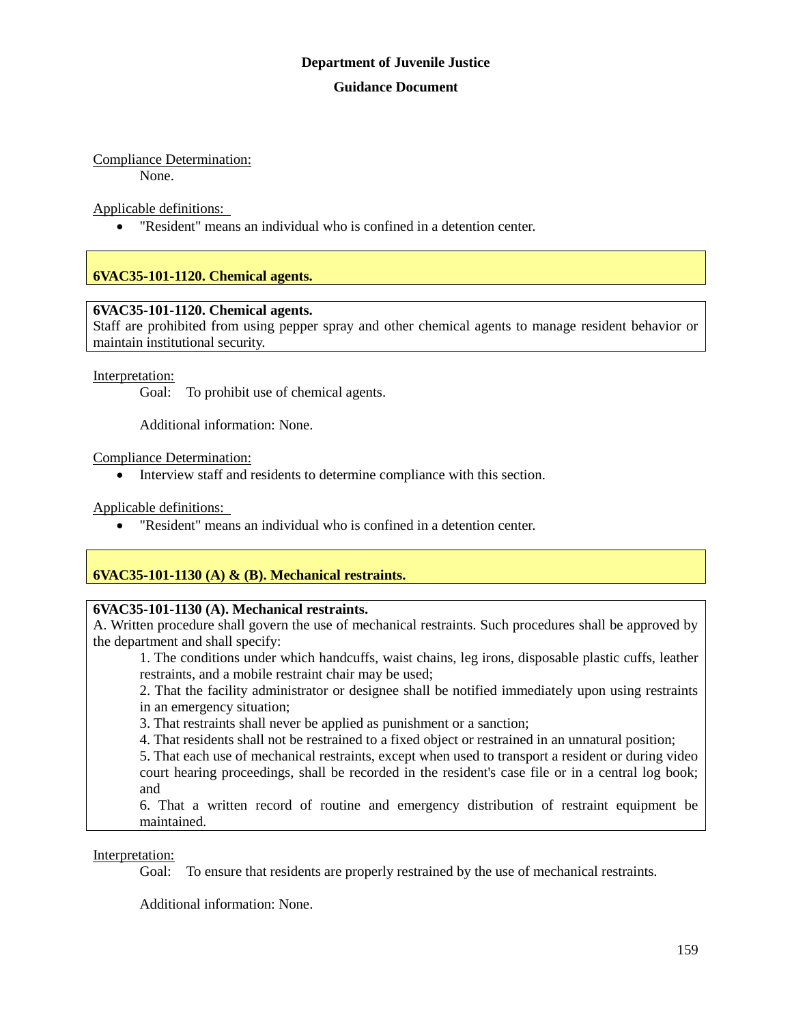# Compliance Determination:

None.

Applicable definitions:

"Resident" means an individual who is confined in a detention center.

# **6VAC35-101-1120. Chemical agents.**

## **6VAC35-101-1120. Chemical agents.**

Staff are prohibited from using pepper spray and other chemical agents to manage resident behavior or maintain institutional security.

## Interpretation:

Goal: To prohibit use of chemical agents.

Additional information: None.

Compliance Determination:

Interview staff and residents to determine compliance with this section.

Applicable definitions:

"Resident" means an individual who is confined in a detention center.

# **6VAC35-101-1130 (A) & (B). Mechanical restraints.**

## **6VAC35-101-1130 (A). Mechanical restraints.**

A. Written procedure shall govern the use of mechanical restraints. Such procedures shall be approved by the department and shall specify:

1. The conditions under which handcuffs, waist chains, leg irons, disposable plastic cuffs, leather restraints, and a mobile restraint chair may be used;

2. That the facility administrator or designee shall be notified immediately upon using restraints in an emergency situation;

3. That restraints shall never be applied as punishment or a sanction;

4. That residents shall not be restrained to a fixed object or restrained in an unnatural position;

5. That each use of mechanical restraints, except when used to transport a resident or during video court hearing proceedings, shall be recorded in the resident's case file or in a central log book; and

6. That a written record of routine and emergency distribution of restraint equipment be maintained.

## Interpretation:

Goal: To ensure that residents are properly restrained by the use of mechanical restraints.

Additional information: None.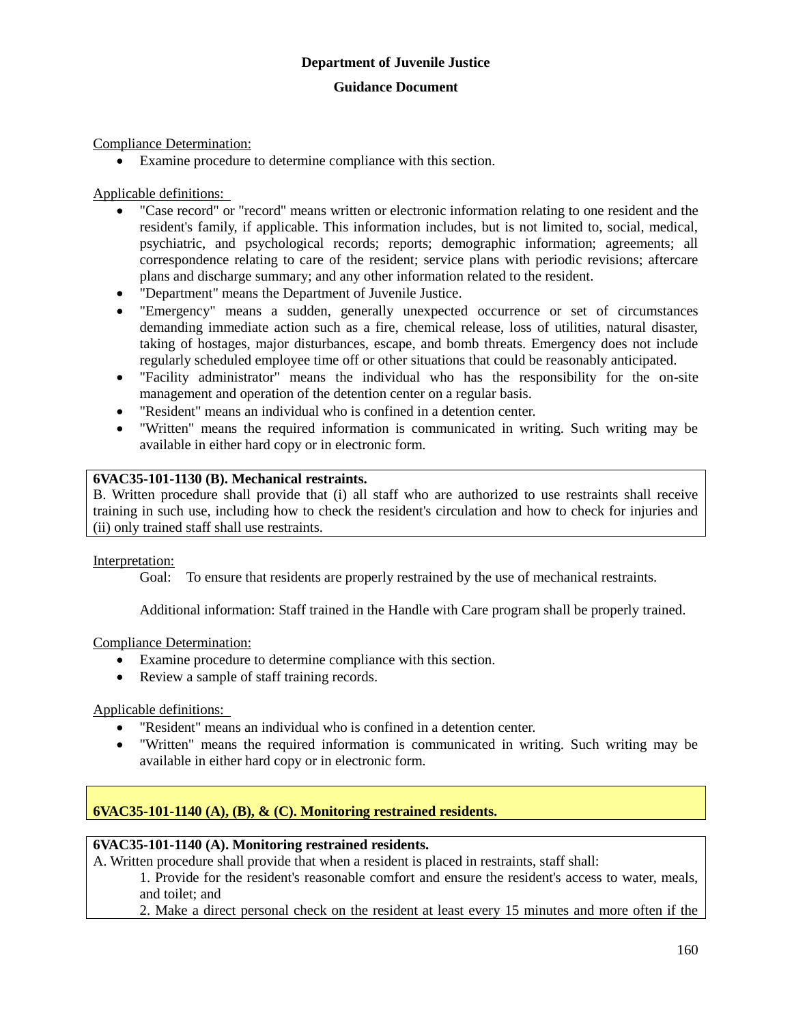Compliance Determination:

Examine procedure to determine compliance with this section.

Applicable definitions:

- "Case record" or "record" means written or electronic information relating to one resident and the resident's family, if applicable. This information includes, but is not limited to, social, medical, psychiatric, and psychological records; reports; demographic information; agreements; all correspondence relating to care of the resident; service plans with periodic revisions; aftercare plans and discharge summary; and any other information related to the resident.
- "Department" means the Department of Juvenile Justice.
- "Emergency" means a sudden, generally unexpected occurrence or set of circumstances demanding immediate action such as a fire, chemical release, loss of utilities, natural disaster, taking of hostages, major disturbances, escape, and bomb threats. Emergency does not include regularly scheduled employee time off or other situations that could be reasonably anticipated.
- "Facility administrator" means the individual who has the responsibility for the on-site management and operation of the detention center on a regular basis.
- "Resident" means an individual who is confined in a detention center.
- "Written" means the required information is communicated in writing. Such writing may be available in either hard copy or in electronic form.

## **6VAC35-101-1130 (B). Mechanical restraints.**

B. Written procedure shall provide that (i) all staff who are authorized to use restraints shall receive training in such use, including how to check the resident's circulation and how to check for injuries and (ii) only trained staff shall use restraints.

## Interpretation:

Goal: To ensure that residents are properly restrained by the use of mechanical restraints.

Additional information: Staff trained in the Handle with Care program shall be properly trained.

Compliance Determination:

- Examine procedure to determine compliance with this section.
- Review a sample of staff training records.

Applicable definitions:

- "Resident" means an individual who is confined in a detention center.
- "Written" means the required information is communicated in writing. Such writing may be available in either hard copy or in electronic form.

## **6VAC35-101-1140 (A), (B), & (C). Monitoring restrained residents.**

## **6VAC35-101-1140 (A). Monitoring restrained residents.**

A. Written procedure shall provide that when a resident is placed in restraints, staff shall:

1. Provide for the resident's reasonable comfort and ensure the resident's access to water, meals, and toilet; and

2. Make a direct personal check on the resident at least every 15 minutes and more often if the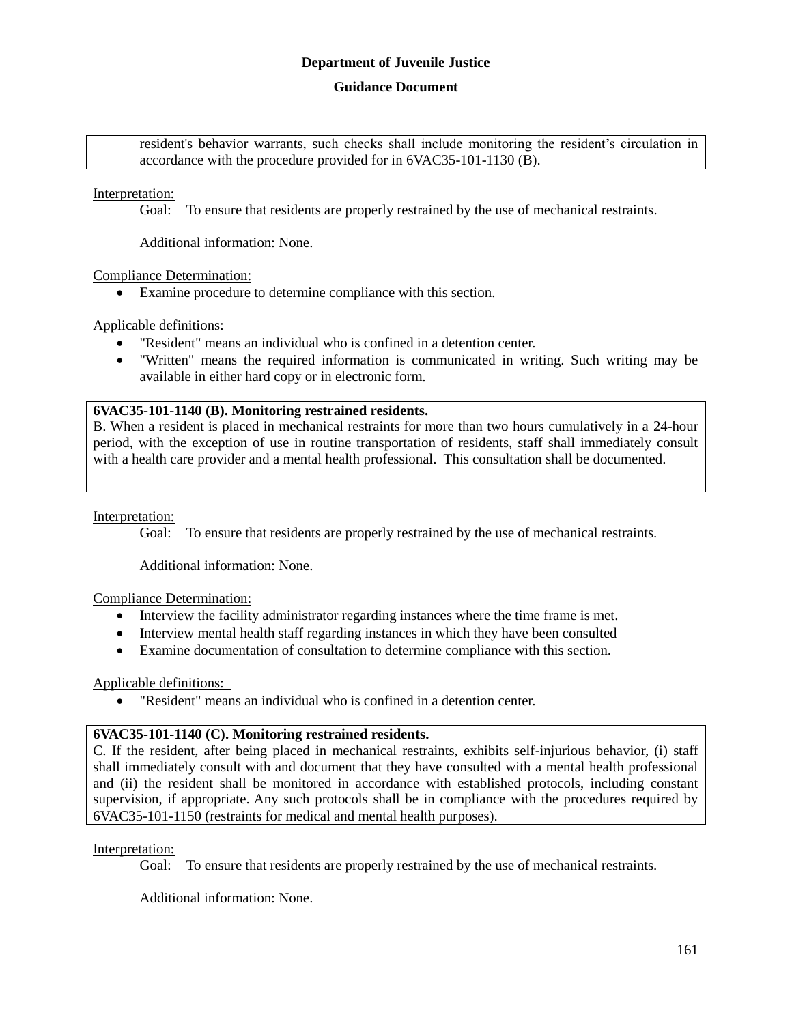#### **Guidance Document**

resident's behavior warrants, such checks shall include monitoring the resident's circulation in accordance with the procedure provided for in 6VAC35-101-1130 (B).

Interpretation:

Goal: To ensure that residents are properly restrained by the use of mechanical restraints.

Additional information: None.

Compliance Determination:

Examine procedure to determine compliance with this section.

Applicable definitions:

- "Resident" means an individual who is confined in a detention center.
- "Written" means the required information is communicated in writing. Such writing may be available in either hard copy or in electronic form.

#### **6VAC35-101-1140 (B). Monitoring restrained residents.**

B. When a resident is placed in mechanical restraints for more than two hours cumulatively in a 24-hour period, with the exception of use in routine transportation of residents, staff shall immediately consult with a health care provider and a mental health professional. This consultation shall be documented.

#### Interpretation:

Goal: To ensure that residents are properly restrained by the use of mechanical restraints.

Additional information: None.

#### Compliance Determination:

- Interview the facility administrator regarding instances where the time frame is met.
- Interview mental health staff regarding instances in which they have been consulted
- Examine documentation of consultation to determine compliance with this section.

## Applicable definitions:

"Resident" means an individual who is confined in a detention center.

## **6VAC35-101-1140 (C). Monitoring restrained residents.**

C. If the resident, after being placed in mechanical restraints, exhibits self-injurious behavior, (i) staff shall immediately consult with and document that they have consulted with a mental health professional and (ii) the resident shall be monitored in accordance with established protocols, including constant supervision, if appropriate. Any such protocols shall be in compliance with the procedures required by 6VAC35-101-1150 (restraints for medical and mental health purposes).

#### Interpretation:

Goal: To ensure that residents are properly restrained by the use of mechanical restraints.

Additional information: None.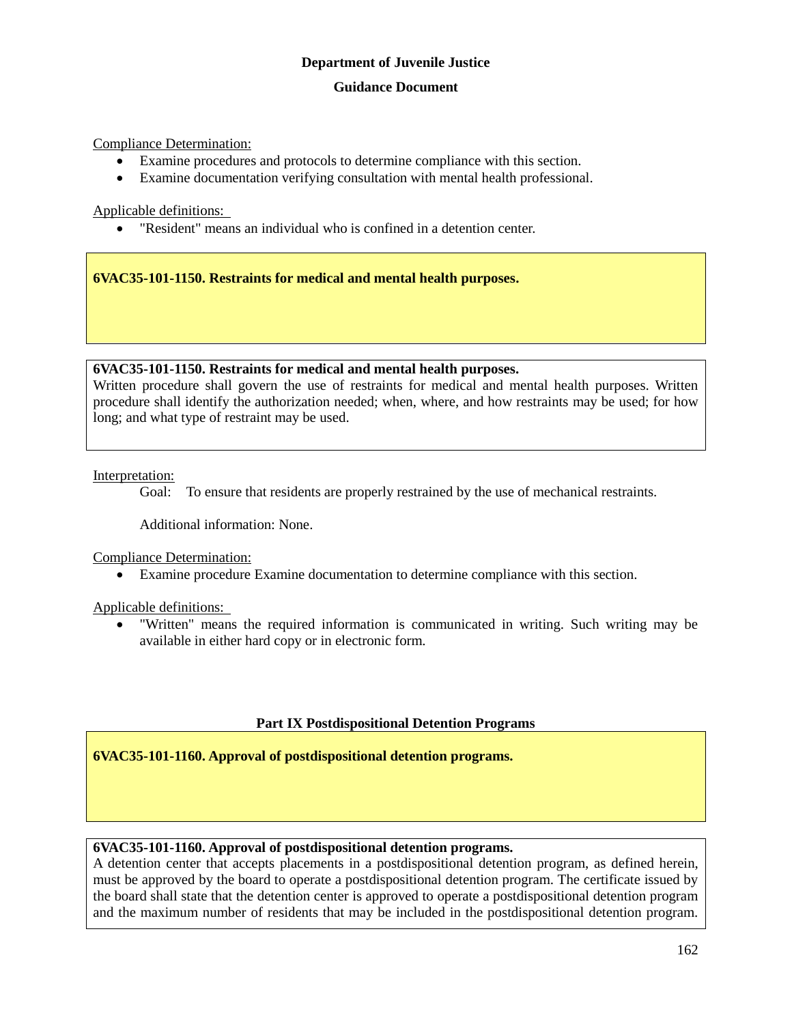Compliance Determination:

- Examine procedures and protocols to determine compliance with this section.
- Examine documentation verifying consultation with mental health professional.

Applicable definitions:

"Resident" means an individual who is confined in a detention center.

**6VAC35-101-1150. Restraints for medical and mental health purposes.**

## **6VAC35-101-1150. Restraints for medical and mental health purposes.**

Written procedure shall govern the use of restraints for medical and mental health purposes. Written procedure shall identify the authorization needed; when, where, and how restraints may be used; for how long; and what type of restraint may be used.

Interpretation:

Goal: To ensure that residents are properly restrained by the use of mechanical restraints.

Additional information: None.

Compliance Determination:

Examine procedure Examine documentation to determine compliance with this section.

Applicable definitions:

 "Written" means the required information is communicated in writing. Such writing may be available in either hard copy or in electronic form.

## **Part IX Postdispositional Detention Programs**

**6VAC35-101-1160. Approval of postdispositional detention programs.**

## **6VAC35-101-1160. Approval of postdispositional detention programs.**

A detention center that accepts placements in a postdispositional detention program, as defined herein, must be approved by the board to operate a postdispositional detention program. The certificate issued by the board shall state that the detention center is approved to operate a postdispositional detention program and the maximum number of residents that may be included in the postdispositional detention program.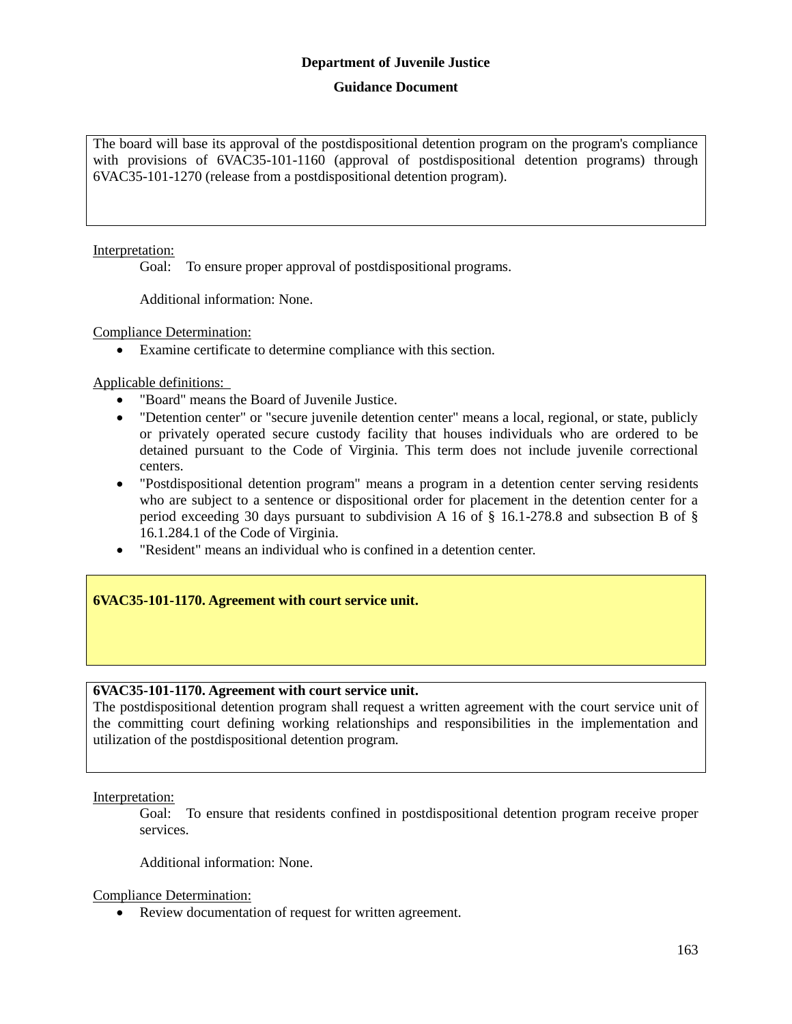## **Guidance Document**

The board will base its approval of the postdispositional detention program on the program's compliance with provisions of 6VAC35-101-1160 (approval of postdispositional detention programs) through 6VAC35-101-1270 (release from a postdispositional detention program).

## Interpretation:

Goal: To ensure proper approval of postdispositional programs.

Additional information: None.

#### Compliance Determination:

Examine certificate to determine compliance with this section.

Applicable definitions:

- "Board" means the Board of Juvenile Justice.
- "Detention center" or "secure juvenile detention center" means a local, regional, or state, publicly or privately operated secure custody facility that houses individuals who are ordered to be detained pursuant to the Code of Virginia. This term does not include juvenile correctional centers.
- "Postdispositional detention program" means a program in a detention center serving residents who are subject to a sentence or dispositional order for placement in the detention center for a period exceeding 30 days pursuant to subdivision A 16 of § 16.1-278.8 and subsection B of § 16.1.284.1 of the Code of Virginia.
- "Resident" means an individual who is confined in a detention center.

## **6VAC35-101-1170. Agreement with court service unit.**

## **6VAC35-101-1170. Agreement with court service unit.**

The postdispositional detention program shall request a written agreement with the court service unit of the committing court defining working relationships and responsibilities in the implementation and utilization of the postdispositional detention program.

Interpretation:

Goal: To ensure that residents confined in postdispositional detention program receive proper services.

Additional information: None.

Compliance Determination:

Review documentation of request for written agreement.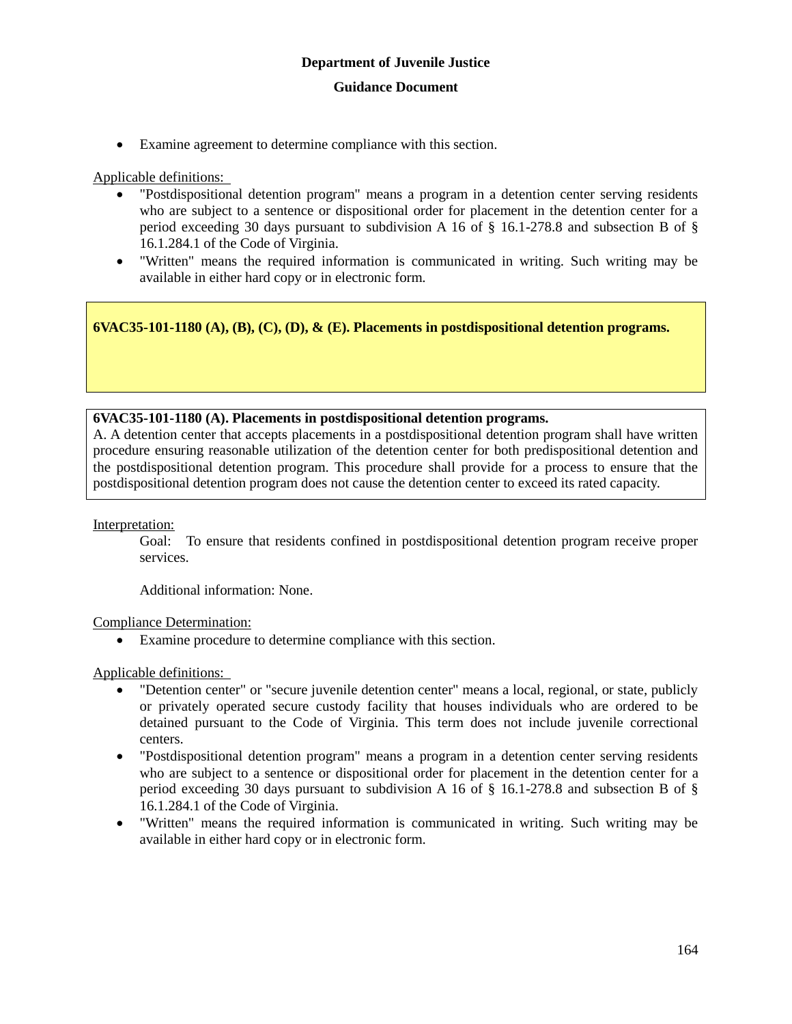Examine agreement to determine compliance with this section.

Applicable definitions:

- "Postdispositional detention program" means a program in a detention center serving residents who are subject to a sentence or dispositional order for placement in the detention center for a period exceeding 30 days pursuant to subdivision A 16 of § 16.1-278.8 and subsection B of § 16.1.284.1 of the Code of Virginia.
- "Written" means the required information is communicated in writing. Such writing may be available in either hard copy or in electronic form.

**6VAC35-101-1180 (A), (B), (C), (D), & (E). Placements in postdispositional detention programs.**

## **6VAC35-101-1180 (A). Placements in postdispositional detention programs.**

A. A detention center that accepts placements in a postdispositional detention program shall have written procedure ensuring reasonable utilization of the detention center for both predispositional detention and the postdispositional detention program. This procedure shall provide for a process to ensure that the postdispositional detention program does not cause the detention center to exceed its rated capacity.

Interpretation:

Goal: To ensure that residents confined in postdispositional detention program receive proper services.

Additional information: None.

Compliance Determination:

Examine procedure to determine compliance with this section.

- "Detention center" or "secure juvenile detention center" means a local, regional, or state, publicly or privately operated secure custody facility that houses individuals who are ordered to be detained pursuant to the Code of Virginia. This term does not include juvenile correctional centers.
- "Postdispositional detention program" means a program in a detention center serving residents who are subject to a sentence or dispositional order for placement in the detention center for a period exceeding 30 days pursuant to subdivision A 16 of § 16.1-278.8 and subsection B of § 16.1.284.1 of the Code of Virginia.
- "Written" means the required information is communicated in writing. Such writing may be available in either hard copy or in electronic form.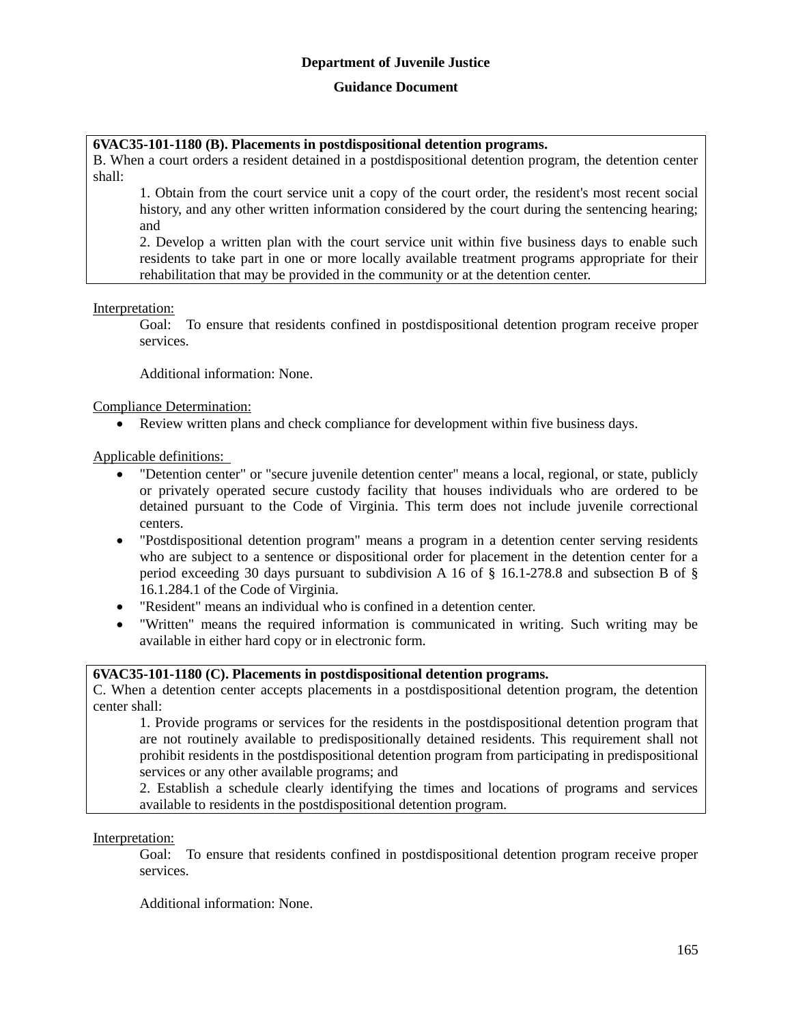## **Guidance Document**

## **6VAC35-101-1180 (B). Placements in postdispositional detention programs.**

B. When a court orders a resident detained in a postdispositional detention program, the detention center shall:

1. Obtain from the court service unit a copy of the court order, the resident's most recent social history, and any other written information considered by the court during the sentencing hearing; and

2. Develop a written plan with the court service unit within five business days to enable such residents to take part in one or more locally available treatment programs appropriate for their rehabilitation that may be provided in the community or at the detention center.

#### Interpretation:

Goal: To ensure that residents confined in postdispositional detention program receive proper services.

Additional information: None.

Compliance Determination:

Review written plans and check compliance for development within five business days.

Applicable definitions:

- "Detention center" or "secure juvenile detention center" means a local, regional, or state, publicly or privately operated secure custody facility that houses individuals who are ordered to be detained pursuant to the Code of Virginia. This term does not include juvenile correctional centers.
- "Postdispositional detention program" means a program in a detention center serving residents who are subject to a sentence or dispositional order for placement in the detention center for a period exceeding 30 days pursuant to subdivision A 16 of  $\S$  16.1-278.8 and subsection B of  $\S$ 16.1.284.1 of the Code of Virginia.
- "Resident" means an individual who is confined in a detention center.
- "Written" means the required information is communicated in writing. Such writing may be available in either hard copy or in electronic form.

#### **6VAC35-101-1180 (C). Placements in postdispositional detention programs.**

C. When a detention center accepts placements in a postdispositional detention program, the detention center shall:

1. Provide programs or services for the residents in the postdispositional detention program that are not routinely available to predispositionally detained residents. This requirement shall not prohibit residents in the postdispositional detention program from participating in predispositional services or any other available programs; and

2. Establish a schedule clearly identifying the times and locations of programs and services available to residents in the postdispositional detention program.

#### Interpretation:

Goal: To ensure that residents confined in postdispositional detention program receive proper services.

Additional information: None.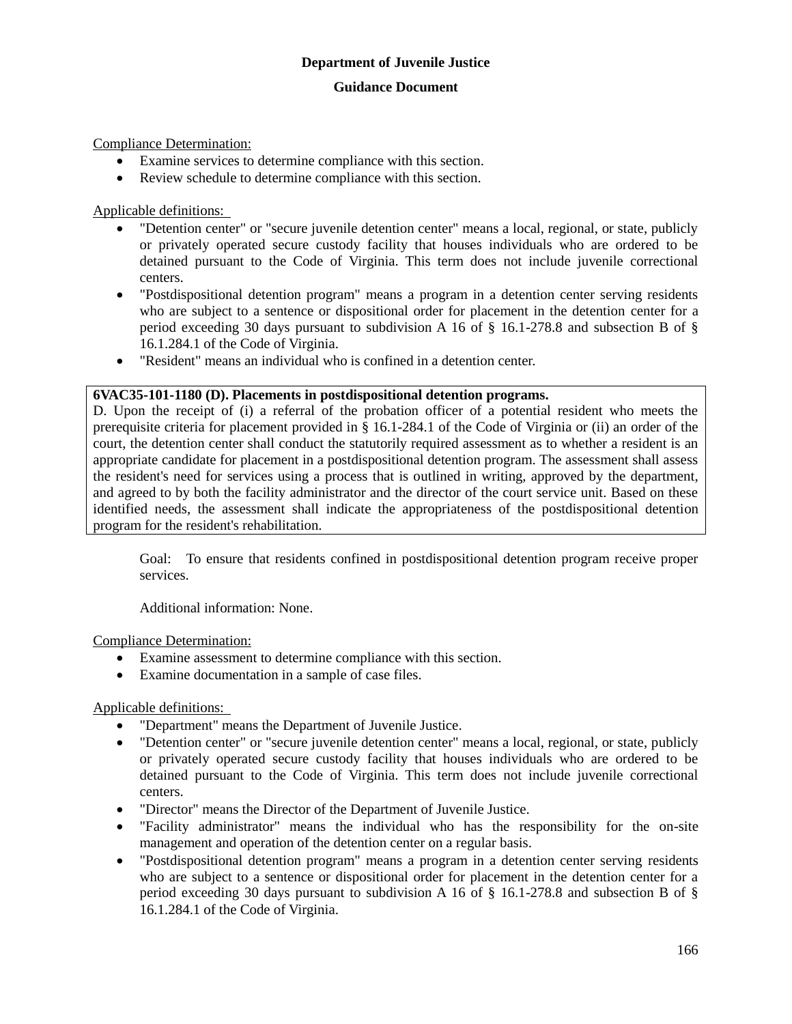Compliance Determination:

- Examine services to determine compliance with this section.
- Review schedule to determine compliance with this section.

Applicable definitions:

- "Detention center" or "secure juvenile detention center" means a local, regional, or state, publicly or privately operated secure custody facility that houses individuals who are ordered to be detained pursuant to the Code of Virginia. This term does not include juvenile correctional centers.
- "Postdispositional detention program" means a program in a detention center serving residents who are subject to a sentence or dispositional order for placement in the detention center for a period exceeding 30 days pursuant to subdivision A 16 of § 16.1-278.8 and subsection B of § 16.1.284.1 of the Code of Virginia.
- "Resident" means an individual who is confined in a detention center.

## **6VAC35-101-1180 (D). Placements in postdispositional detention programs.**

D. Upon the receipt of (i) a referral of the probation officer of a potential resident who meets the prerequisite criteria for placement provided in § 16.1-284.1 of the Code of Virginia or (ii) an order of the court, the detention center shall conduct the statutorily required assessment as to whether a resident is an appropriate candidate for placement in a postdispositional detention program. The assessment shall assess the resident's need for services using a process that is outlined in writing, approved by the department, and agreed to by both the facility administrator and the director of the court service unit. Based on these identified needs, the assessment shall indicate the appropriateness of the postdispositional detention program for the resident's rehabilitation.

Goal: To ensure that residents confined in postdispositional detention program receive proper services.

Additional information: None.

Compliance Determination:

- Examine assessment to determine compliance with this section.
- Examine documentation in a sample of case files.

- "Department" means the Department of Juvenile Justice.
- "Detention center" or "secure juvenile detention center" means a local, regional, or state, publicly or privately operated secure custody facility that houses individuals who are ordered to be detained pursuant to the Code of Virginia. This term does not include juvenile correctional centers.
- "Director" means the Director of the Department of Juvenile Justice.
- "Facility administrator" means the individual who has the responsibility for the on-site management and operation of the detention center on a regular basis.
- "Postdispositional detention program" means a program in a detention center serving residents who are subject to a sentence or dispositional order for placement in the detention center for a period exceeding 30 days pursuant to subdivision A 16 of  $\S$  16.1-278.8 and subsection B of  $\S$ 16.1.284.1 of the Code of Virginia.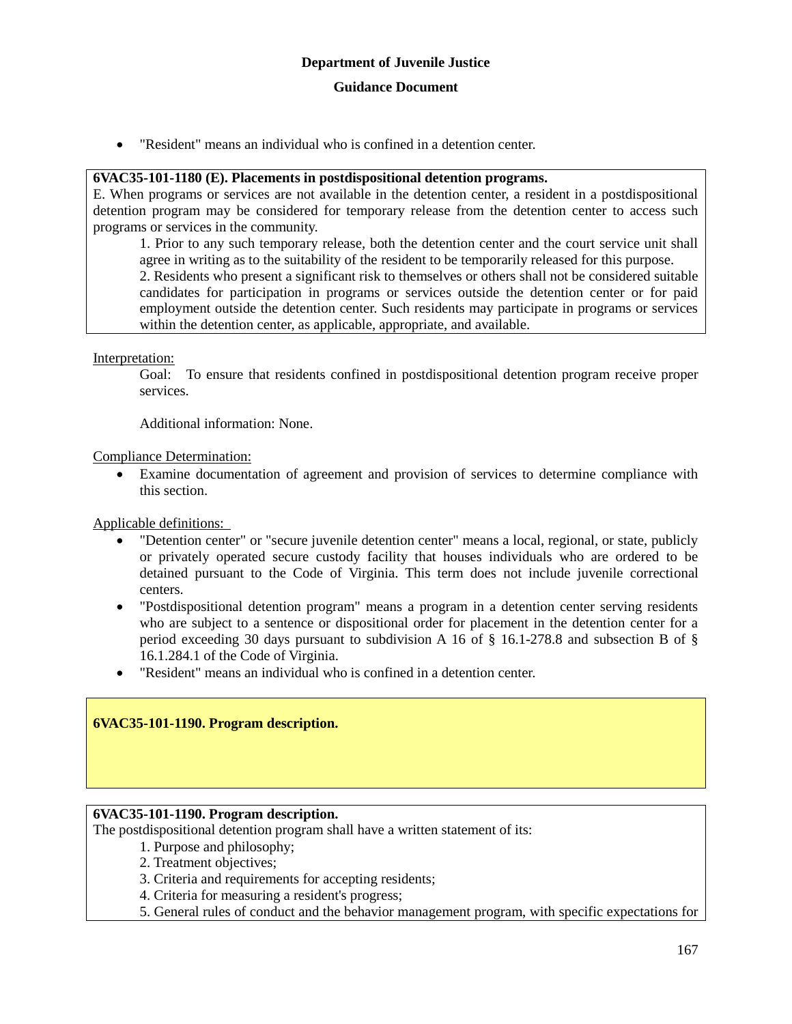"Resident" means an individual who is confined in a detention center.

#### **6VAC35-101-1180 (E). Placements in postdispositional detention programs.**

E. When programs or services are not available in the detention center, a resident in a postdispositional detention program may be considered for temporary release from the detention center to access such programs or services in the community.

1. Prior to any such temporary release, both the detention center and the court service unit shall agree in writing as to the suitability of the resident to be temporarily released for this purpose. 2. Residents who present a significant risk to themselves or others shall not be considered suitable candidates for participation in programs or services outside the detention center or for paid

employment outside the detention center. Such residents may participate in programs or services within the detention center, as applicable, appropriate, and available.

Interpretation:

Goal: To ensure that residents confined in postdispositional detention program receive proper services.

Additional information: None.

Compliance Determination:

 Examine documentation of agreement and provision of services to determine compliance with this section.

Applicable definitions:

- "Detention center" or "secure juvenile detention center" means a local, regional, or state, publicly or privately operated secure custody facility that houses individuals who are ordered to be detained pursuant to the Code of Virginia. This term does not include juvenile correctional centers.
- "Postdispositional detention program" means a program in a detention center serving residents who are subject to a sentence or dispositional order for placement in the detention center for a period exceeding 30 days pursuant to subdivision A 16 of § 16.1-278.8 and subsection B of § 16.1.284.1 of the Code of Virginia.
- "Resident" means an individual who is confined in a detention center.

## **6VAC35-101-1190. Program description.**

## **6VAC35-101-1190. Program description.**

The postdispositional detention program shall have a written statement of its:

- 1. Purpose and philosophy;
- 2. Treatment objectives;
- 3. Criteria and requirements for accepting residents;
- 4. Criteria for measuring a resident's progress;
- 5. General rules of conduct and the behavior management program, with specific expectations for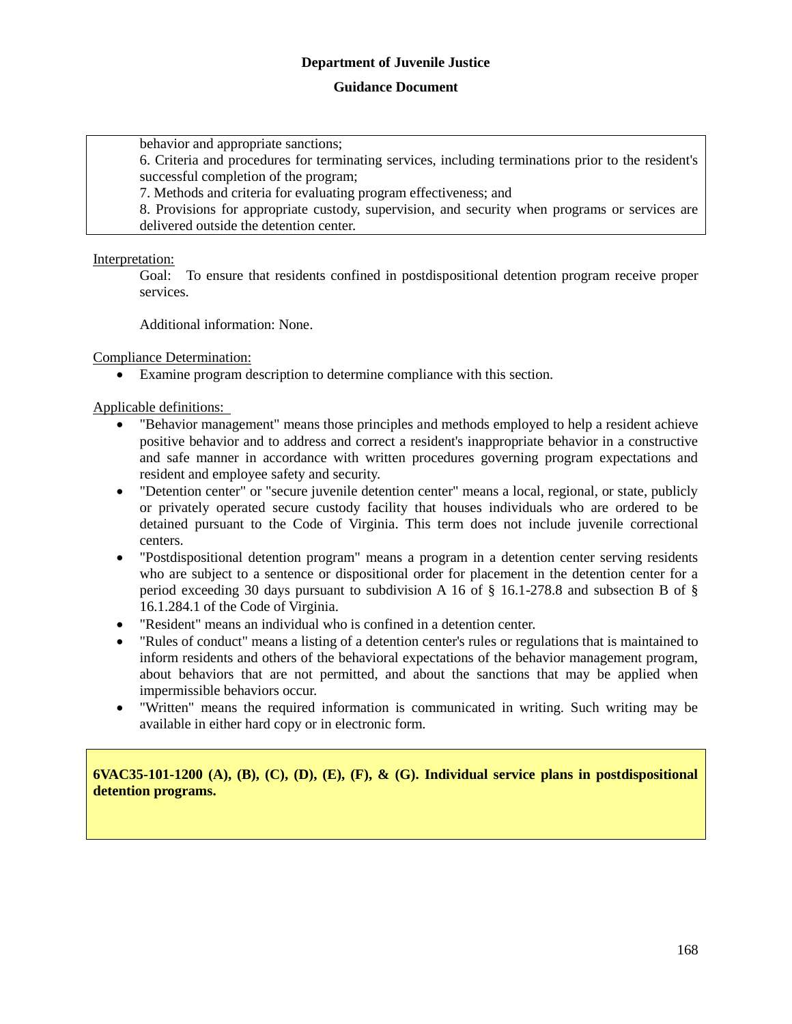#### **Guidance Document**

behavior and appropriate sanctions;

6. Criteria and procedures for terminating services, including terminations prior to the resident's successful completion of the program;

7. Methods and criteria for evaluating program effectiveness; and

8. Provisions for appropriate custody, supervision, and security when programs or services are delivered outside the detention center.

Interpretation:

Goal: To ensure that residents confined in postdispositional detention program receive proper services.

Additional information: None.

Compliance Determination:

Examine program description to determine compliance with this section.

Applicable definitions:

- "Behavior management" means those principles and methods employed to help a resident achieve positive behavior and to address and correct a resident's inappropriate behavior in a constructive and safe manner in accordance with written procedures governing program expectations and resident and employee safety and security.
- "Detention center" or "secure juvenile detention center" means a local, regional, or state, publicly or privately operated secure custody facility that houses individuals who are ordered to be detained pursuant to the Code of Virginia. This term does not include juvenile correctional centers.
- "Postdispositional detention program" means a program in a detention center serving residents who are subject to a sentence or dispositional order for placement in the detention center for a period exceeding 30 days pursuant to subdivision A 16 of § 16.1-278.8 and subsection B of § 16.1.284.1 of the Code of Virginia.
- "Resident" means an individual who is confined in a detention center.
- "Rules of conduct" means a listing of a detention center's rules or regulations that is maintained to inform residents and others of the behavioral expectations of the behavior management program, about behaviors that are not permitted, and about the sanctions that may be applied when impermissible behaviors occur.
- "Written" means the required information is communicated in writing. Such writing may be available in either hard copy or in electronic form.

**6VAC35-101-1200 (A), (B), (C), (D), (E), (F), & (G). Individual service plans in postdispositional detention programs.**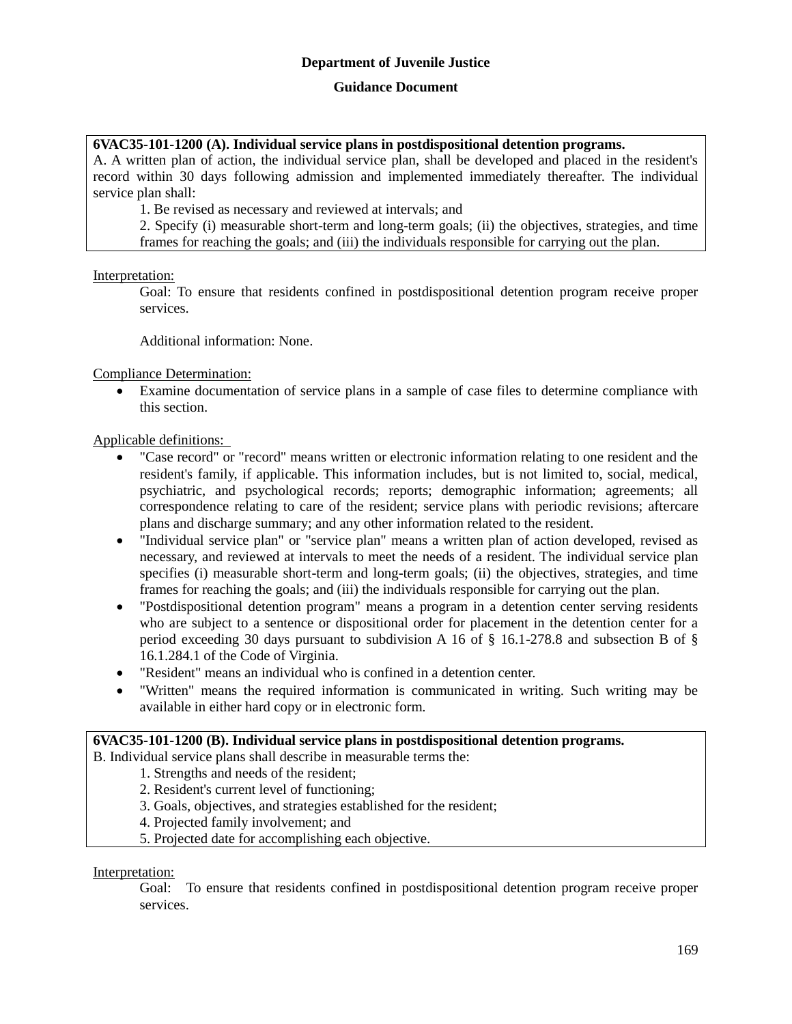## **Guidance Document**

## **6VAC35-101-1200 (A). Individual service plans in postdispositional detention programs.**

A. A written plan of action, the individual service plan, shall be developed and placed in the resident's record within 30 days following admission and implemented immediately thereafter. The individual service plan shall:

1. Be revised as necessary and reviewed at intervals; and

2. Specify (i) measurable short-term and long-term goals; (ii) the objectives, strategies, and time frames for reaching the goals; and (iii) the individuals responsible for carrying out the plan.

Interpretation:

Goal: To ensure that residents confined in postdispositional detention program receive proper services.

Additional information: None.

Compliance Determination:

 Examine documentation of service plans in a sample of case files to determine compliance with this section.

Applicable definitions:

- "Case record" or "record" means written or electronic information relating to one resident and the resident's family, if applicable. This information includes, but is not limited to, social, medical, psychiatric, and psychological records; reports; demographic information; agreements; all correspondence relating to care of the resident; service plans with periodic revisions; aftercare plans and discharge summary; and any other information related to the resident.
- "Individual service plan" or "service plan" means a written plan of action developed, revised as necessary, and reviewed at intervals to meet the needs of a resident. The individual service plan specifies (i) measurable short-term and long-term goals; (ii) the objectives, strategies, and time frames for reaching the goals; and (iii) the individuals responsible for carrying out the plan.
- "Postdispositional detention program" means a program in a detention center serving residents who are subject to a sentence or dispositional order for placement in the detention center for a period exceeding 30 days pursuant to subdivision A 16 of § 16.1-278.8 and subsection B of § 16.1.284.1 of the Code of Virginia.
- "Resident" means an individual who is confined in a detention center.
- "Written" means the required information is communicated in writing. Such writing may be available in either hard copy or in electronic form.

## **6VAC35-101-1200 (B). Individual service plans in postdispositional detention programs.**

B. Individual service plans shall describe in measurable terms the:

1. Strengths and needs of the resident;

- 2. Resident's current level of functioning;
- 3. Goals, objectives, and strategies established for the resident;
- 4. Projected family involvement; and
- 5. Projected date for accomplishing each objective.

Interpretation:

Goal: To ensure that residents confined in postdispositional detention program receive proper services.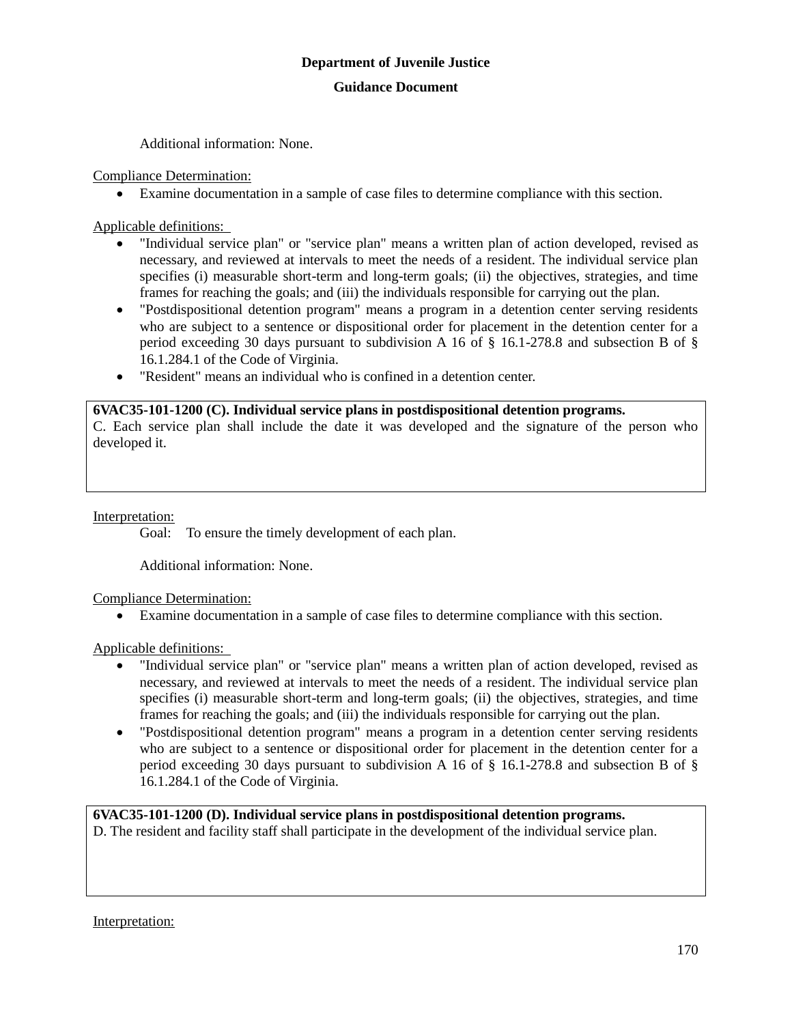Additional information: None.

Compliance Determination:

Examine documentation in a sample of case files to determine compliance with this section.

Applicable definitions:

- "Individual service plan" or "service plan" means a written plan of action developed, revised as necessary, and reviewed at intervals to meet the needs of a resident. The individual service plan specifies (i) measurable short-term and long-term goals; (ii) the objectives, strategies, and time frames for reaching the goals; and (iii) the individuals responsible for carrying out the plan.
- "Postdispositional detention program" means a program in a detention center serving residents who are subject to a sentence or dispositional order for placement in the detention center for a period exceeding 30 days pursuant to subdivision A 16 of § 16.1-278.8 and subsection B of § 16.1.284.1 of the Code of Virginia.
- "Resident" means an individual who is confined in a detention center.

## **6VAC35-101-1200 (C). Individual service plans in postdispositional detention programs.**

C. Each service plan shall include the date it was developed and the signature of the person who developed it.

## Interpretation:

Goal: To ensure the timely development of each plan.

Additional information: None.

Compliance Determination:

Examine documentation in a sample of case files to determine compliance with this section.

Applicable definitions:

- "Individual service plan" or "service plan" means a written plan of action developed, revised as necessary, and reviewed at intervals to meet the needs of a resident. The individual service plan specifies (i) measurable short-term and long-term goals; (ii) the objectives, strategies, and time frames for reaching the goals; and (iii) the individuals responsible for carrying out the plan.
- "Postdispositional detention program" means a program in a detention center serving residents who are subject to a sentence or dispositional order for placement in the detention center for a period exceeding 30 days pursuant to subdivision A 16 of § 16.1-278.8 and subsection B of § 16.1.284.1 of the Code of Virginia.

**6VAC35-101-1200 (D). Individual service plans in postdispositional detention programs.**

D. The resident and facility staff shall participate in the development of the individual service plan.

Interpretation: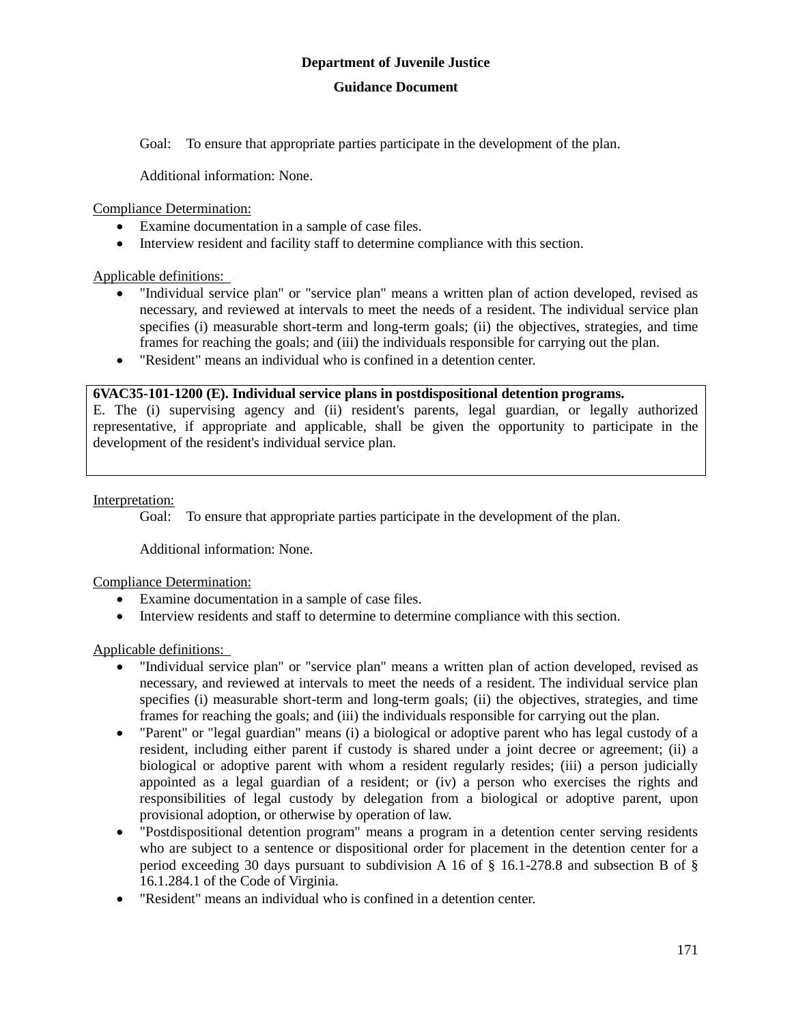## **Guidance Document**

Goal: To ensure that appropriate parties participate in the development of the plan.

Additional information: None.

Compliance Determination:

- Examine documentation in a sample of case files.
- Interview resident and facility staff to determine compliance with this section.

Applicable definitions:

- "Individual service plan" or "service plan" means a written plan of action developed, revised as necessary, and reviewed at intervals to meet the needs of a resident. The individual service plan specifies (i) measurable short-term and long-term goals; (ii) the objectives, strategies, and time frames for reaching the goals; and (iii) the individuals responsible for carrying out the plan.
- "Resident" means an individual who is confined in a detention center.

## **6VAC35-101-1200 (E). Individual service plans in postdispositional detention programs.**

E. The (i) supervising agency and (ii) resident's parents, legal guardian, or legally authorized representative, if appropriate and applicable, shall be given the opportunity to participate in the development of the resident's individual service plan.

## Interpretation:

Goal: To ensure that appropriate parties participate in the development of the plan.

Additional information: None.

Compliance Determination:

- Examine documentation in a sample of case files.
- Interview residents and staff to determine to determine compliance with this section.

- "Individual service plan" or "service plan" means a written plan of action developed, revised as necessary, and reviewed at intervals to meet the needs of a resident. The individual service plan specifies (i) measurable short-term and long-term goals; (ii) the objectives, strategies, and time frames for reaching the goals; and (iii) the individuals responsible for carrying out the plan.
- "Parent" or "legal guardian" means (i) a biological or adoptive parent who has legal custody of a resident, including either parent if custody is shared under a joint decree or agreement; (ii) a biological or adoptive parent with whom a resident regularly resides; (iii) a person judicially appointed as a legal guardian of a resident; or (iv) a person who exercises the rights and responsibilities of legal custody by delegation from a biological or adoptive parent, upon provisional adoption, or otherwise by operation of law.
- "Postdispositional detention program" means a program in a detention center serving residents who are subject to a sentence or dispositional order for placement in the detention center for a period exceeding 30 days pursuant to subdivision A 16 of § 16.1-278.8 and subsection B of § 16.1.284.1 of the Code of Virginia.
- "Resident" means an individual who is confined in a detention center.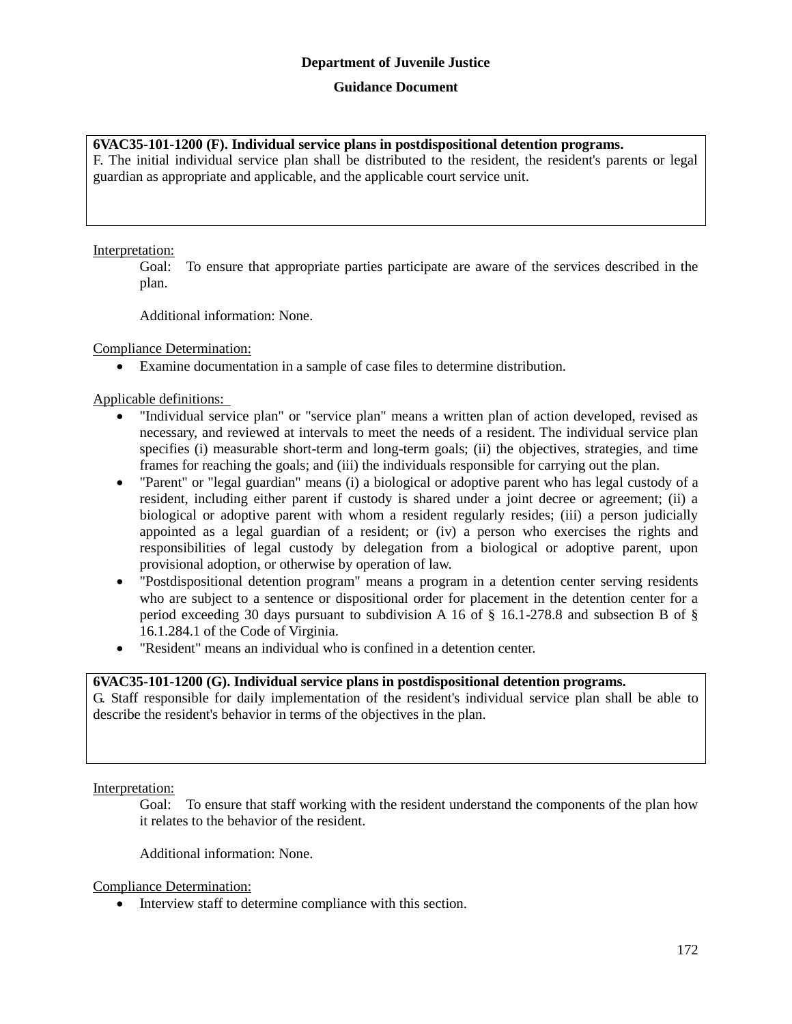#### **Guidance Document**

#### **6VAC35-101-1200 (F). Individual service plans in postdispositional detention programs.**

F. The initial individual service plan shall be distributed to the resident, the resident's parents or legal guardian as appropriate and applicable, and the applicable court service unit.

#### Interpretation:

Goal: To ensure that appropriate parties participate are aware of the services described in the plan.

Additional information: None.

Compliance Determination:

Examine documentation in a sample of case files to determine distribution.

Applicable definitions:

- "Individual service plan" or "service plan" means a written plan of action developed, revised as necessary, and reviewed at intervals to meet the needs of a resident. The individual service plan specifies (i) measurable short-term and long-term goals; (ii) the objectives, strategies, and time frames for reaching the goals; and (iii) the individuals responsible for carrying out the plan.
- "Parent" or "legal guardian" means (i) a biological or adoptive parent who has legal custody of a resident, including either parent if custody is shared under a joint decree or agreement; (ii) a biological or adoptive parent with whom a resident regularly resides; (iii) a person judicially appointed as a legal guardian of a resident; or (iv) a person who exercises the rights and responsibilities of legal custody by delegation from a biological or adoptive parent, upon provisional adoption, or otherwise by operation of law.
- "Postdispositional detention program" means a program in a detention center serving residents who are subject to a sentence or dispositional order for placement in the detention center for a period exceeding 30 days pursuant to subdivision A 16 of § 16.1-278.8 and subsection B of § 16.1.284.1 of the Code of Virginia.
- "Resident" means an individual who is confined in a detention center.

## **6VAC35-101-1200 (G). Individual service plans in postdispositional detention programs.**

G. Staff responsible for daily implementation of the resident's individual service plan shall be able to describe the resident's behavior in terms of the objectives in the plan.

Interpretation:

Goal: To ensure that staff working with the resident understand the components of the plan how it relates to the behavior of the resident.

Additional information: None.

Compliance Determination:

• Interview staff to determine compliance with this section.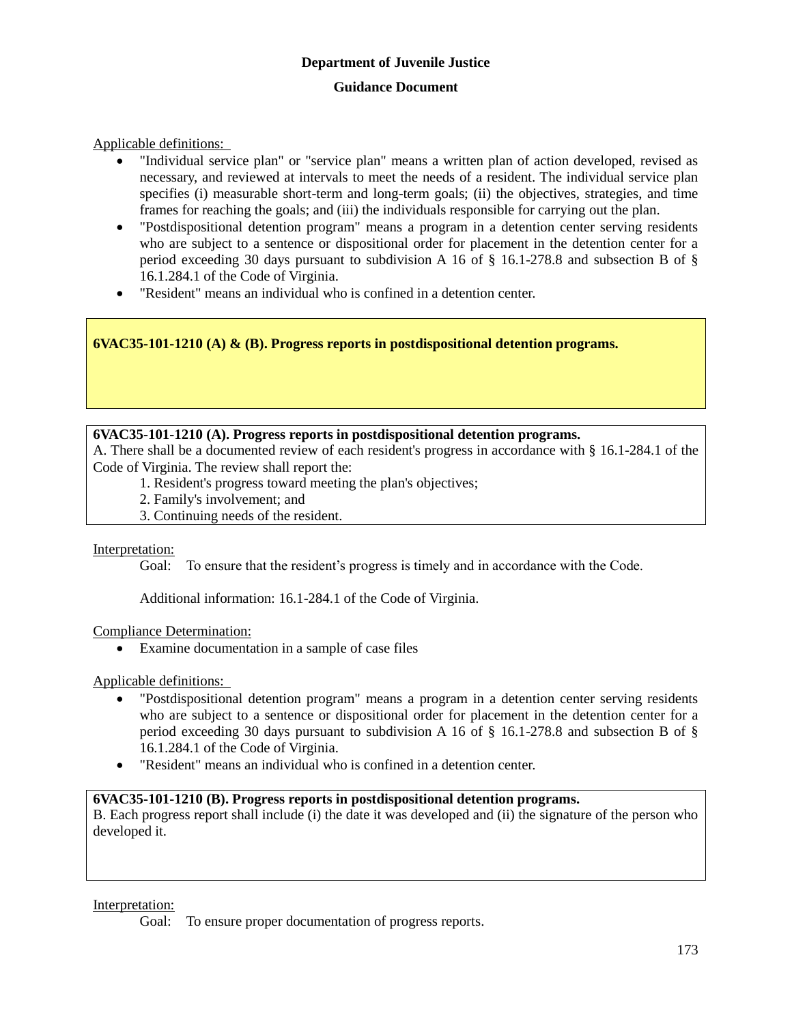Applicable definitions:

- "Individual service plan" or "service plan" means a written plan of action developed, revised as necessary, and reviewed at intervals to meet the needs of a resident. The individual service plan specifies (i) measurable short-term and long-term goals; (ii) the objectives, strategies, and time frames for reaching the goals; and (iii) the individuals responsible for carrying out the plan.
- "Postdispositional detention program" means a program in a detention center serving residents who are subject to a sentence or dispositional order for placement in the detention center for a period exceeding 30 days pursuant to subdivision A 16 of  $\S$  16.1-278.8 and subsection B of  $\S$ 16.1.284.1 of the Code of Virginia.
- "Resident" means an individual who is confined in a detention center.

**6VAC35-101-1210 (A) & (B). Progress reports in postdispositional detention programs.**

## **6VAC35-101-1210 (A). Progress reports in postdispositional detention programs.**

A. There shall be a documented review of each resident's progress in accordance with § 16.1-284.1 of the Code of Virginia. The review shall report the:

- 1. Resident's progress toward meeting the plan's objectives;
- 2. Family's involvement; and
- 3. Continuing needs of the resident.

Interpretation:

Goal: To ensure that the resident's progress is timely and in accordance with the Code.

Additional information: 16.1-284.1 of the Code of Virginia.

## Compliance Determination:

Examine documentation in a sample of case files

Applicable definitions:

- "Postdispositional detention program" means a program in a detention center serving residents who are subject to a sentence or dispositional order for placement in the detention center for a period exceeding 30 days pursuant to subdivision A 16 of § 16.1-278.8 and subsection B of § 16.1.284.1 of the Code of Virginia.
- "Resident" means an individual who is confined in a detention center.

## **6VAC35-101-1210 (B). Progress reports in postdispositional detention programs.**

B. Each progress report shall include (i) the date it was developed and (ii) the signature of the person who developed it.

Interpretation:

Goal: To ensure proper documentation of progress reports.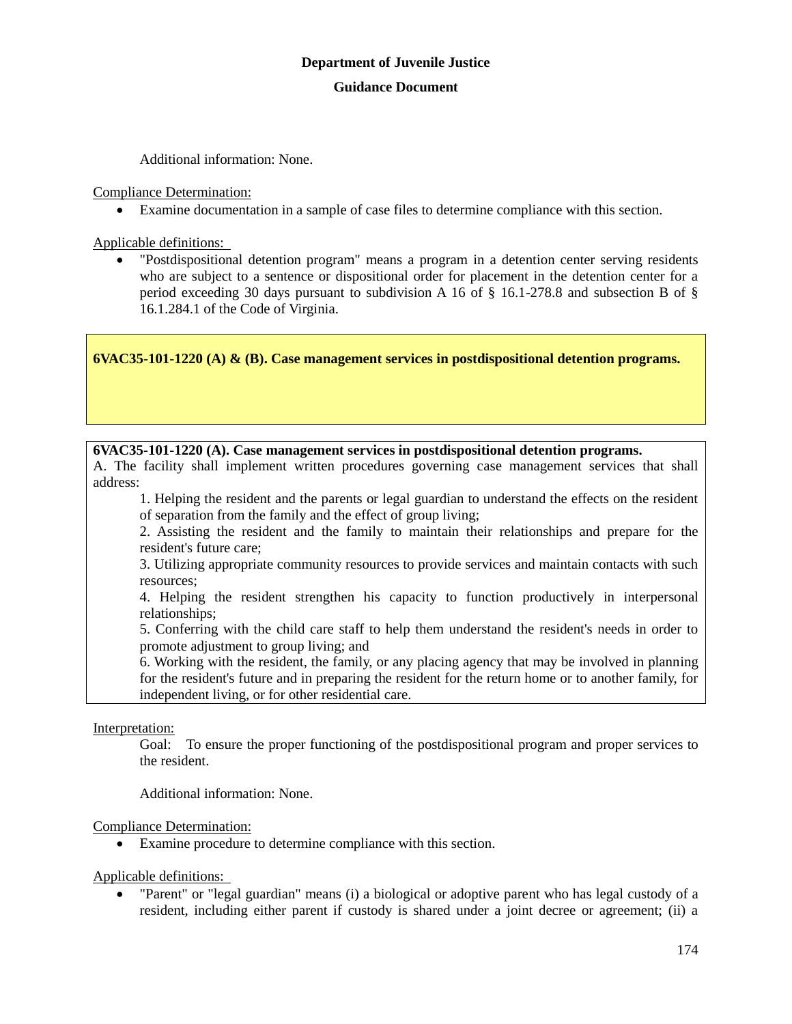Additional information: None.

Compliance Determination:

Examine documentation in a sample of case files to determine compliance with this section.

Applicable definitions:

 "Postdispositional detention program" means a program in a detention center serving residents who are subject to a sentence or dispositional order for placement in the detention center for a period exceeding 30 days pursuant to subdivision A 16 of  $\S$  16.1-278.8 and subsection B of  $\S$ 16.1.284.1 of the Code of Virginia.

**6VAC35-101-1220 (A) & (B). Case management services in postdispositional detention programs.**

#### **6VAC35-101-1220 (A). Case management services in postdispositional detention programs.**

A. The facility shall implement written procedures governing case management services that shall address:

1. Helping the resident and the parents or legal guardian to understand the effects on the resident of separation from the family and the effect of group living;

2. Assisting the resident and the family to maintain their relationships and prepare for the resident's future care;

3. Utilizing appropriate community resources to provide services and maintain contacts with such resources;

4. Helping the resident strengthen his capacity to function productively in interpersonal relationships;

5. Conferring with the child care staff to help them understand the resident's needs in order to promote adjustment to group living; and

6. Working with the resident, the family, or any placing agency that may be involved in planning for the resident's future and in preparing the resident for the return home or to another family, for independent living, or for other residential care.

Interpretation:

Goal: To ensure the proper functioning of the postdispositional program and proper services to the resident.

Additional information: None.

Compliance Determination:

Examine procedure to determine compliance with this section.

Applicable definitions:

 "Parent" or "legal guardian" means (i) a biological or adoptive parent who has legal custody of a resident, including either parent if custody is shared under a joint decree or agreement; (ii) a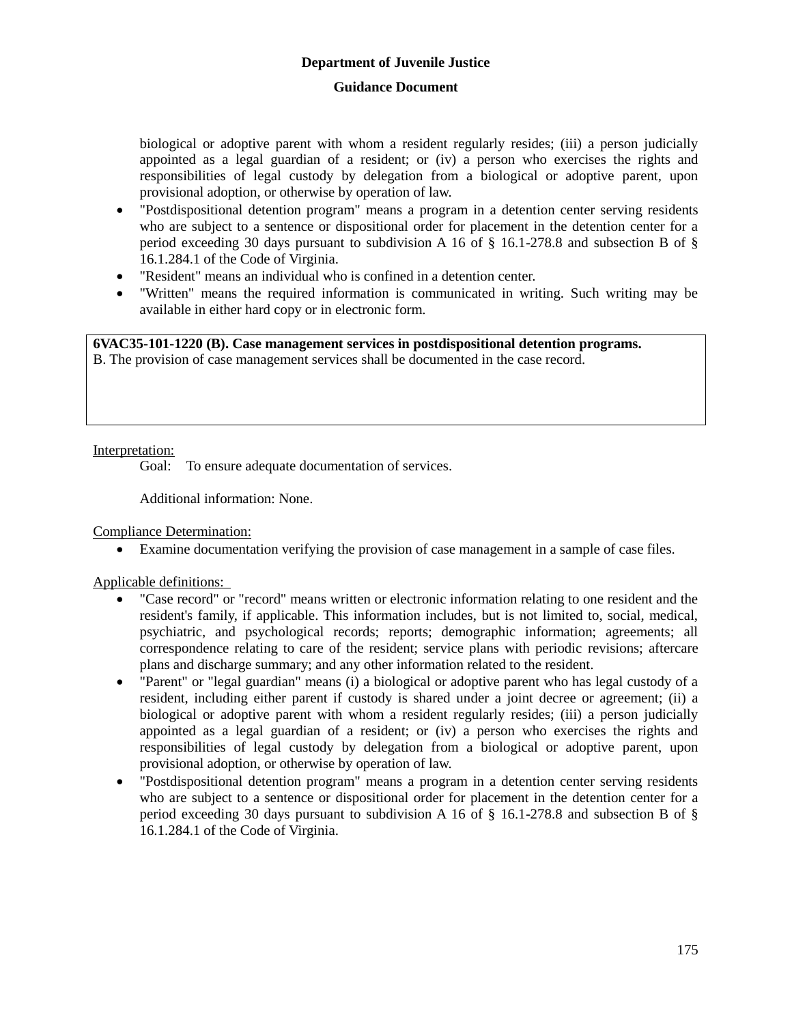## **Guidance Document**

biological or adoptive parent with whom a resident regularly resides; (iii) a person judicially appointed as a legal guardian of a resident; or (iv) a person who exercises the rights and responsibilities of legal custody by delegation from a biological or adoptive parent, upon provisional adoption, or otherwise by operation of law.

- "Postdispositional detention program" means a program in a detention center serving residents who are subject to a sentence or dispositional order for placement in the detention center for a period exceeding 30 days pursuant to subdivision A 16 of § 16.1-278.8 and subsection B of § 16.1.284.1 of the Code of Virginia.
- "Resident" means an individual who is confined in a detention center.
- "Written" means the required information is communicated in writing. Such writing may be available in either hard copy or in electronic form.

**6VAC35-101-1220 (B). Case management services in postdispositional detention programs.**

B. The provision of case management services shall be documented in the case record.

Interpretation:

Goal: To ensure adequate documentation of services.

Additional information: None.

Compliance Determination:

Examine documentation verifying the provision of case management in a sample of case files.

- "Case record" or "record" means written or electronic information relating to one resident and the resident's family, if applicable. This information includes, but is not limited to, social, medical, psychiatric, and psychological records; reports; demographic information; agreements; all correspondence relating to care of the resident; service plans with periodic revisions; aftercare plans and discharge summary; and any other information related to the resident.
- "Parent" or "legal guardian" means (i) a biological or adoptive parent who has legal custody of a resident, including either parent if custody is shared under a joint decree or agreement; (ii) a biological or adoptive parent with whom a resident regularly resides; (iii) a person judicially appointed as a legal guardian of a resident; or (iv) a person who exercises the rights and responsibilities of legal custody by delegation from a biological or adoptive parent, upon provisional adoption, or otherwise by operation of law.
- "Postdispositional detention program" means a program in a detention center serving residents who are subject to a sentence or dispositional order for placement in the detention center for a period exceeding 30 days pursuant to subdivision A 16 of  $\S$  16.1-278.8 and subsection B of  $\S$ 16.1.284.1 of the Code of Virginia.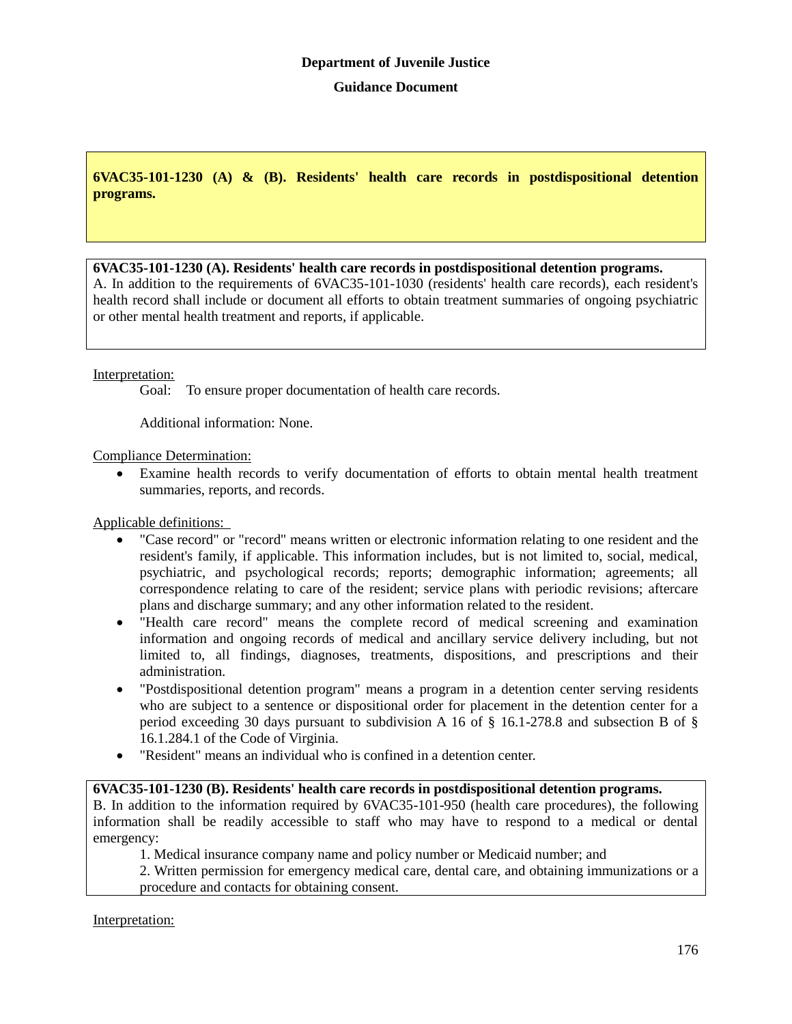**6VAC35-101-1230 (A) & (B). Residents' health care records in postdispositional detention programs.**

## **6VAC35-101-1230 (A). Residents' health care records in postdispositional detention programs.**

A. In addition to the requirements of 6VAC35-101-1030 (residents' health care records), each resident's health record shall include or document all efforts to obtain treatment summaries of ongoing psychiatric or other mental health treatment and reports, if applicable.

## Interpretation:

Goal: To ensure proper documentation of health care records.

Additional information: None.

Compliance Determination:

 Examine health records to verify documentation of efforts to obtain mental health treatment summaries, reports, and records.

Applicable definitions:

- "Case record" or "record" means written or electronic information relating to one resident and the resident's family, if applicable. This information includes, but is not limited to, social, medical, psychiatric, and psychological records; reports; demographic information; agreements; all correspondence relating to care of the resident; service plans with periodic revisions; aftercare plans and discharge summary; and any other information related to the resident.
- "Health care record" means the complete record of medical screening and examination information and ongoing records of medical and ancillary service delivery including, but not limited to, all findings, diagnoses, treatments, dispositions, and prescriptions and their administration.
- "Postdispositional detention program" means a program in a detention center serving residents who are subject to a sentence or dispositional order for placement in the detention center for a period exceeding 30 days pursuant to subdivision A 16 of § 16.1-278.8 and subsection B of § 16.1.284.1 of the Code of Virginia.
- "Resident" means an individual who is confined in a detention center.

## **6VAC35-101-1230 (B). Residents' health care records in postdispositional detention programs.**

B. In addition to the information required by 6VAC35-101-950 (health care procedures), the following information shall be readily accessible to staff who may have to respond to a medical or dental emergency:

1. Medical insurance company name and policy number or Medicaid number; and

2. Written permission for emergency medical care, dental care, and obtaining immunizations or a procedure and contacts for obtaining consent.

Interpretation: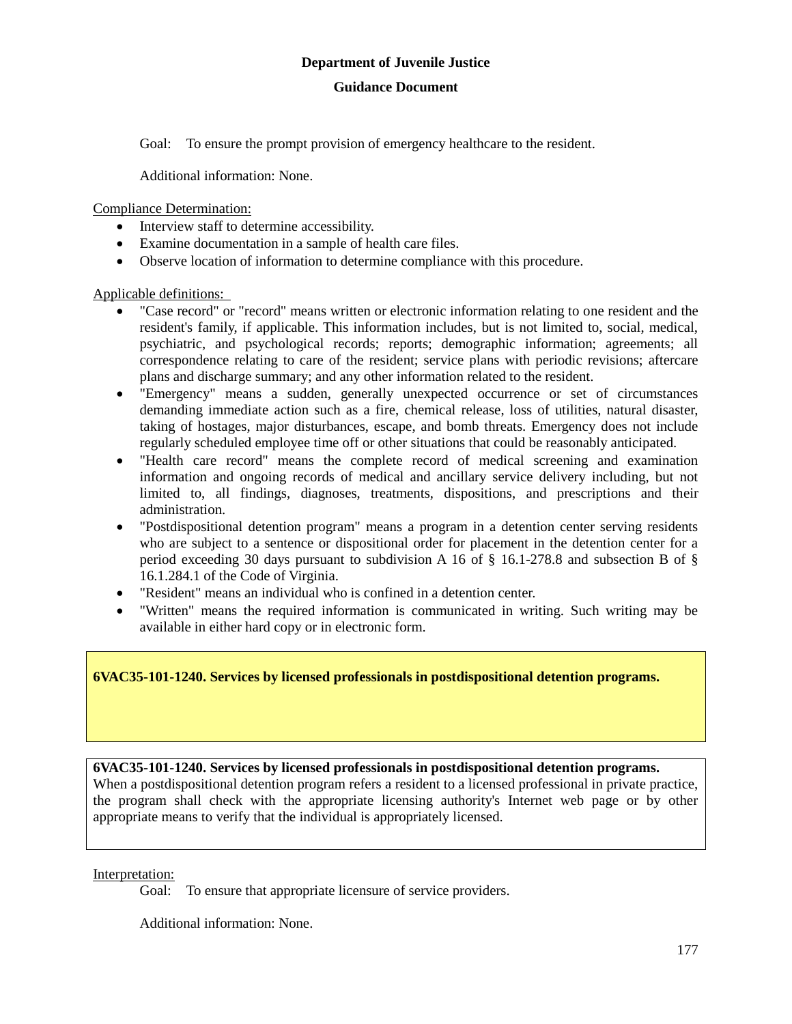Goal: To ensure the prompt provision of emergency healthcare to the resident.

Additional information: None.

Compliance Determination:

- Interview staff to determine accessibility.
- Examine documentation in a sample of health care files.
- Observe location of information to determine compliance with this procedure.

Applicable definitions:

- "Case record" or "record" means written or electronic information relating to one resident and the resident's family, if applicable. This information includes, but is not limited to, social, medical, psychiatric, and psychological records; reports; demographic information; agreements; all correspondence relating to care of the resident; service plans with periodic revisions; aftercare plans and discharge summary; and any other information related to the resident.
- "Emergency" means a sudden, generally unexpected occurrence or set of circumstances demanding immediate action such as a fire, chemical release, loss of utilities, natural disaster, taking of hostages, major disturbances, escape, and bomb threats. Emergency does not include regularly scheduled employee time off or other situations that could be reasonably anticipated.
- "Health care record" means the complete record of medical screening and examination information and ongoing records of medical and ancillary service delivery including, but not limited to, all findings, diagnoses, treatments, dispositions, and prescriptions and their administration.
- "Postdispositional detention program" means a program in a detention center serving residents who are subject to a sentence or dispositional order for placement in the detention center for a period exceeding 30 days pursuant to subdivision A 16 of  $\S$  16.1-278.8 and subsection B of  $\S$ 16.1.284.1 of the Code of Virginia.
- "Resident" means an individual who is confined in a detention center.
- "Written" means the required information is communicated in writing. Such writing may be available in either hard copy or in electronic form.

**6VAC35-101-1240. Services by licensed professionals in postdispositional detention programs.**

## **6VAC35-101-1240. Services by licensed professionals in postdispositional detention programs.**

When a postdispositional detention program refers a resident to a licensed professional in private practice, the program shall check with the appropriate licensing authority's Internet web page or by other appropriate means to verify that the individual is appropriately licensed.

Interpretation:

Goal: To ensure that appropriate licensure of service providers.

Additional information: None.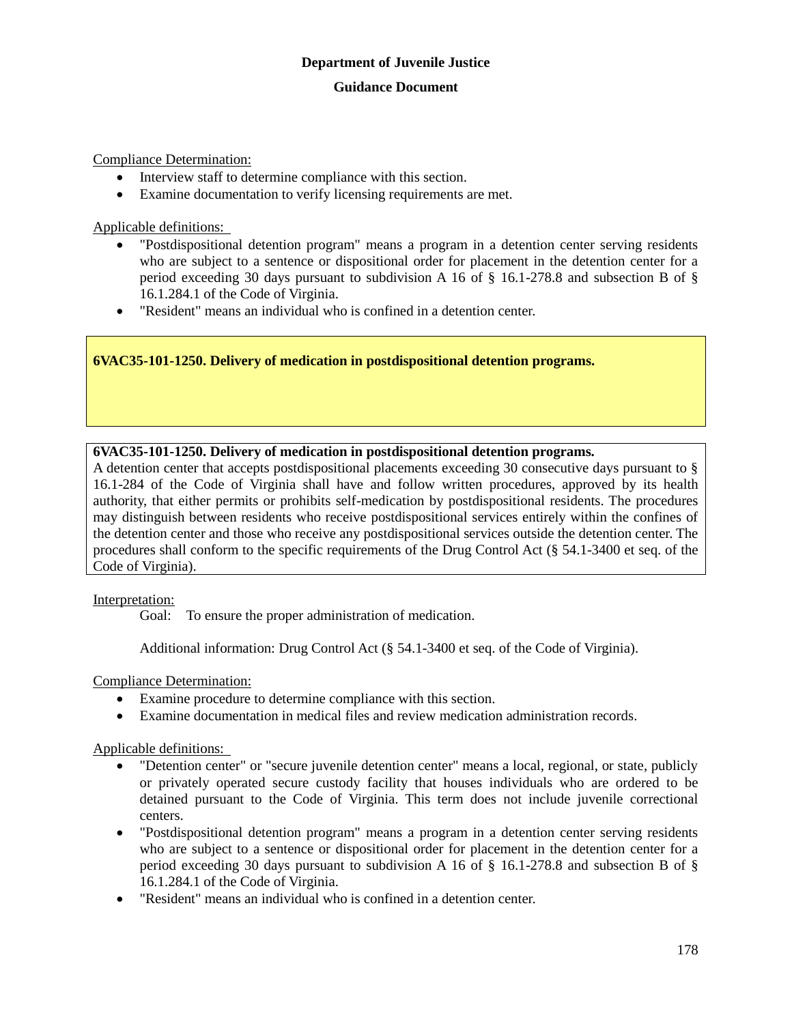Compliance Determination:

- Interview staff to determine compliance with this section.
- Examine documentation to verify licensing requirements are met.

Applicable definitions:

- "Postdispositional detention program" means a program in a detention center serving residents who are subject to a sentence or dispositional order for placement in the detention center for a period exceeding 30 days pursuant to subdivision A 16 of § 16.1-278.8 and subsection B of § 16.1.284.1 of the Code of Virginia.
- "Resident" means an individual who is confined in a detention center.

## **6VAC35-101-1250. Delivery of medication in postdispositional detention programs.**

## **6VAC35-101-1250. Delivery of medication in postdispositional detention programs.**

A detention center that accepts postdispositional placements exceeding 30 consecutive days pursuant to § 16.1-284 of the Code of Virginia shall have and follow written procedures, approved by its health authority, that either permits or prohibits self-medication by postdispositional residents. The procedures may distinguish between residents who receive postdispositional services entirely within the confines of the detention center and those who receive any postdispositional services outside the detention center. The procedures shall conform to the specific requirements of the Drug Control Act (§ 54.1-3400 et seq. of the Code of Virginia).

## Interpretation:

Goal: To ensure the proper administration of medication.

Additional information: Drug Control Act (§ 54.1-3400 et seq. of the Code of Virginia).

Compliance Determination:

- Examine procedure to determine compliance with this section.
- Examine documentation in medical files and review medication administration records.

- "Detention center" or "secure juvenile detention center" means a local, regional, or state, publicly or privately operated secure custody facility that houses individuals who are ordered to be detained pursuant to the Code of Virginia. This term does not include juvenile correctional centers.
- "Postdispositional detention program" means a program in a detention center serving residents who are subject to a sentence or dispositional order for placement in the detention center for a period exceeding 30 days pursuant to subdivision A 16 of § 16.1-278.8 and subsection B of § 16.1.284.1 of the Code of Virginia.
- "Resident" means an individual who is confined in a detention center.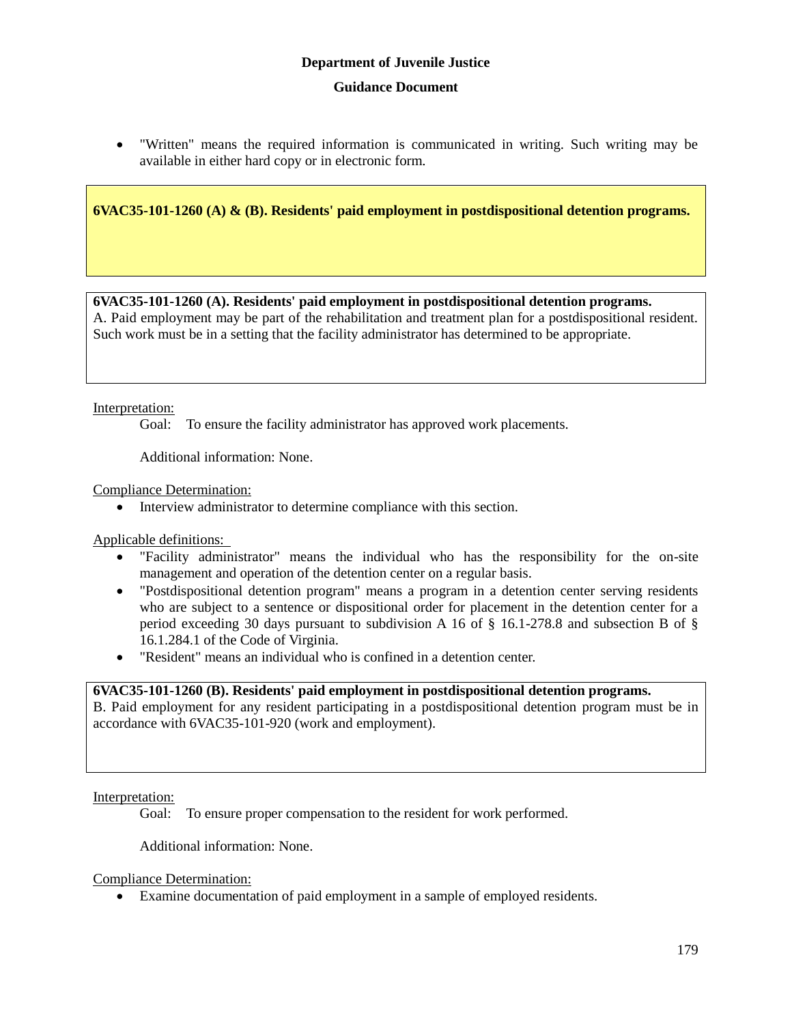"Written" means the required information is communicated in writing. Such writing may be available in either hard copy or in electronic form.

**6VAC35-101-1260 (A) & (B). Residents' paid employment in postdispositional detention programs.**

## **6VAC35-101-1260 (A). Residents' paid employment in postdispositional detention programs.**

A. Paid employment may be part of the rehabilitation and treatment plan for a postdispositional resident. Such work must be in a setting that the facility administrator has determined to be appropriate.

## Interpretation:

Goal: To ensure the facility administrator has approved work placements.

Additional information: None.

Compliance Determination:

Interview administrator to determine compliance with this section.

Applicable definitions:

- "Facility administrator" means the individual who has the responsibility for the on-site management and operation of the detention center on a regular basis.
- "Postdispositional detention program" means a program in a detention center serving residents who are subject to a sentence or dispositional order for placement in the detention center for a period exceeding 30 days pursuant to subdivision A 16 of § 16.1-278.8 and subsection B of § 16.1.284.1 of the Code of Virginia.
- "Resident" means an individual who is confined in a detention center.

## **6VAC35-101-1260 (B). Residents' paid employment in postdispositional detention programs.**

B. Paid employment for any resident participating in a postdispositional detention program must be in accordance with 6VAC35-101-920 (work and employment).

## Interpretation:

Goal: To ensure proper compensation to the resident for work performed.

Additional information: None.

Compliance Determination:

Examine documentation of paid employment in a sample of employed residents.